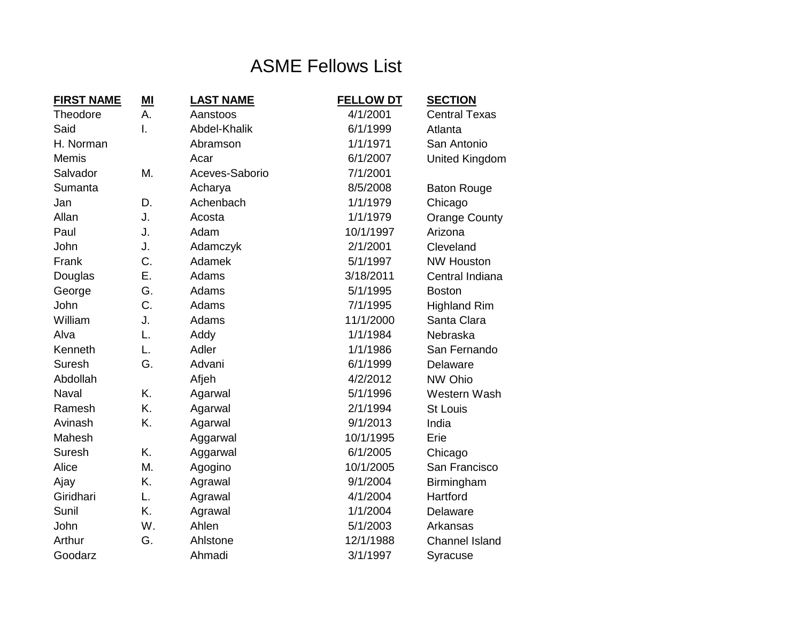## ASME Fellows List

| <b>FIRST NAME</b> | $M$ | <b>LAST NAME</b> | <b>FELLOW DT</b> | <b>SECTION</b>        |
|-------------------|-----|------------------|------------------|-----------------------|
| <b>Theodore</b>   | А.  | Aanstoos         | 4/1/2001         | <b>Central Texas</b>  |
| Said              | I.  | Abdel-Khalik     | 6/1/1999         | Atlanta               |
| H. Norman         |     | Abramson         | 1/1/1971         | San Antonio           |
| <b>Memis</b>      |     | Acar             | 6/1/2007         | United Kingdom        |
| Salvador          | Μ.  | Aceves-Saborio   | 7/1/2001         |                       |
| Sumanta           |     | Acharya          | 8/5/2008         | <b>Baton Rouge</b>    |
| Jan               | D.  | Achenbach        | 1/1/1979         | Chicago               |
| Allan             | J.  | Acosta           | 1/1/1979         | <b>Orange County</b>  |
| Paul              | J.  | Adam             | 10/1/1997        | Arizona               |
| John              | J.  | Adamczyk         | 2/1/2001         | Cleveland             |
| Frank             | C.  | Adamek           | 5/1/1997         | <b>NW Houston</b>     |
| Douglas           | Ε.  | Adams            | 3/18/2011        | Central Indiana       |
| George            | G.  | Adams            | 5/1/1995         | <b>Boston</b>         |
| John              | C.  | Adams            | 7/1/1995         | <b>Highland Rim</b>   |
| William           | J.  | Adams            | 11/1/2000        | Santa Clara           |
| Alva              | L.  | Addy             | 1/1/1984         | Nebraska              |
| Kenneth           | L.  | Adler            | 1/1/1986         | San Fernando          |
| <b>Suresh</b>     | G.  | Advani           | 6/1/1999         | Delaware              |
| Abdollah          |     | Afjeh            | 4/2/2012         | NW Ohio               |
| Naval             | K.  | Agarwal          | 5/1/1996         | Western Wash          |
| Ramesh            | K.  | Agarwal          | 2/1/1994         | <b>St Louis</b>       |
| Avinash           | K.  | Agarwal          | 9/1/2013         | India                 |
| Mahesh            |     | Aggarwal         | 10/1/1995        | Erie                  |
| <b>Suresh</b>     | K.  | Aggarwal         | 6/1/2005         | Chicago               |
| Alice             | Μ.  | Agogino          | 10/1/2005        | San Francisco         |
| Ajay              | Κ.  | Agrawal          | 9/1/2004         | Birmingham            |
| Giridhari         | L.  | Agrawal          | 4/1/2004         | Hartford              |
| Sunil             | K.  | Agrawal          | 1/1/2004         | Delaware              |
| John              | W.  | Ahlen            | 5/1/2003         | Arkansas              |
| Arthur            | G.  | Ahlstone         | 12/1/1988        | <b>Channel Island</b> |
| Goodarz           |     | Ahmadi           | 3/1/1997         | Syracuse              |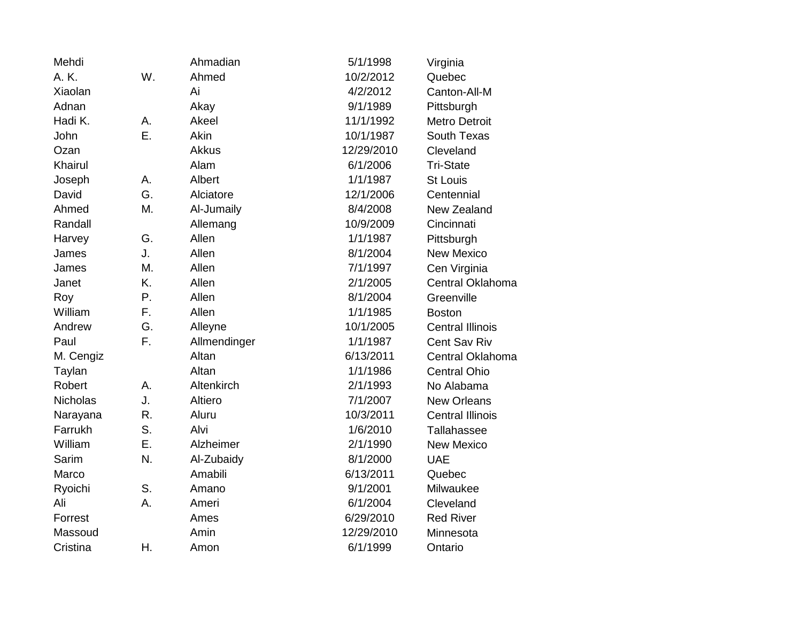| Mehdi           |    | Ahmadian     | 5/1/1998   | Virginia                |
|-----------------|----|--------------|------------|-------------------------|
| A. K.           | W. | Ahmed        | 10/2/2012  | Quebec                  |
| Xiaolan         |    | Ai           | 4/2/2012   | Canton-All-M            |
| Adnan           |    | Akay         | 9/1/1989   | Pittsburgh              |
| Hadi K.         | А. | Akeel        | 11/1/1992  | <b>Metro Detroit</b>    |
| John            | Ε. | Akin         | 10/1/1987  | South Texas             |
| Ozan            |    | <b>Akkus</b> | 12/29/2010 | Cleveland               |
| Khairul         |    | Alam         | 6/1/2006   | <b>Tri-State</b>        |
| Joseph          | А. | Albert       | 1/1/1987   | <b>St Louis</b>         |
| David           | G. | Alciatore    | 12/1/2006  | Centennial              |
| Ahmed           | Μ. | Al-Jumaily   | 8/4/2008   | New Zealand             |
| Randall         |    | Allemang     | 10/9/2009  | Cincinnati              |
| Harvey          | G. | Allen        | 1/1/1987   | Pittsburgh              |
| James           | J. | Allen        | 8/1/2004   | <b>New Mexico</b>       |
| James           | M. | Allen        | 7/1/1997   | Cen Virginia            |
| Janet           | K. | Allen        | 2/1/2005   | Central Oklahoma        |
| Roy             | Ρ. | Allen        | 8/1/2004   | Greenville              |
| William         | F. | Allen        | 1/1/1985   | <b>Boston</b>           |
| Andrew          | G. | Alleyne      | 10/1/2005  | <b>Central Illinois</b> |
| Paul            | F. | Allmendinger | 1/1/1987   | Cent Sav Riv            |
| M. Cengiz       |    | Altan        | 6/13/2011  | Central Oklahoma        |
| Taylan          |    | Altan        | 1/1/1986   | <b>Central Ohio</b>     |
| Robert          | А. | Altenkirch   | 2/1/1993   | No Alabama              |
| <b>Nicholas</b> | J. | Altiero      | 7/1/2007   | <b>New Orleans</b>      |
| Narayana        | R. | Aluru        | 10/3/2011  | <b>Central Illinois</b> |
| Farrukh         | S. | Alvi         | 1/6/2010   | Tallahassee             |
| William         | Ε. | Alzheimer    | 2/1/1990   | <b>New Mexico</b>       |
| Sarim           | N. | Al-Zubaidy   | 8/1/2000   | <b>UAE</b>              |
| Marco           |    | Amabili      | 6/13/2011  | Quebec                  |
| Ryoichi         | S. | Amano        | 9/1/2001   | Milwaukee               |
| Ali             | A. | Ameri        | 6/1/2004   | Cleveland               |
| Forrest         |    | Ames         | 6/29/2010  | <b>Red River</b>        |
| Massoud         |    | Amin         | 12/29/2010 | Minnesota               |
| Cristina        | Η. | Amon         | 6/1/1999   | Ontario                 |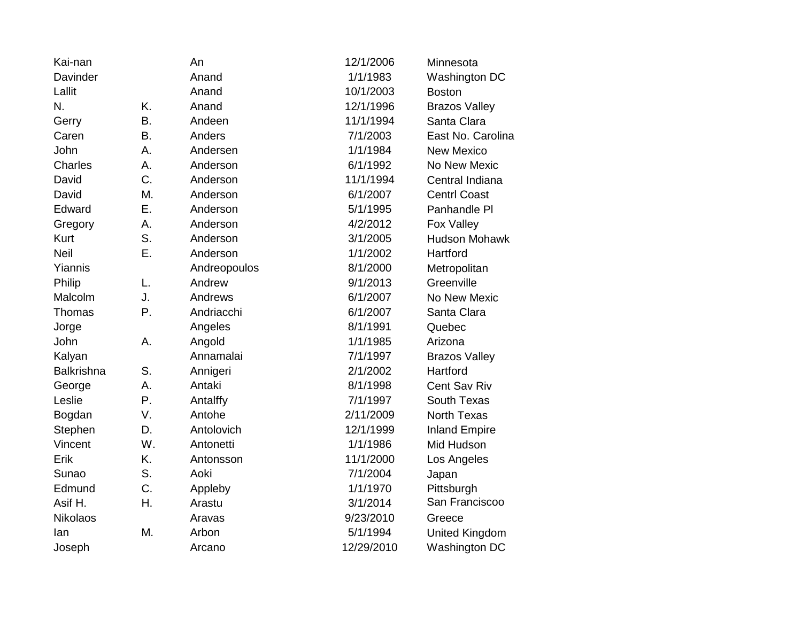| Kai-nan           |           | An           | 12/1/2006  | Minnesota             |
|-------------------|-----------|--------------|------------|-----------------------|
| Davinder          |           | Anand        | 1/1/1983   | Washington DC         |
| Lallit            |           | Anand        | 10/1/2003  | <b>Boston</b>         |
| N.                | K.        | Anand        | 12/1/1996  | <b>Brazos Valley</b>  |
| Gerry             | Β.        | Andeen       | 11/1/1994  | Santa Clara           |
| Caren             | <b>B.</b> | Anders       | 7/1/2003   | East No. Carolina     |
| John              | Α.        | Andersen     | 1/1/1984   | <b>New Mexico</b>     |
| <b>Charles</b>    | Α.        | Anderson     | 6/1/1992   | No New Mexic          |
| David             | C.        | Anderson     | 11/1/1994  | Central Indiana       |
| David             | M.        | Anderson     | 6/1/2007   | <b>Centrl Coast</b>   |
| Edward            | Ε.        | Anderson     | 5/1/1995   | Panhandle PI          |
| Gregory           | Α.        | Anderson     | 4/2/2012   | Fox Valley            |
| Kurt              | S.        | Anderson     | 3/1/2005   | <b>Hudson Mohawk</b>  |
| <b>Neil</b>       | Ε.        | Anderson     | 1/1/2002   | Hartford              |
| Yiannis           |           | Andreopoulos | 8/1/2000   | Metropolitan          |
| Philip            | L.        | Andrew       | 9/1/2013   | Greenville            |
| Malcolm           | J.        | Andrews      | 6/1/2007   | No New Mexic          |
| Thomas            | Ρ.        | Andriacchi   | 6/1/2007   | Santa Clara           |
| Jorge             |           | Angeles      | 8/1/1991   | Quebec                |
| John              | А.        | Angold       | 1/1/1985   | Arizona               |
| Kalyan            |           | Annamalai    | 7/1/1997   | <b>Brazos Valley</b>  |
| <b>Balkrishna</b> | S.        | Annigeri     | 2/1/2002   | Hartford              |
| George            | Α.        | Antaki       | 8/1/1998   | Cent Sav Riv          |
| Leslie            | Ρ.        | Antalffy     | 7/1/1997   | South Texas           |
| Bogdan            | V.        | Antohe       | 2/11/2009  | <b>North Texas</b>    |
| Stephen           | D.        | Antolovich   | 12/1/1999  | <b>Inland Empire</b>  |
| Vincent           | W.        | Antonetti    | 1/1/1986   | Mid Hudson            |
| Erik              | K.        | Antonsson    | 11/1/2000  | Los Angeles           |
| Sunao             | S.        | Aoki         | 7/1/2004   | Japan                 |
| Edmund            | C.        | Appleby      | 1/1/1970   | Pittsburgh            |
| Asif H.           | Η.        | Arastu       | 3/1/2014   | San Franciscoo        |
| <b>Nikolaos</b>   |           | Aravas       | 9/23/2010  | Greece                |
| lan               | M.        | Arbon        | 5/1/1994   | <b>United Kingdom</b> |
| Joseph            |           | Arcano       | 12/29/2010 | Washington DC         |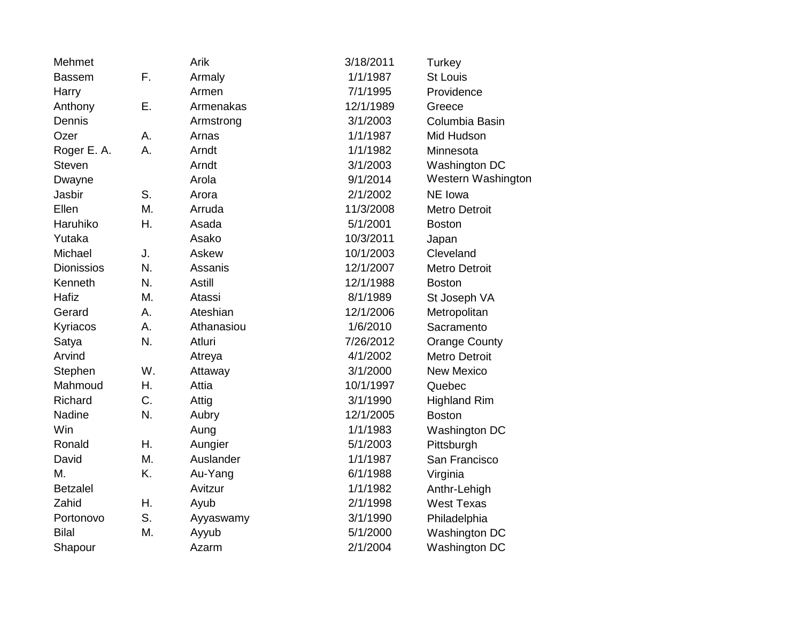| Mehmet            |    | Arik          | 3/18/2011 | Turkey               |
|-------------------|----|---------------|-----------|----------------------|
| <b>Bassem</b>     | F. | Armaly        | 1/1/1987  | <b>St Louis</b>      |
| Harry             |    | Armen         | 7/1/1995  | Providence           |
| Anthony           | Ε. | Armenakas     | 12/1/1989 | Greece               |
| Dennis            |    | Armstrong     | 3/1/2003  | Columbia Basin       |
| Ozer              | А. | Arnas         | 1/1/1987  | Mid Hudson           |
| Roger E. A.       | Α. | Arndt         | 1/1/1982  | Minnesota            |
| <b>Steven</b>     |    | Arndt         | 3/1/2003  | Washington DC        |
| Dwayne            |    | Arola         | 9/1/2014  | Western Washington   |
| Jasbir            | S. | Arora         | 2/1/2002  | NE Iowa              |
| Ellen             | М. | Arruda        | 11/3/2008 | <b>Metro Detroit</b> |
| Haruhiko          | Η. | Asada         | 5/1/2001  | <b>Boston</b>        |
| Yutaka            |    | Asako         | 10/3/2011 | Japan                |
| Michael           | J. | Askew         | 10/1/2003 | Cleveland            |
| <b>Dionissios</b> | N. | Assanis       | 12/1/2007 | Metro Detroit        |
| Kenneth           | N. | <b>Astill</b> | 12/1/1988 | <b>Boston</b>        |
| Hafiz             | M. | Atassi        | 8/1/1989  | St Joseph VA         |
| Gerard            | А. | Ateshian      | 12/1/2006 | Metropolitan         |
| Kyriacos          | А. | Athanasiou    | 1/6/2010  | Sacramento           |
| Satya             | N. | Atluri        | 7/26/2012 | <b>Orange County</b> |
| Arvind            |    | Atreya        | 4/1/2002  | <b>Metro Detroit</b> |
| Stephen           | W. | Attaway       | 3/1/2000  | <b>New Mexico</b>    |
| Mahmoud           | Η. | Attia         | 10/1/1997 | Quebec               |
| Richard           | C. | Attig         | 3/1/1990  | <b>Highland Rim</b>  |
| Nadine            | N. | Aubry         | 12/1/2005 | <b>Boston</b>        |
| Win               |    | Aung          | 1/1/1983  | Washington DC        |
| Ronald            | Η. | Aungier       | 5/1/2003  | Pittsburgh           |
| David             | M. | Auslander     | 1/1/1987  | San Francisco        |
| M.                | K. | Au-Yang       | 6/1/1988  | Virginia             |
| <b>Betzalel</b>   |    | Avitzur       | 1/1/1982  | Anthr-Lehigh         |
| Zahid             | Η. | Ayub          | 2/1/1998  | <b>West Texas</b>    |
| Portonovo         | S. | Ayyaswamy     | 3/1/1990  | Philadelphia         |
| <b>Bilal</b>      | M. | Ayyub         | 5/1/2000  | Washington DC        |
| Shapour           |    | Azarm         | 2/1/2004  | Washington DC        |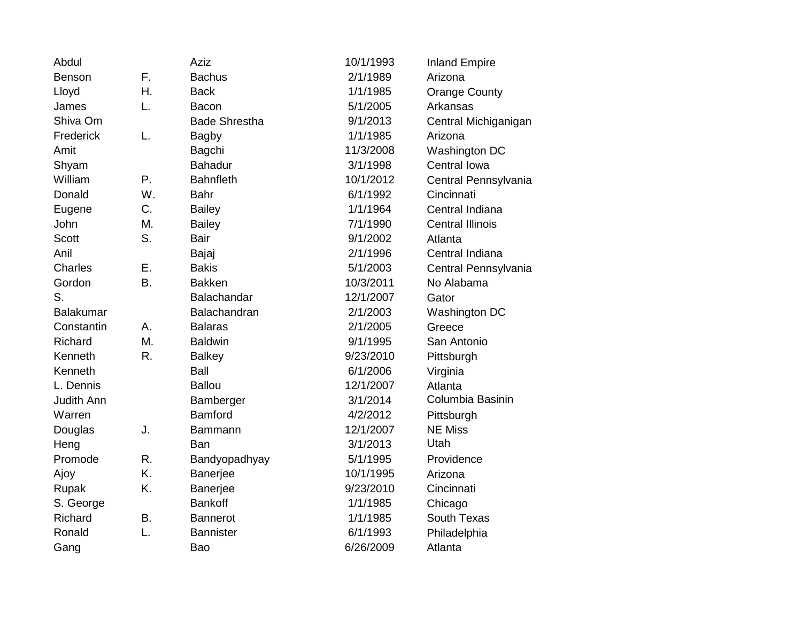| Abdul             |    | <b>Aziz</b>          | 10/1/1993 | <b>Inland Empire</b>    |
|-------------------|----|----------------------|-----------|-------------------------|
| Benson            | F. | <b>Bachus</b>        | 2/1/1989  | Arizona                 |
| Lloyd             | Η. | <b>Back</b>          | 1/1/1985  | <b>Orange County</b>    |
| James             | L. | <b>Bacon</b>         | 5/1/2005  | Arkansas                |
| Shiva Om          |    | <b>Bade Shrestha</b> | 9/1/2013  | Central Michiganigan    |
| Frederick         | L. | <b>Bagby</b>         | 1/1/1985  | Arizona                 |
| Amit              |    | Bagchi               | 11/3/2008 | Washington DC           |
| Shyam             |    | <b>Bahadur</b>       | 3/1/1998  | Central Iowa            |
| William           | Ρ. | <b>Bahnfleth</b>     | 10/1/2012 | Central Pennsylvania    |
| Donald            | W. | <b>Bahr</b>          | 6/1/1992  | Cincinnati              |
| Eugene            | C. | <b>Bailey</b>        | 1/1/1964  | Central Indiana         |
| John              | M. | <b>Bailey</b>        | 7/1/1990  | <b>Central Illinois</b> |
| <b>Scott</b>      | S. | <b>Bair</b>          | 9/1/2002  | Atlanta                 |
| Anil              |    | Bajaj                | 2/1/1996  | Central Indiana         |
| Charles           | Ε. | <b>Bakis</b>         | 5/1/2003  | Central Pennsylvania    |
| Gordon            | Β. | <b>Bakken</b>        | 10/3/2011 | No Alabama              |
| S.                |    | Balachandar          | 12/1/2007 | Gator                   |
| <b>Balakumar</b>  |    | Balachandran         | 2/1/2003  | Washington DC           |
| Constantin        | А. | <b>Balaras</b>       | 2/1/2005  | Greece                  |
| Richard           | M. | <b>Baldwin</b>       | 9/1/1995  | San Antonio             |
| Kenneth           | R. | <b>Balkey</b>        | 9/23/2010 | Pittsburgh              |
| Kenneth           |    | Ball                 | 6/1/2006  | Virginia                |
| L. Dennis         |    | <b>Ballou</b>        | 12/1/2007 | Atlanta                 |
| <b>Judith Ann</b> |    | Bamberger            | 3/1/2014  | Columbia Basinin        |
| Warren            |    | <b>Bamford</b>       | 4/2/2012  | Pittsburgh              |
| Douglas           | J. | Bammann              | 12/1/2007 | <b>NE Miss</b>          |
| Heng              |    | Ban                  | 3/1/2013  | Utah                    |
| Promode           | R. | Bandyopadhyay        | 5/1/1995  | Providence              |
| Ajoy              | K. | Banerjee             | 10/1/1995 | Arizona                 |
| Rupak             | K. | Banerjee             | 9/23/2010 | Cincinnati              |
| S. George         |    | <b>Bankoff</b>       | 1/1/1985  | Chicago                 |
| Richard           | В. | <b>Bannerot</b>      | 1/1/1985  | South Texas             |
| Ronald            | L. | <b>Bannister</b>     | 6/1/1993  | Philadelphia            |
| Gang              |    | Bao                  | 6/26/2009 | Atlanta                 |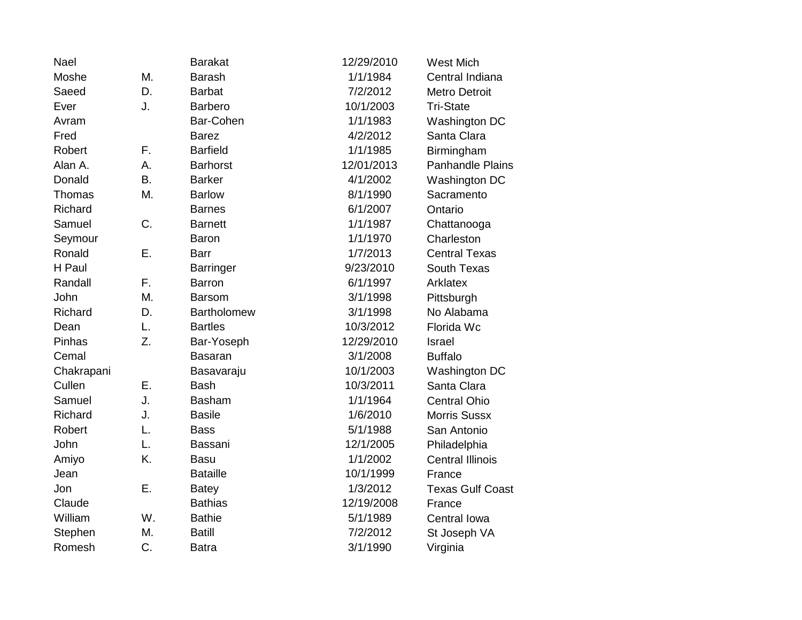| Nael       |           | <b>Barakat</b>     | 12/29/2010 | <b>West Mich</b>        |
|------------|-----------|--------------------|------------|-------------------------|
| Moshe      | Μ.        | <b>Barash</b>      | 1/1/1984   | Central Indiana         |
| Saeed      | D.        | <b>Barbat</b>      | 7/2/2012   | <b>Metro Detroit</b>    |
| Ever       | J.        | <b>Barbero</b>     | 10/1/2003  | <b>Tri-State</b>        |
| Avram      |           | Bar-Cohen          | 1/1/1983   | Washington DC           |
| Fred       |           | <b>Barez</b>       | 4/2/2012   | Santa Clara             |
| Robert     | F.        | <b>Barfield</b>    | 1/1/1985   | Birmingham              |
| Alan A.    | А.        | <b>Barhorst</b>    | 12/01/2013 | <b>Panhandle Plains</b> |
| Donald     | <b>B.</b> | <b>Barker</b>      | 4/1/2002   | Washington DC           |
| Thomas     | Μ.        | <b>Barlow</b>      | 8/1/1990   | Sacramento              |
| Richard    |           | <b>Barnes</b>      | 6/1/2007   | Ontario                 |
| Samuel     | C.        | <b>Barnett</b>     | 1/1/1987   | Chattanooga             |
| Seymour    |           | Baron              | 1/1/1970   | Charleston              |
| Ronald     | Ε.        | <b>Barr</b>        | 1/7/2013   | <b>Central Texas</b>    |
| H Paul     |           | <b>Barringer</b>   | 9/23/2010  | South Texas             |
| Randall    | F.        | <b>Barron</b>      | 6/1/1997   | Arklatex                |
| John       | Μ.        | <b>Barsom</b>      | 3/1/1998   | Pittsburgh              |
| Richard    | D.        | <b>Bartholomew</b> | 3/1/1998   | No Alabama              |
| Dean       | L.        | <b>Bartles</b>     | 10/3/2012  | Florida Wc              |
| Pinhas     | Z.        | Bar-Yoseph         | 12/29/2010 | <b>Israel</b>           |
| Cemal      |           | <b>Basaran</b>     | 3/1/2008   | <b>Buffalo</b>          |
| Chakrapani |           | Basavaraju         | 10/1/2003  | <b>Washington DC</b>    |
| Cullen     | Ε.        | <b>Bash</b>        | 10/3/2011  | Santa Clara             |
| Samuel     | J.        | <b>Basham</b>      | 1/1/1964   | <b>Central Ohio</b>     |
| Richard    | J.        | <b>Basile</b>      | 1/6/2010   | <b>Morris Sussx</b>     |
| Robert     | L.        | <b>Bass</b>        | 5/1/1988   | San Antonio             |
| John       | L.        | Bassani            | 12/1/2005  | Philadelphia            |
| Amiyo      | K.        | <b>Basu</b>        | 1/1/2002   | <b>Central Illinois</b> |
| Jean       |           | <b>Bataille</b>    | 10/1/1999  | France                  |
| Jon        | Ε.        | <b>Batey</b>       | 1/3/2012   | <b>Texas Gulf Coast</b> |
| Claude     |           | <b>Bathias</b>     | 12/19/2008 | France                  |
| William    | W.        | <b>Bathie</b>      | 5/1/1989   | Central Iowa            |
| Stephen    | M.        | <b>Batill</b>      | 7/2/2012   | St Joseph VA            |
| Romesh     | C.        | <b>Batra</b>       | 3/1/1990   | Virginia                |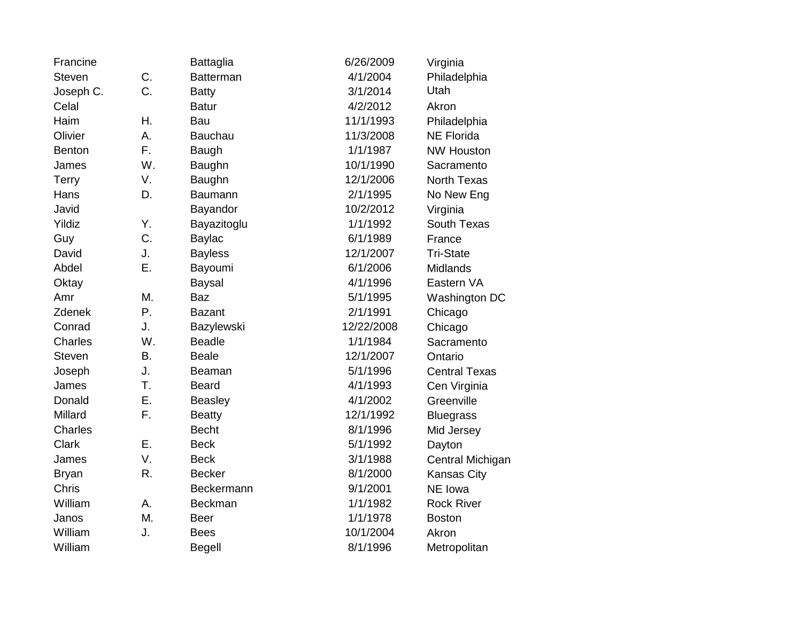| Francine      |    | <b>Battaglia</b> | 6/26/2009  | Virginia             |
|---------------|----|------------------|------------|----------------------|
| <b>Steven</b> | C. | <b>Batterman</b> | 4/1/2004   | Philadelphia         |
| Joseph C.     | C. | <b>Batty</b>     | 3/1/2014   | Utah                 |
| Celal         |    | <b>Batur</b>     | 4/2/2012   | Akron                |
| Haim          | Η. | Bau              | 11/1/1993  | Philadelphia         |
| Olivier       | Α. | Bauchau          | 11/3/2008  | <b>NE Florida</b>    |
| <b>Benton</b> | F. | Baugh            | 1/1/1987   | <b>NW Houston</b>    |
| James         | W. | Baughn           | 10/1/1990  | Sacramento           |
| <b>Terry</b>  | V. | Baughn           | 12/1/2006  | North Texas          |
| Hans          | D. | Baumann          | 2/1/1995   | No New Eng           |
| Javid         |    | Bayandor         | 10/2/2012  | Virginia             |
| Yildiz        | Υ. | Bayazitoglu      | 1/1/1992   | South Texas          |
| Guy           | C. | Baylac           | 6/1/1989   | France               |
| David         | J. | <b>Bayless</b>   | 12/1/2007  | <b>Tri-State</b>     |
| Abdel         | Ε. | Bayoumi          | 6/1/2006   | Midlands             |
| Oktay         |    | <b>Baysal</b>    | 4/1/1996   | Eastern VA           |
| Amr           | M. | <b>Baz</b>       | 5/1/1995   | Washington DC        |
| <b>Zdenek</b> | Ρ. | <b>Bazant</b>    | 2/1/1991   | Chicago              |
| Conrad        | J. | Bazylewski       | 12/22/2008 | Chicago              |
| Charles       | W. | <b>Beadle</b>    | 1/1/1984   | Sacramento           |
| <b>Steven</b> | Β. | <b>Beale</b>     | 12/1/2007  | Ontario              |
| Joseph        | J. | Beaman           | 5/1/1996   | <b>Central Texas</b> |
| James         | T. | <b>Beard</b>     | 4/1/1993   | Cen Virginia         |
| Donald        | Ε. | <b>Beasley</b>   | 4/1/2002   | Greenville           |
| Millard       | F. | <b>Beatty</b>    | 12/1/1992  | <b>Bluegrass</b>     |
| Charles       |    | <b>Becht</b>     | 8/1/1996   | Mid Jersey           |
| Clark         | Ε. | <b>Beck</b>      | 5/1/1992   | Dayton               |
| James         | V. | <b>Beck</b>      | 3/1/1988   | Central Michigan     |
| <b>Bryan</b>  | R. | <b>Becker</b>    | 8/1/2000   | <b>Kansas City</b>   |
| Chris         |    | Beckermann       | 9/1/2001   | NE Iowa              |
| William       | Α. | <b>Beckman</b>   | 1/1/1982   | <b>Rock River</b>    |
| Janos         | Μ. | <b>Beer</b>      | 1/1/1978   | <b>Boston</b>        |
| William       | J. | <b>Bees</b>      | 10/1/2004  | Akron                |
| William       |    | <b>Begell</b>    | 8/1/1996   | Metropolitan         |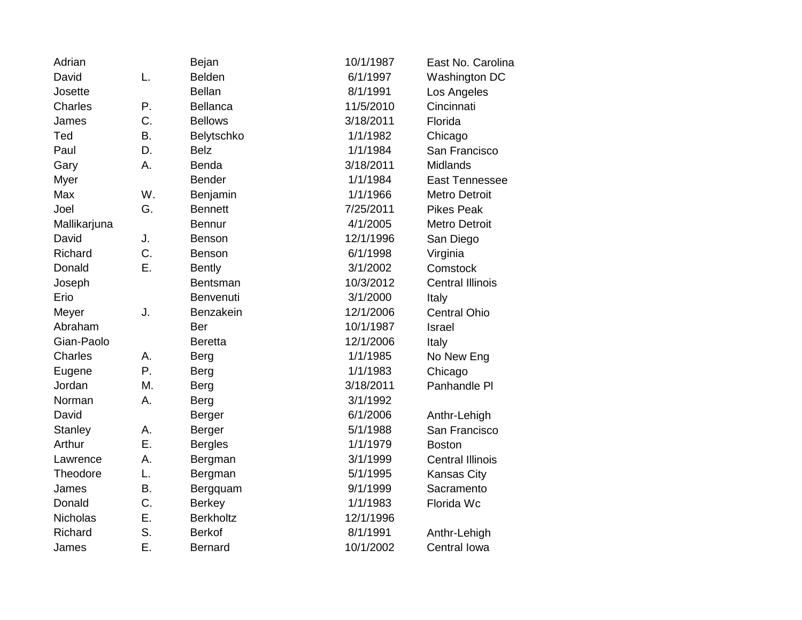| Adrian          |           | Bejan            | 10/1/1987 | East No. Carolina       |
|-----------------|-----------|------------------|-----------|-------------------------|
| David           | L.        | <b>Belden</b>    | 6/1/1997  | Washington DC           |
| Josette         |           | <b>Bellan</b>    | 8/1/1991  | Los Angeles             |
| Charles         | Ρ.        | <b>Bellanca</b>  | 11/5/2010 | Cincinnati              |
| James           | C.        | <b>Bellows</b>   | 3/18/2011 | Florida                 |
| Ted             | <b>B.</b> | Belytschko       | 1/1/1982  | Chicago                 |
| Paul            | D.        | <b>Belz</b>      | 1/1/1984  | San Francisco           |
| Gary            | A.        | <b>Benda</b>     | 3/18/2011 | <b>Midlands</b>         |
| Myer            |           | <b>Bender</b>    | 1/1/1984  | <b>East Tennessee</b>   |
| Max             | W.        | Benjamin         | 1/1/1966  | <b>Metro Detroit</b>    |
| Joel            | G.        | <b>Bennett</b>   | 7/25/2011 | <b>Pikes Peak</b>       |
| Mallikarjuna    |           | <b>Bennur</b>    | 4/1/2005  | <b>Metro Detroit</b>    |
| David           | J.        | Benson           | 12/1/1996 | San Diego               |
| Richard         | C.        | Benson           | 6/1/1998  | Virginia                |
| Donald          | Ε.        | <b>Bently</b>    | 3/1/2002  | Comstock                |
| Joseph          |           | Bentsman         | 10/3/2012 | <b>Central Illinois</b> |
| Erio            |           | Benvenuti        | 3/1/2000  | Italy                   |
| Meyer           | J.        | Benzakein        | 12/1/2006 | <b>Central Ohio</b>     |
| Abraham         |           | Ber              | 10/1/1987 | Israel                  |
| Gian-Paolo      |           | <b>Beretta</b>   | 12/1/2006 | Italy                   |
| <b>Charles</b>  | Α.        | <b>Berg</b>      | 1/1/1985  | No New Eng              |
| Eugene          | P.        | <b>Berg</b>      | 1/1/1983  | Chicago                 |
| Jordan          | M.        | <b>Berg</b>      | 3/18/2011 | Panhandle PI            |
| Norman          | Α.        | <b>Berg</b>      | 3/1/1992  |                         |
| David           |           | <b>Berger</b>    | 6/1/2006  | Anthr-Lehigh            |
| <b>Stanley</b>  | Α.        | <b>Berger</b>    | 5/1/1988  | San Francisco           |
| Arthur          | Ε.        | <b>Bergles</b>   | 1/1/1979  | <b>Boston</b>           |
| Lawrence        | А.        | Bergman          | 3/1/1999  | <b>Central Illinois</b> |
| Theodore        | L.        | Bergman          | 5/1/1995  | Kansas City             |
| James           | <b>B.</b> | Bergquam         | 9/1/1999  | Sacramento              |
| Donald          | C.        | <b>Berkey</b>    | 1/1/1983  | Florida Wc              |
| <b>Nicholas</b> | Ε.        | <b>Berkholtz</b> | 12/1/1996 |                         |
| Richard         | S.        | <b>Berkof</b>    | 8/1/1991  | Anthr-Lehigh            |
| James           | Ε.        | <b>Bernard</b>   | 10/1/2002 | Central Iowa            |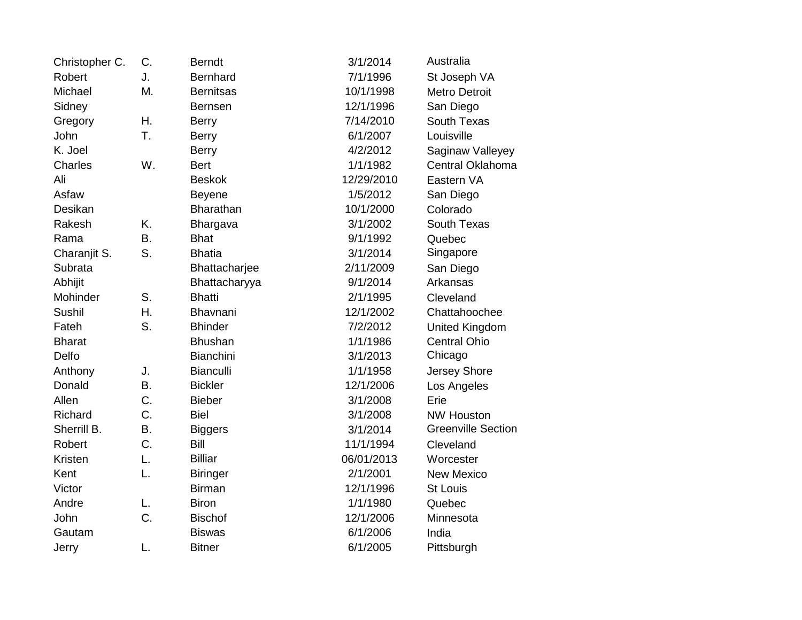| Christopher C. | C.        | <b>Berndt</b>    | 3/1/2014   | Australia                 |
|----------------|-----------|------------------|------------|---------------------------|
| Robert         | J.        | <b>Bernhard</b>  | 7/1/1996   | St Joseph VA              |
| Michael        | M.        | <b>Bernitsas</b> | 10/1/1998  | <b>Metro Detroit</b>      |
| Sidney         |           | <b>Bernsen</b>   | 12/1/1996  | San Diego                 |
| Gregory        | Η.        | <b>Berry</b>     | 7/14/2010  | South Texas               |
| John           | T.        | <b>Berry</b>     | 6/1/2007   | Louisville                |
| K. Joel        |           | <b>Berry</b>     | 4/2/2012   | Saginaw Valleyey          |
| Charles        | W.        | <b>Bert</b>      | 1/1/1982   | Central Oklahoma          |
| Ali            |           | <b>Beskok</b>    | 12/29/2010 | Eastern VA                |
| Asfaw          |           | <b>Beyene</b>    | 1/5/2012   | San Diego                 |
| Desikan        |           | <b>Bharathan</b> | 10/1/2000  | Colorado                  |
| Rakesh         | K.        | Bhargava         | 3/1/2002   | South Texas               |
| Rama           | <b>B.</b> | <b>Bhat</b>      | 9/1/1992   | Quebec                    |
| Charanjit S.   | S.        | <b>Bhatia</b>    | 3/1/2014   | Singapore                 |
| Subrata        |           | Bhattacharjee    | 2/11/2009  | San Diego                 |
| Abhijit        |           | Bhattacharyya    | 9/1/2014   | Arkansas                  |
| Mohinder       | S.        | <b>Bhatti</b>    | 2/1/1995   | Cleveland                 |
| <b>Sushil</b>  | Η.        | Bhavnani         | 12/1/2002  | Chattahoochee             |
| Fateh          | S.        | <b>Bhinder</b>   | 7/2/2012   | United Kingdom            |
| <b>Bharat</b>  |           | <b>Bhushan</b>   | 1/1/1986   | <b>Central Ohio</b>       |
| Delfo          |           | <b>Bianchini</b> | 3/1/2013   | Chicago                   |
| Anthony        | J.        | <b>Bianculli</b> | 1/1/1958   | Jersey Shore              |
| Donald         | <b>B.</b> | <b>Bickler</b>   | 12/1/2006  | Los Angeles               |
| Allen          | C.        | <b>Bieber</b>    | 3/1/2008   | Erie                      |
| Richard        | C.        | <b>Biel</b>      | 3/1/2008   | <b>NW Houston</b>         |
| Sherrill B.    | <b>B.</b> | <b>Biggers</b>   | 3/1/2014   | <b>Greenville Section</b> |
| Robert         | C.        | Bill             | 11/1/1994  | Cleveland                 |
| Kristen        | L.        | <b>Billiar</b>   | 06/01/2013 | Worcester                 |
| Kent           | L.        | <b>Biringer</b>  | 2/1/2001   | <b>New Mexico</b>         |
| Victor         |           | <b>Birman</b>    | 12/1/1996  | <b>St Louis</b>           |
| Andre          | L.        | <b>Biron</b>     | 1/1/1980   | Quebec                    |
| John           | C.        | <b>Bischof</b>   | 12/1/2006  | Minnesota                 |
| Gautam         |           | <b>Biswas</b>    | 6/1/2006   | India                     |
| Jerry          | L.        | <b>Bitner</b>    | 6/1/2005   | Pittsburgh                |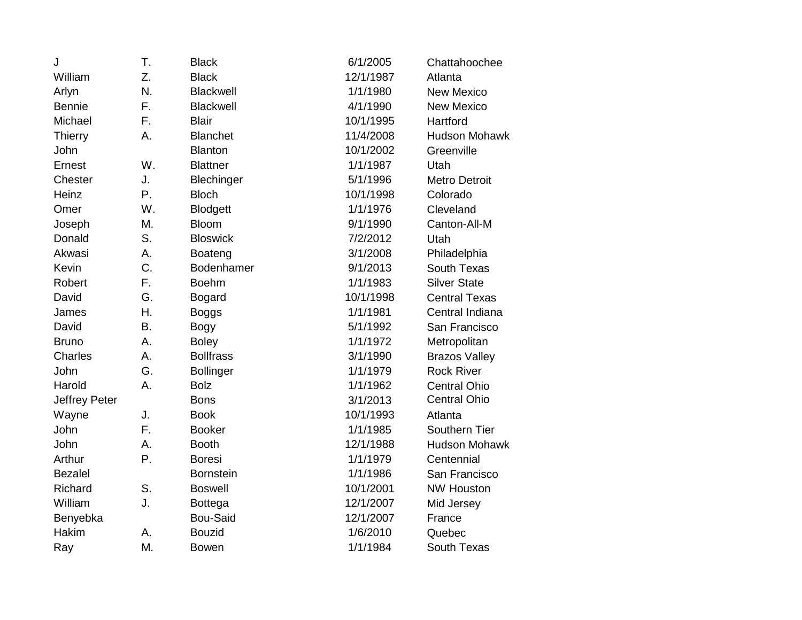| J                    | T.        | <b>Black</b>     | 6/1/2005  | Chattahoochee        |
|----------------------|-----------|------------------|-----------|----------------------|
| William              | Z.        | <b>Black</b>     | 12/1/1987 | Atlanta              |
| Arlyn                | N.        | Blackwell        | 1/1/1980  | <b>New Mexico</b>    |
| <b>Bennie</b>        | F.        | <b>Blackwell</b> | 4/1/1990  | <b>New Mexico</b>    |
| Michael              | F.        | <b>Blair</b>     | 10/1/1995 | Hartford             |
| <b>Thierry</b>       | Α.        | <b>Blanchet</b>  | 11/4/2008 | <b>Hudson Mohawk</b> |
| John                 |           | <b>Blanton</b>   | 10/1/2002 | Greenville           |
| Ernest               | W.        | <b>Blattner</b>  | 1/1/1987  | Utah                 |
| Chester              | J.        | Blechinger       | 5/1/1996  | <b>Metro Detroit</b> |
| Heinz                | P.        | <b>Bloch</b>     | 10/1/1998 | Colorado             |
| Omer                 | W.        | <b>Blodgett</b>  | 1/1/1976  | Cleveland            |
| Joseph               | M.        | <b>Bloom</b>     | 9/1/1990  | Canton-All-M         |
| Donald               | S.        | <b>Bloswick</b>  | 7/2/2012  | Utah                 |
| Akwasi               | А.        | Boateng          | 3/1/2008  | Philadelphia         |
| Kevin                | C.        | Bodenhamer       | 9/1/2013  | South Texas          |
| Robert               | F.        | <b>Boehm</b>     | 1/1/1983  | <b>Silver State</b>  |
| David                | G.        | <b>Bogard</b>    | 10/1/1998 | <b>Central Texas</b> |
| James                | Η.        | <b>Boggs</b>     | 1/1/1981  | Central Indiana      |
| David                | <b>B.</b> | <b>Bogy</b>      | 5/1/1992  | San Francisco        |
| <b>Bruno</b>         | A.        | <b>Boley</b>     | 1/1/1972  | Metropolitan         |
| <b>Charles</b>       | А.        | <b>Bollfrass</b> | 3/1/1990  | <b>Brazos Valley</b> |
| John                 | G.        | <b>Bollinger</b> | 1/1/1979  | <b>Rock River</b>    |
| Harold               | А.        | <b>Bolz</b>      | 1/1/1962  | <b>Central Ohio</b>  |
| <b>Jeffrey Peter</b> |           | <b>Bons</b>      | 3/1/2013  | <b>Central Ohio</b>  |
| Wayne                | J.        | <b>Book</b>      | 10/1/1993 | Atlanta              |
| John                 | F.        | <b>Booker</b>    | 1/1/1985  | Southern Tier        |
| John                 | А.        | <b>Booth</b>     | 12/1/1988 | <b>Hudson Mohawk</b> |
| Arthur               | Ρ.        | <b>Boresi</b>    | 1/1/1979  | Centennial           |
| <b>Bezalel</b>       |           | <b>Bornstein</b> | 1/1/1986  | San Francisco        |
| Richard              | S.        | <b>Boswell</b>   | 10/1/2001 | <b>NW Houston</b>    |
| William              | J.        | <b>Bottega</b>   | 12/1/2007 | Mid Jersey           |
| Benyebka             |           | Bou-Said         | 12/1/2007 | France               |
| Hakim                | А.        | <b>Bouzid</b>    | 1/6/2010  | Quebec               |
| Ray                  | M.        | <b>Bowen</b>     | 1/1/1984  | <b>South Texas</b>   |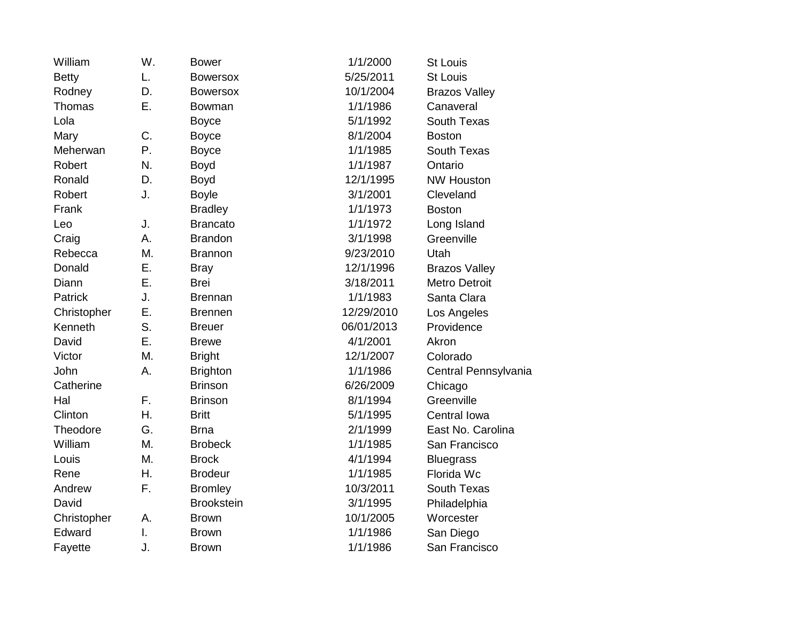| William      | W. | <b>Bower</b>      | 1/1/2000   | <b>St Louis</b>      |
|--------------|----|-------------------|------------|----------------------|
| <b>Betty</b> | L. | <b>Bowersox</b>   | 5/25/2011  | <b>St Louis</b>      |
| Rodney       | D. | <b>Bowersox</b>   | 10/1/2004  | <b>Brazos Valley</b> |
| Thomas       | Ε. | <b>Bowman</b>     | 1/1/1986   | Canaveral            |
| Lola         |    | <b>Boyce</b>      | 5/1/1992   | South Texas          |
| Mary         | C. | <b>Boyce</b>      | 8/1/2004   | <b>Boston</b>        |
| Meherwan     | Ρ. | <b>Boyce</b>      | 1/1/1985   | <b>South Texas</b>   |
| Robert       | N. | <b>Boyd</b>       | 1/1/1987   | Ontario              |
| Ronald       | D. | Boyd              | 12/1/1995  | <b>NW Houston</b>    |
| Robert       | J. | <b>Boyle</b>      | 3/1/2001   | Cleveland            |
| Frank        |    | <b>Bradley</b>    | 1/1/1973   | <b>Boston</b>        |
| Leo          | J. | <b>Brancato</b>   | 1/1/1972   | Long Island          |
| Craig        | Α. | <b>Brandon</b>    | 3/1/1998   | Greenville           |
| Rebecca      | M. | <b>Brannon</b>    | 9/23/2010  | Utah                 |
| Donald       | Ε. | <b>Bray</b>       | 12/1/1996  | <b>Brazos Valley</b> |
| Diann        | Ε. | <b>Brei</b>       | 3/18/2011  | <b>Metro Detroit</b> |
| Patrick      | J. | <b>Brennan</b>    | 1/1/1983   | Santa Clara          |
| Christopher  | Ε. | <b>Brennen</b>    | 12/29/2010 | Los Angeles          |
| Kenneth      | S. | <b>Breuer</b>     | 06/01/2013 | Providence           |
| David        | Ε. | <b>Brewe</b>      | 4/1/2001   | Akron                |
| Victor       | Μ. | <b>Bright</b>     | 12/1/2007  | Colorado             |
| John         | Α. | <b>Brighton</b>   | 1/1/1986   | Central Pennsylvania |
| Catherine    |    | <b>Brinson</b>    | 6/26/2009  | Chicago              |
| Hal          | F. | <b>Brinson</b>    | 8/1/1994   | Greenville           |
| Clinton      | Η. | <b>Britt</b>      | 5/1/1995   | Central Iowa         |
| Theodore     | G. | <b>Brna</b>       | 2/1/1999   | East No. Carolina    |
| William      | M. | <b>Brobeck</b>    | 1/1/1985   | San Francisco        |
| Louis        | M. | <b>Brock</b>      | 4/1/1994   | <b>Bluegrass</b>     |
| Rene         | Η. | <b>Brodeur</b>    | 1/1/1985   | Florida Wc           |
| Andrew       | F. | <b>Bromley</b>    | 10/3/2011  | South Texas          |
| David        |    | <b>Brookstein</b> | 3/1/1995   | Philadelphia         |
| Christopher  | А. | <b>Brown</b>      | 10/1/2005  | Worcester            |
| Edward       | I. | <b>Brown</b>      | 1/1/1986   | San Diego            |
| Fayette      | J. | <b>Brown</b>      | 1/1/1986   | San Francisco        |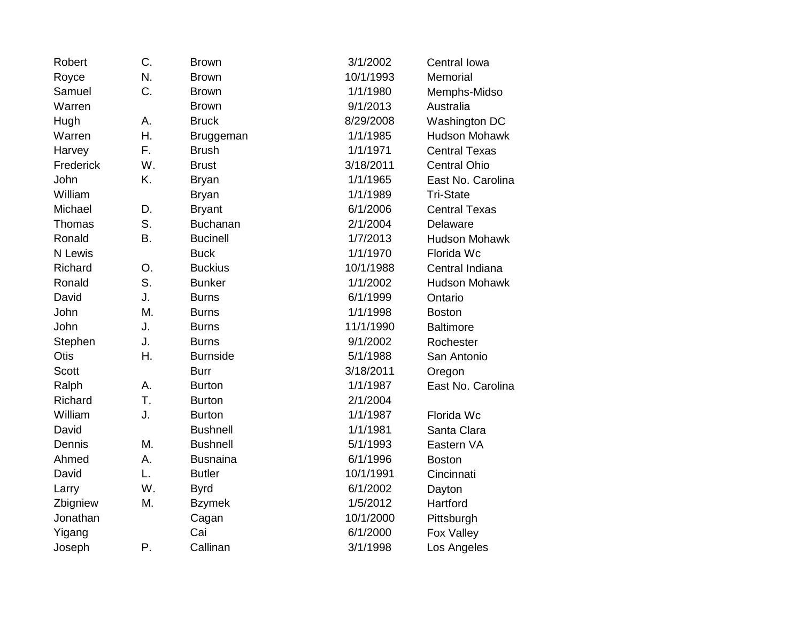| Robert       | C. | <b>Brown</b>    | 3/1/2002  | Central Iowa         |
|--------------|----|-----------------|-----------|----------------------|
| Royce        | N. | <b>Brown</b>    | 10/1/1993 | Memorial             |
| Samuel       | C. | <b>Brown</b>    | 1/1/1980  | Memphs-Midso         |
| Warren       |    | <b>Brown</b>    | 9/1/2013  | Australia            |
| Hugh         | А. | <b>Bruck</b>    | 8/29/2008 | Washington DC        |
| Warren       | Η. | Bruggeman       | 1/1/1985  | <b>Hudson Mohawk</b> |
| Harvey       | F. | <b>Brush</b>    | 1/1/1971  | <b>Central Texas</b> |
| Frederick    | W. | <b>Brust</b>    | 3/18/2011 | <b>Central Ohio</b>  |
| John         | K. | <b>Bryan</b>    | 1/1/1965  | East No. Carolina    |
| William      |    | <b>Bryan</b>    | 1/1/1989  | <b>Tri-State</b>     |
| Michael      | D. | <b>Bryant</b>   | 6/1/2006  | <b>Central Texas</b> |
| Thomas       | S. | <b>Buchanan</b> | 2/1/2004  | Delaware             |
| Ronald       | Β. | <b>Bucinell</b> | 1/7/2013  | <b>Hudson Mohawk</b> |
| N Lewis      |    | <b>Buck</b>     | 1/1/1970  | Florida Wc           |
| Richard      | O. | <b>Buckius</b>  | 10/1/1988 | Central Indiana      |
| Ronald       | S. | <b>Bunker</b>   | 1/1/2002  | <b>Hudson Mohawk</b> |
| David        | J. | <b>Burns</b>    | 6/1/1999  | Ontario              |
| John         | M. | <b>Burns</b>    | 1/1/1998  | <b>Boston</b>        |
| John         | J. | <b>Burns</b>    | 11/1/1990 | <b>Baltimore</b>     |
| Stephen      | J. | <b>Burns</b>    | 9/1/2002  | Rochester            |
| Otis         | Η. | <b>Burnside</b> | 5/1/1988  | San Antonio          |
| <b>Scott</b> |    | <b>Burr</b>     | 3/18/2011 | Oregon               |
| Ralph        | А. | <b>Burton</b>   | 1/1/1987  | East No. Carolina    |
| Richard      | T. | <b>Burton</b>   | 2/1/2004  |                      |
| William      | J. | <b>Burton</b>   | 1/1/1987  | Florida Wc           |
| David        |    | <b>Bushnell</b> | 1/1/1981  | Santa Clara          |
| Dennis       | Μ. | <b>Bushnell</b> | 5/1/1993  | Eastern VA           |
| Ahmed        | Α. | <b>Busnaina</b> | 6/1/1996  | <b>Boston</b>        |
| David        | L. | <b>Butler</b>   | 10/1/1991 | Cincinnati           |
| Larry        | W. | <b>Byrd</b>     | 6/1/2002  | Dayton               |
| Zbigniew     | M. | <b>Bzymek</b>   | 1/5/2012  | Hartford             |
| Jonathan     |    | Cagan           | 10/1/2000 | Pittsburgh           |
| Yigang       |    | Cai             | 6/1/2000  | Fox Valley           |
| Joseph       | Ρ. | Callinan        | 3/1/1998  | Los Angeles          |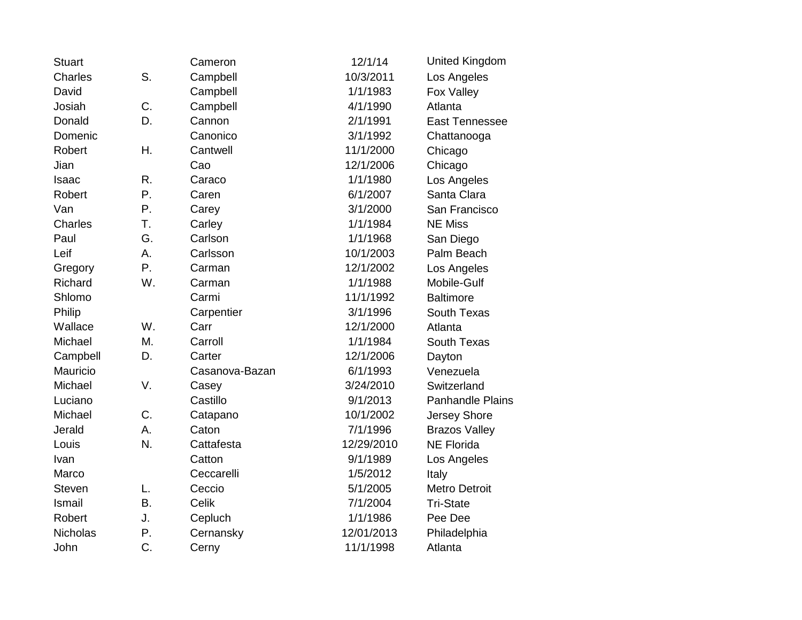| <b>Stuart</b>  |           | Cameron        | 12/1/14    | <b>United Kingdom</b>   |
|----------------|-----------|----------------|------------|-------------------------|
| Charles        | S.        | Campbell       | 10/3/2011  | Los Angeles             |
| David          |           | Campbell       | 1/1/1983   | Fox Valley              |
| Josiah         | C.        | Campbell       | 4/1/1990   | Atlanta                 |
| Donald         | D.        | Cannon         | 2/1/1991   | East Tennessee          |
| Domenic        |           | Canonico       | 3/1/1992   | Chattanooga             |
| Robert         | Η.        | Cantwell       | 11/1/2000  | Chicago                 |
| Jian           |           | Cao            | 12/1/2006  | Chicago                 |
| <b>Isaac</b>   | R.        | Caraco         | 1/1/1980   | Los Angeles             |
| Robert         | Ρ.        | Caren          | 6/1/2007   | Santa Clara             |
| Van            | Ρ.        | Carey          | 3/1/2000   | San Francisco           |
| <b>Charles</b> | T.        | Carley         | 1/1/1984   | <b>NE Miss</b>          |
| Paul           | G.        | Carlson        | 1/1/1968   | San Diego               |
| Leif           | Α.        | Carlsson       | 10/1/2003  | Palm Beach              |
| Gregory        | Ρ.        | Carman         | 12/1/2002  | Los Angeles             |
| Richard        | W.        | Carman         | 1/1/1988   | Mobile-Gulf             |
| Shlomo         |           | Carmi          | 11/1/1992  | <b>Baltimore</b>        |
| Philip         |           | Carpentier     | 3/1/1996   | South Texas             |
| Wallace        | W.        | Carr           | 12/1/2000  | Atlanta                 |
| Michael        | М.        | Carroll        | 1/1/1984   | South Texas             |
| Campbell       | D.        | Carter         | 12/1/2006  | Dayton                  |
| Mauricio       |           | Casanova-Bazan | 6/1/1993   | Venezuela               |
| Michael        | V.        | Casey          | 3/24/2010  | Switzerland             |
| Luciano        |           | Castillo       | 9/1/2013   | <b>Panhandle Plains</b> |
| Michael        | C.        | Catapano       | 10/1/2002  | Jersey Shore            |
| Jerald         | Α.        | Caton          | 7/1/1996   | <b>Brazos Valley</b>    |
| Louis          | N.        | Cattafesta     | 12/29/2010 | <b>NE Florida</b>       |
| Ivan           |           | Catton         | 9/1/1989   | Los Angeles             |
| Marco          |           | Ceccarelli     | 1/5/2012   | Italy                   |
| <b>Steven</b>  | L.        | Ceccio         | 5/1/2005   | <b>Metro Detroit</b>    |
| Ismail         | <b>B.</b> | Celik          | 7/1/2004   | <b>Tri-State</b>        |
| Robert         | J.        | Cepluch        | 1/1/1986   | Pee Dee                 |
| Nicholas       | Ρ.        | Cernansky      | 12/01/2013 | Philadelphia            |
| John           | C.        | Cerny          | 11/1/1998  | Atlanta                 |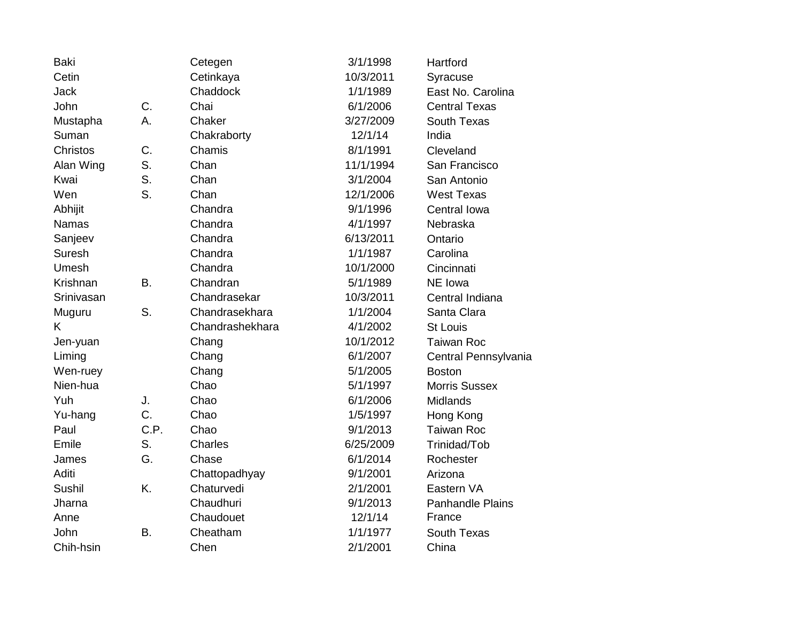| <b>Baki</b>     |           | Cetegen         | 3/1/1998  | Hartford                |
|-----------------|-----------|-----------------|-----------|-------------------------|
| Cetin           |           | Cetinkaya       | 10/3/2011 | Syracuse                |
| <b>Jack</b>     |           | Chaddock        | 1/1/1989  | East No. Carolina       |
| John            | C.        | Chai            | 6/1/2006  | <b>Central Texas</b>    |
| Mustapha        | A.        | Chaker          | 3/27/2009 | South Texas             |
| Suman           |           | Chakraborty     | 12/1/14   | India                   |
| <b>Christos</b> | C.        | Chamis          | 8/1/1991  | Cleveland               |
| Alan Wing       | S.        | Chan            | 11/1/1994 | San Francisco           |
| Kwai            | S.        | Chan            | 3/1/2004  | San Antonio             |
| Wen             | S.        | Chan            | 12/1/2006 | <b>West Texas</b>       |
| Abhijit         |           | Chandra         | 9/1/1996  | Central Iowa            |
| <b>Namas</b>    |           | Chandra         | 4/1/1997  | Nebraska                |
| Sanjeev         |           | Chandra         | 6/13/2011 | Ontario                 |
| Suresh          |           | Chandra         | 1/1/1987  | Carolina                |
| Umesh           |           | Chandra         | 10/1/2000 | Cincinnati              |
| Krishnan        | <b>B.</b> | Chandran        | 5/1/1989  | NE Iowa                 |
| Srinivasan      |           | Chandrasekar    | 10/3/2011 | Central Indiana         |
| Muguru          | S.        | Chandrasekhara  | 1/1/2004  | Santa Clara             |
| K.              |           | Chandrashekhara | 4/1/2002  | <b>St Louis</b>         |
| Jen-yuan        |           | Chang           | 10/1/2012 | <b>Taiwan Roc</b>       |
| Liming          |           | Chang           | 6/1/2007  | Central Pennsylvania    |
| Wen-ruey        |           | Chang           | 5/1/2005  | <b>Boston</b>           |
| Nien-hua        |           | Chao            | 5/1/1997  | <b>Morris Sussex</b>    |
| Yuh             | J.        | Chao            | 6/1/2006  | Midlands                |
| Yu-hang         | C.        | Chao            | 1/5/1997  | Hong Kong               |
| Paul            | C.P.      | Chao            | 9/1/2013  | <b>Taiwan Roc</b>       |
| Emile           | S.        | Charles         | 6/25/2009 | Trinidad/Tob            |
| James           | G.        | Chase           | 6/1/2014  | Rochester               |
| Aditi           |           | Chattopadhyay   | 9/1/2001  | Arizona                 |
| Sushil          | K.        | Chaturvedi      | 2/1/2001  | Eastern VA              |
| Jharna          |           | Chaudhuri       | 9/1/2013  | <b>Panhandle Plains</b> |
| Anne            |           | Chaudouet       | 12/1/14   | France                  |
| John            | <b>B.</b> | Cheatham        | 1/1/1977  | South Texas             |
| Chih-hsin       |           | Chen            | 2/1/2001  | China                   |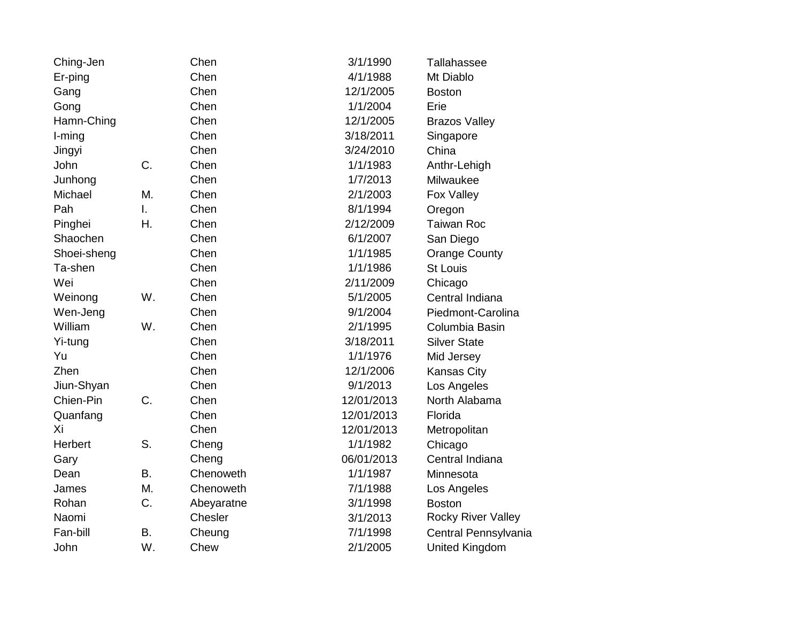| Ching-Jen   |    | Chen       | 3/1/1990   | Tallahassee               |
|-------------|----|------------|------------|---------------------------|
| Er-ping     |    | Chen       | 4/1/1988   | Mt Diablo                 |
| Gang        |    | Chen       | 12/1/2005  | <b>Boston</b>             |
| Gong        |    | Chen       | 1/1/2004   | Erie                      |
| Hamn-Ching  |    | Chen       | 12/1/2005  | <b>Brazos Valley</b>      |
| I-ming      |    | Chen       | 3/18/2011  | Singapore                 |
| Jingyi      |    | Chen       | 3/24/2010  | China                     |
| John        | C. | Chen       | 1/1/1983   | Anthr-Lehigh              |
| Junhong     |    | Chen       | 1/7/2013   | Milwaukee                 |
| Michael     | M. | Chen       | 2/1/2003   | Fox Valley                |
| Pah         | I. | Chen       | 8/1/1994   | Oregon                    |
| Pinghei     | Η. | Chen       | 2/12/2009  | Taiwan Roc                |
| Shaochen    |    | Chen       | 6/1/2007   | San Diego                 |
| Shoei-sheng |    | Chen       | 1/1/1985   | <b>Orange County</b>      |
| Ta-shen     |    | Chen       | 1/1/1986   | <b>St Louis</b>           |
| Wei         |    | Chen       | 2/11/2009  | Chicago                   |
| Weinong     | W. | Chen       | 5/1/2005   | Central Indiana           |
| Wen-Jeng    |    | Chen       | 9/1/2004   | Piedmont-Carolina         |
| William     | W. | Chen       | 2/1/1995   | Columbia Basin            |
| Yi-tung     |    | Chen       | 3/18/2011  | <b>Silver State</b>       |
| Yu          |    | Chen       | 1/1/1976   | Mid Jersey                |
| Zhen        |    | Chen       | 12/1/2006  | Kansas City               |
| Jiun-Shyan  |    | Chen       | 9/1/2013   | Los Angeles               |
| Chien-Pin   | C. | Chen       | 12/01/2013 | North Alabama             |
| Quanfang    |    | Chen       | 12/01/2013 | Florida                   |
| Xi          |    | Chen       | 12/01/2013 | Metropolitan              |
| Herbert     | S. | Cheng      | 1/1/1982   | Chicago                   |
| Gary        |    | Cheng      | 06/01/2013 | Central Indiana           |
| Dean        | В. | Chenoweth  | 1/1/1987   | Minnesota                 |
| James       | Μ. | Chenoweth  | 7/1/1988   | Los Angeles               |
| Rohan       | C. | Abeyaratne | 3/1/1998   | <b>Boston</b>             |
| Naomi       |    | Chesler    | 3/1/2013   | <b>Rocky River Valley</b> |
| Fan-bill    | Β. | Cheung     | 7/1/1998   | Central Pennsylvania      |
| John        | W. | Chew       | 2/1/2005   | <b>United Kingdom</b>     |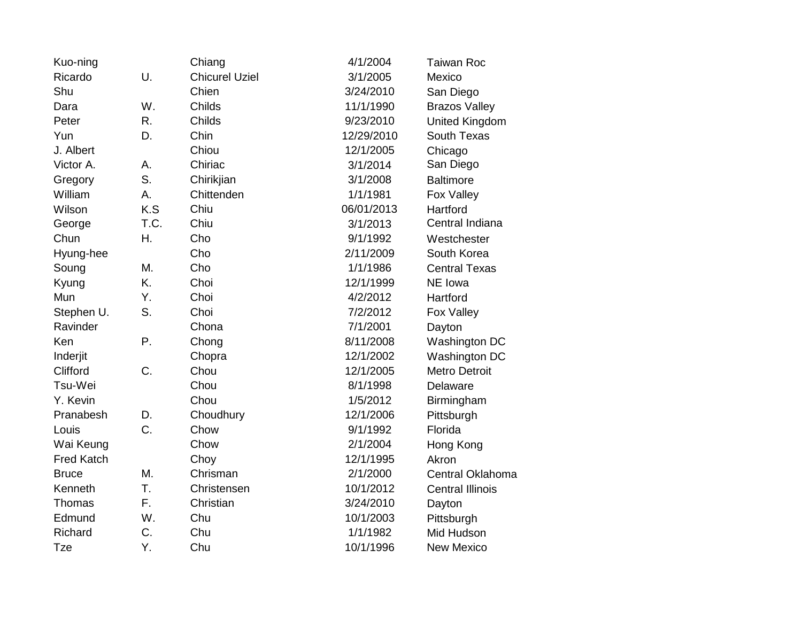| Kuo-ning          |      | Chiang                | 4/1/2004   | <b>Taiwan Roc</b>       |
|-------------------|------|-----------------------|------------|-------------------------|
| Ricardo           | U.   | <b>Chicurel Uziel</b> | 3/1/2005   | Mexico                  |
| Shu               |      | Chien                 | 3/24/2010  | San Diego               |
| Dara              | W.   | Childs                | 11/1/1990  | <b>Brazos Valley</b>    |
| Peter             | R.   | Childs                | 9/23/2010  | <b>United Kingdom</b>   |
| Yun               | D.   | Chin                  | 12/29/2010 | <b>South Texas</b>      |
| J. Albert         |      | Chiou                 | 12/1/2005  | Chicago                 |
| Victor A.         | А.   | Chiriac               | 3/1/2014   | San Diego               |
| Gregory           | S.   | Chirikjian            | 3/1/2008   | <b>Baltimore</b>        |
| William           | А.   | Chittenden            | 1/1/1981   | Fox Valley              |
| Wilson            | K.S  | Chiu                  | 06/01/2013 | Hartford                |
| George            | T.C. | Chiu                  | 3/1/2013   | Central Indiana         |
| Chun              | Η.   | Cho                   | 9/1/1992   | Westchester             |
| Hyung-hee         |      | Cho                   | 2/11/2009  | South Korea             |
| Soung             | Μ.   | Cho                   | 1/1/1986   | <b>Central Texas</b>    |
| Kyung             | K.   | Choi                  | 12/1/1999  | NE Iowa                 |
| Mun               | Υ.   | Choi                  | 4/2/2012   | Hartford                |
| Stephen U.        | S.   | Choi                  | 7/2/2012   | Fox Valley              |
| Ravinder          |      | Chona                 | 7/1/2001   | Dayton                  |
| Ken               | Ρ.   | Chong                 | 8/11/2008  | Washington DC           |
| Inderjit          |      | Chopra                | 12/1/2002  | Washington DC           |
| Clifford          | C.   | Chou                  | 12/1/2005  | <b>Metro Detroit</b>    |
| Tsu-Wei           |      | Chou                  | 8/1/1998   | Delaware                |
| Y. Kevin          |      | Chou                  | 1/5/2012   | Birmingham              |
| Pranabesh         | D.   | Choudhury             | 12/1/2006  | Pittsburgh              |
| Louis             | C.   | Chow                  | 9/1/1992   | Florida                 |
| Wai Keung         |      | Chow                  | 2/1/2004   | Hong Kong               |
| <b>Fred Katch</b> |      | Choy                  | 12/1/1995  | Akron                   |
| <b>Bruce</b>      | M.   | Chrisman              | 2/1/2000   | Central Oklahoma        |
| Kenneth           | T.   | Christensen           | 10/1/2012  | <b>Central Illinois</b> |
| Thomas            | F.   | Christian             | 3/24/2010  | Dayton                  |
| Edmund            | W.   | Chu                   | 10/1/2003  | Pittsburgh              |
| Richard           | C.   | Chu                   | 1/1/1982   | Mid Hudson              |
| <b>Tze</b>        | Υ.   | Chu                   | 10/1/1996  | <b>New Mexico</b>       |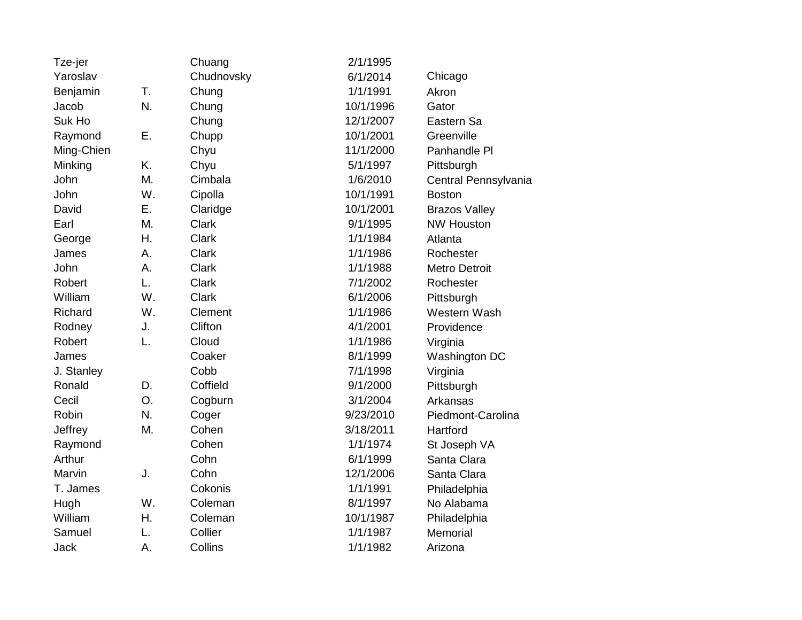| Tze-jer     |    | Chuang       | 2/1/1995  |                      |
|-------------|----|--------------|-----------|----------------------|
| Yaroslav    |    | Chudnovsky   | 6/1/2014  | Chicago              |
| Benjamin    | T. | Chung        | 1/1/1991  | Akron                |
| Jacob       | N. | Chung        | 10/1/1996 | Gator                |
| Suk Ho      |    | Chung        | 12/1/2007 | Eastern Sa           |
| Raymond     | Ε. | Chupp        | 10/1/2001 | Greenville           |
| Ming-Chien  |    | Chyu         | 11/1/2000 | Panhandle PI         |
| Minking     | K. | Chyu         | 5/1/1997  | Pittsburgh           |
| John        | M. | Cimbala      | 1/6/2010  | Central Pennsylvania |
| John        | W. | Cipolla      | 10/1/1991 | <b>Boston</b>        |
| David       | Ε. | Claridge     | 10/1/2001 | <b>Brazos Valley</b> |
| Earl        | M. | <b>Clark</b> | 9/1/1995  | <b>NW Houston</b>    |
| George      | Η. | <b>Clark</b> | 1/1/1984  | Atlanta              |
| James       | Α. | <b>Clark</b> | 1/1/1986  | Rochester            |
| John        | Α. | <b>Clark</b> | 1/1/1988  | <b>Metro Detroit</b> |
| Robert      | L. | Clark        | 7/1/2002  | Rochester            |
| William     | W. | <b>Clark</b> | 6/1/2006  | Pittsburgh           |
| Richard     | W. | Clement      | 1/1/1986  | Western Wash         |
| Rodney      | J. | Clifton      | 4/1/2001  | Providence           |
| Robert      | L. | Cloud        | 1/1/1986  | Virginia             |
| James       |    | Coaker       | 8/1/1999  | Washington DC        |
| J. Stanley  |    | Cobb         | 7/1/1998  | Virginia             |
| Ronald      | D. | Coffield     | 9/1/2000  | Pittsburgh           |
| Cecil       | O. | Cogburn      | 3/1/2004  | Arkansas             |
| Robin       | N. | Coger        | 9/23/2010 | Piedmont-Carolina    |
| Jeffrey     | M. | Cohen        | 3/18/2011 | Hartford             |
| Raymond     |    | Cohen        | 1/1/1974  | St Joseph VA         |
| Arthur      |    | Cohn         | 6/1/1999  | Santa Clara          |
| Marvin      | J. | Cohn         | 12/1/2006 | Santa Clara          |
| T. James    |    | Cokonis      | 1/1/1991  | Philadelphia         |
| Hugh        | W. | Coleman      | 8/1/1997  | No Alabama           |
| William     | Η. | Coleman      | 10/1/1987 | Philadelphia         |
| Samuel      | L. | Collier      | 1/1/1987  | Memorial             |
| <b>Jack</b> | А. | Collins      | 1/1/1982  | Arizona              |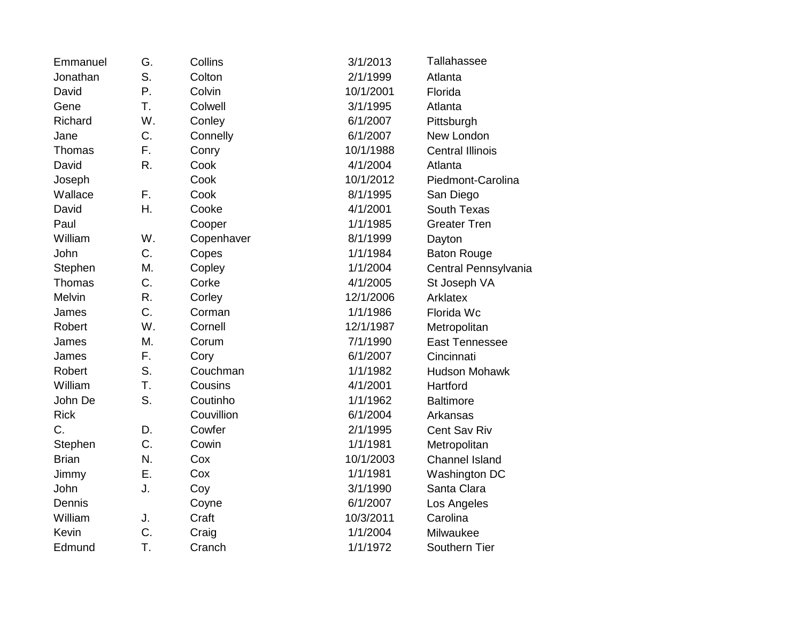| Emmanuel      | G. | Collins    | 3/1/2013  | Tallahassee             |
|---------------|----|------------|-----------|-------------------------|
| Jonathan      | S. | Colton     | 2/1/1999  | Atlanta                 |
| David         | Ρ. | Colvin     | 10/1/2001 | Florida                 |
| Gene          | T. | Colwell    | 3/1/1995  | Atlanta                 |
| Richard       | W. | Conley     | 6/1/2007  | Pittsburgh              |
| Jane          | C. | Connelly   | 6/1/2007  | New London              |
| Thomas        | F. | Conry      | 10/1/1988 | <b>Central Illinois</b> |
| David         | R. | Cook       | 4/1/2004  | Atlanta                 |
| Joseph        |    | Cook       | 10/1/2012 | Piedmont-Carolina       |
| Wallace       | F. | Cook       | 8/1/1995  | San Diego               |
| David         | Η. | Cooke      | 4/1/2001  | South Texas             |
| Paul          |    | Cooper     | 1/1/1985  | <b>Greater Tren</b>     |
| William       | W. | Copenhaver | 8/1/1999  | Dayton                  |
| John          | C. | Copes      | 1/1/1984  | <b>Baton Rouge</b>      |
| Stephen       | Μ. | Copley     | 1/1/2004  | Central Pennsylvania    |
| Thomas        | C. | Corke      | 4/1/2005  | St Joseph VA            |
| <b>Melvin</b> | R. | Corley     | 12/1/2006 | Arklatex                |
| James         | C. | Corman     | 1/1/1986  | Florida Wc              |
| Robert        | W. | Cornell    | 12/1/1987 | Metropolitan            |
| James         | Μ. | Corum      | 7/1/1990  | <b>East Tennessee</b>   |
| James         | F. | Cory       | 6/1/2007  | Cincinnati              |
| Robert        | S. | Couchman   | 1/1/1982  | <b>Hudson Mohawk</b>    |
| William       | T. | Cousins    | 4/1/2001  | Hartford                |
| John De       | S. | Coutinho   | 1/1/1962  | <b>Baltimore</b>        |
| <b>Rick</b>   |    | Couvillion | 6/1/2004  | Arkansas                |
| C.            | D. | Cowfer     | 2/1/1995  | Cent Sav Riv            |
| Stephen       | C. | Cowin      | 1/1/1981  | Metropolitan            |
| <b>Brian</b>  | N. | Cox        | 10/1/2003 | <b>Channel Island</b>   |
| Jimmy         | Ε. | Cox        | 1/1/1981  | Washington DC           |
| John          | J. | Coy        | 3/1/1990  | Santa Clara             |
| Dennis        |    | Coyne      | 6/1/2007  | Los Angeles             |
| William       | J. | Craft      | 10/3/2011 | Carolina                |
| Kevin         | C. | Craig      | 1/1/2004  | Milwaukee               |
| Edmund        | T. | Cranch     | 1/1/1972  | Southern Tier           |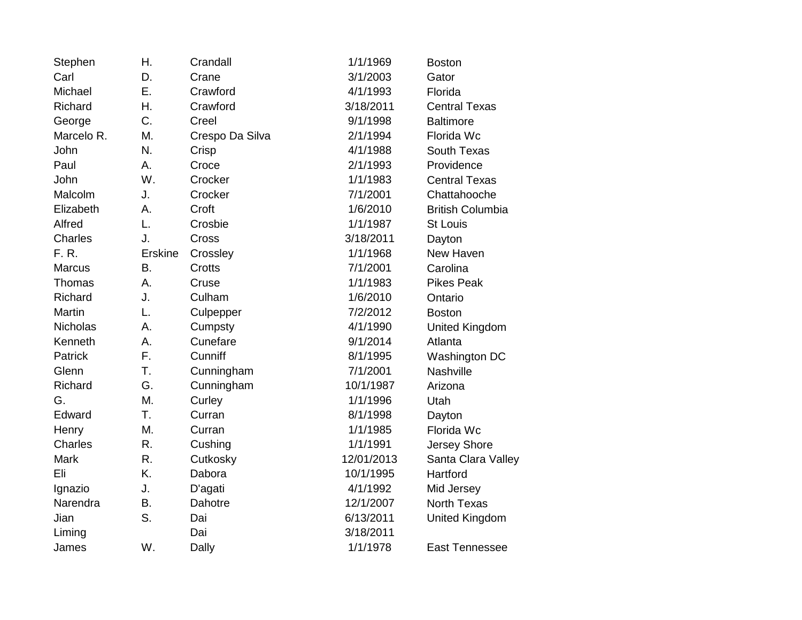| Stephen         | Η.             | Crandall        | 1/1/1969   | <b>Boston</b>           |
|-----------------|----------------|-----------------|------------|-------------------------|
| Carl            | D.             | Crane           | 3/1/2003   | Gator                   |
| Michael         | Ε.             | Crawford        | 4/1/1993   | Florida                 |
| Richard         | Η.             | Crawford        | 3/18/2011  | <b>Central Texas</b>    |
| George          | C.             | Creel           | 9/1/1998   | <b>Baltimore</b>        |
| Marcelo R.      | Μ.             | Crespo Da Silva | 2/1/1994   | Florida Wc              |
| John            | N.             | Crisp           | 4/1/1988   | South Texas             |
| Paul            | А.             | Croce           | 2/1/1993   | Providence              |
| John            | W.             | Crocker         | 1/1/1983   | <b>Central Texas</b>    |
| Malcolm         | J.             | Crocker         | 7/1/2001   | Chattahooche            |
| Elizabeth       | Α.             | Croft           | 1/6/2010   | <b>British Columbia</b> |
| Alfred          | L.             | Crosbie         | 1/1/1987   | St Louis                |
| Charles         | J.             | Cross           | 3/18/2011  | Dayton                  |
| F. R.           | <b>Erskine</b> | Crossley        | 1/1/1968   | New Haven               |
| <b>Marcus</b>   | Β.             | Crotts          | 7/1/2001   | Carolina                |
| Thomas          | Α.             | Cruse           | 1/1/1983   | <b>Pikes Peak</b>       |
| Richard         | J.             | Culham          | 1/6/2010   | Ontario                 |
| Martin          | L.             | Culpepper       | 7/2/2012   | <b>Boston</b>           |
| <b>Nicholas</b> | A.             | Cumpsty         | 4/1/1990   | United Kingdom          |
| Kenneth         | А.             | Cunefare        | 9/1/2014   | Atlanta                 |
| <b>Patrick</b>  | F.             | Cunniff         | 8/1/1995   | Washington DC           |
| Glenn           | T.             | Cunningham      | 7/1/2001   | Nashville               |
| Richard         | G.             | Cunningham      | 10/1/1987  | Arizona                 |
| G.              | M.             | Curley          | 1/1/1996   | Utah                    |
| Edward          | T.             | Curran          | 8/1/1998   | Dayton                  |
| Henry           | M.             | Curran          | 1/1/1985   | Florida Wc              |
| <b>Charles</b>  | R.             | Cushing         | 1/1/1991   | Jersey Shore            |
| <b>Mark</b>     | R.             | Cutkosky        | 12/01/2013 | Santa Clara Valley      |
| Eli             | K.             | Dabora          | 10/1/1995  | Hartford                |
| Ignazio         | J.             | D'agati         | 4/1/1992   | Mid Jersey              |
| Narendra        | <b>B.</b>      | Dahotre         | 12/1/2007  | <b>North Texas</b>      |
| Jian            | S.             | Dai             | 6/13/2011  | <b>United Kingdom</b>   |
| Liming          |                | Dai             | 3/18/2011  |                         |
| James           | W.             | Dally           | 1/1/1978   | <b>East Tennessee</b>   |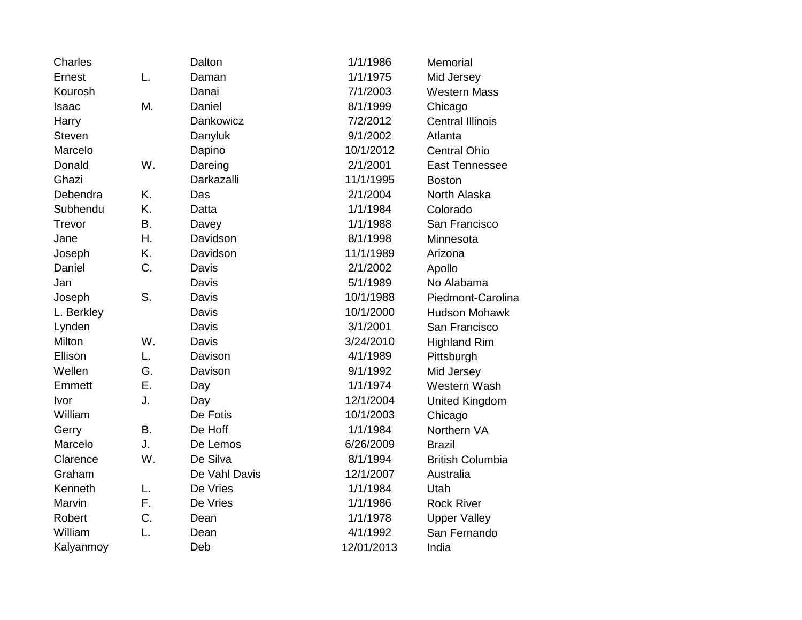| Charles       |    | Dalton        | 1/1/1986   | Memorial                |
|---------------|----|---------------|------------|-------------------------|
| Ernest        | L. | Daman         | 1/1/1975   | Mid Jersey              |
| Kourosh       |    | Danai         | 7/1/2003   | <b>Western Mass</b>     |
| Isaac         | Μ. | Daniel        | 8/1/1999   | Chicago                 |
| Harry         |    | Dankowicz     | 7/2/2012   | <b>Central Illinois</b> |
| <b>Steven</b> |    | Danyluk       | 9/1/2002   | Atlanta                 |
| Marcelo       |    | Dapino        | 10/1/2012  | <b>Central Ohio</b>     |
| Donald        | W. | Dareing       | 2/1/2001   | East Tennessee          |
| Ghazi         |    | Darkazalli    | 11/1/1995  | <b>Boston</b>           |
| Debendra      | K. | Das           | 2/1/2004   | North Alaska            |
| Subhendu      | Κ. | Datta         | 1/1/1984   | Colorado                |
| Trevor        | Β. | Davey         | 1/1/1988   | San Francisco           |
| Jane          | Η. | Davidson      | 8/1/1998   | Minnesota               |
| Joseph        | K. | Davidson      | 11/1/1989  | Arizona                 |
| Daniel        | C. | Davis         | 2/1/2002   | Apollo                  |
| Jan           |    | Davis         | 5/1/1989   | No Alabama              |
| Joseph        | S. | Davis         | 10/1/1988  | Piedmont-Carolina       |
| L. Berkley    |    | Davis         | 10/1/2000  | <b>Hudson Mohawk</b>    |
| Lynden        |    | Davis         | 3/1/2001   | San Francisco           |
| Milton        | W. | Davis         | 3/24/2010  | <b>Highland Rim</b>     |
| Ellison       | L. | Davison       | 4/1/1989   | Pittsburgh              |
| Wellen        | G. | Davison       | 9/1/1992   | Mid Jersey              |
| Emmett        | Ε. | Day           | 1/1/1974   | Western Wash            |
| Ivor          | J. | Day           | 12/1/2004  | <b>United Kingdom</b>   |
| William       |    | De Fotis      | 10/1/2003  | Chicago                 |
| Gerry         | Β. | De Hoff       | 1/1/1984   | Northern VA             |
| Marcelo       | J. | De Lemos      | 6/26/2009  | <b>Brazil</b>           |
| Clarence      | W. | De Silva      | 8/1/1994   | <b>British Columbia</b> |
| Graham        |    | De Vahl Davis | 12/1/2007  | Australia               |
| Kenneth       | L. | De Vries      | 1/1/1984   | Utah                    |
| Marvin        | F. | De Vries      | 1/1/1986   | <b>Rock River</b>       |
| Robert        | C. | Dean          | 1/1/1978   | <b>Upper Valley</b>     |
| William       | L. | Dean          | 4/1/1992   | San Fernando            |
| Kalyanmoy     |    | Deb           | 12/01/2013 | India                   |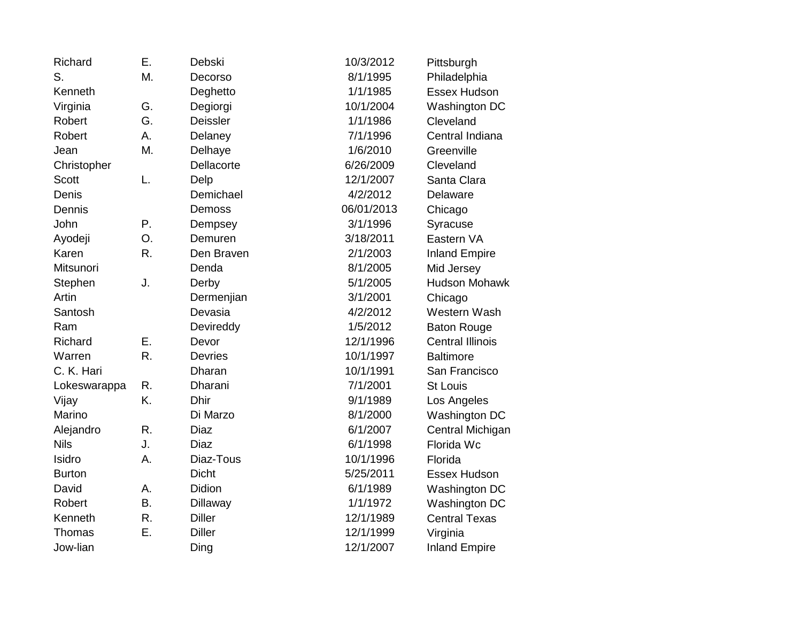| Richard       | Ε.        | Debski         | 10/3/2012  | Pittsburgh              |
|---------------|-----------|----------------|------------|-------------------------|
| S.            | М.        | Decorso        | 8/1/1995   | Philadelphia            |
| Kenneth       |           | Deghetto       | 1/1/1985   | Essex Hudson            |
| Virginia      | G.        | Degiorgi       | 10/1/2004  | Washington DC           |
| Robert        | G.        | Deissler       | 1/1/1986   | Cleveland               |
| Robert        | Α.        | Delaney        | 7/1/1996   | Central Indiana         |
| Jean          | М.        | Delhaye        | 1/6/2010   | Greenville              |
| Christopher   |           | Dellacorte     | 6/26/2009  | Cleveland               |
| <b>Scott</b>  | L.        | Delp           | 12/1/2007  | Santa Clara             |
| Denis         |           | Demichael      | 4/2/2012   | Delaware                |
| Dennis        |           | Demoss         | 06/01/2013 | Chicago                 |
| John          | Ρ.        | Dempsey        | 3/1/1996   | Syracuse                |
| Ayodeji       | О.        | Demuren        | 3/18/2011  | Eastern VA              |
| Karen         | R.        | Den Braven     | 2/1/2003   | <b>Inland Empire</b>    |
| Mitsunori     |           | Denda          | 8/1/2005   | Mid Jersey              |
| Stephen       | J.        | Derby          | 5/1/2005   | <b>Hudson Mohawk</b>    |
| Artin         |           | Dermenjian     | 3/1/2001   | Chicago                 |
| Santosh       |           | Devasia        | 4/2/2012   | Western Wash            |
| Ram           |           | Devireddy      | 1/5/2012   | <b>Baton Rouge</b>      |
| Richard       | Ε.        | Devor          | 12/1/1996  | <b>Central Illinois</b> |
| Warren        | R.        | <b>Devries</b> | 10/1/1997  | <b>Baltimore</b>        |
| C. K. Hari    |           | Dharan         | 10/1/1991  | San Francisco           |
| Lokeswarappa  | R.        | Dharani        | 7/1/2001   | <b>St Louis</b>         |
| Vijay         | K.        | <b>Dhir</b>    | 9/1/1989   | Los Angeles             |
| Marino        |           | Di Marzo       | 8/1/2000   | <b>Washington DC</b>    |
| Alejandro     | R.        | <b>Diaz</b>    | 6/1/2007   | Central Michigan        |
| <b>Nils</b>   | J.        | <b>Diaz</b>    | 6/1/1998   | Florida Wc              |
| Isidro        | Α.        | Diaz-Tous      | 10/1/1996  | Florida                 |
| <b>Burton</b> |           | <b>Dicht</b>   | 5/25/2011  | Essex Hudson            |
| David         | Α.        | Didion         | 6/1/1989   | <b>Washington DC</b>    |
| Robert        | <b>B.</b> | Dillaway       | 1/1/1972   | <b>Washington DC</b>    |
| Kenneth       | R.        | <b>Diller</b>  | 12/1/1989  | <b>Central Texas</b>    |
| Thomas        | Ε.        | <b>Diller</b>  | 12/1/1999  | Virginia                |
| Jow-lian      |           | Ding           | 12/1/2007  | <b>Inland Empire</b>    |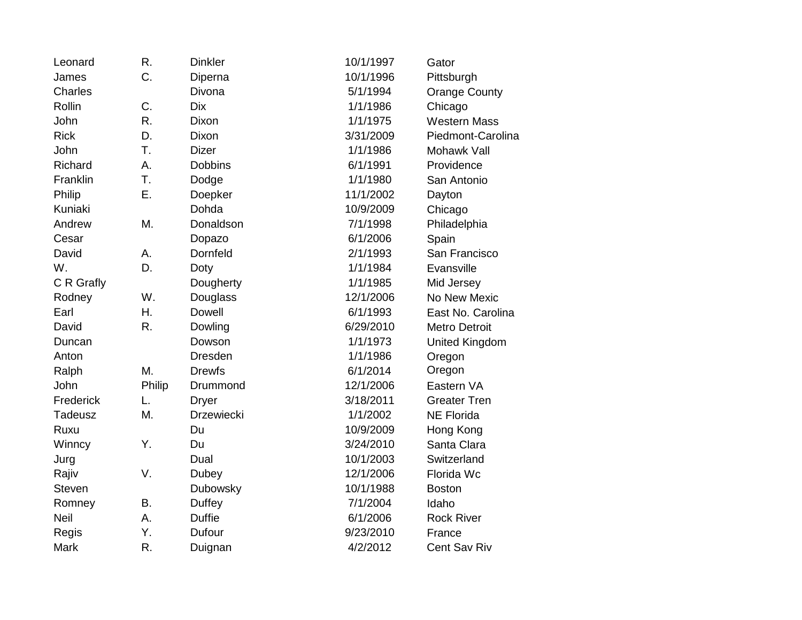| Leonard       | R.     | <b>Dinkler</b> | 10/1/1997 | Gator                 |
|---------------|--------|----------------|-----------|-----------------------|
| James         | C.     | Diperna        | 10/1/1996 | Pittsburgh            |
| Charles       |        | Divona         | 5/1/1994  | <b>Orange County</b>  |
| Rollin        | C.     | <b>Dix</b>     | 1/1/1986  | Chicago               |
| John          | R.     | Dixon          | 1/1/1975  | <b>Western Mass</b>   |
| <b>Rick</b>   | D.     | Dixon          | 3/31/2009 | Piedmont-Carolina     |
| John          | T.     | <b>Dizer</b>   | 1/1/1986  | Mohawk Vall           |
| Richard       | А.     | <b>Dobbins</b> | 6/1/1991  | Providence            |
| Franklin      | T.     | Dodge          | 1/1/1980  | San Antonio           |
| Philip        | Ε.     | Doepker        | 11/1/2002 | Dayton                |
| Kuniaki       |        | Dohda          | 10/9/2009 | Chicago               |
| Andrew        | M.     | Donaldson      | 7/1/1998  | Philadelphia          |
| Cesar         |        | Dopazo         | 6/1/2006  | Spain                 |
| David         | А.     | Dornfeld       | 2/1/1993  | San Francisco         |
| W.            | D.     | Doty           | 1/1/1984  | Evansville            |
| C R Grafly    |        | Dougherty      | 1/1/1985  | Mid Jersey            |
| Rodney        | W.     | Douglass       | 12/1/2006 | No New Mexic          |
| Earl          | Η.     | <b>Dowell</b>  | 6/1/1993  | East No. Carolina     |
| David         | R.     | Dowling        | 6/29/2010 | <b>Metro Detroit</b>  |
| Duncan        |        | Dowson         | 1/1/1973  | <b>United Kingdom</b> |
| Anton         |        | <b>Dresden</b> | 1/1/1986  | Oregon                |
| Ralph         | M.     | <b>Drewfs</b>  | 6/1/2014  | Oregon                |
| John          | Philip | Drummond       | 12/1/2006 | Eastern VA            |
| Frederick     | L.     | <b>Dryer</b>   | 3/18/2011 | <b>Greater Tren</b>   |
| Tadeusz       | M.     | Drzewiecki     | 1/1/2002  | <b>NE Florida</b>     |
| Ruxu          |        | Du             | 10/9/2009 | Hong Kong             |
| Winncy        | Υ.     | Du             | 3/24/2010 | Santa Clara           |
| Jurg          |        | Dual           | 10/1/2003 | Switzerland           |
| Rajiv         | V.     | Dubey          | 12/1/2006 | Florida Wc            |
| <b>Steven</b> |        | Dubowsky       | 10/1/1988 | <b>Boston</b>         |
| Romney        | В.     | <b>Duffey</b>  | 7/1/2004  | Idaho                 |
| Neil          | А.     | <b>Duffie</b>  | 6/1/2006  | <b>Rock River</b>     |
| Regis         | Υ.     | Dufour         | 9/23/2010 | France                |
| <b>Mark</b>   | R.     | Duignan        | 4/2/2012  | Cent Sav Riv          |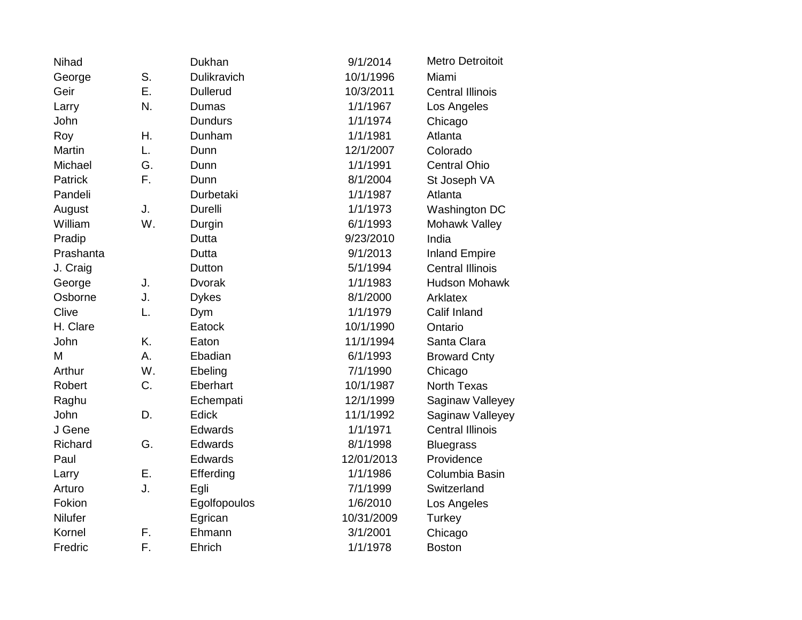| Nihad          |    | Dukhan          | 9/1/2014   | <b>Metro Detroitoit</b> |
|----------------|----|-----------------|------------|-------------------------|
| George         | S. | Dulikravich     | 10/1/1996  | Miami                   |
| Geir           | Ε. | <b>Dullerud</b> | 10/3/2011  | <b>Central Illinois</b> |
| Larry          | N. | Dumas           | 1/1/1967   | Los Angeles             |
| John           |    | <b>Dundurs</b>  | 1/1/1974   | Chicago                 |
| Roy            | Η. | Dunham          | 1/1/1981   | Atlanta                 |
| Martin         | L. | Dunn            | 12/1/2007  | Colorado                |
| Michael        | G. | Dunn            | 1/1/1991   | <b>Central Ohio</b>     |
| <b>Patrick</b> | F. | Dunn            | 8/1/2004   | St Joseph VA            |
| Pandeli        |    | Durbetaki       | 1/1/1987   | Atlanta                 |
| August         | J. | <b>Durelli</b>  | 1/1/1973   | Washington DC           |
| William        | W. | Durgin          | 6/1/1993   | Mohawk Valley           |
| Pradip         |    | Dutta           | 9/23/2010  | India                   |
| Prashanta      |    | Dutta           | 9/1/2013   | <b>Inland Empire</b>    |
| J. Craig       |    | Dutton          | 5/1/1994   | <b>Central Illinois</b> |
| George         | J. | <b>Dvorak</b>   | 1/1/1983   | <b>Hudson Mohawk</b>    |
| Osborne        | J. | <b>Dykes</b>    | 8/1/2000   | Arklatex                |
| Clive          | L. | Dym             | 1/1/1979   | Calif Inland            |
| H. Clare       |    | Eatock          | 10/1/1990  | Ontario                 |
| John           | K. | Eaton           | 11/1/1994  | Santa Clara             |
| M              | А. | Ebadian         | 6/1/1993   | <b>Broward Cnty</b>     |
| Arthur         | W. | Ebeling         | 7/1/1990   | Chicago                 |
| Robert         | C. | Eberhart        | 10/1/1987  | <b>North Texas</b>      |
| Raghu          |    | Echempati       | 12/1/1999  | Saginaw Valleyey        |
| John           | D. | Edick           | 11/1/1992  | Saginaw Valleyey        |
| J Gene         |    | Edwards         | 1/1/1971   | <b>Central Illinois</b> |
| Richard        | G. | Edwards         | 8/1/1998   | <b>Bluegrass</b>        |
| Paul           |    | Edwards         | 12/01/2013 | Providence              |
| Larry          | Ε. | Efferding       | 1/1/1986   | Columbia Basin          |
| Arturo         | J. | Egli            | 7/1/1999   | Switzerland             |
| Fokion         |    | Egolfopoulos    | 1/6/2010   | Los Angeles             |
| Nilufer        |    | Egrican         | 10/31/2009 | Turkey                  |
| Kornel         | F. | Ehmann          | 3/1/2001   | Chicago                 |
| Fredric        | F. | Ehrich          | 1/1/1978   | <b>Boston</b>           |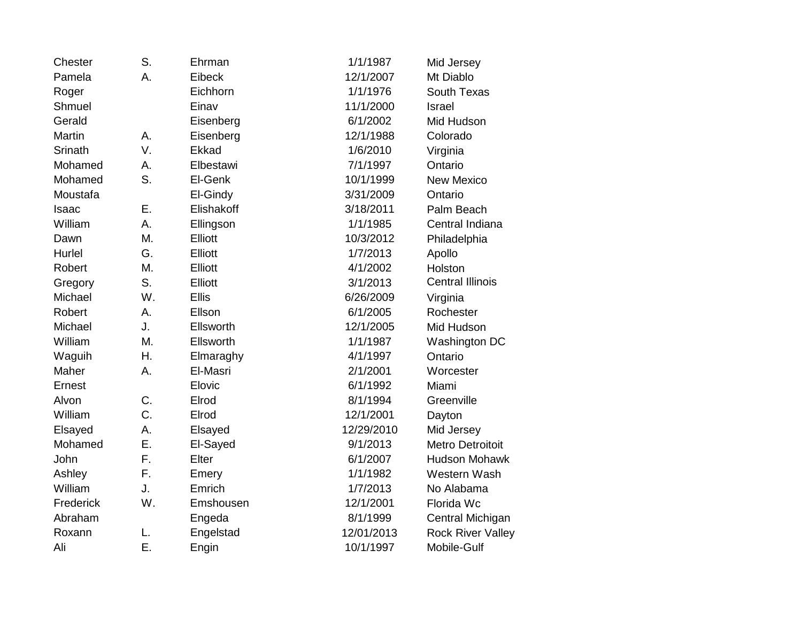| Chester   | S. | Ehrman       | 1/1/1987   | Mid Jersey               |
|-----------|----|--------------|------------|--------------------------|
| Pamela    | Α. | Eibeck       | 12/1/2007  | Mt Diablo                |
| Roger     |    | Eichhorn     | 1/1/1976   | South Texas              |
| Shmuel    |    | Einav        | 11/1/2000  | Israel                   |
| Gerald    |    | Eisenberg    | 6/1/2002   | Mid Hudson               |
| Martin    | A. | Eisenberg    | 12/1/1988  | Colorado                 |
| Srinath   | V. | Ekkad        | 1/6/2010   | Virginia                 |
| Mohamed   | А. | Elbestawi    | 7/1/1997   | Ontario                  |
| Mohamed   | S. | El-Genk      | 10/1/1999  | <b>New Mexico</b>        |
| Moustafa  |    | El-Gindy     | 3/31/2009  | Ontario                  |
| Isaac     | Ε. | Elishakoff   | 3/18/2011  | Palm Beach               |
| William   | Α. | Ellingson    | 1/1/1985   | Central Indiana          |
| Dawn      | M. | Elliott      | 10/3/2012  | Philadelphia             |
| Hurlel    | G. | Elliott      | 1/7/2013   | Apollo                   |
| Robert    | M. | Elliott      | 4/1/2002   | Holston                  |
| Gregory   | S. | Elliott      | 3/1/2013   | <b>Central Illinois</b>  |
| Michael   | W. | <b>Ellis</b> | 6/26/2009  | Virginia                 |
| Robert    | А. | Ellson       | 6/1/2005   | Rochester                |
| Michael   | J. | Ellsworth    | 12/1/2005  | Mid Hudson               |
| William   | Μ. | Ellsworth    | 1/1/1987   | Washington DC            |
| Waguih    | Η. | Elmaraghy    | 4/1/1997   | Ontario                  |
| Maher     | A. | El-Masri     | 2/1/2001   | Worcester                |
| Ernest    |    | Elovic       | 6/1/1992   | Miami                    |
| Alvon     | C. | Elrod        | 8/1/1994   | Greenville               |
| William   | C. | Elrod        | 12/1/2001  | Dayton                   |
| Elsayed   | Α. | Elsayed      | 12/29/2010 | Mid Jersey               |
| Mohamed   | Ε. | El-Sayed     | 9/1/2013   | <b>Metro Detroitoit</b>  |
| John      | F. | Elter        | 6/1/2007   | <b>Hudson Mohawk</b>     |
| Ashley    | F. | Emery        | 1/1/1982   | Western Wash             |
| William   | J. | Emrich       | 1/7/2013   | No Alabama               |
| Frederick | W. | Emshousen    | 12/1/2001  | Florida Wc               |
| Abraham   |    | Engeda       | 8/1/1999   | Central Michigan         |
| Roxann    | L. | Engelstad    | 12/01/2013 | <b>Rock River Valley</b> |
| Ali       | Ε. | Engin        | 10/1/1997  | Mobile-Gulf              |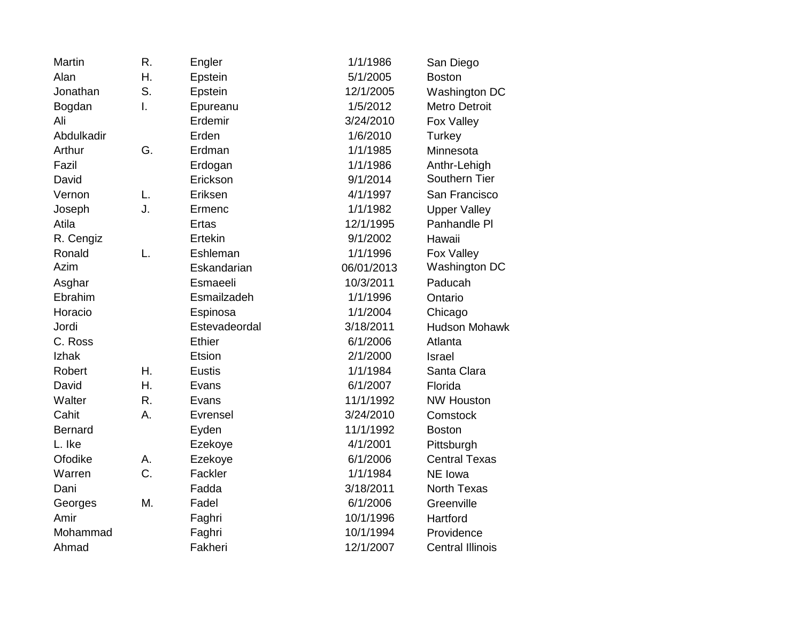| <b>Martin</b>  | R. | Engler        | 1/1/1986   | San Diego               |
|----------------|----|---------------|------------|-------------------------|
| Alan           | Η. | Epstein       | 5/1/2005   | <b>Boston</b>           |
| Jonathan       | S. | Epstein       | 12/1/2005  | <b>Washington DC</b>    |
| Bogdan         | I. | Epureanu      | 1/5/2012   | <b>Metro Detroit</b>    |
| Ali            |    | Erdemir       | 3/24/2010  | Fox Valley              |
| Abdulkadir     |    | Erden         | 1/6/2010   | Turkey                  |
| Arthur         | G. | Erdman        | 1/1/1985   | Minnesota               |
| Fazil          |    | Erdogan       | 1/1/1986   | Anthr-Lehigh            |
| David          |    | Erickson      | 9/1/2014   | Southern Tier           |
| Vernon         | L. | Eriksen       | 4/1/1997   | San Francisco           |
| Joseph         | J. | Ermenc        | 1/1/1982   | <b>Upper Valley</b>     |
| Atila          |    | <b>Ertas</b>  | 12/1/1995  | Panhandle PI            |
| R. Cengiz      |    | Ertekin       | 9/1/2002   | Hawaii                  |
| Ronald         | L. | Eshleman      | 1/1/1996   | Fox Valley              |
| Azim           |    | Eskandarian   | 06/01/2013 | Washington DC           |
| Asghar         |    | Esmaeeli      | 10/3/2011  | Paducah                 |
| Ebrahim        |    | Esmailzadeh   | 1/1/1996   | Ontario                 |
| Horacio        |    | Espinosa      | 1/1/2004   | Chicago                 |
| Jordi          |    | Estevadeordal | 3/18/2011  | <b>Hudson Mohawk</b>    |
| C. Ross        |    | <b>Ethier</b> | 6/1/2006   | Atlanta                 |
| Izhak          |    | Etsion        | 2/1/2000   | <b>Israel</b>           |
| Robert         | Η. | <b>Eustis</b> | 1/1/1984   | Santa Clara             |
| David          | Η. | Evans         | 6/1/2007   | Florida                 |
| Walter         | R. | Evans         | 11/1/1992  | <b>NW Houston</b>       |
| Cahit          | A. | Evrensel      | 3/24/2010  | Comstock                |
| <b>Bernard</b> |    | Eyden         | 11/1/1992  | <b>Boston</b>           |
| L. Ike         |    | Ezekoye       | 4/1/2001   | Pittsburgh              |
| Ofodike        | А. | Ezekoye       | 6/1/2006   | <b>Central Texas</b>    |
| Warren         | C. | Fackler       | 1/1/1984   | NE Iowa                 |
| Dani           |    | Fadda         | 3/18/2011  | <b>North Texas</b>      |
| Georges        | Μ. | Fadel         | 6/1/2006   | Greenville              |
| Amir           |    | Faghri        | 10/1/1996  | Hartford                |
| Mohammad       |    | Faghri        | 10/1/1994  | Providence              |
| Ahmad          |    | Fakheri       | 12/1/2007  | <b>Central Illinois</b> |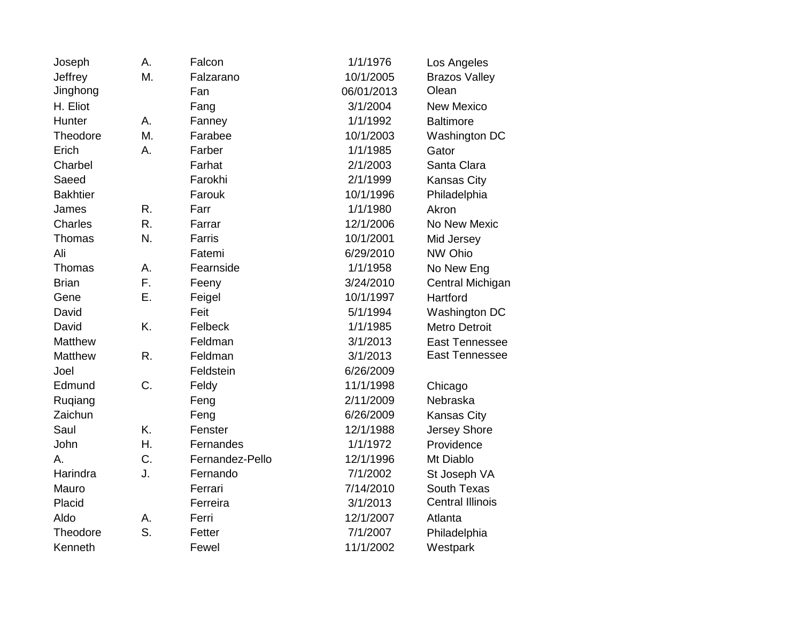| Joseph          | А. | Falcon          | 1/1/1976   | Los Angeles             |
|-----------------|----|-----------------|------------|-------------------------|
| Jeffrey         | M. | Falzarano       | 10/1/2005  | <b>Brazos Valley</b>    |
| Jinghong        |    | Fan             | 06/01/2013 | Olean                   |
| H. Eliot        |    | Fang            | 3/1/2004   | <b>New Mexico</b>       |
| Hunter          | А. | Fanney          | 1/1/1992   | <b>Baltimore</b>        |
| Theodore        | M. | Farabee         | 10/1/2003  | Washington DC           |
| Erich           | Α. | Farber          | 1/1/1985   | Gator                   |
| Charbel         |    | Farhat          | 2/1/2003   | Santa Clara             |
| Saeed           |    | Farokhi         | 2/1/1999   | Kansas City             |
| <b>Bakhtier</b> |    | Farouk          | 10/1/1996  | Philadelphia            |
| James           | R. | Farr            | 1/1/1980   | Akron                   |
| <b>Charles</b>  | R. | Farrar          | 12/1/2006  | No New Mexic            |
| Thomas          | N. | Farris          | 10/1/2001  | Mid Jersey              |
| Ali             |    | Fatemi          | 6/29/2010  | NW Ohio                 |
| Thomas          | А. | Fearnside       | 1/1/1958   | No New Eng              |
| <b>Brian</b>    | F. | Feeny           | 3/24/2010  | Central Michigan        |
| Gene            | Ε. | Feigel          | 10/1/1997  | Hartford                |
| David           |    | Feit            | 5/1/1994   | Washington DC           |
| David           | K. | Felbeck         | 1/1/1985   | <b>Metro Detroit</b>    |
| Matthew         |    | Feldman         | 3/1/2013   | <b>East Tennessee</b>   |
| <b>Matthew</b>  | R. | Feldman         | 3/1/2013   | East Tennessee          |
| Joel            |    | Feldstein       | 6/26/2009  |                         |
| Edmund          | C. | Feldy           | 11/1/1998  | Chicago                 |
| Ruqiang         |    | Feng            | 2/11/2009  | Nebraska                |
| Zaichun         |    | Feng            | 6/26/2009  | <b>Kansas City</b>      |
| Saul            | K. | Fenster         | 12/1/1988  | Jersey Shore            |
| John            | Η. | Fernandes       | 1/1/1972   | Providence              |
| А.              | C. | Fernandez-Pello | 12/1/1996  | Mt Diablo               |
| Harindra        | J. | Fernando        | 7/1/2002   | St Joseph VA            |
| Mauro           |    | Ferrari         | 7/14/2010  | South Texas             |
| Placid          |    | Ferreira        | 3/1/2013   | <b>Central Illinois</b> |
| Aldo            | А. | Ferri           | 12/1/2007  | Atlanta                 |
| Theodore        | S. | Fetter          | 7/1/2007   | Philadelphia            |
| Kenneth         |    | Fewel           | 11/1/2002  | Westpark                |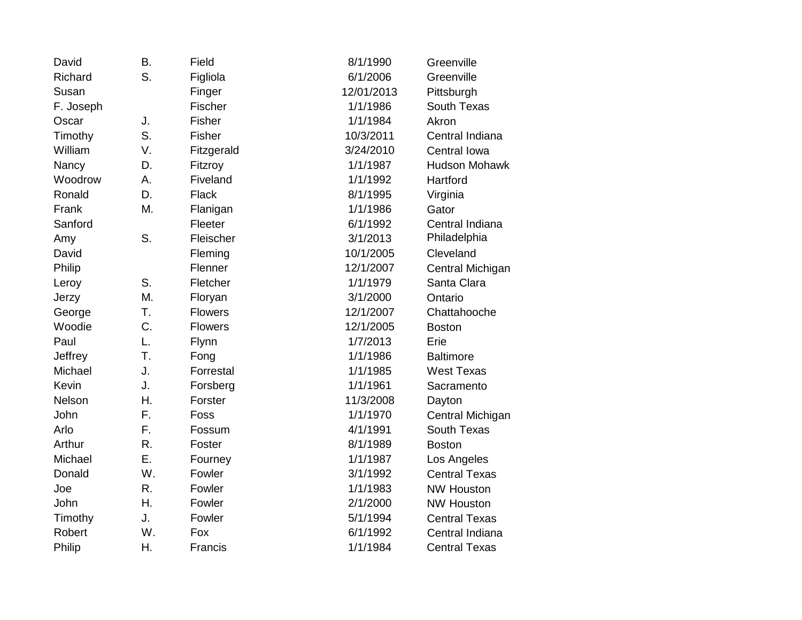| David     | <b>B.</b> | Field          | 8/1/1990   | Greenville           |
|-----------|-----------|----------------|------------|----------------------|
| Richard   | S.        | Figliola       | 6/1/2006   | Greenville           |
| Susan     |           | Finger         | 12/01/2013 | Pittsburgh           |
| F. Joseph |           | Fischer        | 1/1/1986   | South Texas          |
| Oscar     | J.        | Fisher         | 1/1/1984   | Akron                |
| Timothy   | S.        | Fisher         | 10/3/2011  | Central Indiana      |
| William   | V.        | Fitzgerald     | 3/24/2010  | Central Iowa         |
| Nancy     | D.        | Fitzroy        | 1/1/1987   | <b>Hudson Mohawk</b> |
| Woodrow   | А.        | Fiveland       | 1/1/1992   | Hartford             |
| Ronald    | D.        | Flack          | 8/1/1995   | Virginia             |
| Frank     | M.        | Flanigan       | 1/1/1986   | Gator                |
| Sanford   |           | Fleeter        | 6/1/1992   | Central Indiana      |
| Amy       | S.        | Fleischer      | 3/1/2013   | Philadelphia         |
| David     |           | Fleming        | 10/1/2005  | Cleveland            |
| Philip    |           | Flenner        | 12/1/2007  | Central Michigan     |
| Leroy     | S.        | Fletcher       | 1/1/1979   | Santa Clara          |
| Jerzy     | Μ.        | Floryan        | 3/1/2000   | Ontario              |
| George    | T.        | <b>Flowers</b> | 12/1/2007  | Chattahooche         |
| Woodie    | C.        | <b>Flowers</b> | 12/1/2005  | <b>Boston</b>        |
| Paul      | L.        | Flynn          | 1/7/2013   | Erie                 |
| Jeffrey   | Τ.        | Fong           | 1/1/1986   | <b>Baltimore</b>     |
| Michael   | J.        | Forrestal      | 1/1/1985   | <b>West Texas</b>    |
| Kevin     | J.        | Forsberg       | 1/1/1961   | Sacramento           |
| Nelson    | Η.        | Forster        | 11/3/2008  | Dayton               |
| John      | F.        | Foss           | 1/1/1970   | Central Michigan     |
| Arlo      | F.        | Fossum         | 4/1/1991   | South Texas          |
| Arthur    | R.        | Foster         | 8/1/1989   | <b>Boston</b>        |
| Michael   | Ε.        | Fourney        | 1/1/1987   | Los Angeles          |
| Donald    | W.        | Fowler         | 3/1/1992   | <b>Central Texas</b> |
| Joe       | R.        | Fowler         | 1/1/1983   | <b>NW Houston</b>    |
| John      | Η.        | Fowler         | 2/1/2000   | <b>NW Houston</b>    |
| Timothy   | J.        | Fowler         | 5/1/1994   | <b>Central Texas</b> |
| Robert    | W.        | Fox            | 6/1/1992   | Central Indiana      |
| Philip    | Η.        | Francis        | 1/1/1984   | <b>Central Texas</b> |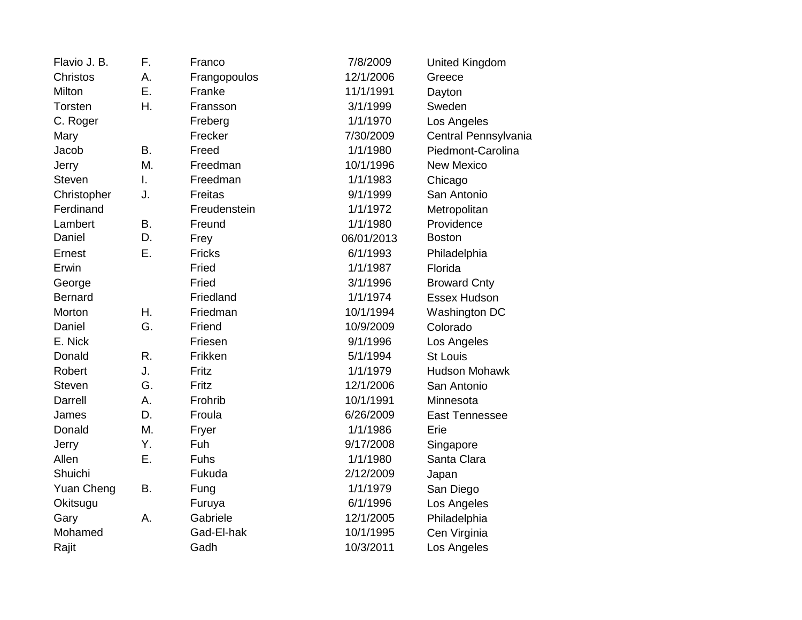| Flavio J. B.      | F. | Franco        | 7/8/2009   | United Kingdom        |
|-------------------|----|---------------|------------|-----------------------|
| <b>Christos</b>   | Α. | Frangopoulos  | 12/1/2006  | Greece                |
| Milton            | Ε. | Franke        | 11/1/1991  | Dayton                |
| Torsten           | Η. | Fransson      | 3/1/1999   | Sweden                |
| C. Roger          |    | Freberg       | 1/1/1970   | Los Angeles           |
| Mary              |    | Frecker       | 7/30/2009  | Central Pennsylvania  |
| Jacob             | Β. | Freed         | 1/1/1980   | Piedmont-Carolina     |
| Jerry             | M. | Freedman      | 10/1/1996  | <b>New Mexico</b>     |
| <b>Steven</b>     | I. | Freedman      | 1/1/1983   | Chicago               |
| Christopher       | J. | Freitas       | 9/1/1999   | San Antonio           |
| Ferdinand         |    | Freudenstein  | 1/1/1972   | Metropolitan          |
| Lambert           | Β. | Freund        | 1/1/1980   | Providence            |
| Daniel            | D. | Frey          | 06/01/2013 | <b>Boston</b>         |
| Ernest            | Ε. | <b>Fricks</b> | 6/1/1993   | Philadelphia          |
| Erwin             |    | Fried         | 1/1/1987   | Florida               |
| George            |    | Fried         | 3/1/1996   | <b>Broward Cnty</b>   |
| <b>Bernard</b>    |    | Friedland     | 1/1/1974   | <b>Essex Hudson</b>   |
| Morton            | Η. | Friedman      | 10/1/1994  | Washington DC         |
| Daniel            | G. | Friend        | 10/9/2009  | Colorado              |
| E. Nick           |    | Friesen       | 9/1/1996   | Los Angeles           |
| Donald            | R. | Frikken       | 5/1/1994   | <b>St Louis</b>       |
| Robert            | J. | Fritz         | 1/1/1979   | <b>Hudson Mohawk</b>  |
| <b>Steven</b>     | G. | Fritz         | 12/1/2006  | San Antonio           |
| Darrell           | Α. | Frohrib       | 10/1/1991  | Minnesota             |
| James             | D. | Froula        | 6/26/2009  | <b>East Tennessee</b> |
| Donald            | M. | Fryer         | 1/1/1986   | Erie                  |
| Jerry             | Υ. | Fuh           | 9/17/2008  | Singapore             |
| Allen             | Ε. | Fuhs          | 1/1/1980   | Santa Clara           |
| Shuichi           |    | Fukuda        | 2/12/2009  | Japan                 |
| <b>Yuan Cheng</b> | B. | Fung          | 1/1/1979   | San Diego             |
| Okitsugu          |    | Furuya        | 6/1/1996   | Los Angeles           |
| Gary              | А. | Gabriele      | 12/1/2005  | Philadelphia          |
| Mohamed           |    | Gad-El-hak    | 10/1/1995  | Cen Virginia          |
| Rajit             |    | Gadh          | 10/3/2011  | Los Angeles           |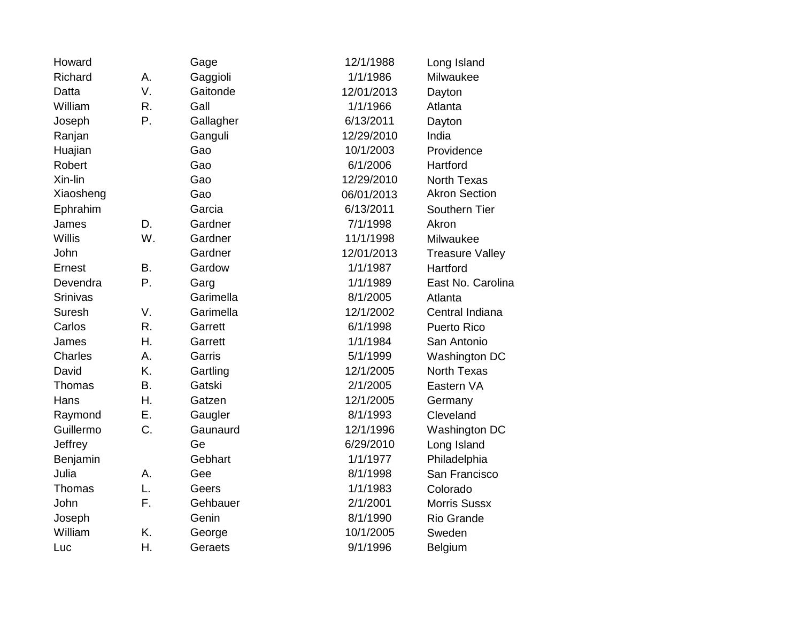| Howard    |           | Gage      | 12/1/1988  | Long Island            |
|-----------|-----------|-----------|------------|------------------------|
| Richard   | А.        | Gaggioli  | 1/1/1986   | Milwaukee              |
| Datta     | V.        | Gaitonde  | 12/01/2013 | Dayton                 |
| William   | R.        | Gall      | 1/1/1966   | Atlanta                |
| Joseph    | P.        | Gallagher | 6/13/2011  | Dayton                 |
| Ranjan    |           | Ganguli   | 12/29/2010 | India                  |
| Huajian   |           | Gao       | 10/1/2003  | Providence             |
| Robert    |           | Gao       | 6/1/2006   | Hartford               |
| Xin-lin   |           | Gao       | 12/29/2010 | <b>North Texas</b>     |
| Xiaosheng |           | Gao       | 06/01/2013 | <b>Akron Section</b>   |
| Ephrahim  |           | Garcia    | 6/13/2011  | Southern Tier          |
| James     | D.        | Gardner   | 7/1/1998   | Akron                  |
| Willis    | W.        | Gardner   | 11/1/1998  | Milwaukee              |
| John      |           | Gardner   | 12/01/2013 | <b>Treasure Valley</b> |
| Ernest    | <b>B.</b> | Gardow    | 1/1/1987   | Hartford               |
| Devendra  | Ρ.        | Garg      | 1/1/1989   | East No. Carolina      |
| Srinivas  |           | Garimella | 8/1/2005   | Atlanta                |
| Suresh    | V.        | Garimella | 12/1/2002  | Central Indiana        |
| Carlos    | R.        | Garrett   | 6/1/1998   | <b>Puerto Rico</b>     |
| James     | Η.        | Garrett   | 1/1/1984   | San Antonio            |
| Charles   | A.        | Garris    | 5/1/1999   | Washington DC          |
| David     | K.        | Gartling  | 12/1/2005  | <b>North Texas</b>     |
| Thomas    | <b>B.</b> | Gatski    | 2/1/2005   | Eastern VA             |
| Hans      | Η.        | Gatzen    | 12/1/2005  | Germany                |
| Raymond   | Ε.        | Gaugler   | 8/1/1993   | Cleveland              |
| Guillermo | C.        | Gaunaurd  | 12/1/1996  | Washington DC          |
| Jeffrey   |           | Ge        | 6/29/2010  | Long Island            |
| Benjamin  |           | Gebhart   | 1/1/1977   | Philadelphia           |
| Julia     | А.        | Gee       | 8/1/1998   | San Francisco          |
| Thomas    | L.        | Geers     | 1/1/1983   | Colorado               |
| John      | F.        | Gehbauer  | 2/1/2001   | <b>Morris Sussx</b>    |
| Joseph    |           | Genin     | 8/1/1990   | Rio Grande             |
| William   | K.        | George    | 10/1/2005  | Sweden                 |
| Luc       | Η.        | Geraets   | 9/1/1996   | Belgium                |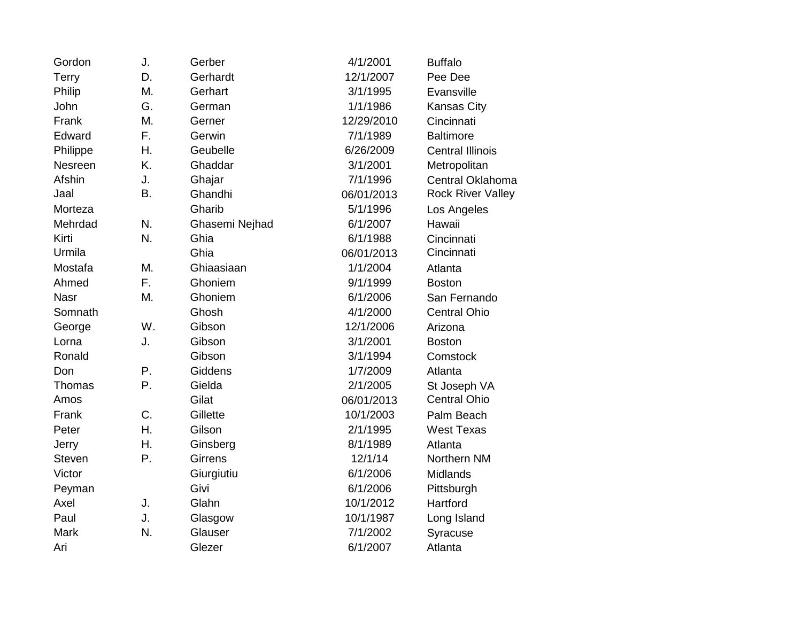| Gordon        | J.        | Gerber         | 4/1/2001   | <b>Buffalo</b>           |
|---------------|-----------|----------------|------------|--------------------------|
| Terry         | D.        | Gerhardt       | 12/1/2007  | Pee Dee                  |
| Philip        | Μ.        | Gerhart        | 3/1/1995   | Evansville               |
| John          | G.        | German         | 1/1/1986   | Kansas City              |
| Frank         | M.        | Gerner         | 12/29/2010 | Cincinnati               |
| Edward        | F.        | Gerwin         | 7/1/1989   | <b>Baltimore</b>         |
| Philippe      | Η.        | Geubelle       | 6/26/2009  | <b>Central Illinois</b>  |
| Nesreen       | K.        | Ghaddar        | 3/1/2001   | Metropolitan             |
| Afshin        | J.        | Ghajar         | 7/1/1996   | Central Oklahoma         |
| Jaal          | <b>B.</b> | Ghandhi        | 06/01/2013 | <b>Rock River Valley</b> |
| Morteza       |           | Gharib         | 5/1/1996   | Los Angeles              |
| Mehrdad       | N.        | Ghasemi Nejhad | 6/1/2007   | Hawaii                   |
| Kirti         | N.        | Ghia           | 6/1/1988   | Cincinnati               |
| Urmila        |           | Ghia           | 06/01/2013 | Cincinnati               |
| Mostafa       | Μ.        | Ghiaasiaan     | 1/1/2004   | Atlanta                  |
| Ahmed         | F.        | Ghoniem        | 9/1/1999   | <b>Boston</b>            |
| <b>Nasr</b>   | Μ.        | Ghoniem        | 6/1/2006   | San Fernando             |
| Somnath       |           | Ghosh          | 4/1/2000   | <b>Central Ohio</b>      |
| George        | W.        | Gibson         | 12/1/2006  | Arizona                  |
| Lorna         | J.        | Gibson         | 3/1/2001   | <b>Boston</b>            |
| Ronald        |           | Gibson         | 3/1/1994   | Comstock                 |
| Don           | Ρ.        | Giddens        | 1/7/2009   | Atlanta                  |
| Thomas        | P.        | Gielda         | 2/1/2005   | St Joseph VA             |
| Amos          |           | Gilat          | 06/01/2013 | <b>Central Ohio</b>      |
| Frank         | C.        | Gillette       | 10/1/2003  | Palm Beach               |
| Peter         | Η.        | Gilson         | 2/1/1995   | <b>West Texas</b>        |
| Jerry         | Η.        | Ginsberg       | 8/1/1989   | Atlanta                  |
| <b>Steven</b> | Ρ.        | <b>Girrens</b> | 12/1/14    | Northern NM              |
| Victor        |           | Giurgiutiu     | 6/1/2006   | Midlands                 |
| Peyman        |           | Givi           | 6/1/2006   | Pittsburgh               |
| Axel          | J.        | Glahn          | 10/1/2012  | Hartford                 |
| Paul          | J.        | Glasgow        | 10/1/1987  | Long Island              |
| <b>Mark</b>   | N.        | Glauser        | 7/1/2002   | Syracuse                 |
| Ari           |           | Glezer         | 6/1/2007   | Atlanta                  |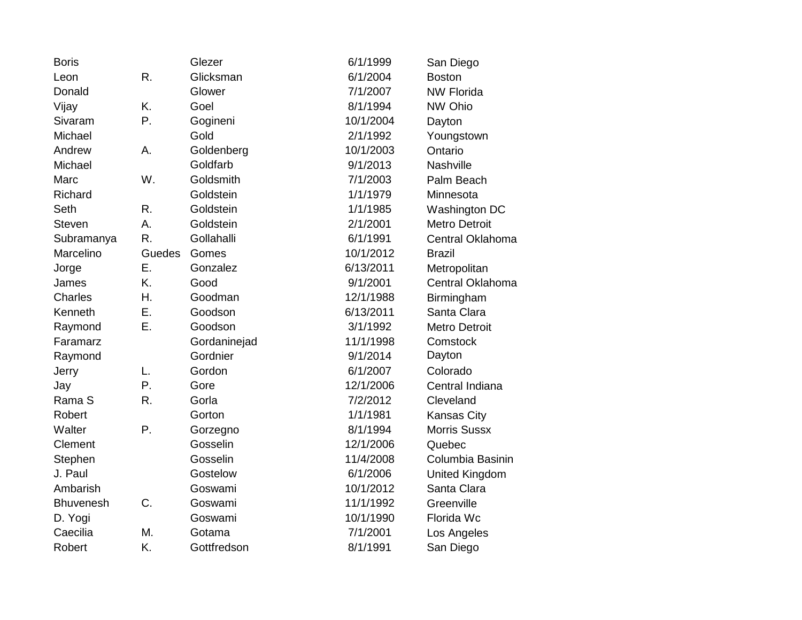| <b>Boris</b>     |        | Glezer       | 6/1/1999  | San Diego            |
|------------------|--------|--------------|-----------|----------------------|
| Leon             | R.     | Glicksman    | 6/1/2004  | <b>Boston</b>        |
| Donald           |        | Glower       | 7/1/2007  | <b>NW Florida</b>    |
| Vijay            | K.     | Goel         | 8/1/1994  | NW Ohio              |
| Sivaram          | Ρ.     | Gogineni     | 10/1/2004 | Dayton               |
| Michael          |        | Gold         | 2/1/1992  | Youngstown           |
| Andrew           | А.     | Goldenberg   | 10/1/2003 | Ontario              |
| Michael          |        | Goldfarb     | 9/1/2013  | Nashville            |
| Marc             | W.     | Goldsmith    | 7/1/2003  | Palm Beach           |
| Richard          |        | Goldstein    | 1/1/1979  | Minnesota            |
| Seth             | R.     | Goldstein    | 1/1/1985  | Washington DC        |
| <b>Steven</b>    | А.     | Goldstein    | 2/1/2001  | <b>Metro Detroit</b> |
| Subramanya       | R.     | Gollahalli   | 6/1/1991  | Central Oklahoma     |
| Marcelino        | Guedes | Gomes        | 10/1/2012 | <b>Brazil</b>        |
| Jorge            | Ε.     | Gonzalez     | 6/13/2011 | Metropolitan         |
| James            | K.     | Good         | 9/1/2001  | Central Oklahoma     |
| Charles          | Η.     | Goodman      | 12/1/1988 | Birmingham           |
| Kenneth          | Ε.     | Goodson      | 6/13/2011 | Santa Clara          |
| Raymond          | Ε.     | Goodson      | 3/1/1992  | <b>Metro Detroit</b> |
| Faramarz         |        | Gordaninejad | 11/1/1998 | Comstock             |
| Raymond          |        | Gordnier     | 9/1/2014  | Dayton               |
| Jerry            | L.     | Gordon       | 6/1/2007  | Colorado             |
| Jay              | Ρ.     | Gore         | 12/1/2006 | Central Indiana      |
| Rama S           | R.     | Gorla        | 7/2/2012  | Cleveland            |
| Robert           |        | Gorton       | 1/1/1981  | <b>Kansas City</b>   |
| Walter           | Ρ.     | Gorzegno     | 8/1/1994  | <b>Morris Sussx</b>  |
| Clement          |        | Gosselin     | 12/1/2006 | Quebec               |
| Stephen          |        | Gosselin     | 11/4/2008 | Columbia Basinin     |
| J. Paul          |        | Gostelow     | 6/1/2006  | United Kingdom       |
| Ambarish         |        | Goswami      | 10/1/2012 | Santa Clara          |
| <b>Bhuvenesh</b> | C.     | Goswami      | 11/1/1992 | Greenville           |
| D. Yogi          |        | Goswami      | 10/1/1990 | Florida Wc           |
| Caecilia         | М.     | Gotama       | 7/1/2001  | Los Angeles          |
| Robert           | K.     | Gottfredson  | 8/1/1991  | San Diego            |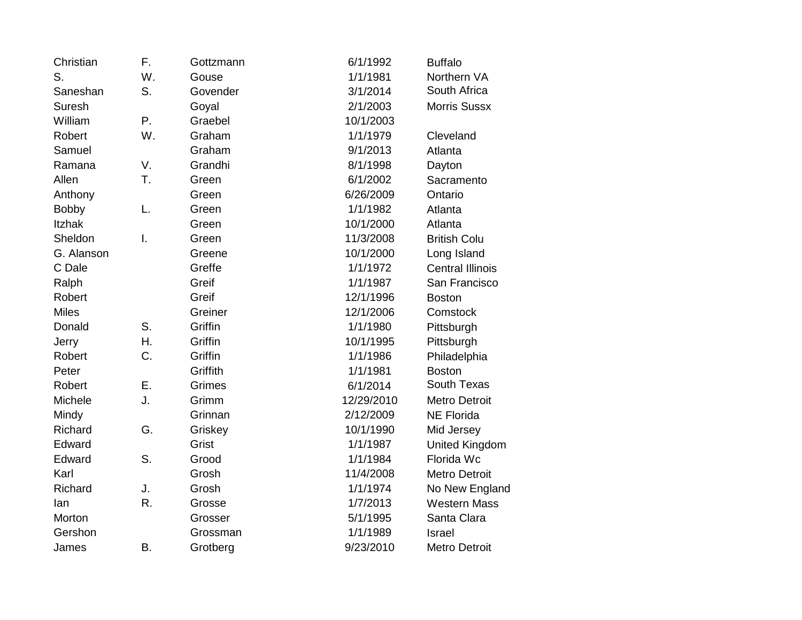| Christian     | F.           | Gottzmann | 6/1/1992   | <b>Buffalo</b>          |
|---------------|--------------|-----------|------------|-------------------------|
| S.            | W.           | Gouse     | 1/1/1981   | Northern VA             |
| Saneshan      | S.           | Govender  | 3/1/2014   | South Africa            |
| Suresh        |              | Goyal     | 2/1/2003   | <b>Morris Sussx</b>     |
| William       | P.           | Graebel   | 10/1/2003  |                         |
| Robert        | W.           | Graham    | 1/1/1979   | Cleveland               |
| Samuel        |              | Graham    | 9/1/2013   | Atlanta                 |
| Ramana        | V.           | Grandhi   | 8/1/1998   | Dayton                  |
| Allen         | T.           | Green     | 6/1/2002   | Sacramento              |
| Anthony       |              | Green     | 6/26/2009  | Ontario                 |
| <b>Bobby</b>  | L.           | Green     | 1/1/1982   | Atlanta                 |
| <b>Itzhak</b> |              | Green     | 10/1/2000  | Atlanta                 |
| Sheldon       | $\mathsf{L}$ | Green     | 11/3/2008  | <b>British Colu</b>     |
| G. Alanson    |              | Greene    | 10/1/2000  | Long Island             |
| C Dale        |              | Greffe    | 1/1/1972   | <b>Central Illinois</b> |
| Ralph         |              | Greif     | 1/1/1987   | San Francisco           |
| Robert        |              | Greif     | 12/1/1996  | <b>Boston</b>           |
| <b>Miles</b>  |              | Greiner   | 12/1/2006  | Comstock                |
| Donald        | S.           | Griffin   | 1/1/1980   | Pittsburgh              |
| Jerry         | Η.           | Griffin   | 10/1/1995  | Pittsburgh              |
| Robert        | C.           | Griffin   | 1/1/1986   | Philadelphia            |
| Peter         |              | Griffith  | 1/1/1981   | <b>Boston</b>           |
| Robert        | Ε.           | Grimes    | 6/1/2014   | South Texas             |
| Michele       | J.           | Grimm     | 12/29/2010 | <b>Metro Detroit</b>    |
| Mindy         |              | Grinnan   | 2/12/2009  | <b>NE Florida</b>       |
| Richard       | G.           | Griskey   | 10/1/1990  | Mid Jersey              |
| Edward        |              | Grist     | 1/1/1987   | United Kingdom          |
| Edward        | S.           | Grood     | 1/1/1984   | Florida Wc              |
| Karl          |              | Grosh     | 11/4/2008  | <b>Metro Detroit</b>    |
| Richard       | J.           | Grosh     | 1/1/1974   | No New England          |
| lan           | R.           | Grosse    | 1/7/2013   | <b>Western Mass</b>     |
| Morton        |              | Grosser   | 5/1/1995   | Santa Clara             |
| Gershon       |              | Grossman  | 1/1/1989   | Israel                  |
| James         | B.           | Grotberg  | 9/23/2010  | <b>Metro Detroit</b>    |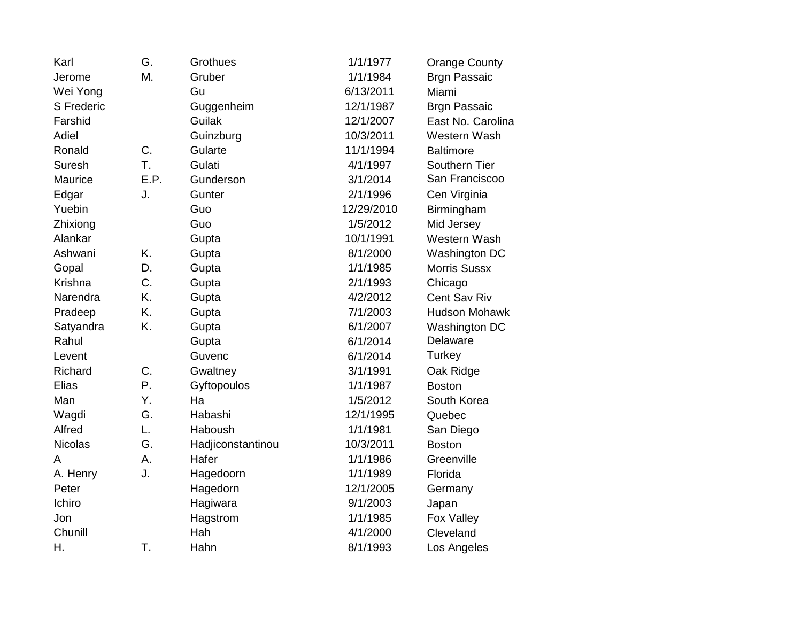| Karl              | G.   | Grothues          | 1/1/1977   | <b>Orange County</b> |
|-------------------|------|-------------------|------------|----------------------|
| Jerome            | М.   | Gruber            | 1/1/1984   | <b>Brgn Passaic</b>  |
| Wei Yong          |      | Gu                | 6/13/2011  | Miami                |
| <b>S</b> Frederic |      | Guggenheim        | 12/1/1987  | <b>Brgn Passaic</b>  |
| Farshid           |      | Guilak            | 12/1/2007  | East No. Carolina    |
| Adiel             |      | Guinzburg         | 10/3/2011  | Western Wash         |
| Ronald            | C.   | Gularte           | 11/1/1994  | <b>Baltimore</b>     |
| <b>Suresh</b>     | T.   | Gulati            | 4/1/1997   | Southern Tier        |
| Maurice           | E.P. | Gunderson         | 3/1/2014   | San Franciscoo       |
| Edgar             | J.   | Gunter            | 2/1/1996   | Cen Virginia         |
| Yuebin            |      | Guo               | 12/29/2010 | Birmingham           |
| Zhixiong          |      | Guo               | 1/5/2012   | Mid Jersey           |
| Alankar           |      | Gupta             | 10/1/1991  | Western Wash         |
| Ashwani           | K.   | Gupta             | 8/1/2000   | Washington DC        |
| Gopal             | D.   | Gupta             | 1/1/1985   | <b>Morris Sussx</b>  |
| Krishna           | C.   | Gupta             | 2/1/1993   | Chicago              |
| Narendra          | K.   | Gupta             | 4/2/2012   | Cent Sav Riv         |
| Pradeep           | K.   | Gupta             | 7/1/2003   | Hudson Mohawk        |
| Satyandra         | K.   | Gupta             | 6/1/2007   | Washington DC        |
| Rahul             |      | Gupta             | 6/1/2014   | <b>Delaware</b>      |
| Levent            |      | Guvenc            | 6/1/2014   | Turkey               |
| Richard           | C.   | Gwaltney          | 3/1/1991   | Oak Ridge            |
| Elias             | Ρ.   | Gyftopoulos       | 1/1/1987   | <b>Boston</b>        |
| Man               | Y.   | Ha                | 1/5/2012   | South Korea          |
| Wagdi             | G.   | Habashi           | 12/1/1995  | Quebec               |
| Alfred            | L.   | Haboush           | 1/1/1981   | San Diego            |
| <b>Nicolas</b>    | G.   | Hadjiconstantinou | 10/3/2011  | <b>Boston</b>        |
| A                 | Α.   | Hafer             | 1/1/1986   | Greenville           |
| A. Henry          | J.   | Hagedoorn         | 1/1/1989   | Florida              |
| Peter             |      | Hagedorn          | 12/1/2005  | Germany              |
| Ichiro            |      | Hagiwara          | 9/1/2003   | Japan                |
| Jon               |      | Hagstrom          | 1/1/1985   | Fox Valley           |
| Chunill           |      | Hah               | 4/1/2000   | Cleveland            |
| Η.                | T.   | Hahn              | 8/1/1993   | Los Angeles          |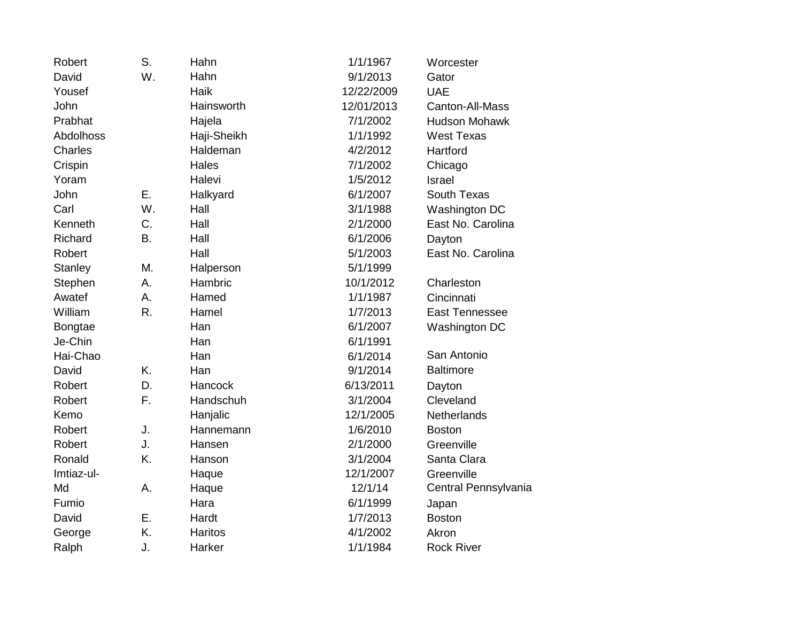| Robert         | S. | Hahn           | 1/1/1967   | Worcester             |
|----------------|----|----------------|------------|-----------------------|
| David          | W. | Hahn           | 9/1/2013   | Gator                 |
| Yousef         |    | Haik           | 12/22/2009 | <b>UAE</b>            |
| John           |    | Hainsworth     | 12/01/2013 | Canton-All-Mass       |
| Prabhat        |    | Hajela         | 7/1/2002   | <b>Hudson Mohawk</b>  |
| Abdolhoss      |    | Haji-Sheikh    | 1/1/1992   | <b>West Texas</b>     |
| Charles        |    | Haldeman       | 4/2/2012   | Hartford              |
| Crispin        |    | Hales          | 7/1/2002   | Chicago               |
| Yoram          |    | Halevi         | 1/5/2012   | <b>Israel</b>         |
| John           | Ε. | Halkyard       | 6/1/2007   | South Texas           |
| Carl           | W. | Hall           | 3/1/1988   | Washington DC         |
| Kenneth        | C. | Hall           | 2/1/2000   | East No. Carolina     |
| Richard        | Β. | Hall           | 6/1/2006   | Dayton                |
| Robert         |    | Hall           | 5/1/2003   | East No. Carolina     |
| <b>Stanley</b> | Μ. | Halperson      | 5/1/1999   |                       |
| Stephen        | А. | Hambric        | 10/1/2012  | Charleston            |
| Awatef         | A. | Hamed          | 1/1/1987   | Cincinnati            |
| William        | R. | Hamel          | 1/7/2013   | <b>East Tennessee</b> |
| <b>Bongtae</b> |    | Han            | 6/1/2007   | Washington DC         |
| Je-Chin        |    | Han            | 6/1/1991   |                       |
| Hai-Chao       |    | Han            | 6/1/2014   | San Antonio           |
| David          | K. | Han            | 9/1/2014   | <b>Baltimore</b>      |
| Robert         | D. | Hancock        | 6/13/2011  | Dayton                |
| Robert         | F. | Handschuh      | 3/1/2004   | Cleveland             |
| Kemo           |    | Hanjalic       | 12/1/2005  | <b>Netherlands</b>    |
| Robert         | J. | Hannemann      | 1/6/2010   | <b>Boston</b>         |
| Robert         | J. | Hansen         | 2/1/2000   | Greenville            |
| Ronald         | K. | Hanson         | 3/1/2004   | Santa Clara           |
| Imtiaz-ul-     |    | Haque          | 12/1/2007  | Greenville            |
| Md             | Α. | Haque          | 12/1/14    | Central Pennsylvania  |
| Fumio          |    | Hara           | 6/1/1999   | Japan                 |
| David          | Ε. | Hardt          | 1/7/2013   | <b>Boston</b>         |
| George         | K. | <b>Haritos</b> | 4/1/2002   | Akron                 |
| Ralph          | J. | Harker         | 1/1/1984   | <b>Rock River</b>     |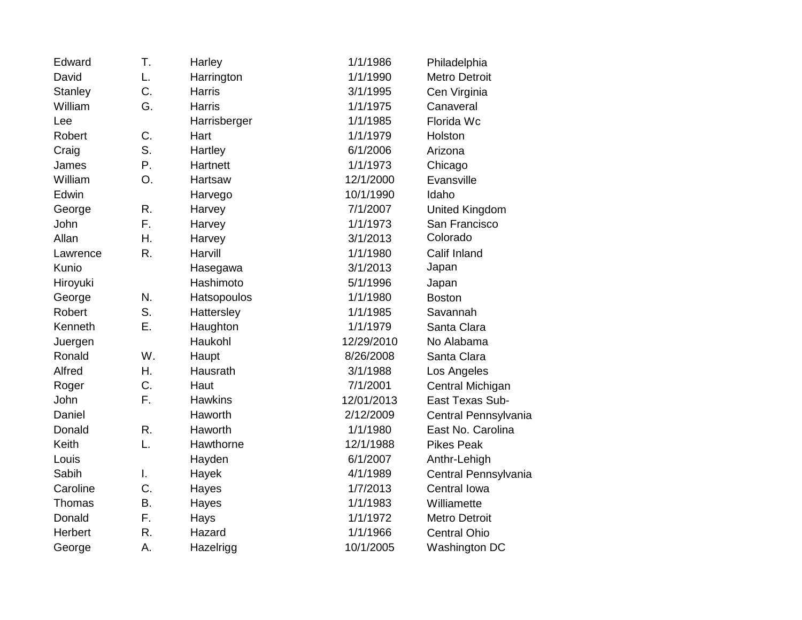| Edward         | Τ.        | Harley        | 1/1/1986   | Philadelphia         |
|----------------|-----------|---------------|------------|----------------------|
| David          | L.        | Harrington    | 1/1/1990   | <b>Metro Detroit</b> |
| <b>Stanley</b> | C.        | <b>Harris</b> | 3/1/1995   | Cen Virginia         |
| William        | G.        | <b>Harris</b> | 1/1/1975   | Canaveral            |
| Lee            |           | Harrisberger  | 1/1/1985   | Florida Wc           |
| Robert         | C.        | Hart          | 1/1/1979   | Holston              |
| Craig          | S.        | Hartley       | 6/1/2006   | Arizona              |
| James          | Ρ.        | Hartnett      | 1/1/1973   | Chicago              |
| William        | O.        | Hartsaw       | 12/1/2000  | Evansville           |
| Edwin          |           | Harvego       | 10/1/1990  | Idaho                |
| George         | R.        | Harvey        | 7/1/2007   | United Kingdom       |
| John           | F.        | Harvey        | 1/1/1973   | San Francisco        |
| Allan          | Η.        | Harvey        | 3/1/2013   | Colorado             |
| Lawrence       | R.        | Harvill       | 1/1/1980   | Calif Inland         |
| Kunio          |           | Hasegawa      | 3/1/2013   | Japan                |
| Hiroyuki       |           | Hashimoto     | 5/1/1996   | Japan                |
| George         | N.        | Hatsopoulos   | 1/1/1980   | <b>Boston</b>        |
| Robert         | S.        | Hattersley    | 1/1/1985   | Savannah             |
| Kenneth        | Ε.        | Haughton      | 1/1/1979   | Santa Clara          |
| Juergen        |           | Haukohl       | 12/29/2010 | No Alabama           |
| Ronald         | W.        | Haupt         | 8/26/2008  | Santa Clara          |
| Alfred         | Η.        | Hausrath      | 3/1/1988   | Los Angeles          |
| Roger          | C.        | Haut          | 7/1/2001   | Central Michigan     |
| John           | F.        | Hawkins       | 12/01/2013 | East Texas Sub-      |
| Daniel         |           | Haworth       | 2/12/2009  | Central Pennsylvania |
| Donald         | R.        | Haworth       | 1/1/1980   | East No. Carolina    |
| Keith          | L.        | Hawthorne     | 12/1/1988  | <b>Pikes Peak</b>    |
| Louis          |           | Hayden        | 6/1/2007   | Anthr-Lehigh         |
| Sabih          | I.        | Hayek         | 4/1/1989   | Central Pennsylvania |
| Caroline       | C.        | Hayes         | 1/7/2013   | Central Iowa         |
| Thomas         | <b>B.</b> | Hayes         | 1/1/1983   | Williamette          |
| Donald         | F.        | Hays          | 1/1/1972   | <b>Metro Detroit</b> |
| Herbert        | R.        | Hazard        | 1/1/1966   | <b>Central Ohio</b>  |
| George         | Α.        | Hazelrigg     | 10/1/2005  | Washington DC        |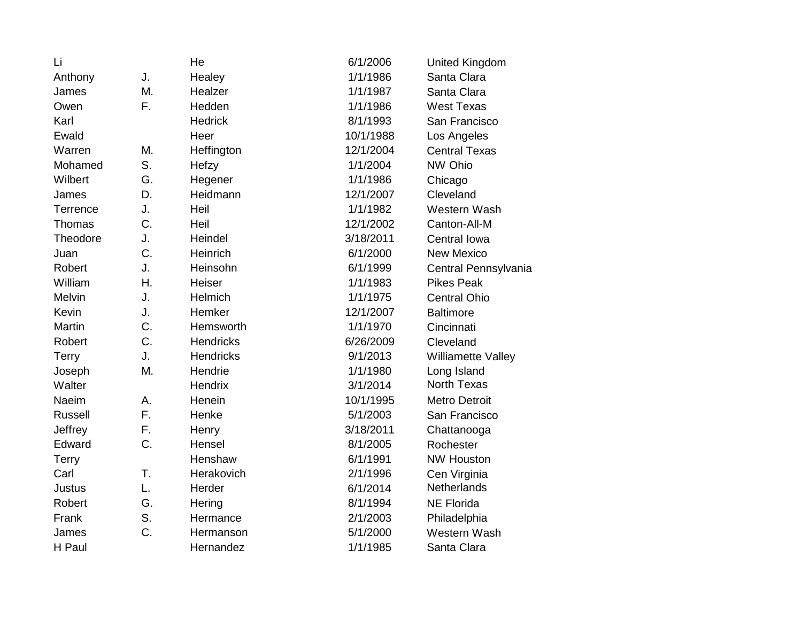| Li             |    | He               | 6/1/2006  | <b>United Kingdom</b> |
|----------------|----|------------------|-----------|-----------------------|
| Anthony        | J. | Healey           | 1/1/1986  | Santa Clara           |
| James          | M. | Healzer          | 1/1/1987  | Santa Clara           |
| Owen           | F. | Hedden           | 1/1/1986  | <b>West Texas</b>     |
| Karl           |    | <b>Hedrick</b>   | 8/1/1993  | San Francisco         |
| Ewald          |    | Heer             | 10/1/1988 | Los Angeles           |
| Warren         | M. | Heffington       | 12/1/2004 | <b>Central Texas</b>  |
| Mohamed        | S. | Hefzy            | 1/1/2004  | NW Ohio               |
| Wilbert        | G. | Hegener          | 1/1/1986  | Chicago               |
| James          | D. | Heidmann         | 12/1/2007 | Cleveland             |
| Terrence       | J. | Heil             | 1/1/1982  | Western Wash          |
| <b>Thomas</b>  | C. | Heil             | 12/1/2002 | Canton-All-M          |
| Theodore       | J. | Heindel          | 3/18/2011 | Central Iowa          |
| Juan           | C. | Heinrich         | 6/1/2000  | <b>New Mexico</b>     |
| Robert         | J. | Heinsohn         | 6/1/1999  | Central Pennsylvania  |
| William        | Η. | Heiser           | 1/1/1983  | <b>Pikes Peak</b>     |
| <b>Melvin</b>  | J. | Helmich          | 1/1/1975  | <b>Central Ohio</b>   |
| Kevin          | J. | Hemker           | 12/1/2007 | <b>Baltimore</b>      |
| <b>Martin</b>  | C. | Hemsworth        | 1/1/1970  | Cincinnati            |
| Robert         | C. | <b>Hendricks</b> | 6/26/2009 | Cleveland             |
| <b>Terry</b>   | J. | <b>Hendricks</b> | 9/1/2013  | Williamette Valley    |
| Joseph         | M. | Hendrie          | 1/1/1980  | Long Island           |
| Walter         |    | Hendrix          | 3/1/2014  | <b>North Texas</b>    |
| <b>Naeim</b>   | A. | Henein           | 10/1/1995 | Metro Detroit         |
| <b>Russell</b> | F. | Henke            | 5/1/2003  | San Francisco         |
| Jeffrey        | F. | Henry            | 3/18/2011 | Chattanooga           |
| Edward         | C. | Hensel           | 8/1/2005  | Rochester             |
| Terry          |    | Henshaw          | 6/1/1991  | <b>NW Houston</b>     |
| Carl           | T. | Herakovich       | 2/1/1996  | Cen Virginia          |
| <b>Justus</b>  | L. | Herder           | 6/1/2014  | Netherlands           |
| Robert         | G. | Hering           | 8/1/1994  | <b>NE Florida</b>     |
| Frank          | S. | Hermance         | 2/1/2003  | Philadelphia          |
| James          | C. | Hermanson        | 5/1/2000  | Western Wash          |
| H Paul         |    | Hernandez        | 1/1/1985  | Santa Clara           |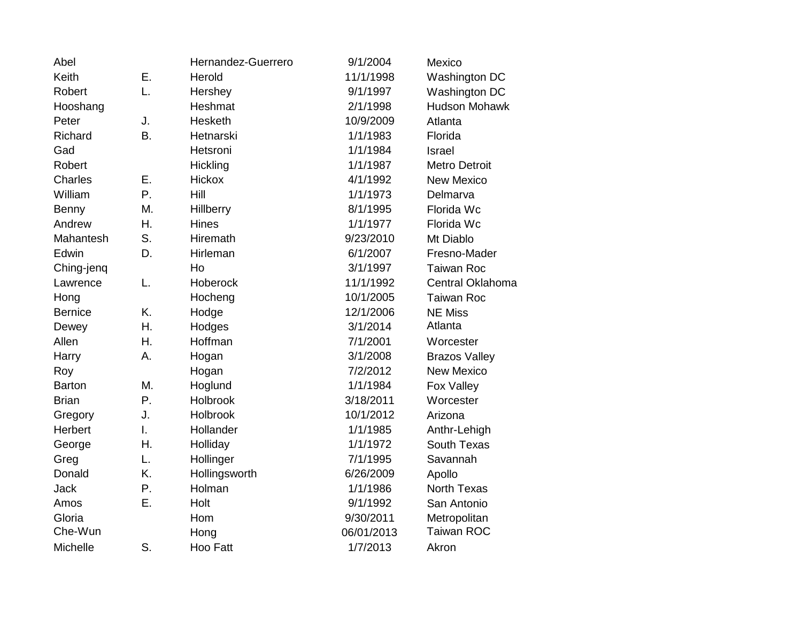| Abel           |           | Hernandez-Guerrero | 9/1/2004   | Mexico               |
|----------------|-----------|--------------------|------------|----------------------|
| Keith          | Ε.        | Herold             | 11/1/1998  | Washington DC        |
| Robert         | L.        | Hershey            | 9/1/1997   | Washington DC        |
| Hooshang       |           | Heshmat            | 2/1/1998   | <b>Hudson Mohawk</b> |
| Peter          | J.        | Hesketh            | 10/9/2009  | Atlanta              |
| Richard        | <b>B.</b> | Hetnarski          | 1/1/1983   | Florida              |
| Gad            |           | Hetsroni           | 1/1/1984   | Israel               |
| Robert         |           | Hickling           | 1/1/1987   | <b>Metro Detroit</b> |
| <b>Charles</b> | Ε.        | Hickox             | 4/1/1992   | <b>New Mexico</b>    |
| William        | Ρ.        | Hill               | 1/1/1973   | Delmarva             |
| Benny          | M.        | Hillberry          | 8/1/1995   | Florida Wc           |
| Andrew         | Η.        | <b>Hines</b>       | 1/1/1977   | Florida Wc           |
| Mahantesh      | S.        | Hiremath           | 9/23/2010  | Mt Diablo            |
| Edwin          | D.        | Hirleman           | 6/1/2007   | Fresno-Mader         |
| Ching-jenq     |           | Ho                 | 3/1/1997   | <b>Taiwan Roc</b>    |
| Lawrence       | L.        | Hoberock           | 11/1/1992  | Central Oklahoma     |
| Hong           |           | Hocheng            | 10/1/2005  | <b>Taiwan Roc</b>    |
| <b>Bernice</b> | K.        | Hodge              | 12/1/2006  | <b>NE Miss</b>       |
| Dewey          | Η.        | Hodges             | 3/1/2014   | Atlanta              |
| Allen          | Η.        | Hoffman            | 7/1/2001   | Worcester            |
| Harry          | А.        | Hogan              | 3/1/2008   | <b>Brazos Valley</b> |
| Roy            |           | Hogan              | 7/2/2012   | <b>New Mexico</b>    |
| <b>Barton</b>  | M.        | Hoglund            | 1/1/1984   | Fox Valley           |
| <b>Brian</b>   | P.        | Holbrook           | 3/18/2011  | Worcester            |
| Gregory        | J.        | Holbrook           | 10/1/2012  | Arizona              |
| Herbert        | I.        | Hollander          | 1/1/1985   | Anthr-Lehigh         |
| George         | Η.        | Holliday           | 1/1/1972   | <b>South Texas</b>   |
| Greg           | L.        | Hollinger          | 7/1/1995   | Savannah             |
| Donald         | K.        | Hollingsworth      | 6/26/2009  | Apollo               |
| <b>Jack</b>    | Ρ.        | Holman             | 1/1/1986   | <b>North Texas</b>   |
| Amos           | Ε.        | Holt               | 9/1/1992   | San Antonio          |
| Gloria         |           | Hom                | 9/30/2011  | Metropolitan         |
| Che-Wun        |           | Hong               | 06/01/2013 | Taiwan ROC           |
| Michelle       | S.        | Hoo Fatt           | 1/7/2013   | Akron                |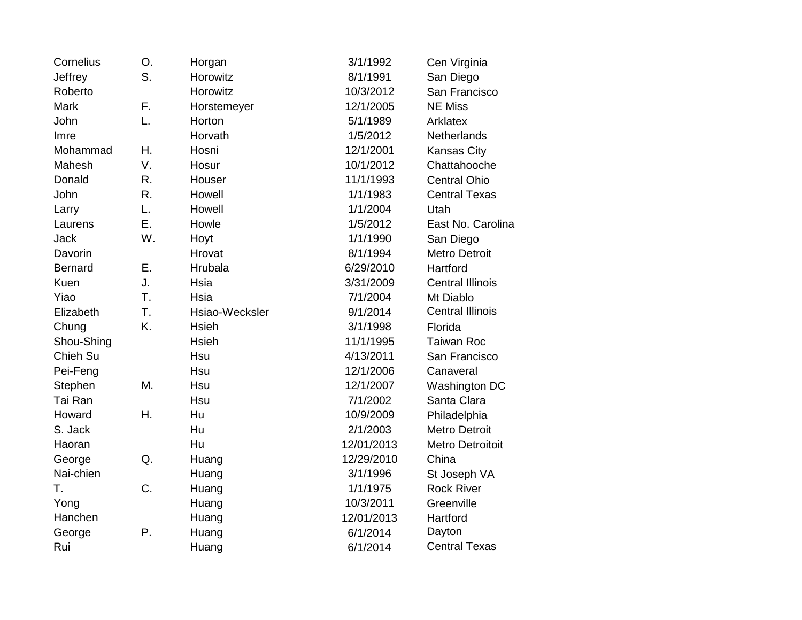| Cornelius      | O. | Horgan         | 3/1/1992   | Cen Virginia            |
|----------------|----|----------------|------------|-------------------------|
| Jeffrey        | S. | Horowitz       | 8/1/1991   | San Diego               |
| Roberto        |    | Horowitz       | 10/3/2012  | San Francisco           |
| <b>Mark</b>    | F. | Horstemeyer    | 12/1/2005  | <b>NE Miss</b>          |
| John           | L. | Horton         | 5/1/1989   | Arklatex                |
| Imre           |    | Horvath        | 1/5/2012   | <b>Netherlands</b>      |
| Mohammad       | Η. | Hosni          | 12/1/2001  | <b>Kansas City</b>      |
| Mahesh         | V. | Hosur          | 10/1/2012  | Chattahooche            |
| Donald         | R. | Houser         | 11/1/1993  | <b>Central Ohio</b>     |
| John           | R. | Howell         | 1/1/1983   | <b>Central Texas</b>    |
| Larry          | L. | Howell         | 1/1/2004   | Utah                    |
| Laurens        | Ε. | Howle          | 1/5/2012   | East No. Carolina       |
| <b>Jack</b>    | W. | Hoyt           | 1/1/1990   | San Diego               |
| Davorin        |    | Hrovat         | 8/1/1994   | <b>Metro Detroit</b>    |
| <b>Bernard</b> | Ε. | Hrubala        | 6/29/2010  | Hartford                |
| Kuen           | J. | Hsia           | 3/31/2009  | <b>Central Illinois</b> |
| Yiao           | T. | Hsia           | 7/1/2004   | Mt Diablo               |
| Elizabeth      | T. | Hsiao-Wecksler | 9/1/2014   | <b>Central Illinois</b> |
| Chung          | K. | <b>Hsieh</b>   | 3/1/1998   | Florida                 |
| Shou-Shing     |    | <b>Hsieh</b>   | 11/1/1995  | <b>Taiwan Roc</b>       |
| Chieh Su       |    | Hsu            | 4/13/2011  | San Francisco           |
| Pei-Feng       |    | Hsu            | 12/1/2006  | Canaveral               |
| Stephen        | M. | Hsu            | 12/1/2007  | Washington DC           |
| Tai Ran        |    | Hsu            | 7/1/2002   | Santa Clara             |
| Howard         | Η. | Hu             | 10/9/2009  | Philadelphia            |
| S. Jack        |    | Hu             | 2/1/2003   | <b>Metro Detroit</b>    |
| Haoran         |    | Hu             | 12/01/2013 | <b>Metro Detroitoit</b> |
| George         | Q. | Huang          | 12/29/2010 | China                   |
| Nai-chien      |    | Huang          | 3/1/1996   | St Joseph VA            |
| T.             | C. | Huang          | 1/1/1975   | <b>Rock River</b>       |
| Yong           |    | Huang          | 10/3/2011  | Greenville              |
| Hanchen        |    | Huang          | 12/01/2013 | Hartford                |
| George         | Ρ. | Huang          | 6/1/2014   | Dayton                  |
| Rui            |    | Huang          | 6/1/2014   | <b>Central Texas</b>    |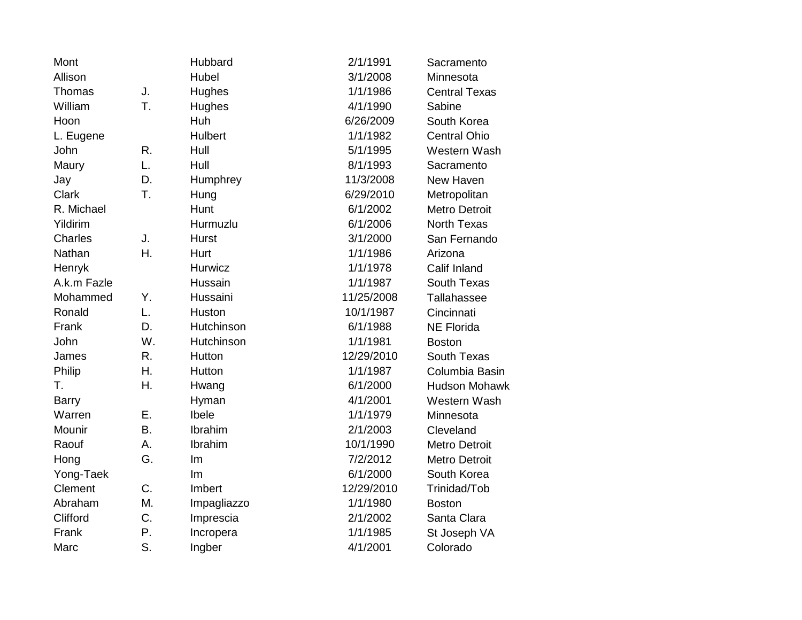| Mont         |           | Hubbard        | 2/1/1991   | Sacramento           |
|--------------|-----------|----------------|------------|----------------------|
| Allison      |           | Hubel          | 3/1/2008   | Minnesota            |
| Thomas       | J.        | Hughes         | 1/1/1986   | <b>Central Texas</b> |
| William      | T.        | Hughes         | 4/1/1990   | Sabine               |
| Hoon         |           | Huh            | 6/26/2009  | South Korea          |
| L. Eugene    |           | <b>Hulbert</b> | 1/1/1982   | <b>Central Ohio</b>  |
| John         | R.        | Hull           | 5/1/1995   | Western Wash         |
| Maury        | L.        | Hull           | 8/1/1993   | Sacramento           |
| Jay          | D.        | Humphrey       | 11/3/2008  | New Haven            |
| Clark        | T.        | Hung           | 6/29/2010  | Metropolitan         |
| R. Michael   |           | Hunt           | 6/1/2002   | <b>Metro Detroit</b> |
| Yildirim     |           | Hurmuzlu       | 6/1/2006   | <b>North Texas</b>   |
| Charles      | J.        | <b>Hurst</b>   | 3/1/2000   | San Fernando         |
| Nathan       | Η.        | Hurt           | 1/1/1986   | Arizona              |
| Henryk       |           | Hurwicz        | 1/1/1978   | Calif Inland         |
| A.k.m Fazle  |           | Hussain        | 1/1/1987   | South Texas          |
| Mohammed     | Υ.        | Hussaini       | 11/25/2008 | Tallahassee          |
| Ronald       | L.        | Huston         | 10/1/1987  | Cincinnati           |
| Frank        | D.        | Hutchinson     | 6/1/1988   | <b>NE Florida</b>    |
| John         | W.        | Hutchinson     | 1/1/1981   | <b>Boston</b>        |
| James        | R.        | Hutton         | 12/29/2010 | South Texas          |
| Philip       | Η.        | Hutton         | 1/1/1987   | Columbia Basin       |
| Τ.           | Η.        | Hwang          | 6/1/2000   | <b>Hudson Mohawk</b> |
| <b>Barry</b> |           | Hyman          | 4/1/2001   | Western Wash         |
| Warren       | Ε.        | Ibele          | 1/1/1979   | Minnesota            |
| Mounir       | <b>B.</b> | Ibrahim        | 2/1/2003   | Cleveland            |
| Raouf        | Α.        | Ibrahim        | 10/1/1990  | <b>Metro Detroit</b> |
| Hong         | G.        | Im             | 7/2/2012   | <b>Metro Detroit</b> |
| Yong-Taek    |           | Im             | 6/1/2000   | South Korea          |
| Clement      | C.        | Imbert         | 12/29/2010 | Trinidad/Tob         |
| Abraham      | M.        | Impagliazzo    | 1/1/1980   | <b>Boston</b>        |
| Clifford     | C.        | Imprescia      | 2/1/2002   | Santa Clara          |
| Frank        | Ρ.        | Incropera      | 1/1/1985   | St Joseph VA         |
| Marc         | S.        | Ingber         | 4/1/2001   | Colorado             |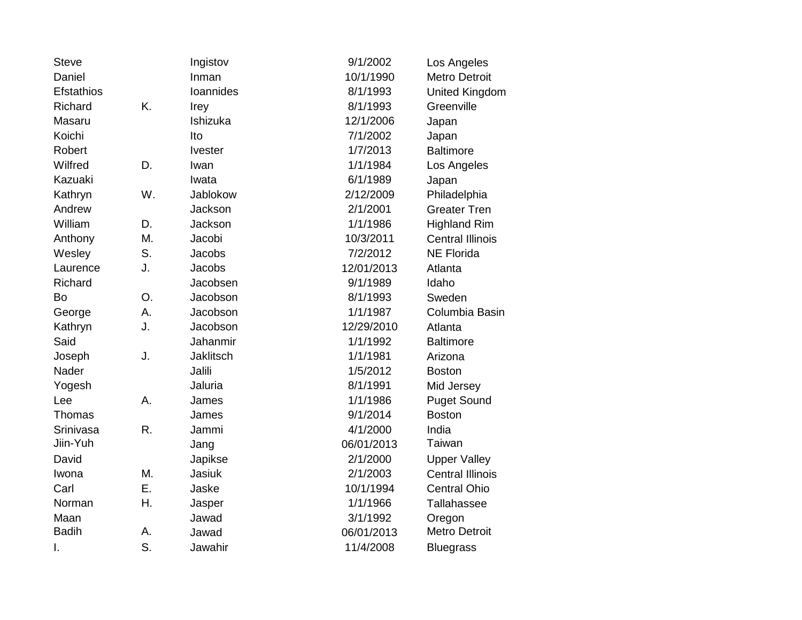| <b>Steve</b> |    | Ingistov         | 9/1/2002   | Los Angeles             |
|--------------|----|------------------|------------|-------------------------|
| Daniel       |    | Inman            | 10/1/1990  | <b>Metro Detroit</b>    |
| Efstathios   |    | Ioannides        | 8/1/1993   | United Kingdom          |
| Richard      | K. | Irey             | 8/1/1993   | Greenville              |
| Masaru       |    | Ishizuka         | 12/1/2006  | Japan                   |
| Koichi       |    | Ito              | 7/1/2002   | Japan                   |
| Robert       |    | <b>Ivester</b>   | 1/7/2013   | <b>Baltimore</b>        |
| Wilfred      | D. | Iwan             | 1/1/1984   | Los Angeles             |
| Kazuaki      |    | Iwata            | 6/1/1989   | Japan                   |
| Kathryn      | W. | <b>Jablokow</b>  | 2/12/2009  | Philadelphia            |
| Andrew       |    | Jackson          | 2/1/2001   | <b>Greater Tren</b>     |
| William      | D. | Jackson          | 1/1/1986   | <b>Highland Rim</b>     |
| Anthony      | Μ. | Jacobi           | 10/3/2011  | <b>Central Illinois</b> |
| Wesley       | S. | <b>Jacobs</b>    | 7/2/2012   | <b>NE Florida</b>       |
| Laurence     | J. | <b>Jacobs</b>    | 12/01/2013 | Atlanta                 |
| Richard      |    | Jacobsen         | 9/1/1989   | Idaho                   |
| Bo           | O. | Jacobson         | 8/1/1993   | Sweden                  |
| George       | A. | Jacobson         | 1/1/1987   | Columbia Basin          |
| Kathryn      | J. | Jacobson         | 12/29/2010 | Atlanta                 |
| Said         |    | Jahanmir         | 1/1/1992   | <b>Baltimore</b>        |
| Joseph       | J. | <b>Jaklitsch</b> | 1/1/1981   | Arizona                 |
| Nader        |    | Jalili           | 1/5/2012   | <b>Boston</b>           |
| Yogesh       |    | Jaluria          | 8/1/1991   | Mid Jersey              |
| Lee          | A. | James            | 1/1/1986   | <b>Puget Sound</b>      |
| Thomas       |    | James            | 9/1/2014   | <b>Boston</b>           |
| Srinivasa    | R. | Jammi            | 4/1/2000   | India                   |
| Jiin-Yuh     |    | Jang             | 06/01/2013 | Taiwan                  |
| David        |    | Japikse          | 2/1/2000   | <b>Upper Valley</b>     |
| Iwona        | Μ. | <b>Jasiuk</b>    | 2/1/2003   | <b>Central Illinois</b> |
| Carl         | Ε. | Jaske            | 10/1/1994  | <b>Central Ohio</b>     |
| Norman       | Η. | Jasper           | 1/1/1966   | Tallahassee             |
| Maan         |    | Jawad            | 3/1/1992   | Oregon                  |
| <b>Badih</b> | Α. | Jawad            | 06/01/2013 | <b>Metro Detroit</b>    |
| I.           | S. | Jawahir          | 11/4/2008  | <b>Bluegrass</b>        |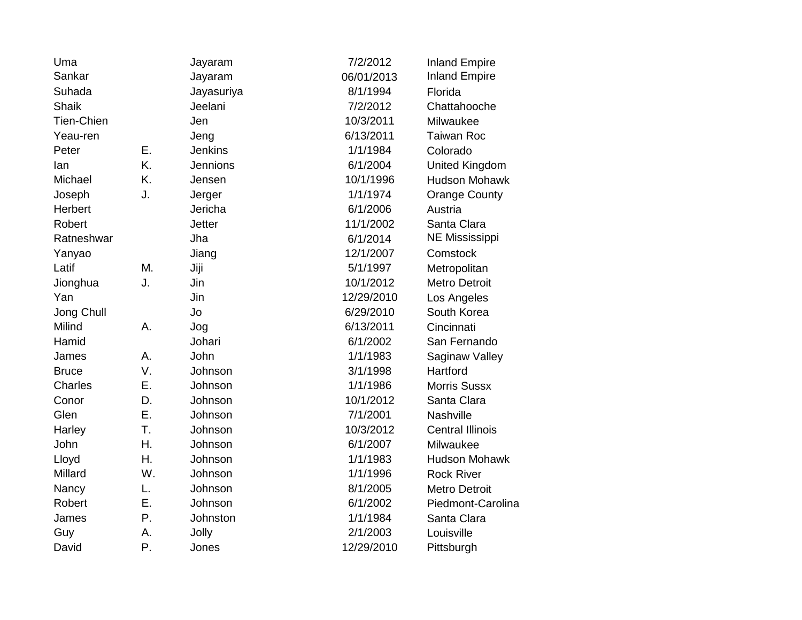| Uma               |    | Jayaram        | 7/2/2012   | <b>Inland Empire</b>    |
|-------------------|----|----------------|------------|-------------------------|
| Sankar            |    | Jayaram        | 06/01/2013 | <b>Inland Empire</b>    |
| Suhada            |    | Jayasuriya     | 8/1/1994   | Florida                 |
| Shaik             |    | Jeelani        | 7/2/2012   | Chattahooche            |
| <b>Tien-Chien</b> |    | Jen            | 10/3/2011  | Milwaukee               |
| Yeau-ren          |    | Jeng           | 6/13/2011  | <b>Taiwan Roc</b>       |
| Peter             | Ε. | <b>Jenkins</b> | 1/1/1984   | Colorado                |
| lan               | K. | Jennions       | 6/1/2004   | United Kingdom          |
| Michael           | K. | Jensen         | 10/1/1996  | <b>Hudson Mohawk</b>    |
| Joseph            | J. | Jerger         | 1/1/1974   | <b>Orange County</b>    |
| Herbert           |    | Jericha        | 6/1/2006   | Austria                 |
| Robert            |    | <b>Jetter</b>  | 11/1/2002  | Santa Clara             |
| Ratneshwar        |    | Jha            | 6/1/2014   | <b>NE Mississippi</b>   |
| Yanyao            |    | Jiang          | 12/1/2007  | Comstock                |
| Latif             | M. | Jiji           | 5/1/1997   | Metropolitan            |
| Jionghua          | J. | Jin            | 10/1/2012  | <b>Metro Detroit</b>    |
| Yan               |    | Jin            | 12/29/2010 | Los Angeles             |
| Jong Chull        |    | Jo             | 6/29/2010  | South Korea             |
| Milind            | А. | Jog            | 6/13/2011  | Cincinnati              |
| Hamid             |    | Johari         | 6/1/2002   | San Fernando            |
| James             | А. | John           | 1/1/1983   | Saginaw Valley          |
| <b>Bruce</b>      | V. | Johnson        | 3/1/1998   | Hartford                |
| Charles           | Ε. | Johnson        | 1/1/1986   | <b>Morris Sussx</b>     |
| Conor             | D. | Johnson        | 10/1/2012  | Santa Clara             |
| Glen              | Ε. | Johnson        | 7/1/2001   | Nashville               |
| Harley            | T. | Johnson        | 10/3/2012  | <b>Central Illinois</b> |
| John              | Η. | Johnson        | 6/1/2007   | Milwaukee               |
| Lloyd             | Η. | Johnson        | 1/1/1983   | <b>Hudson Mohawk</b>    |
| Millard           | W. | Johnson        | 1/1/1996   | <b>Rock River</b>       |
| Nancy             | L. | Johnson        | 8/1/2005   | <b>Metro Detroit</b>    |
| Robert            | Ε. | Johnson        | 6/1/2002   | Piedmont-Carolina       |
| James             | Ρ. | Johnston       | 1/1/1984   | Santa Clara             |
| Guy               | Α. | Jolly          | 2/1/2003   | Louisville              |
| David             | Ρ. | Jones          | 12/29/2010 | Pittsburgh              |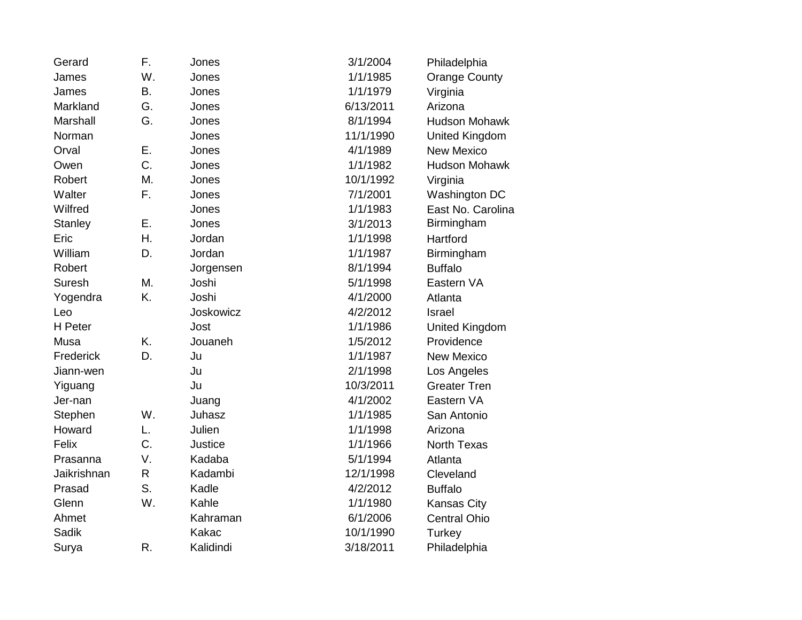| Gerard         | F.        | Jones     | 3/1/2004  | Philadelphia         |
|----------------|-----------|-----------|-----------|----------------------|
| James          | W.        | Jones     | 1/1/1985  | <b>Orange County</b> |
| James          | <b>B.</b> | Jones     | 1/1/1979  | Virginia             |
| Markland       | G.        | Jones     | 6/13/2011 | Arizona              |
| Marshall       | G.        | Jones     | 8/1/1994  | <b>Hudson Mohawk</b> |
| Norman         |           | Jones     | 11/1/1990 | United Kingdom       |
| Orval          | Ε.        | Jones     | 4/1/1989  | <b>New Mexico</b>    |
| Owen           | C.        | Jones     | 1/1/1982  | <b>Hudson Mohawk</b> |
| Robert         | M.        | Jones     | 10/1/1992 | Virginia             |
| Walter         | F.        | Jones     | 7/1/2001  | Washington DC        |
| Wilfred        |           | Jones     | 1/1/1983  | East No. Carolina    |
| <b>Stanley</b> | Ε.        | Jones     | 3/1/2013  | Birmingham           |
| Eric           | Η.        | Jordan    | 1/1/1998  | Hartford             |
| William        | D.        | Jordan    | 1/1/1987  | Birmingham           |
| Robert         |           | Jorgensen | 8/1/1994  | <b>Buffalo</b>       |
| Suresh         | M.        | Joshi     | 5/1/1998  | Eastern VA           |
| Yogendra       | K.        | Joshi     | 4/1/2000  | Atlanta              |
| Leo            |           | Joskowicz | 4/2/2012  | Israel               |
| H Peter        |           | Jost      | 1/1/1986  | United Kingdom       |
| Musa           | K.        | Jouaneh   | 1/5/2012  | Providence           |
| Frederick      | D.        | Ju        | 1/1/1987  | <b>New Mexico</b>    |
| Jiann-wen      |           | Ju        | 2/1/1998  | Los Angeles          |
| Yiguang        |           | Ju        | 10/3/2011 | <b>Greater Tren</b>  |
| Jer-nan        |           | Juang     | 4/1/2002  | Eastern VA           |
| Stephen        | W.        | Juhasz    | 1/1/1985  | San Antonio          |
| Howard         | L.        | Julien    | 1/1/1998  | Arizona              |
| Felix          | C.        | Justice   | 1/1/1966  | <b>North Texas</b>   |
| Prasanna       | V.        | Kadaba    | 5/1/1994  | Atlanta              |
| Jaikrishnan    | R         | Kadambi   | 12/1/1998 | Cleveland            |
| Prasad         | S.        | Kadle     | 4/2/2012  | <b>Buffalo</b>       |
| Glenn          | W.        | Kahle     | 1/1/1980  | <b>Kansas City</b>   |
| Ahmet          |           | Kahraman  | 6/1/2006  | <b>Central Ohio</b>  |
| <b>Sadik</b>   |           | Kakac     | 10/1/1990 | <b>Turkey</b>        |
| Surya          | R.        | Kalidindi | 3/18/2011 | Philadelphia         |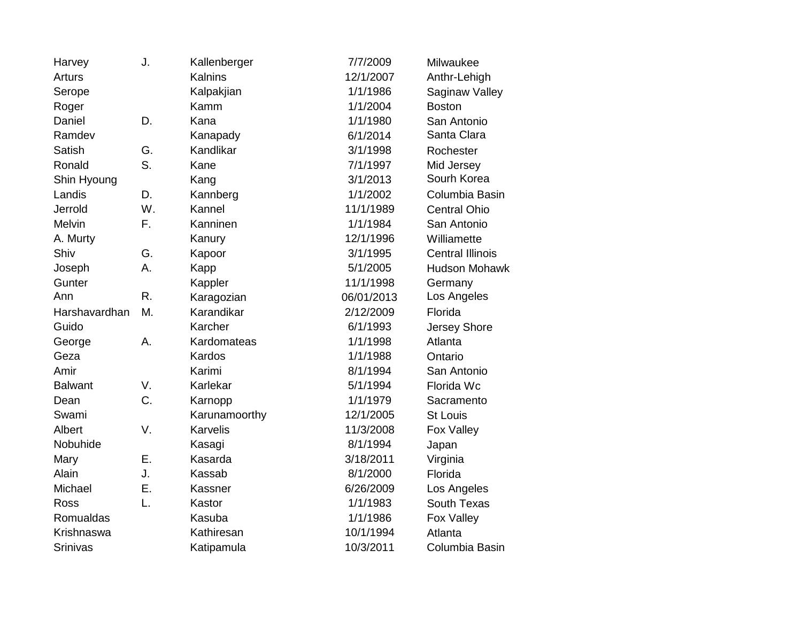| Harvey          | J. | Kallenberger  | 7/7/2009   | Milwaukee               |
|-----------------|----|---------------|------------|-------------------------|
| <b>Arturs</b>   |    | Kalnins       | 12/1/2007  | Anthr-Lehigh            |
| Serope          |    | Kalpakjian    | 1/1/1986   | Saginaw Valley          |
| Roger           |    | Kamm          | 1/1/2004   | <b>Boston</b>           |
| Daniel          | D. | Kana          | 1/1/1980   | San Antonio             |
| Ramdev          |    | Kanapady      | 6/1/2014   | Santa Clara             |
| <b>Satish</b>   | G. | Kandlikar     | 3/1/1998   | Rochester               |
| Ronald          | S. | Kane          | 7/1/1997   | Mid Jersey              |
| Shin Hyoung     |    | Kang          | 3/1/2013   | Sourh Korea             |
| Landis          | D. | Kannberg      | 1/1/2002   | Columbia Basin          |
| Jerrold         | W. | Kannel        | 11/1/1989  | <b>Central Ohio</b>     |
| Melvin          | F. | Kanninen      | 1/1/1984   | San Antonio             |
| A. Murty        |    | Kanury        | 12/1/1996  | Williamette             |
| Shiv            | G. | Kapoor        | 3/1/1995   | <b>Central Illinois</b> |
| Joseph          | А. | Kapp          | 5/1/2005   | <b>Hudson Mohawk</b>    |
| Gunter          |    | Kappler       | 11/1/1998  | Germany                 |
| Ann             | R. | Karagozian    | 06/01/2013 | Los Angeles             |
| Harshavardhan   | Μ. | Karandikar    | 2/12/2009  | Florida                 |
| Guido           |    | Karcher       | 6/1/1993   | Jersey Shore            |
| George          | А. | Kardomateas   | 1/1/1998   | Atlanta                 |
| Geza            |    | Kardos        | 1/1/1988   | Ontario                 |
| Amir            |    | Karimi        | 8/1/1994   | San Antonio             |
| <b>Balwant</b>  | V. | Karlekar      | 5/1/1994   | Florida Wc              |
| Dean            | C. | Karnopp       | 1/1/1979   | Sacramento              |
| Swami           |    | Karunamoorthy | 12/1/2005  | <b>St Louis</b>         |
| Albert          | V. | Karvelis      | 11/3/2008  | Fox Valley              |
| Nobuhide        |    | Kasagi        | 8/1/1994   | Japan                   |
| Mary            | Ε. | Kasarda       | 3/18/2011  | Virginia                |
| Alain           | J. | Kassab        | 8/1/2000   | Florida                 |
| Michael         | Ε. | Kassner       | 6/26/2009  | Los Angeles             |
| Ross            | L. | Kastor        | 1/1/1983   | South Texas             |
| Romualdas       |    | Kasuba        | 1/1/1986   | Fox Valley              |
| Krishnaswa      |    | Kathiresan    | 10/1/1994  | Atlanta                 |
| <b>Srinivas</b> |    | Katipamula    | 10/3/2011  | Columbia Basin          |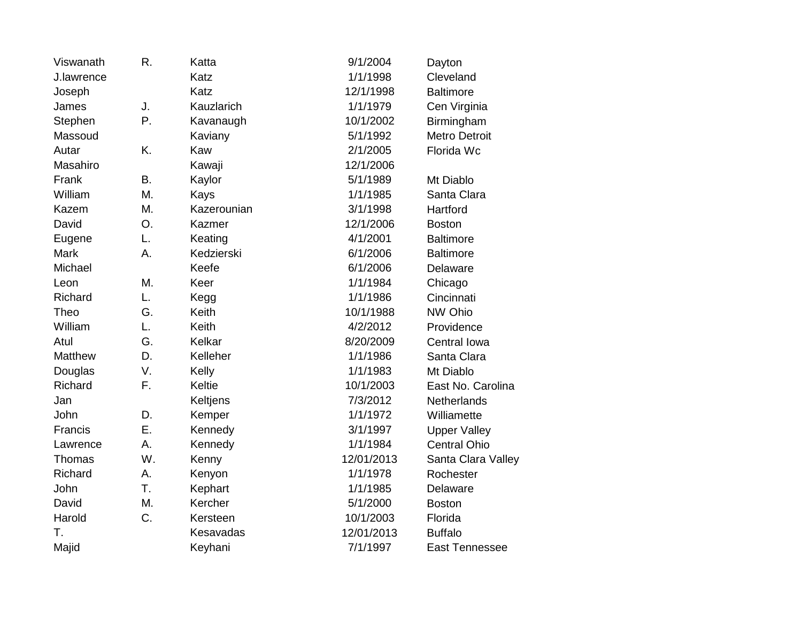| Viswanath   | R. | Katta       | 9/1/2004   | Dayton                |
|-------------|----|-------------|------------|-----------------------|
| J.lawrence  |    | Katz        | 1/1/1998   | Cleveland             |
| Joseph      |    | Katz        | 12/1/1998  | <b>Baltimore</b>      |
| James       | J. | Kauzlarich  | 1/1/1979   | Cen Virginia          |
| Stephen     | Ρ. | Kavanaugh   | 10/1/2002  | Birmingham            |
| Massoud     |    | Kaviany     | 5/1/1992   | <b>Metro Detroit</b>  |
| Autar       | K. | Kaw         | 2/1/2005   | Florida Wc            |
| Masahiro    |    | Kawaji      | 12/1/2006  |                       |
| Frank       | Β. | Kaylor      | 5/1/1989   | Mt Diablo             |
| William     | M. | Kays        | 1/1/1985   | Santa Clara           |
| Kazem       | М. | Kazerounian | 3/1/1998   | Hartford              |
| David       | O. | Kazmer      | 12/1/2006  | <b>Boston</b>         |
| Eugene      | L. | Keating     | 4/1/2001   | <b>Baltimore</b>      |
| <b>Mark</b> | А. | Kedzierski  | 6/1/2006   | <b>Baltimore</b>      |
| Michael     |    | Keefe       | 6/1/2006   | Delaware              |
| Leon        | Μ. | Keer        | 1/1/1984   | Chicago               |
| Richard     | L. | Kegg        | 1/1/1986   | Cincinnati            |
| Theo        | G. | Keith       | 10/1/1988  | NW Ohio               |
| William     | L. | Keith       | 4/2/2012   | Providence            |
| Atul        | G. | Kelkar      | 8/20/2009  | Central Iowa          |
| Matthew     | D. | Kelleher    | 1/1/1986   | Santa Clara           |
| Douglas     | V. | Kelly       | 1/1/1983   | Mt Diablo             |
| Richard     | F. | Keltie      | 10/1/2003  | East No. Carolina     |
| Jan         |    | Keltjens    | 7/3/2012   | <b>Netherlands</b>    |
| John        | D. | Kemper      | 1/1/1972   | Williamette           |
| Francis     | Ε. | Kennedy     | 3/1/1997   | <b>Upper Valley</b>   |
| Lawrence    | A. | Kennedy     | 1/1/1984   | <b>Central Ohio</b>   |
| Thomas      | W. | Kenny       | 12/01/2013 | Santa Clara Valley    |
| Richard     | А. | Kenyon      | 1/1/1978   | Rochester             |
| John        | T. | Kephart     | 1/1/1985   | Delaware              |
| David       | M. | Kercher     | 5/1/2000   | <b>Boston</b>         |
| Harold      | C. | Kersteen    | 10/1/2003  | Florida               |
| Τ.          |    | Kesavadas   | 12/01/2013 | <b>Buffalo</b>        |
| Majid       |    | Keyhani     | 7/1/1997   | <b>East Tennessee</b> |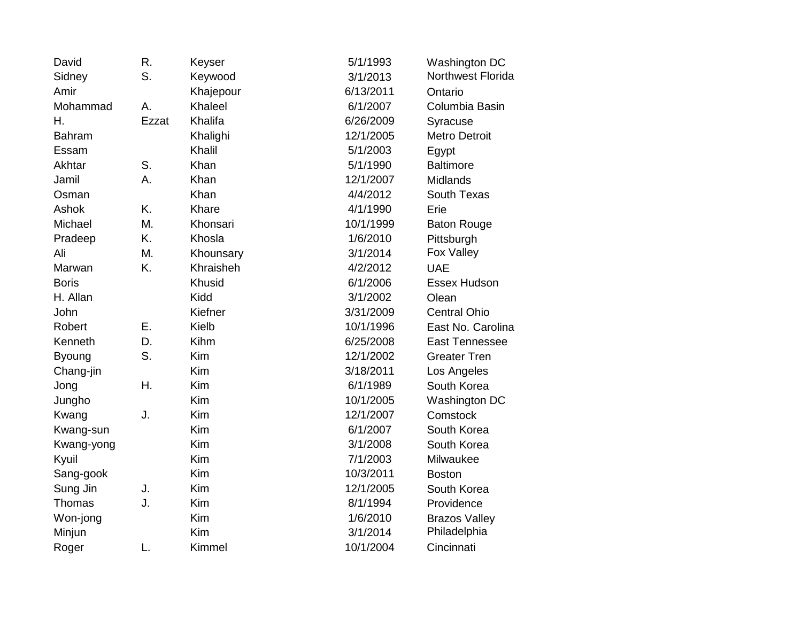| David         | R.    | Keyser    | 5/1/1993  | Washington DC         |
|---------------|-------|-----------|-----------|-----------------------|
| Sidney        | S.    | Keywood   | 3/1/2013  | Northwest Florida     |
| Amir          |       | Khajepour | 6/13/2011 | Ontario               |
| Mohammad      | А.    | Khaleel   | 6/1/2007  | Columbia Basin        |
| Η.            | Ezzat | Khalifa   | 6/26/2009 | Syracuse              |
| <b>Bahram</b> |       | Khalighi  | 12/1/2005 | <b>Metro Detroit</b>  |
| Essam         |       | Khalil    | 5/1/2003  | Egypt                 |
| Akhtar        | S.    | Khan      | 5/1/1990  | <b>Baltimore</b>      |
| Jamil         | Α.    | Khan      | 12/1/2007 | Midlands              |
| Osman         |       | Khan      | 4/4/2012  | South Texas           |
| Ashok         | K.    | Khare     | 4/1/1990  | Erie                  |
| Michael       | M.    | Khonsari  | 10/1/1999 | <b>Baton Rouge</b>    |
| Pradeep       | K.    | Khosla    | 1/6/2010  | Pittsburgh            |
| Ali           | M.    | Khounsary | 3/1/2014  | Fox Valley            |
| Marwan        | K.    | Khraisheh | 4/2/2012  | <b>UAE</b>            |
| <b>Boris</b>  |       | Khusid    | 6/1/2006  | Essex Hudson          |
| H. Allan      |       | Kidd      | 3/1/2002  | Olean                 |
| John          |       | Kiefner   | 3/31/2009 | <b>Central Ohio</b>   |
| Robert        | Ε.    | Kielb     | 10/1/1996 | East No. Carolina     |
| Kenneth       | D.    | Kihm      | 6/25/2008 | <b>East Tennessee</b> |
| <b>Byoung</b> | S.    | Kim       | 12/1/2002 | <b>Greater Tren</b>   |
| Chang-jin     |       | Kim       | 3/18/2011 | Los Angeles           |
| Jong          | Η.    | Kim       | 6/1/1989  | South Korea           |
| Jungho        |       | Kim       | 10/1/2005 | Washington DC         |
| Kwang         | J.    | Kim       | 12/1/2007 | Comstock              |
| Kwang-sun     |       | Kim       | 6/1/2007  | South Korea           |
| Kwang-yong    |       | Kim       | 3/1/2008  | South Korea           |
| Kyuil         |       | Kim       | 7/1/2003  | Milwaukee             |
| Sang-gook     |       | Kim       | 10/3/2011 | <b>Boston</b>         |
| Sung Jin      | J.    | Kim       | 12/1/2005 | South Korea           |
| Thomas        | J.    | Kim       | 8/1/1994  | Providence            |
| Won-jong      |       | Kim       | 1/6/2010  | <b>Brazos Valley</b>  |
| Minjun        |       | Kim       | 3/1/2014  | Philadelphia          |
| Roger         | L.    | Kimmel    | 10/1/2004 | Cincinnati            |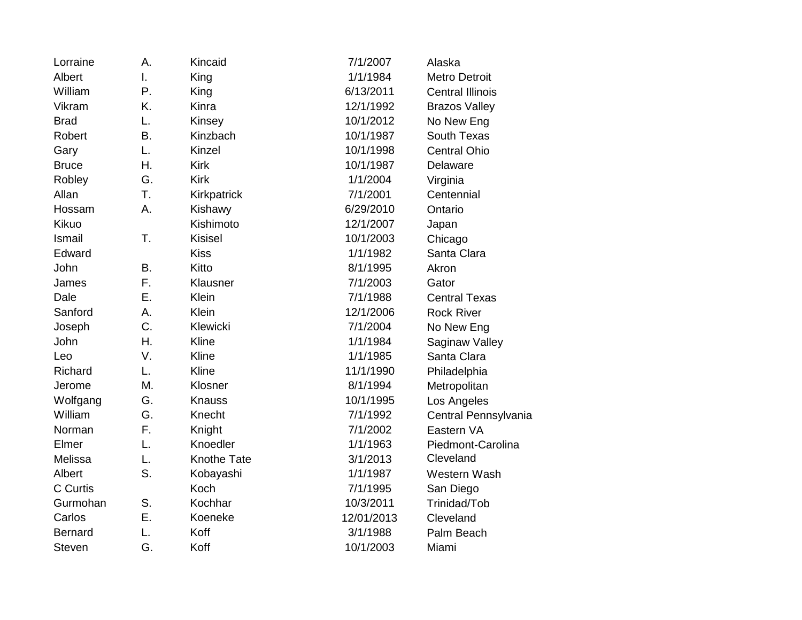| Lorraine       | А.           | Kincaid        | 7/1/2007   | Alaska                  |
|----------------|--------------|----------------|------------|-------------------------|
| Albert         | $\mathsf{L}$ | King           | 1/1/1984   | <b>Metro Detroit</b>    |
| William        | Ρ.           | King           | 6/13/2011  | <b>Central Illinois</b> |
| Vikram         | K.           | Kinra          | 12/1/1992  | <b>Brazos Valley</b>    |
| <b>Brad</b>    | L.           | Kinsey         | 10/1/2012  | No New Eng              |
| Robert         | B.           | Kinzbach       | 10/1/1987  | South Texas             |
| Gary           | L.           | Kinzel         | 10/1/1998  | <b>Central Ohio</b>     |
| <b>Bruce</b>   | Η.           | <b>Kirk</b>    | 10/1/1987  | Delaware                |
| Robley         | G.           | <b>Kirk</b>    | 1/1/2004   | Virginia                |
| Allan          | T.           | Kirkpatrick    | 7/1/2001   | Centennial              |
| Hossam         | А.           | Kishawy        | 6/29/2010  | Ontario                 |
| Kikuo          |              | Kishimoto      | 12/1/2007  | Japan                   |
| Ismail         | T.           | <b>Kisisel</b> | 10/1/2003  | Chicago                 |
| Edward         |              | <b>Kiss</b>    | 1/1/1982   | Santa Clara             |
| John           | B.           | Kitto          | 8/1/1995   | Akron                   |
| James          | F.           | Klausner       | 7/1/2003   | Gator                   |
| Dale           | Ε.           | Klein          | 7/1/1988   | <b>Central Texas</b>    |
| Sanford        | Α.           | Klein          | 12/1/2006  | <b>Rock River</b>       |
| Joseph         | C.           | Klewicki       | 7/1/2004   | No New Eng              |
| John           | Η.           | Kline          | 1/1/1984   | Saginaw Valley          |
| Leo            | V.           | Kline          | 1/1/1985   | Santa Clara             |
| Richard        | L.           | Kline          | 11/1/1990  | Philadelphia            |
| Jerome         | Μ.           | Klosner        | 8/1/1994   | Metropolitan            |
| Wolfgang       | G.           | Knauss         | 10/1/1995  | Los Angeles             |
| William        | G.           | Knecht         | 7/1/1992   | Central Pennsylvania    |
| Norman         | F.           | Knight         | 7/1/2002   | Eastern VA              |
| Elmer          | L.           | Knoedler       | 1/1/1963   | Piedmont-Carolina       |
| Melissa        | L.           | Knothe Tate    | 3/1/2013   | Cleveland               |
| Albert         | S.           | Kobayashi      | 1/1/1987   | Western Wash            |
| C Curtis       |              | Koch           | 7/1/1995   | San Diego               |
| Gurmohan       | S.           | Kochhar        | 10/3/2011  | Trinidad/Tob            |
| Carlos         | Е.           | Koeneke        | 12/01/2013 | Cleveland               |
| <b>Bernard</b> | L.           | Koff           | 3/1/1988   | Palm Beach              |
| <b>Steven</b>  | G.           | Koff           | 10/1/2003  | Miami                   |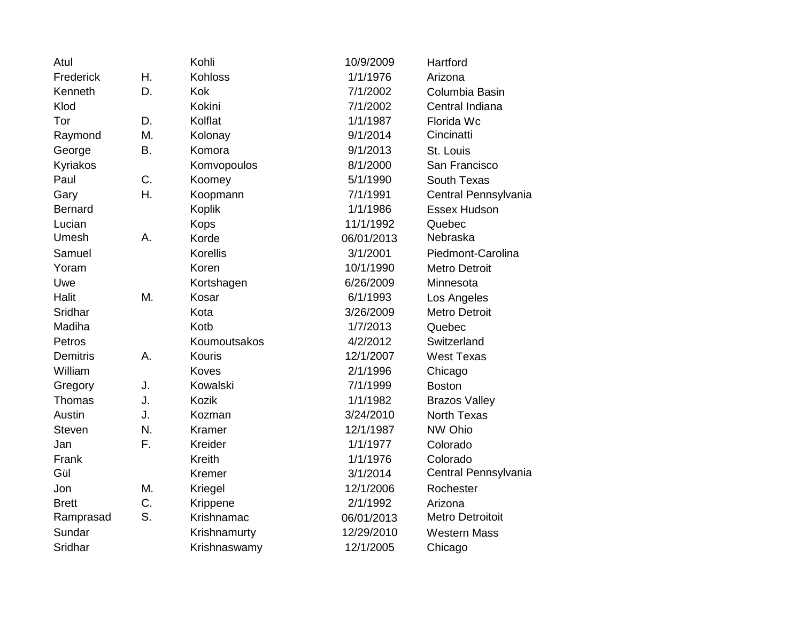| Atul            |    | Kohli          | 10/9/2009  | Hartford                |
|-----------------|----|----------------|------------|-------------------------|
| Frederick       | Η. | <b>Kohloss</b> | 1/1/1976   | Arizona                 |
| Kenneth         | D. | Kok            | 7/1/2002   | Columbia Basin          |
| Klod            |    | Kokini         | 7/1/2002   | Central Indiana         |
| Tor             | D. | Kolflat        | 1/1/1987   | Florida Wc              |
| Raymond         | M. | Kolonay        | 9/1/2014   | Cincinatti              |
| George          | B. | Komora         | 9/1/2013   | St. Louis               |
| Kyriakos        |    | Komvopoulos    | 8/1/2000   | San Francisco           |
| Paul            | C. | Koomey         | 5/1/1990   | South Texas             |
| Gary            | Η. | Koopmann       | 7/1/1991   | Central Pennsylvania    |
| <b>Bernard</b>  |    | <b>Koplik</b>  | 1/1/1986   | Essex Hudson            |
| Lucian          |    | <b>Kops</b>    | 11/1/1992  | Quebec                  |
| Umesh           | А. | Korde          | 06/01/2013 | Nebraska                |
| Samuel          |    | Korellis       | 3/1/2001   | Piedmont-Carolina       |
| Yoram           |    | Koren          | 10/1/1990  | Metro Detroit           |
| Uwe             |    | Kortshagen     | 6/26/2009  | Minnesota               |
| Halit           | M. | Kosar          | 6/1/1993   | Los Angeles             |
| Sridhar         |    | Kota           | 3/26/2009  | <b>Metro Detroit</b>    |
| Madiha          |    | Kotb           | 1/7/2013   | Quebec                  |
| Petros          |    | Koumoutsakos   | 4/2/2012   | Switzerland             |
| <b>Demitris</b> | A. | <b>Kouris</b>  | 12/1/2007  | <b>West Texas</b>       |
| William         |    | Koves          | 2/1/1996   | Chicago                 |
| Gregory         | J. | Kowalski       | 7/1/1999   | <b>Boston</b>           |
| Thomas          | J. | Kozik          | 1/1/1982   | <b>Brazos Valley</b>    |
| Austin          | J. | Kozman         | 3/24/2010  | <b>North Texas</b>      |
| <b>Steven</b>   | N. | Kramer         | 12/1/1987  | NW Ohio                 |
| Jan             | F. | Kreider        | 1/1/1977   | Colorado                |
| Frank           |    | Kreith         | 1/1/1976   | Colorado                |
| Gül             |    | Kremer         | 3/1/2014   | Central Pennsylvania    |
| Jon             | M. | Kriegel        | 12/1/2006  | Rochester               |
| <b>Brett</b>    | C. | Krippene       | 2/1/1992   | Arizona                 |
| Ramprasad       | S. | Krishnamac     | 06/01/2013 | <b>Metro Detroitoit</b> |
| Sundar          |    | Krishnamurty   | 12/29/2010 | <b>Western Mass</b>     |
| Sridhar         |    | Krishnaswamy   | 12/1/2005  | Chicago                 |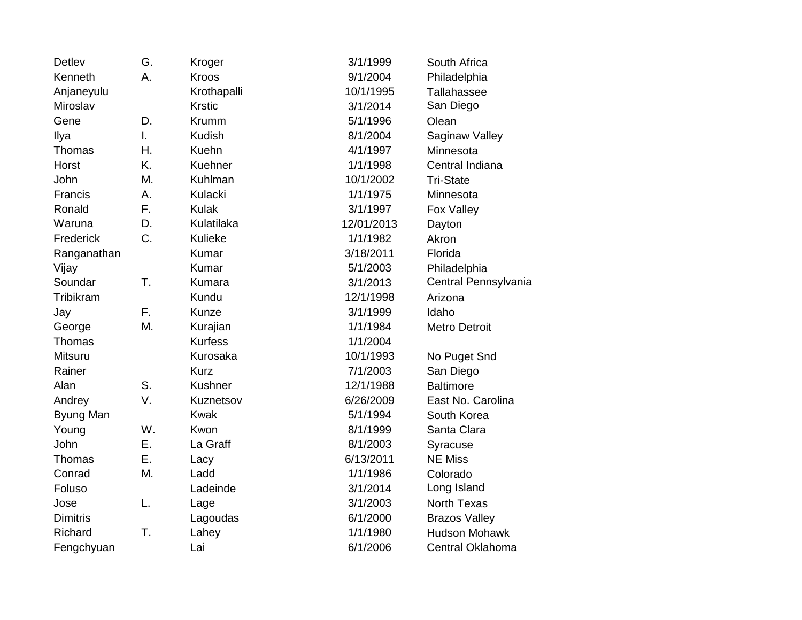| <b>Detlev</b>   | G. | Kroger         | 3/1/1999   | South Africa         |
|-----------------|----|----------------|------------|----------------------|
| Kenneth         | А. | <b>Kroos</b>   | 9/1/2004   | Philadelphia         |
| Anjaneyulu      |    | Krothapalli    | 10/1/1995  | Tallahassee          |
| Miroslav        |    | <b>Krstic</b>  | 3/1/2014   | San Diego            |
| Gene            | D. | Krumm          | 5/1/1996   | Olean                |
| Ilya            | T. | Kudish         | 8/1/2004   | Saginaw Valley       |
| <b>Thomas</b>   | Η. | Kuehn          | 4/1/1997   | Minnesota            |
| Horst           | K. | Kuehner        | 1/1/1998   | Central Indiana      |
| John            | Μ. | Kuhlman        | 10/1/2002  | <b>Tri-State</b>     |
| Francis         | A. | Kulacki        | 1/1/1975   | Minnesota            |
| Ronald          | F. | <b>Kulak</b>   | 3/1/1997   | Fox Valley           |
| Waruna          | D. | Kulatilaka     | 12/01/2013 | Dayton               |
| Frederick       | C. | Kulieke        | 1/1/1982   | Akron                |
| Ranganathan     |    | Kumar          | 3/18/2011  | Florida              |
| Vijay           |    | Kumar          | 5/1/2003   | Philadelphia         |
| Soundar         | T. | Kumara         | 3/1/2013   | Central Pennsylvania |
| Tribikram       |    | Kundu          | 12/1/1998  | Arizona              |
| Jay             | F. | Kunze          | 3/1/1999   | Idaho                |
| George          | Μ. | Kurajian       | 1/1/1984   | <b>Metro Detroit</b> |
| Thomas          |    | <b>Kurfess</b> | 1/1/2004   |                      |
| Mitsuru         |    | Kurosaka       | 10/1/1993  | No Puget Snd         |
| Rainer          |    | <b>Kurz</b>    | 7/1/2003   | San Diego            |
| Alan            | S. | Kushner        | 12/1/1988  | <b>Baltimore</b>     |
| Andrey          | V. | Kuznetsov      | 6/26/2009  | East No. Carolina    |
| Byung Man       |    | <b>Kwak</b>    | 5/1/1994   | South Korea          |
| Young           | W. | Kwon           | 8/1/1999   | Santa Clara          |
| John            | Ε. | La Graff       | 8/1/2003   | Syracuse             |
| Thomas          | Ε. | Lacy           | 6/13/2011  | <b>NE Miss</b>       |
| Conrad          | M. | Ladd           | 1/1/1986   | Colorado             |
| Foluso          |    | Ladeinde       | 3/1/2014   | Long Island          |
| Jose            | L. | Lage           | 3/1/2003   | <b>North Texas</b>   |
| <b>Dimitris</b> |    | Lagoudas       | 6/1/2000   | <b>Brazos Valley</b> |
| Richard         | T. | Lahey          | 1/1/1980   | <b>Hudson Mohawk</b> |
| Fengchyuan      |    | Lai            | 6/1/2006   | Central Oklahoma     |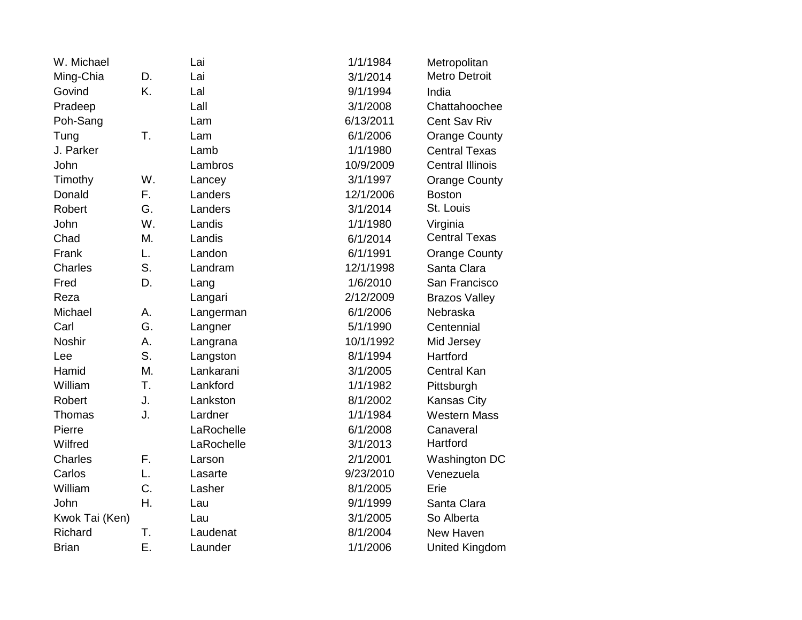| W. Michael     |    | Lai        | 1/1/1984  | Metropolitan            |
|----------------|----|------------|-----------|-------------------------|
| Ming-Chia      | D. | Lai        | 3/1/2014  | <b>Metro Detroit</b>    |
| Govind         | K. | Lal        | 9/1/1994  | India                   |
| Pradeep        |    | Lall       | 3/1/2008  | Chattahoochee           |
| Poh-Sang       |    | Lam        | 6/13/2011 | <b>Cent Sav Riv</b>     |
| Tung           | Τ. | Lam        | 6/1/2006  | <b>Orange County</b>    |
| J. Parker      |    | Lamb       | 1/1/1980  | <b>Central Texas</b>    |
| John           |    | Lambros    | 10/9/2009 | <b>Central Illinois</b> |
| Timothy        | W. | Lancey     | 3/1/1997  | <b>Orange County</b>    |
| Donald         | F. | Landers    | 12/1/2006 | <b>Boston</b>           |
| Robert         | G. | Landers    | 3/1/2014  | St. Louis               |
| John           | W. | Landis     | 1/1/1980  | Virginia                |
| Chad           | M. | Landis     | 6/1/2014  | <b>Central Texas</b>    |
| Frank          | L. | Landon     | 6/1/1991  | <b>Orange County</b>    |
| Charles        | S. | Landram    | 12/1/1998 | Santa Clara             |
| Fred           | D. | Lang       | 1/6/2010  | San Francisco           |
| Reza           |    | Langari    | 2/12/2009 | <b>Brazos Valley</b>    |
| Michael        | А. | Langerman  | 6/1/2006  | Nebraska                |
| Carl           | G. | Langner    | 5/1/1990  | Centennial              |
| <b>Noshir</b>  | A. | Langrana   | 10/1/1992 | Mid Jersey              |
| Lee            | S. | Langston   | 8/1/1994  | Hartford                |
| Hamid          | M. | Lankarani  | 3/1/2005  | <b>Central Kan</b>      |
| William        | T. | Lankford   | 1/1/1982  | Pittsburgh              |
| Robert         | J. | Lankston   | 8/1/2002  | Kansas City             |
| Thomas         | J. | Lardner    | 1/1/1984  | <b>Western Mass</b>     |
| Pierre         |    | LaRochelle | 6/1/2008  | Canaveral               |
| Wilfred        |    | LaRochelle | 3/1/2013  | Hartford                |
| <b>Charles</b> | F. | Larson     | 2/1/2001  | Washington DC           |
| Carlos         | L. | Lasarte    | 9/23/2010 | Venezuela               |
| William        | C. | Lasher     | 8/1/2005  | Erie                    |
| John           | Η. | Lau        | 9/1/1999  | Santa Clara             |
| Kwok Tai (Ken) |    | Lau        | 3/1/2005  | So Alberta              |
| Richard        | T. | Laudenat   | 8/1/2004  | New Haven               |
| <b>Brian</b>   | Ε. | Launder    | 1/1/2006  | United Kingdom          |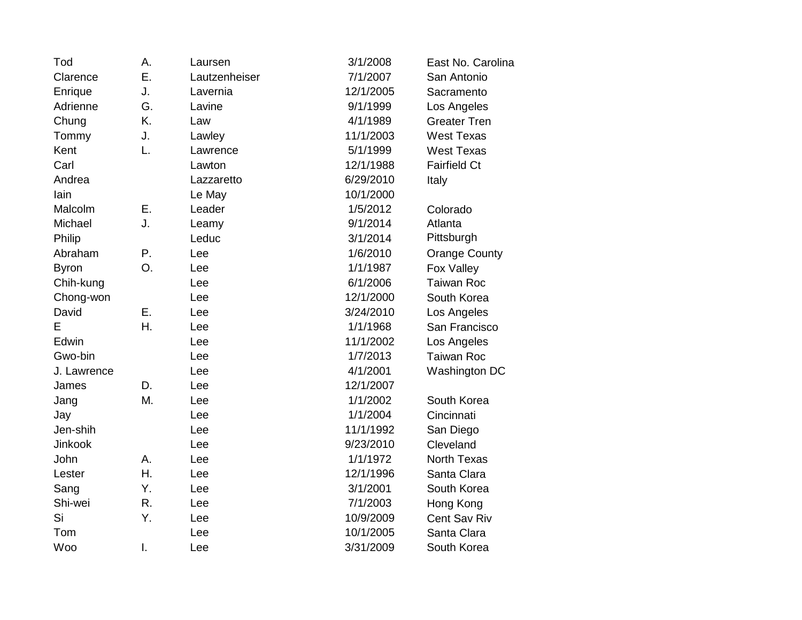| Tod          | А. | Laursen       | 3/1/2008  | East No. Carolina    |
|--------------|----|---------------|-----------|----------------------|
| Clarence     | Ε. | Lautzenheiser | 7/1/2007  | San Antonio          |
| Enrique      | J. | Lavernia      | 12/1/2005 | Sacramento           |
| Adrienne     | G. | Lavine        | 9/1/1999  | Los Angeles          |
| Chung        | K. | Law           | 4/1/1989  | <b>Greater Tren</b>  |
| Tommy        | J. | Lawley        | 11/1/2003 | <b>West Texas</b>    |
| Kent         | L. | Lawrence      | 5/1/1999  | <b>West Texas</b>    |
| Carl         |    | Lawton        | 12/1/1988 | <b>Fairfield Ct</b>  |
| Andrea       |    | Lazzaretto    | 6/29/2010 | Italy                |
| lain         |    | Le May        | 10/1/2000 |                      |
| Malcolm      | Е. | Leader        | 1/5/2012  | Colorado             |
| Michael      | J. | Leamy         | 9/1/2014  | Atlanta              |
| Philip       |    | Leduc         | 3/1/2014  | Pittsburgh           |
| Abraham      | Ρ. | Lee           | 1/6/2010  | <b>Orange County</b> |
| <b>Byron</b> | O. | Lee           | 1/1/1987  | Fox Valley           |
| Chih-kung    |    | Lee           | 6/1/2006  | <b>Taiwan Roc</b>    |
| Chong-won    |    | Lee           | 12/1/2000 | South Korea          |
| David        | Ε. | Lee           | 3/24/2010 | Los Angeles          |
| E            | Η. | Lee           | 1/1/1968  | San Francisco        |
| Edwin        |    | Lee           | 11/1/2002 | Los Angeles          |
| Gwo-bin      |    | Lee           | 1/7/2013  | <b>Taiwan Roc</b>    |
| J. Lawrence  |    | Lee           | 4/1/2001  | Washington DC        |
| James        | D. | Lee           | 12/1/2007 |                      |
| Jang         | M. | Lee           | 1/1/2002  | South Korea          |
| Jay          |    | Lee           | 1/1/2004  | Cincinnati           |
| Jen-shih     |    | Lee           | 11/1/1992 | San Diego            |
| Jinkook      |    | Lee           | 9/23/2010 | Cleveland            |
| John         | А. | Lee           | 1/1/1972  | <b>North Texas</b>   |
| Lester       | Η. | Lee           | 12/1/1996 | Santa Clara          |
| Sang         | Y. | Lee           | 3/1/2001  | South Korea          |
| Shi-wei      | R. | Lee           | 7/1/2003  | Hong Kong            |
| Si           | Υ. | Lee           | 10/9/2009 | Cent Sav Riv         |
| Tom          |    | Lee           | 10/1/2005 | Santa Clara          |
| Woo          | I. | Lee           | 3/31/2009 | South Korea          |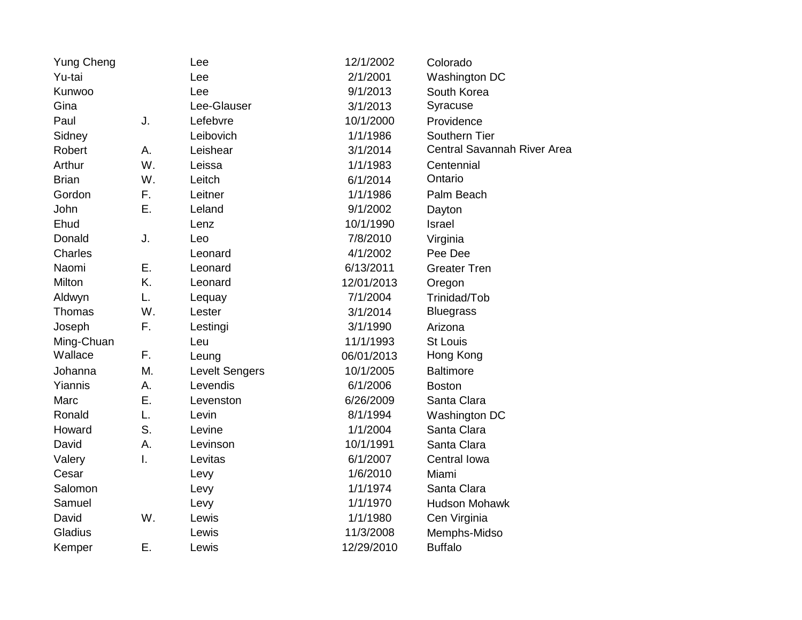| <b>Yung Cheng</b> |              | Lee                   | 12/1/2002  | Colorado                    |
|-------------------|--------------|-----------------------|------------|-----------------------------|
| Yu-tai            |              | Lee                   | 2/1/2001   | Washington DC               |
| Kunwoo            |              | Lee                   | 9/1/2013   | South Korea                 |
| Gina              |              | Lee-Glauser           | 3/1/2013   | Syracuse                    |
| Paul              | J.           | Lefebvre              | 10/1/2000  | Providence                  |
| Sidney            |              | Leibovich             | 1/1/1986   | Southern Tier               |
| Robert            | А.           | Leishear              | 3/1/2014   | Central Savannah River Area |
| Arthur            | W.           | Leissa                | 1/1/1983   | Centennial                  |
| <b>Brian</b>      | W.           | Leitch                | 6/1/2014   | Ontario                     |
| Gordon            | F.           | Leitner               | 1/1/1986   | Palm Beach                  |
| John              | Ε.           | Leland                | 9/1/2002   | Dayton                      |
| Ehud              |              | Lenz                  | 10/1/1990  | Israel                      |
| Donald            | J.           | Leo                   | 7/8/2010   | Virginia                    |
| Charles           |              | Leonard               | 4/1/2002   | Pee Dee                     |
| Naomi             | Ε.           | Leonard               | 6/13/2011  | <b>Greater Tren</b>         |
| Milton            | K.           | Leonard               | 12/01/2013 | Oregon                      |
| Aldwyn            | L.           | Lequay                | 7/1/2004   | Trinidad/Tob                |
| Thomas            | W.           | Lester                | 3/1/2014   | <b>Bluegrass</b>            |
| Joseph            | F.           | Lestingi              | 3/1/1990   | Arizona                     |
| Ming-Chuan        |              | Leu                   | 11/1/1993  | <b>St Louis</b>             |
| Wallace           | F.           | Leung                 | 06/01/2013 | Hong Kong                   |
| Johanna           | M.           | <b>Levelt Sengers</b> | 10/1/2005  | <b>Baltimore</b>            |
| Yiannis           | Α.           | Levendis              | 6/1/2006   | <b>Boston</b>               |
| Marc              | Ε.           | Levenston             | 6/26/2009  | Santa Clara                 |
| Ronald            | L.           | Levin                 | 8/1/1994   | Washington DC               |
| Howard            | S.           | Levine                | 1/1/2004   | Santa Clara                 |
| David             | Α.           | Levinson              | 10/1/1991  | Santa Clara                 |
| Valery            | $\mathsf{L}$ | Levitas               | 6/1/2007   | Central Iowa                |
| Cesar             |              | Levy                  | 1/6/2010   | Miami                       |
| Salomon           |              | Levy                  | 1/1/1974   | Santa Clara                 |
| Samuel            |              | Levy                  | 1/1/1970   | <b>Hudson Mohawk</b>        |
| David             | W.           | Lewis                 | 1/1/1980   | Cen Virginia                |
| Gladius           |              | Lewis                 | 11/3/2008  | Memphs-Midso                |
| Kemper            | Ε.           | Lewis                 | 12/29/2010 | <b>Buffalo</b>              |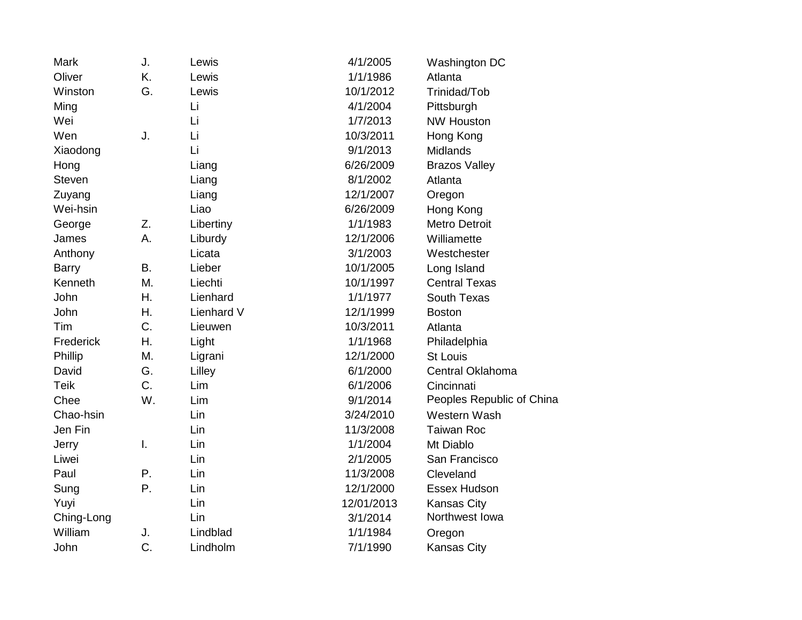| Mark          | J.        | Lewis      | 4/1/2005   | Washington DC             |
|---------------|-----------|------------|------------|---------------------------|
| Oliver        | K.        | Lewis      | 1/1/1986   | Atlanta                   |
| Winston       | G.        | Lewis      | 10/1/2012  | Trinidad/Tob              |
| Ming          |           | Li         | 4/1/2004   | Pittsburgh                |
| Wei           |           | Li         | 1/7/2013   | <b>NW Houston</b>         |
| Wen           | J.        | Li         | 10/3/2011  | Hong Kong                 |
| Xiaodong      |           | Li         | 9/1/2013   | <b>Midlands</b>           |
| Hong          |           | Liang      | 6/26/2009  | <b>Brazos Valley</b>      |
| <b>Steven</b> |           | Liang      | 8/1/2002   | Atlanta                   |
| Zuyang        |           | Liang      | 12/1/2007  | Oregon                    |
| Wei-hsin      |           | Liao       | 6/26/2009  | Hong Kong                 |
| George        | Z.        | Libertiny  | 1/1/1983   | <b>Metro Detroit</b>      |
| James         | Α.        | Liburdy    | 12/1/2006  | Williamette               |
| Anthony       |           | Licata     | 3/1/2003   | Westchester               |
| <b>Barry</b>  | <b>B.</b> | Lieber     | 10/1/2005  | Long Island               |
| Kenneth       | M.        | Liechti    | 10/1/1997  | <b>Central Texas</b>      |
| John          | Η.        | Lienhard   | 1/1/1977   | South Texas               |
| John          | Η.        | Lienhard V | 12/1/1999  | <b>Boston</b>             |
| Tim           | C.        | Lieuwen    | 10/3/2011  | Atlanta                   |
| Frederick     | Η.        | Light      | 1/1/1968   | Philadelphia              |
| Phillip       | M.        | Ligrani    | 12/1/2000  | <b>St Louis</b>           |
| David         | G.        | Lilley     | 6/1/2000   | Central Oklahoma          |
| <b>Teik</b>   | C.        | Lim        | 6/1/2006   | Cincinnati                |
| Chee          | W.        | Lim        | 9/1/2014   | Peoples Republic of China |
| Chao-hsin     |           | Lin        | 3/24/2010  | Western Wash              |
| Jen Fin       |           | Lin        | 11/3/2008  | <b>Taiwan Roc</b>         |
| Jerry         | I.        | Lin        | 1/1/2004   | Mt Diablo                 |
| Liwei         |           | Lin        | 2/1/2005   | San Francisco             |
| Paul          | Ρ.        | Lin        | 11/3/2008  | Cleveland                 |
| Sung          | Ρ.        | Lin        | 12/1/2000  | Essex Hudson              |
| Yuyi          |           | Lin        | 12/01/2013 | <b>Kansas City</b>        |
| Ching-Long    |           | Lin        | 3/1/2014   | Northwest Iowa            |
| William       | J.        | Lindblad   | 1/1/1984   | Oregon                    |
| John          | C.        | Lindholm   | 7/1/1990   | <b>Kansas City</b>        |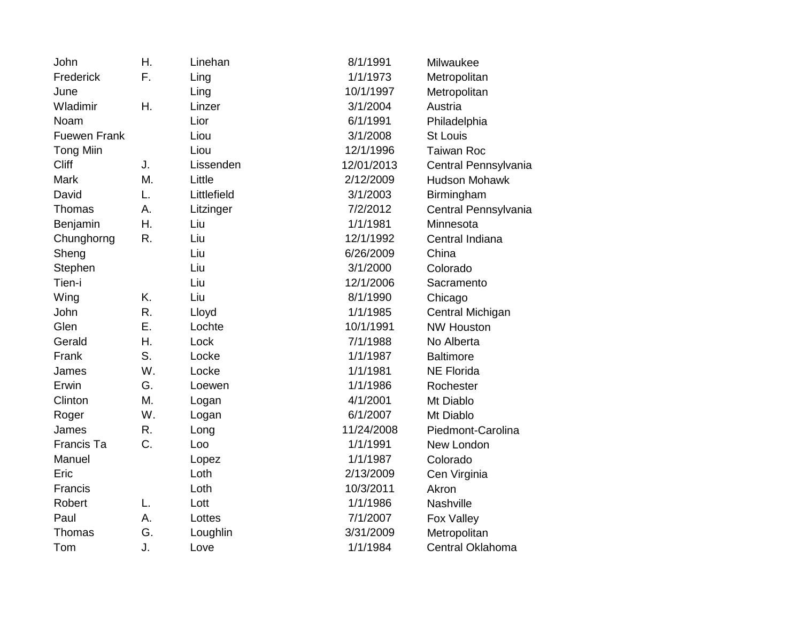| John                | Η. | Linehan     | 8/1/1991   | Milwaukee            |
|---------------------|----|-------------|------------|----------------------|
| Frederick           | F. | Ling        | 1/1/1973   | Metropolitan         |
| June                |    | Ling        | 10/1/1997  | Metropolitan         |
| Wladimir            | Η. | Linzer      | 3/1/2004   | Austria              |
| Noam                |    | Lior        | 6/1/1991   | Philadelphia         |
| <b>Fuewen Frank</b> |    | Liou        | 3/1/2008   | <b>St Louis</b>      |
| <b>Tong Miin</b>    |    | Liou        | 12/1/1996  | <b>Taiwan Roc</b>    |
| <b>Cliff</b>        | J. | Lissenden   | 12/01/2013 | Central Pennsylvania |
| <b>Mark</b>         | M. | Little      | 2/12/2009  | <b>Hudson Mohawk</b> |
| David               | L. | Littlefield | 3/1/2003   | Birmingham           |
| Thomas              | А. | Litzinger   | 7/2/2012   | Central Pennsylvania |
| Benjamin            | Η. | Liu         | 1/1/1981   | Minnesota            |
| Chunghorng          | R. | Liu         | 12/1/1992  | Central Indiana      |
| Sheng               |    | Liu         | 6/26/2009  | China                |
| Stephen             |    | Liu         | 3/1/2000   | Colorado             |
| Tien-i              |    | Liu         | 12/1/2006  | Sacramento           |
| Wing                | K. | Liu         | 8/1/1990   | Chicago              |
| John                | R. | Lloyd       | 1/1/1985   | Central Michigan     |
| Glen                | Ε. | Lochte      | 10/1/1991  | <b>NW Houston</b>    |
| Gerald              | Η. | Lock        | 7/1/1988   | No Alberta           |
| Frank               | S. | Locke       | 1/1/1987   | <b>Baltimore</b>     |
| James               | W. | Locke       | 1/1/1981   | <b>NE Florida</b>    |
| Erwin               | G. | Loewen      | 1/1/1986   | Rochester            |
| Clinton             | М. | Logan       | 4/1/2001   | Mt Diablo            |
| Roger               | W. | Logan       | 6/1/2007   | Mt Diablo            |
| James               | R. | Long        | 11/24/2008 | Piedmont-Carolina    |
| Francis Ta          | C. | Loo         | 1/1/1991   | New London           |
| Manuel              |    | Lopez       | 1/1/1987   | Colorado             |
| Eric                |    | Loth        | 2/13/2009  | Cen Virginia         |
| Francis             |    | Loth        | 10/3/2011  | Akron                |
| Robert              | L. | Lott        | 1/1/1986   | Nashville            |
| Paul                | A. | Lottes      | 7/1/2007   | Fox Valley           |
| Thomas              | G. | Loughlin    | 3/31/2009  | Metropolitan         |
| Tom                 | J. | Love        | 1/1/1984   | Central Oklahoma     |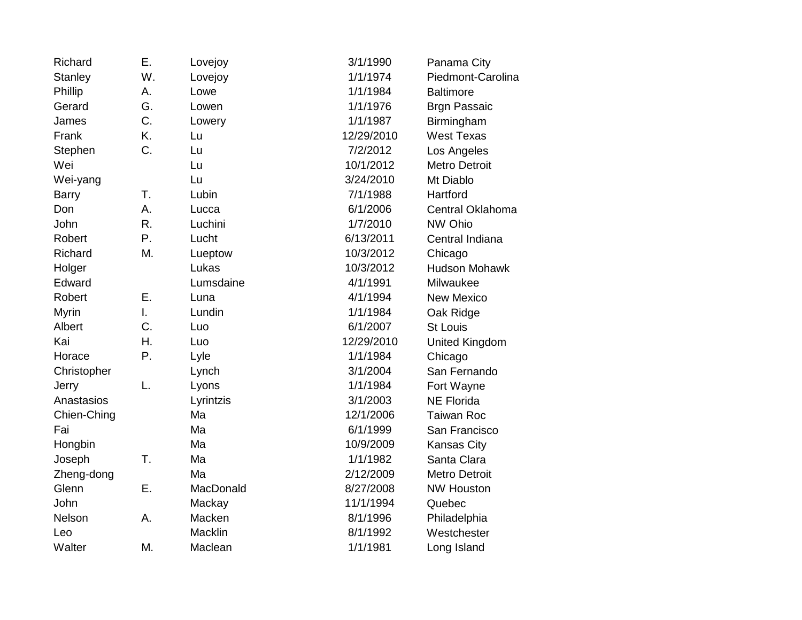| Richard        | Ε.           | Lovejoy   | 3/1/1990   | Panama City           |
|----------------|--------------|-----------|------------|-----------------------|
| <b>Stanley</b> | W.           | Lovejoy   | 1/1/1974   | Piedmont-Carolina     |
| Phillip        | А.           | Lowe      | 1/1/1984   | <b>Baltimore</b>      |
| Gerard         | G.           | Lowen     | 1/1/1976   | <b>Brgn Passaic</b>   |
| James          | C.           | Lowery    | 1/1/1987   | Birmingham            |
| Frank          | K.           | Lu        | 12/29/2010 | <b>West Texas</b>     |
| Stephen        | C.           | Lu        | 7/2/2012   | Los Angeles           |
| Wei            |              | Lu        | 10/1/2012  | <b>Metro Detroit</b>  |
| Wei-yang       |              | Lu        | 3/24/2010  | Mt Diablo             |
| <b>Barry</b>   | T.           | Lubin     | 7/1/1988   | Hartford              |
| Don            | А.           | Lucca     | 6/1/2006   | Central Oklahoma      |
| John           | R.           | Luchini   | 1/7/2010   | NW Ohio               |
| Robert         | Ρ.           | Lucht     | 6/13/2011  | Central Indiana       |
| Richard        | M.           | Lueptow   | 10/3/2012  | Chicago               |
| Holger         |              | Lukas     | 10/3/2012  | <b>Hudson Mohawk</b>  |
| Edward         |              | Lumsdaine | 4/1/1991   | Milwaukee             |
| Robert         | Ε.           | Luna      | 4/1/1994   | <b>New Mexico</b>     |
| <b>Myrin</b>   | $\mathsf{L}$ | Lundin    | 1/1/1984   | Oak Ridge             |
| Albert         | C.           | Luo       | 6/1/2007   | <b>St Louis</b>       |
| Kai            | Η.           | Luo       | 12/29/2010 | <b>United Kingdom</b> |
| Horace         | Ρ.           | Lyle      | 1/1/1984   | Chicago               |
| Christopher    |              | Lynch     | 3/1/2004   | San Fernando          |
| Jerry          | L.           | Lyons     | 1/1/1984   | Fort Wayne            |
| Anastasios     |              | Lyrintzis | 3/1/2003   | <b>NE Florida</b>     |
| Chien-Ching    |              | Ma        | 12/1/2006  | <b>Taiwan Roc</b>     |
| Fai            |              | Ma        | 6/1/1999   | San Francisco         |
| Hongbin        |              | Ma        | 10/9/2009  | Kansas City           |
| Joseph         | Τ.           | Ma        | 1/1/1982   | Santa Clara           |
| Zheng-dong     |              | Ma        | 2/12/2009  | <b>Metro Detroit</b>  |
| Glenn          | Ε.           | MacDonald | 8/27/2008  | <b>NW Houston</b>     |
| John           |              | Mackay    | 11/1/1994  | Quebec                |
| Nelson         | А.           | Macken    | 8/1/1996   | Philadelphia          |
| Leo            |              | Macklin   | 8/1/1992   | Westchester           |
| Walter         | M.           | Maclean   | 1/1/1981   | Long Island           |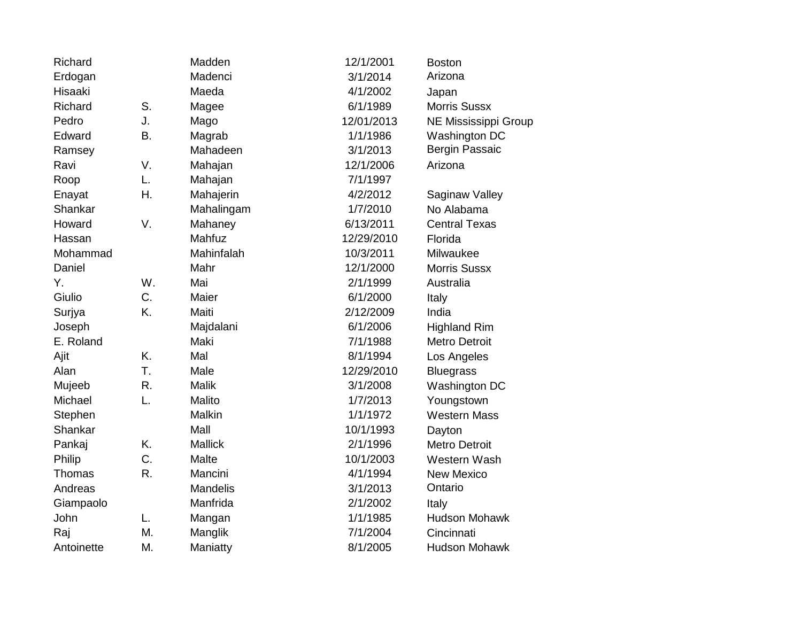| Richard    |           | Madden         | 12/1/2001  | <b>Boston</b>         |
|------------|-----------|----------------|------------|-----------------------|
| Erdogan    |           | Madenci        | 3/1/2014   | Arizona               |
| Hisaaki    |           | Maeda          | 4/1/2002   | Japan                 |
| Richard    | S.        | Magee          | 6/1/1989   | <b>Morris Sussx</b>   |
| Pedro      | J.        | Mago           | 12/01/2013 | NE Mississippi Group  |
| Edward     | <b>B.</b> | Magrab         | 1/1/1986   | Washington DC         |
| Ramsey     |           | Mahadeen       | 3/1/2013   | <b>Bergin Passaic</b> |
| Ravi       | V.        | Mahajan        | 12/1/2006  | Arizona               |
| Roop       | L.        | Mahajan        | 7/1/1997   |                       |
| Enayat     | Η.        | Mahajerin      | 4/2/2012   | Saginaw Valley        |
| Shankar    |           | Mahalingam     | 1/7/2010   | No Alabama            |
| Howard     | V.        | Mahaney        | 6/13/2011  | <b>Central Texas</b>  |
| Hassan     |           | Mahfuz         | 12/29/2010 | Florida               |
| Mohammad   |           | Mahinfalah     | 10/3/2011  | Milwaukee             |
| Daniel     |           | Mahr           | 12/1/2000  | <b>Morris Sussx</b>   |
| Υ.         | W.        | Mai            | 2/1/1999   | Australia             |
| Giulio     | C.        | Maier          | 6/1/2000   | Italy                 |
| Surjya     | K.        | Maiti          | 2/12/2009  | India                 |
| Joseph     |           | Majdalani      | 6/1/2006   | <b>Highland Rim</b>   |
| E. Roland  |           | Maki           | 7/1/1988   | <b>Metro Detroit</b>  |
| Ajit       | K.        | Mal            | 8/1/1994   | Los Angeles           |
| Alan       | T.        | Male           | 12/29/2010 | <b>Bluegrass</b>      |
| Mujeeb     | R.        | <b>Malik</b>   | 3/1/2008   | Washington DC         |
| Michael    | L.        | Malito         | 1/7/2013   | Youngstown            |
| Stephen    |           | Malkin         | 1/1/1972   | <b>Western Mass</b>   |
| Shankar    |           | Mall           | 10/1/1993  | Dayton                |
| Pankaj     | K.        | <b>Mallick</b> | 2/1/1996   | <b>Metro Detroit</b>  |
| Philip     | C.        | Malte          | 10/1/2003  | Western Wash          |
| Thomas     | R.        | Mancini        | 4/1/1994   | <b>New Mexico</b>     |
| Andreas    |           | Mandelis       | 3/1/2013   | Ontario               |
| Giampaolo  |           | Manfrida       | 2/1/2002   | Italy                 |
| John       | L.        | Mangan         | 1/1/1985   | <b>Hudson Mohawk</b>  |
| Raj        | М.        | Manglik        | 7/1/2004   | Cincinnati            |
| Antoinette | Μ.        | Maniatty       | 8/1/2005   | <b>Hudson Mohawk</b>  |
|            |           |                |            |                       |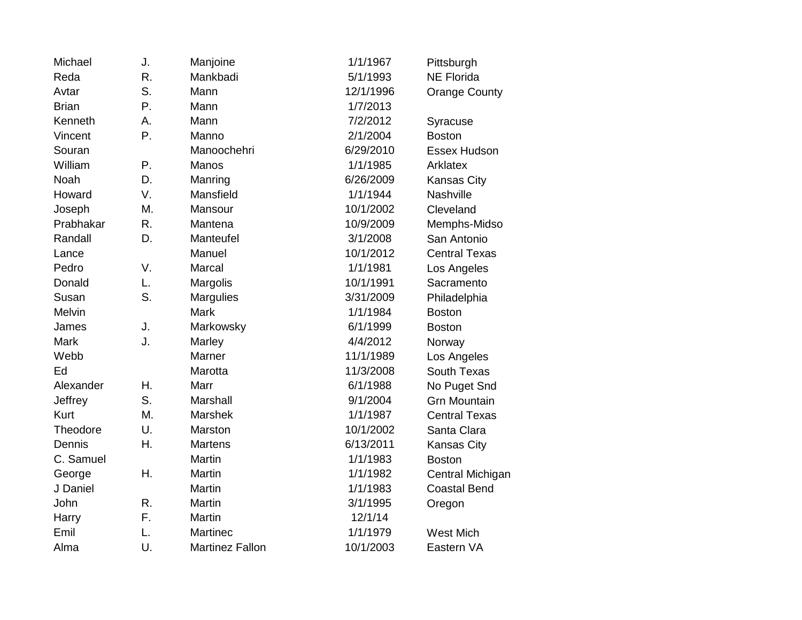| Michael      | J. | Manjoine               | 1/1/1967  | Pittsburgh           |
|--------------|----|------------------------|-----------|----------------------|
| Reda         | R. | Mankbadi               | 5/1/1993  | <b>NE Florida</b>    |
| Avtar        | S. | Mann                   | 12/1/1996 | <b>Orange County</b> |
| <b>Brian</b> | Ρ. | Mann                   | 1/7/2013  |                      |
| Kenneth      | Α. | Mann                   | 7/2/2012  | Syracuse             |
| Vincent      | Ρ. | Manno                  | 2/1/2004  | <b>Boston</b>        |
| Souran       |    | Manoochehri            | 6/29/2010 | Essex Hudson         |
| William      | Ρ. | Manos                  | 1/1/1985  | Arklatex             |
| Noah         | D. | Manring                | 6/26/2009 | <b>Kansas City</b>   |
| Howard       | V. | Mansfield              | 1/1/1944  | Nashville            |
| Joseph       | М. | Mansour                | 10/1/2002 | Cleveland            |
| Prabhakar    | R. | Mantena                | 10/9/2009 | Memphs-Midso         |
| Randall      | D. | Manteufel              | 3/1/2008  | San Antonio          |
| Lance        |    | Manuel                 | 10/1/2012 | <b>Central Texas</b> |
| Pedro        | V. | Marcal                 | 1/1/1981  | Los Angeles          |
| Donald       | L. | Margolis               | 10/1/1991 | Sacramento           |
| Susan        | S. | <b>Margulies</b>       | 3/31/2009 | Philadelphia         |
| Melvin       |    | <b>Mark</b>            | 1/1/1984  | <b>Boston</b>        |
| James        | J. | Markowsky              | 6/1/1999  | <b>Boston</b>        |
| Mark         | J. | Marley                 | 4/4/2012  | Norway               |
| Webb         |    | Marner                 | 11/1/1989 | Los Angeles          |
| Ed           |    | Marotta                | 11/3/2008 | South Texas          |
| Alexander    | Η. | Marr                   | 6/1/1988  | No Puget Snd         |
| Jeffrey      | S. | <b>Marshall</b>        | 9/1/2004  | <b>Grn Mountain</b>  |
| <b>Kurt</b>  | М. | <b>Marshek</b>         | 1/1/1987  | <b>Central Texas</b> |
| Theodore     | U. | Marston                | 10/1/2002 | Santa Clara          |
| Dennis       | Η. | <b>Martens</b>         | 6/13/2011 | Kansas City          |
| C. Samuel    |    | Martin                 | 1/1/1983  | <b>Boston</b>        |
| George       | Η. | Martin                 | 1/1/1982  | Central Michigan     |
| J Daniel     |    | Martin                 | 1/1/1983  | <b>Coastal Bend</b>  |
| John         | R. | Martin                 | 3/1/1995  | Oregon               |
| Harry        | F. | Martin                 | 12/1/14   |                      |
| Emil         | L. | Martinec               | 1/1/1979  | <b>West Mich</b>     |
| Alma         | U. | <b>Martinez Fallon</b> | 10/1/2003 | Eastern VA           |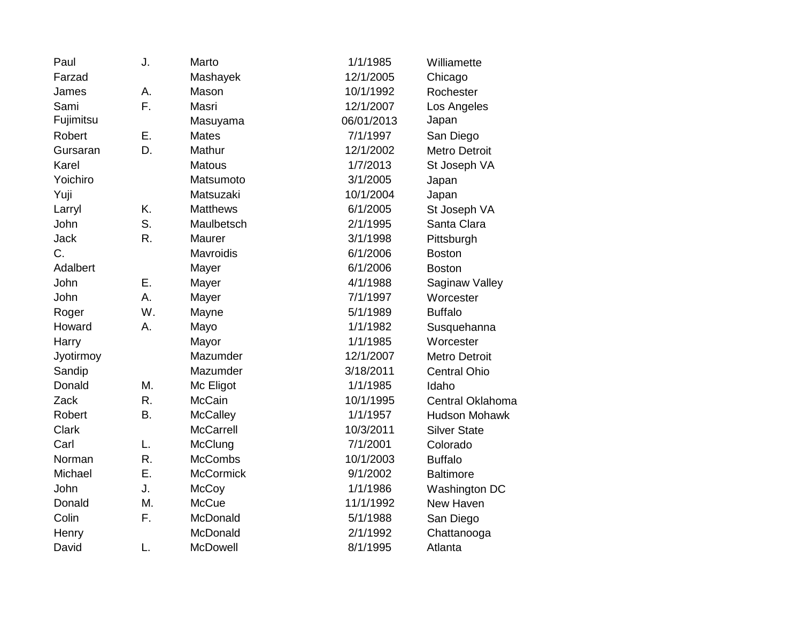| Paul         | J. | Marto            | 1/1/1985   | Williamette          |
|--------------|----|------------------|------------|----------------------|
| Farzad       |    | Mashayek         | 12/1/2005  | Chicago              |
| James        | А. | Mason            | 10/1/1992  | Rochester            |
| Sami         | F. | Masri            | 12/1/2007  | Los Angeles          |
| Fujimitsu    |    | Masuyama         | 06/01/2013 | Japan                |
| Robert       | E. | <b>Mates</b>     | 7/1/1997   | San Diego            |
| Gursaran     | D. | Mathur           | 12/1/2002  | <b>Metro Detroit</b> |
| Karel        |    | <b>Matous</b>    | 1/7/2013   | St Joseph VA         |
| Yoichiro     |    | Matsumoto        | 3/1/2005   | Japan                |
| Yuji         |    | Matsuzaki        | 10/1/2004  | Japan                |
| Larryl       | K. | <b>Matthews</b>  | 6/1/2005   | St Joseph VA         |
| John         | S. | Maulbetsch       | 2/1/1995   | Santa Clara          |
| <b>Jack</b>  | R. | Maurer           | 3/1/1998   | Pittsburgh           |
| C.           |    | Mavroidis        | 6/1/2006   | <b>Boston</b>        |
| Adalbert     |    | Mayer            | 6/1/2006   | <b>Boston</b>        |
| John         | Ε. | Mayer            | 4/1/1988   | Saginaw Valley       |
| John         | A. | Mayer            | 7/1/1997   | Worcester            |
| Roger        | W. | Mayne            | 5/1/1989   | <b>Buffalo</b>       |
| Howard       | А. | Mayo             | 1/1/1982   | Susquehanna          |
| Harry        |    | Mayor            | 1/1/1985   | Worcester            |
| Jyotirmoy    |    | Mazumder         | 12/1/2007  | <b>Metro Detroit</b> |
| Sandip       |    | Mazumder         | 3/18/2011  | <b>Central Ohio</b>  |
| Donald       | Μ. | Mc Eligot        | 1/1/1985   | Idaho                |
| Zack         | R. | <b>McCain</b>    | 10/1/1995  | Central Oklahoma     |
| Robert       | Β. | <b>McCalley</b>  | 1/1/1957   | <b>Hudson Mohawk</b> |
| <b>Clark</b> |    | <b>McCarrell</b> | 10/3/2011  | <b>Silver State</b>  |
| Carl         | L. | McClung          | 7/1/2001   | Colorado             |
| Norman       | R. | <b>McCombs</b>   | 10/1/2003  | <b>Buffalo</b>       |
| Michael      | Ε. | <b>McCormick</b> | 9/1/2002   | <b>Baltimore</b>     |
| John         | J. | <b>McCoy</b>     | 1/1/1986   | Washington DC        |
| Donald       | Μ. | <b>McCue</b>     | 11/1/1992  | New Haven            |
| Colin        | F. | McDonald         | 5/1/1988   | San Diego            |
| Henry        |    | McDonald         | 2/1/1992   | Chattanooga          |
| David        | L. | McDowell         | 8/1/1995   | Atlanta              |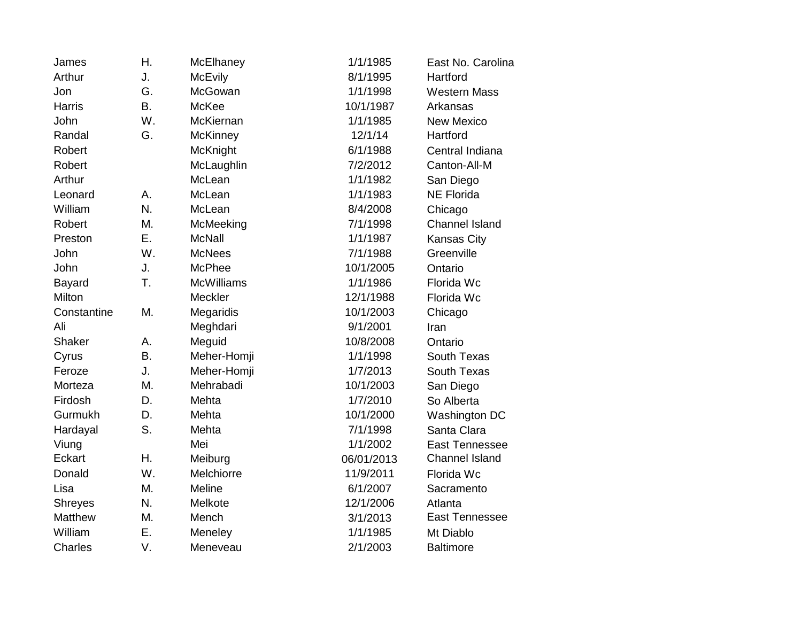| James          | Η. | McElhaney         | 1/1/1985   | East No. Carolina     |
|----------------|----|-------------------|------------|-----------------------|
| Arthur         | J. | <b>McEvily</b>    | 8/1/1995   | Hartford              |
| Jon            | G. | McGowan           | 1/1/1998   | <b>Western Mass</b>   |
| <b>Harris</b>  | B. | McKee             | 10/1/1987  | Arkansas              |
| John           | W. | McKiernan         | 1/1/1985   | <b>New Mexico</b>     |
| Randal         | G. | <b>McKinney</b>   | 12/1/14    | Hartford              |
| Robert         |    | McKnight          | 6/1/1988   | Central Indiana       |
| Robert         |    | McLaughlin        | 7/2/2012   | Canton-All-M          |
| Arthur         |    | McLean            | 1/1/1982   | San Diego             |
| Leonard        | Α. | McLean            | 1/1/1983   | <b>NE Florida</b>     |
| William        | N. | McLean            | 8/4/2008   | Chicago               |
| Robert         | М. | McMeeking         | 7/1/1998   | <b>Channel Island</b> |
| Preston        | Ε. | <b>McNall</b>     | 1/1/1987   | Kansas City           |
| John           | W. | <b>McNees</b>     | 7/1/1988   | Greenville            |
| John           | J. | <b>McPhee</b>     | 10/1/2005  | Ontario               |
| Bayard         | T. | <b>McWilliams</b> | 1/1/1986   | Florida Wc            |
| Milton         |    | Meckler           | 12/1/1988  | Florida Wc            |
| Constantine    | M. | Megaridis         | 10/1/2003  | Chicago               |
| Ali            |    | Meghdari          | 9/1/2001   | Iran                  |
| Shaker         | А. | Meguid            | 10/8/2008  | Ontario               |
| Cyrus          | Β. | Meher-Homji       | 1/1/1998   | South Texas           |
| Feroze         | J. | Meher-Homji       | 1/7/2013   | South Texas           |
| Morteza        | Μ. | Mehrabadi         | 10/1/2003  | San Diego             |
| Firdosh        | D. | Mehta             | 1/7/2010   | So Alberta            |
| Gurmukh        | D. | Mehta             | 10/1/2000  | Washington DC         |
| Hardayal       | S. | Mehta             | 7/1/1998   | Santa Clara           |
| Viung          |    | Mei               | 1/1/2002   | <b>East Tennessee</b> |
| Eckart         | Η. | Meiburg           | 06/01/2013 | <b>Channel Island</b> |
| Donald         | W. | Melchiorre        | 11/9/2011  | Florida Wc            |
| Lisa           | M. | <b>Meline</b>     | 6/1/2007   | Sacramento            |
| <b>Shreyes</b> | N. | Melkote           | 12/1/2006  | Atlanta               |
| Matthew        | M. | Mench             | 3/1/2013   | East Tennessee        |
| William        | Ε. | Meneley           | 1/1/1985   | Mt Diablo             |
| Charles        | V. | Meneveau          | 2/1/2003   | <b>Baltimore</b>      |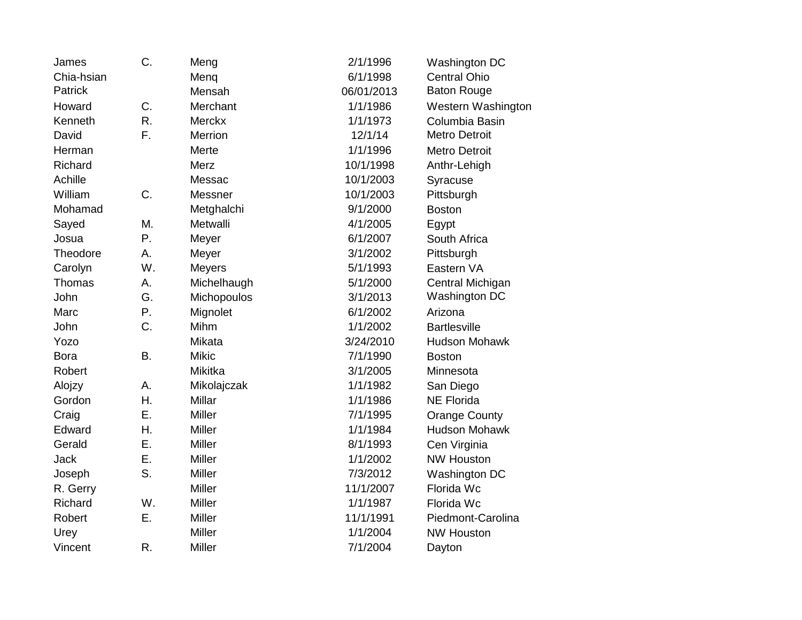| James       | C.        | Meng          | 2/1/1996   | Washington DC        |
|-------------|-----------|---------------|------------|----------------------|
| Chia-hsian  |           | Menq          | 6/1/1998   | <b>Central Ohio</b>  |
| Patrick     |           | Mensah        | 06/01/2013 | <b>Baton Rouge</b>   |
| Howard      | C.        | Merchant      | 1/1/1986   | Western Washington   |
| Kenneth     | R.        | <b>Merckx</b> | 1/1/1973   | Columbia Basin       |
| David       | F.        | Merrion       | 12/1/14    | <b>Metro Detroit</b> |
| Herman      |           | Merte         | 1/1/1996   | <b>Metro Detroit</b> |
| Richard     |           | Merz          | 10/1/1998  | Anthr-Lehigh         |
| Achille     |           | Messac        | 10/1/2003  | Syracuse             |
| William     | C.        | Messner       | 10/1/2003  | Pittsburgh           |
| Mohamad     |           | Metghalchi    | 9/1/2000   | <b>Boston</b>        |
| Sayed       | M.        | Metwalli      | 4/1/2005   | Egypt                |
| Josua       | Ρ.        | Meyer         | 6/1/2007   | South Africa         |
| Theodore    | Α.        | Meyer         | 3/1/2002   | Pittsburgh           |
| Carolyn     | W.        | <b>Meyers</b> | 5/1/1993   | Eastern VA           |
| Thomas      | А.        | Michelhaugh   | 5/1/2000   | Central Michigan     |
| John        | G.        | Michopoulos   | 3/1/2013   | Washington DC        |
| Marc        | Ρ.        | Mignolet      | 6/1/2002   | Arizona              |
| John        | C.        | Mihm          | 1/1/2002   | <b>Bartlesville</b>  |
| Yozo        |           | Mikata        | 3/24/2010  | <b>Hudson Mohawk</b> |
| <b>Bora</b> | <b>B.</b> | <b>Mikic</b>  | 7/1/1990   | <b>Boston</b>        |
| Robert      |           | Mikitka       | 3/1/2005   | Minnesota            |
| Alojzy      | А.        | Mikolajczak   | 1/1/1982   | San Diego            |
| Gordon      | Η.        | Millar        | 1/1/1986   | <b>NE Florida</b>    |
| Craig       | Ε.        | Miller        | 7/1/1995   | <b>Orange County</b> |
| Edward      | Η.        | Miller        | 1/1/1984   | <b>Hudson Mohawk</b> |
| Gerald      | Е.        | <b>Miller</b> | 8/1/1993   | Cen Virginia         |
| Jack        | Ε.        | Miller        | 1/1/2002   | <b>NW Houston</b>    |
| Joseph      | S.        | <b>Miller</b> | 7/3/2012   | Washington DC        |
| R. Gerry    |           | Miller        | 11/1/2007  | Florida Wc           |
| Richard     | W.        | <b>Miller</b> | 1/1/1987   | Florida Wc           |
| Robert      | Ε.        | <b>Miller</b> | 11/1/1991  | Piedmont-Carolina    |
| Urey        |           | Miller        | 1/1/2004   | <b>NW Houston</b>    |
| Vincent     | R.        | <b>Miller</b> | 7/1/2004   | Dayton               |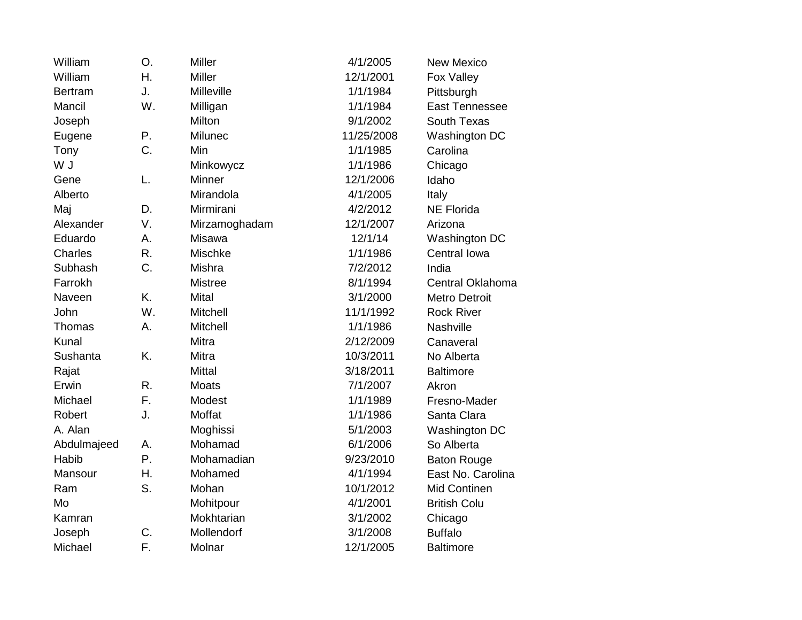| William        | O. | <b>Miller</b>   | 4/1/2005   | <b>New Mexico</b>     |
|----------------|----|-----------------|------------|-----------------------|
| William        | Η. | Miller          | 12/1/2001  | Fox Valley            |
| <b>Bertram</b> | J. | Milleville      | 1/1/1984   | Pittsburgh            |
| Mancil         | W. | Milligan        | 1/1/1984   | <b>East Tennessee</b> |
| Joseph         |    | Milton          | 9/1/2002   | South Texas           |
| Eugene         | Ρ. | Milunec         | 11/25/2008 | Washington DC         |
| Tony           | C. | Min             | 1/1/1985   | Carolina              |
| W J            |    | Minkowycz       | 1/1/1986   | Chicago               |
| Gene           | L. | Minner          | 12/1/2006  | Idaho                 |
| Alberto        |    | Mirandola       | 4/1/2005   | Italy                 |
| Maj            | D. | Mirmirani       | 4/2/2012   | <b>NE Florida</b>     |
| Alexander      | V. | Mirzamoghadam   | 12/1/2007  | Arizona               |
| Eduardo        | Α. | <b>Misawa</b>   | 12/1/14    | Washington DC         |
| <b>Charles</b> | R. | Mischke         | 1/1/1986   | Central Iowa          |
| Subhash        | C. | Mishra          | 7/2/2012   | India                 |
| Farrokh        |    | <b>Mistree</b>  | 8/1/1994   | Central Oklahoma      |
| Naveen         | K. | Mital           | 3/1/2000   | <b>Metro Detroit</b>  |
| John           | W. | <b>Mitchell</b> | 11/1/1992  | <b>Rock River</b>     |
| Thomas         | Α. | <b>Mitchell</b> | 1/1/1986   | Nashville             |
| Kunal          |    | Mitra           | 2/12/2009  | Canaveral             |
| Sushanta       | K. | <b>Mitra</b>    | 10/3/2011  | No Alberta            |
| Rajat          |    | <b>Mittal</b>   | 3/18/2011  | <b>Baltimore</b>      |
| Erwin          | R. | <b>Moats</b>    | 7/1/2007   | Akron                 |
| Michael        | F. | Modest          | 1/1/1989   | Fresno-Mader          |
| Robert         | J. | Moffat          | 1/1/1986   | Santa Clara           |
| A. Alan        |    | Moghissi        | 5/1/2003   | Washington DC         |
| Abdulmajeed    | А. | Mohamad         | 6/1/2006   | So Alberta            |
| Habib          | Ρ. | Mohamadian      | 9/23/2010  | <b>Baton Rouge</b>    |
| Mansour        | Η. | Mohamed         | 4/1/1994   | East No. Carolina     |
| Ram            | S. | Mohan           | 10/1/2012  | Mid Continen          |
| Mo             |    | Mohitpour       | 4/1/2001   | <b>British Colu</b>   |
| Kamran         |    | Mokhtarian      | 3/1/2002   | Chicago               |
| Joseph         | C. | Mollendorf      | 3/1/2008   | <b>Buffalo</b>        |
| Michael        | F. | Molnar          | 12/1/2005  | <b>Baltimore</b>      |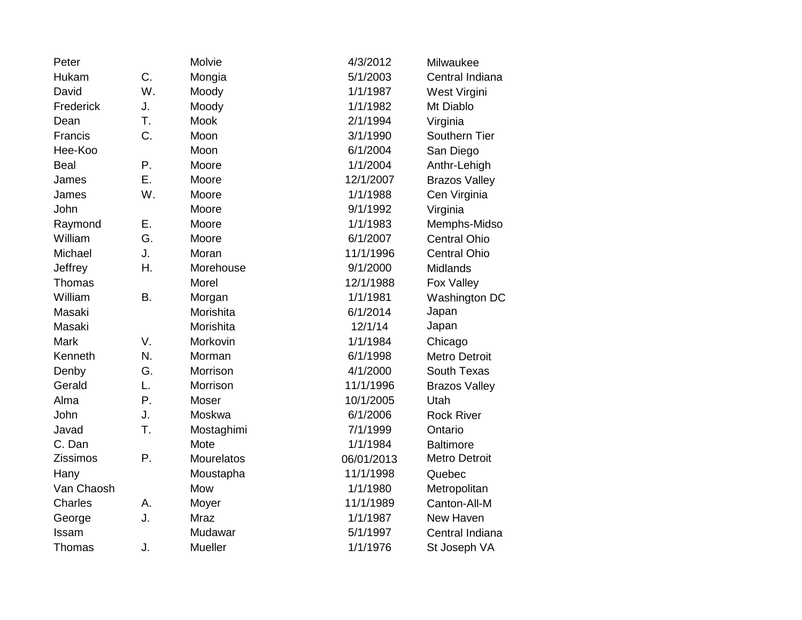| Peter       |    | Molvie         | 4/3/2012   | Milwaukee            |
|-------------|----|----------------|------------|----------------------|
| Hukam       | C. | Mongia         | 5/1/2003   | Central Indiana      |
| David       | W. | Moody          | 1/1/1987   | West Virgini         |
| Frederick   | J. | Moody          | 1/1/1982   | Mt Diablo            |
| Dean        | T. | <b>Mook</b>    | 2/1/1994   | Virginia             |
| Francis     | C. | Moon           | 3/1/1990   | Southern Tier        |
| Hee-Koo     |    | Moon           | 6/1/2004   | San Diego            |
| <b>Beal</b> | Ρ. | Moore          | 1/1/2004   | Anthr-Lehigh         |
| James       | Ε. | Moore          | 12/1/2007  | <b>Brazos Valley</b> |
| James       | W. | Moore          | 1/1/1988   | Cen Virginia         |
| John        |    | Moore          | 9/1/1992   | Virginia             |
| Raymond     | Ε. | Moore          | 1/1/1983   | Memphs-Midso         |
| William     | G. | Moore          | 6/1/2007   | <b>Central Ohio</b>  |
| Michael     | J. | Moran          | 11/1/1996  | <b>Central Ohio</b>  |
| Jeffrey     | Η. | Morehouse      | 9/1/2000   | Midlands             |
| Thomas      |    | Morel          | 12/1/1988  | Fox Valley           |
| William     | B. | Morgan         | 1/1/1981   | Washington DC        |
| Masaki      |    | Morishita      | 6/1/2014   | Japan                |
| Masaki      |    | Morishita      | 12/1/14    | Japan                |
| <b>Mark</b> | V. | Morkovin       | 1/1/1984   | Chicago              |
| Kenneth     | N. | Morman         | 6/1/1998   | <b>Metro Detroit</b> |
| Denby       | G. | Morrison       | 4/1/2000   | South Texas          |
| Gerald      | L. | Morrison       | 11/1/1996  | <b>Brazos Valley</b> |
| Alma        | Ρ. | Moser          | 10/1/2005  | Utah                 |
| John        | J. | Moskwa         | 6/1/2006   | <b>Rock River</b>    |
| Javad       | T. | Mostaghimi     | 7/1/1999   | Ontario              |
| C. Dan      |    | Mote           | 1/1/1984   | <b>Baltimore</b>     |
| Zissimos    | Ρ. | Mourelatos     | 06/01/2013 | <b>Metro Detroit</b> |
| Hany        |    | Moustapha      | 11/1/1998  | Quebec               |
| Van Chaosh  |    | Mow            | 1/1/1980   | Metropolitan         |
| Charles     | А. | Moyer          | 11/1/1989  | Canton-All-M         |
| George      | J. | <b>Mraz</b>    | 1/1/1987   | New Haven            |
| Issam       |    | Mudawar        | 5/1/1997   | Central Indiana      |
| Thomas      | J. | <b>Mueller</b> | 1/1/1976   | St Joseph VA         |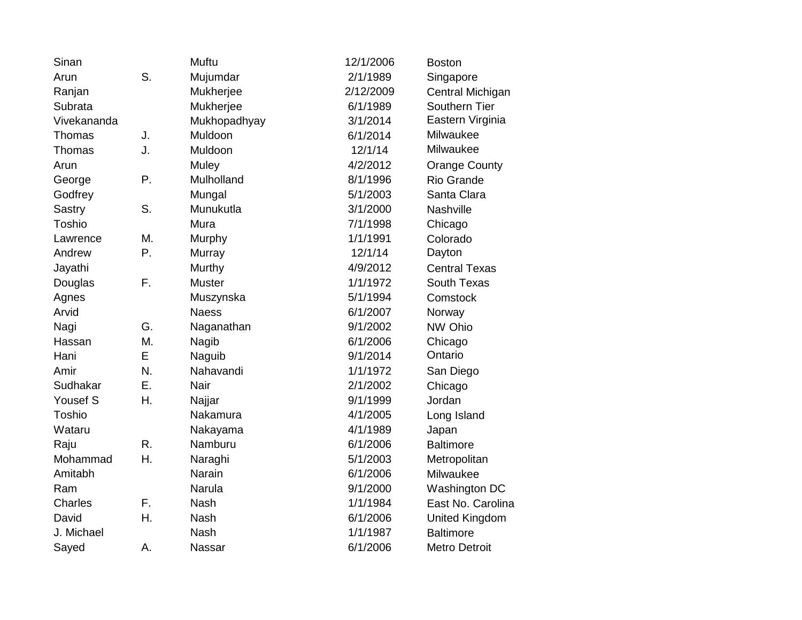| Sinan       |    | Muftu         | 12/1/2006 | <b>Boston</b>         |
|-------------|----|---------------|-----------|-----------------------|
| Arun        | S. | Mujumdar      | 2/1/1989  | Singapore             |
| Ranjan      |    | Mukherjee     | 2/12/2009 | Central Michigan      |
| Subrata     |    | Mukherjee     | 6/1/1989  | Southern Tier         |
| Vivekananda |    | Mukhopadhyay  | 3/1/2014  | Eastern Virginia      |
| Thomas      | J. | Muldoon       | 6/1/2014  | Milwaukee             |
| Thomas      | J. | Muldoon       | 12/1/14   | Milwaukee             |
| Arun        |    | Muley         | 4/2/2012  | <b>Orange County</b>  |
| George      | Ρ. | Mulholland    | 8/1/1996  | <b>Rio Grande</b>     |
| Godfrey     |    | Mungal        | 5/1/2003  | Santa Clara           |
| Sastry      | S. | Munukutla     | 3/1/2000  | Nashville             |
| Toshio      |    | Mura          | 7/1/1998  | Chicago               |
| Lawrence    | М. | Murphy        | 1/1/1991  | Colorado              |
| Andrew      | P. | Murray        | 12/1/14   | Dayton                |
| Jayathi     |    | Murthy        | 4/9/2012  | <b>Central Texas</b>  |
| Douglas     | F. | <b>Muster</b> | 1/1/1972  | South Texas           |
| Agnes       |    | Muszynska     | 5/1/1994  | Comstock              |
| Arvid       |    | <b>Naess</b>  | 6/1/2007  | Norway                |
| Nagi        | G. | Naganathan    | 9/1/2002  | NW Ohio               |
| Hassan      | M. | Nagib         | 6/1/2006  | Chicago               |
| Hani        | E  | Naguib        | 9/1/2014  | Ontario               |
| Amir        | N. | Nahavandi     | 1/1/1972  | San Diego             |
| Sudhakar    | Ε. | Nair          | 2/1/2002  | Chicago               |
| Yousef S    | Η. | Najjar        | 9/1/1999  | Jordan                |
| Toshio      |    | Nakamura      | 4/1/2005  | Long Island           |
| Wataru      |    | Nakayama      | 4/1/1989  | Japan                 |
| Raju        | R. | Namburu       | 6/1/2006  | <b>Baltimore</b>      |
| Mohammad    | Η. | Naraghi       | 5/1/2003  | Metropolitan          |
| Amitabh     |    | Narain        | 6/1/2006  | Milwaukee             |
| Ram         |    | Narula        | 9/1/2000  | Washington DC         |
| Charles     | F. | <b>Nash</b>   | 1/1/1984  | East No. Carolina     |
| David       | Η. | <b>Nash</b>   | 6/1/2006  | <b>United Kingdom</b> |
| J. Michael  |    | <b>Nash</b>   | 1/1/1987  | <b>Baltimore</b>      |
| Sayed       | А. | Nassar        | 6/1/2006  | <b>Metro Detroit</b>  |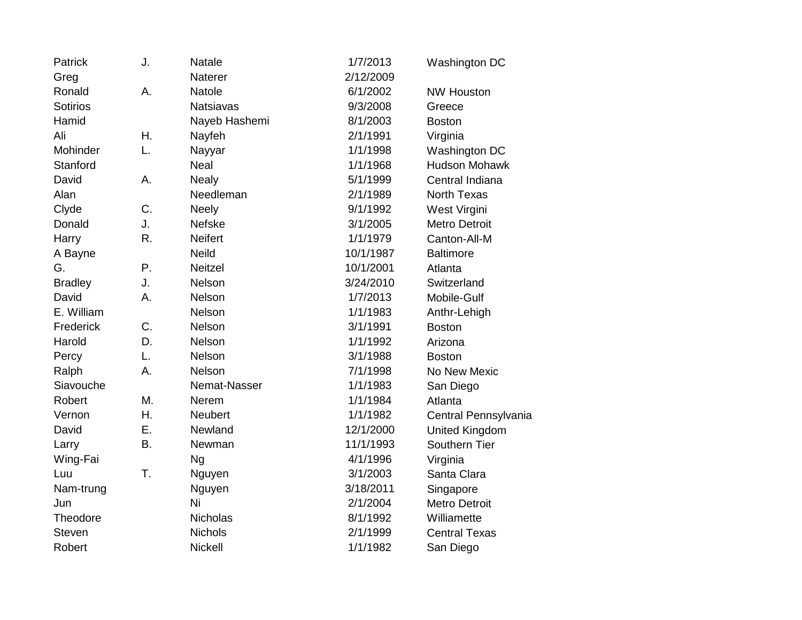| Patrick         | J.        | Natale           | 1/7/2013  | Washington DC         |
|-----------------|-----------|------------------|-----------|-----------------------|
| Greg            |           | Naterer          | 2/12/2009 |                       |
| Ronald          | А.        | <b>Natole</b>    | 6/1/2002  | <b>NW Houston</b>     |
| <b>Sotirios</b> |           | <b>Natsiavas</b> | 9/3/2008  | Greece                |
| Hamid           |           | Nayeb Hashemi    | 8/1/2003  | <b>Boston</b>         |
| Ali             | Η.        | Nayfeh           | 2/1/1991  | Virginia              |
| Mohinder        | L.        | Nayyar           | 1/1/1998  | Washington DC         |
| Stanford        |           | Neal             | 1/1/1968  | <b>Hudson Mohawk</b>  |
| David           | А.        | <b>Nealy</b>     | 5/1/1999  | Central Indiana       |
| Alan            |           | Needleman        | 2/1/1989  | <b>North Texas</b>    |
| Clyde           | C.        | <b>Neely</b>     | 9/1/1992  | West Virgini          |
| Donald          | J.        | <b>Nefske</b>    | 3/1/2005  | <b>Metro Detroit</b>  |
| Harry           | R.        | <b>Neifert</b>   | 1/1/1979  | Canton-All-M          |
| A Bayne         |           | <b>Neild</b>     | 10/1/1987 | <b>Baltimore</b>      |
| G.              | Ρ.        | <b>Neitzel</b>   | 10/1/2001 | Atlanta               |
| <b>Bradley</b>  | J.        | Nelson           | 3/24/2010 | Switzerland           |
| David           | Α.        | Nelson           | 1/7/2013  | Mobile-Gulf           |
| E. William      |           | Nelson           | 1/1/1983  | Anthr-Lehigh          |
| Frederick       | C.        | Nelson           | 3/1/1991  | <b>Boston</b>         |
| Harold          | D.        | Nelson           | 1/1/1992  | Arizona               |
| Percy           | L.        | Nelson           | 3/1/1988  | <b>Boston</b>         |
| Ralph           | Α.        | Nelson           | 7/1/1998  | No New Mexic          |
| Siavouche       |           | Nemat-Nasser     | 1/1/1983  | San Diego             |
| Robert          | M.        | Nerem            | 1/1/1984  | Atlanta               |
| Vernon          | Η.        | Neubert          | 1/1/1982  | Central Pennsylvania  |
| David           | Ε.        | Newland          | 12/1/2000 | <b>United Kingdom</b> |
| Larry           | <b>B.</b> | Newman           | 11/1/1993 | Southern Tier         |
| Wing-Fai        |           | <b>Ng</b>        | 4/1/1996  | Virginia              |
| Luu             | T.        | Nguyen           | 3/1/2003  | Santa Clara           |
| Nam-trung       |           | Nguyen           | 3/18/2011 | Singapore             |
| Jun             |           | Ni               | 2/1/2004  | <b>Metro Detroit</b>  |
| Theodore        |           | Nicholas         | 8/1/1992  | Williamette           |
| <b>Steven</b>   |           | <b>Nichols</b>   | 2/1/1999  | <b>Central Texas</b>  |
| Robert          |           | <b>Nickell</b>   | 1/1/1982  | San Diego             |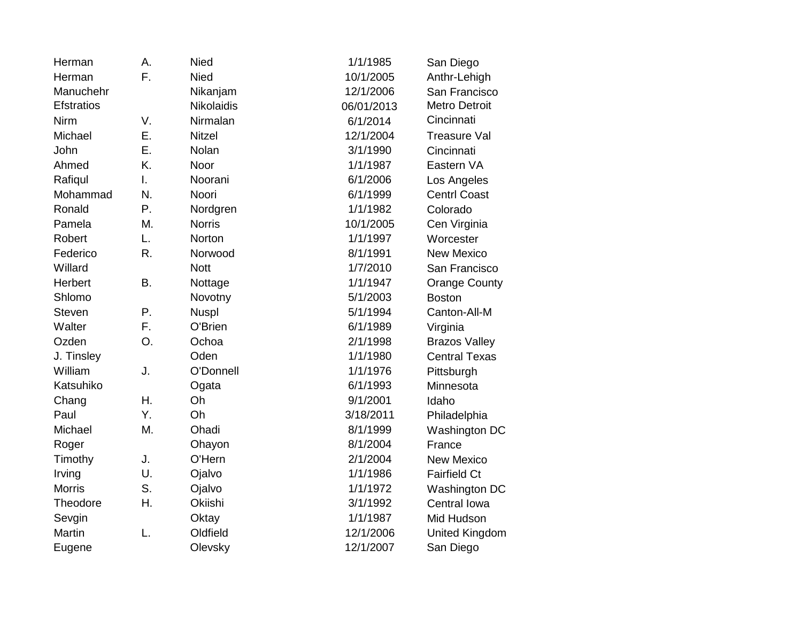| Herman            | А. | <b>Nied</b>       | 1/1/1985   | San Diego             |
|-------------------|----|-------------------|------------|-----------------------|
| Herman            | F. | <b>Nied</b>       | 10/1/2005  | Anthr-Lehigh          |
| Manuchehr         |    | Nikanjam          | 12/1/2006  | San Francisco         |
| <b>Efstratios</b> |    | <b>Nikolaidis</b> | 06/01/2013 | <b>Metro Detroit</b>  |
| Nirm              | V. | Nirmalan          | 6/1/2014   | Cincinnati            |
| Michael           | Ε. | <b>Nitzel</b>     | 12/1/2004  | <b>Treasure Val</b>   |
| John              | Ε. | Nolan             | 3/1/1990   | Cincinnati            |
| Ahmed             | K. | Noor              | 1/1/1987   | Eastern VA            |
| Rafiqul           | I. | Noorani           | 6/1/2006   | Los Angeles           |
| Mohammad          | N. | Noori             | 6/1/1999   | <b>Centrl Coast</b>   |
| Ronald            | P. | Nordgren          | 1/1/1982   | Colorado              |
| Pamela            | Μ. | <b>Norris</b>     | 10/1/2005  | Cen Virginia          |
| Robert            | L. | Norton            | 1/1/1997   | Worcester             |
| Federico          | R. | Norwood           | 8/1/1991   | <b>New Mexico</b>     |
| Willard           |    | <b>Nott</b>       | 1/7/2010   | San Francisco         |
| Herbert           | B. | Nottage           | 1/1/1947   | <b>Orange County</b>  |
| Shlomo            |    | Novotny           | 5/1/2003   | <b>Boston</b>         |
| <b>Steven</b>     | Ρ. | <b>Nuspl</b>      | 5/1/1994   | Canton-All-M          |
| Walter            | F. | O'Brien           | 6/1/1989   | Virginia              |
| Ozden             | O. | Ochoa             | 2/1/1998   | <b>Brazos Valley</b>  |
| J. Tinsley        |    | Oden              | 1/1/1980   | <b>Central Texas</b>  |
| William           | J. | O'Donnell         | 1/1/1976   | Pittsburgh            |
| Katsuhiko         |    | Ogata             | 6/1/1993   | Minnesota             |
| Chang             | Η. | Oh                | 9/1/2001   | Idaho                 |
| Paul              | Y. | Oh                | 3/18/2011  | Philadelphia          |
| Michael           | M. | Ohadi             | 8/1/1999   | Washington DC         |
| Roger             |    | Ohayon            | 8/1/2004   | France                |
| Timothy           | J. | O'Hern            | 2/1/2004   | <b>New Mexico</b>     |
| Irving            | U. | Ojalvo            | 1/1/1986   | <b>Fairfield Ct</b>   |
| <b>Morris</b>     | S. | Ojalvo            | 1/1/1972   | Washington DC         |
| Theodore          | Η. | Okiishi           | 3/1/1992   | Central Iowa          |
| Sevgin            |    | Oktay             | 1/1/1987   | Mid Hudson            |
| <b>Martin</b>     | L. | Oldfield          | 12/1/2006  | <b>United Kingdom</b> |
| Eugene            |    | Olevsky           | 12/1/2007  | San Diego             |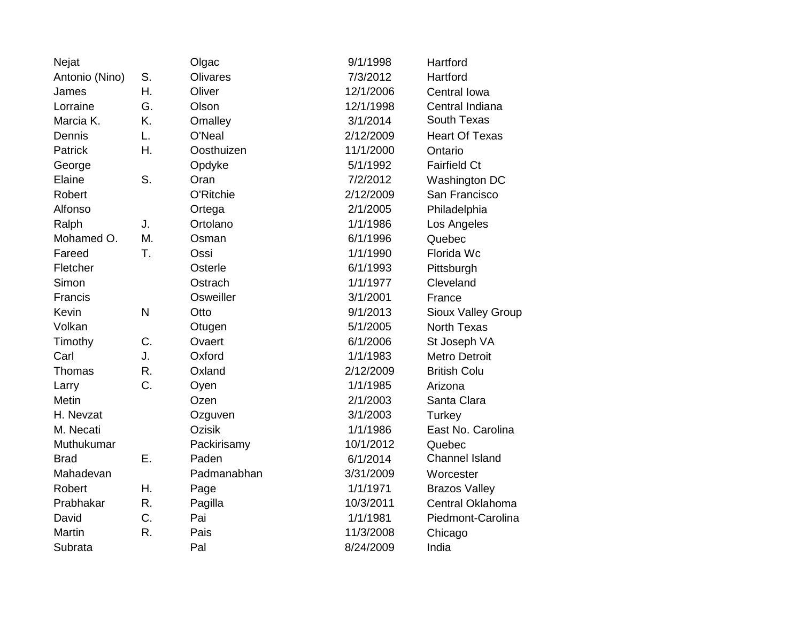| Nejat          |              | Olgac         | 9/1/1998  | Hartford              |
|----------------|--------------|---------------|-----------|-----------------------|
| Antonio (Nino) | S.           | Olivares      | 7/3/2012  | Hartford              |
| James          | Η.           | Oliver        | 12/1/2006 | Central Iowa          |
| Lorraine       | G.           | Olson         | 12/1/1998 | Central Indiana       |
| Marcia K.      | K.           | Omalley       | 3/1/2014  | South Texas           |
| Dennis         | L.           | O'Neal        | 2/12/2009 | <b>Heart Of Texas</b> |
| Patrick        | Η.           | Oosthuizen    | 11/1/2000 | Ontario               |
| George         |              | Opdyke        | 5/1/1992  | <b>Fairfield Ct</b>   |
| Elaine         | S.           | Oran          | 7/2/2012  | Washington DC         |
| Robert         |              | O'Ritchie     | 2/12/2009 | San Francisco         |
| Alfonso        |              | Ortega        | 2/1/2005  | Philadelphia          |
| Ralph          | J.           | Ortolano      | 1/1/1986  | Los Angeles           |
| Mohamed O.     | M.           | Osman         | 6/1/1996  | Quebec                |
| Fareed         | T.           | Ossi          | 1/1/1990  | Florida Wc            |
| Fletcher       |              | Osterle       | 6/1/1993  | Pittsburgh            |
| Simon          |              | Ostrach       | 1/1/1977  | Cleveland             |
| Francis        |              | Osweiller     | 3/1/2001  | France                |
| Kevin          | $\mathsf{N}$ | Otto          | 9/1/2013  | Sioux Valley Group    |
| Volkan         |              | Otugen        | 5/1/2005  | <b>North Texas</b>    |
| Timothy        | C.           | Ovaert        | 6/1/2006  | St Joseph VA          |
| Carl           | J.           | Oxford        | 1/1/1983  | <b>Metro Detroit</b>  |
| Thomas         | R.           | Oxland        | 2/12/2009 | <b>British Colu</b>   |
| Larry          | C.           | Oyen          | 1/1/1985  | Arizona               |
| <b>Metin</b>   |              | Ozen          | 2/1/2003  | Santa Clara           |
| H. Nevzat      |              | Ozguven       | 3/1/2003  | Turkey                |
| M. Necati      |              | <b>Ozisik</b> | 1/1/1986  | East No. Carolina     |
| Muthukumar     |              | Packirisamy   | 10/1/2012 | Quebec                |
| <b>Brad</b>    | Ε.           | Paden         | 6/1/2014  | <b>Channel Island</b> |
| Mahadevan      |              | Padmanabhan   | 3/31/2009 | Worcester             |
| Robert         | Η.           | Page          | 1/1/1971  | <b>Brazos Valley</b>  |
| Prabhakar      | R.           | Pagilla       | 10/3/2011 | Central Oklahoma      |
| David          | C.           | Pai           | 1/1/1981  | Piedmont-Carolina     |
| Martin         | R.           | Pais          | 11/3/2008 | Chicago               |
| Subrata        |              | Pal           | 8/24/2009 | India                 |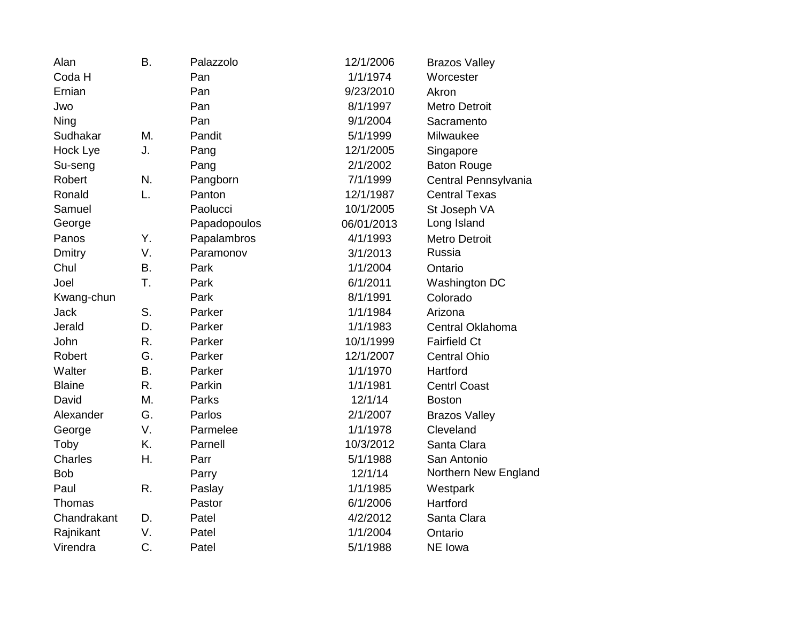| Alan           | <b>B.</b> | Palazzolo    | 12/1/2006  | <b>Brazos Valley</b> |
|----------------|-----------|--------------|------------|----------------------|
| Coda H         |           | Pan          | 1/1/1974   | Worcester            |
| Ernian         |           | Pan          | 9/23/2010  | Akron                |
| Jwo            |           | Pan          | 8/1/1997   | <b>Metro Detroit</b> |
| Ning           |           | Pan          | 9/1/2004   | Sacramento           |
| Sudhakar       | M.        | Pandit       | 5/1/1999   | Milwaukee            |
| Hock Lye       | J.        | Pang         | 12/1/2005  | Singapore            |
| Su-seng        |           | Pang         | 2/1/2002   | <b>Baton Rouge</b>   |
| Robert         | N.        | Pangborn     | 7/1/1999   | Central Pennsylvania |
| Ronald         | L.        | Panton       | 12/1/1987  | <b>Central Texas</b> |
| Samuel         |           | Paolucci     | 10/1/2005  | St Joseph VA         |
| George         |           | Papadopoulos | 06/01/2013 | Long Island          |
| Panos          | Υ.        | Papalambros  | 4/1/1993   | <b>Metro Detroit</b> |
| <b>Dmitry</b>  | V.        | Paramonov    | 3/1/2013   | Russia               |
| Chul           | B.        | Park         | 1/1/2004   | Ontario              |
| Joel           | T.        | Park         | 6/1/2011   | Washington DC        |
| Kwang-chun     |           | Park         | 8/1/1991   | Colorado             |
| <b>Jack</b>    | S.        | Parker       | 1/1/1984   | Arizona              |
| Jerald         | D.        | Parker       | 1/1/1983   | Central Oklahoma     |
| John           | R.        | Parker       | 10/1/1999  | <b>Fairfield Ct</b>  |
| Robert         | G.        | Parker       | 12/1/2007  | <b>Central Ohio</b>  |
| Walter         | B.        | Parker       | 1/1/1970   | Hartford             |
| <b>Blaine</b>  | R.        | Parkin       | 1/1/1981   | <b>Centrl Coast</b>  |
| David          | M.        | Parks        | 12/1/14    | <b>Boston</b>        |
| Alexander      | G.        | Parlos       | 2/1/2007   | <b>Brazos Valley</b> |
| George         | V.        | Parmelee     | 1/1/1978   | Cleveland            |
| Toby           | K.        | Parnell      | 10/3/2012  | Santa Clara          |
| <b>Charles</b> | Η.        | Parr         | 5/1/1988   | San Antonio          |
| <b>Bob</b>     |           | Parry        | 12/1/14    | Northern New England |
| Paul           | R.        | Paslay       | 1/1/1985   | Westpark             |
| Thomas         |           | Pastor       | 6/1/2006   | Hartford             |
| Chandrakant    | D.        | Patel        | 4/2/2012   | Santa Clara          |
| Rajnikant      | V.        | Patel        | 1/1/2004   | Ontario              |
| Virendra       | C.        | Patel        | 5/1/1988   | NE Iowa              |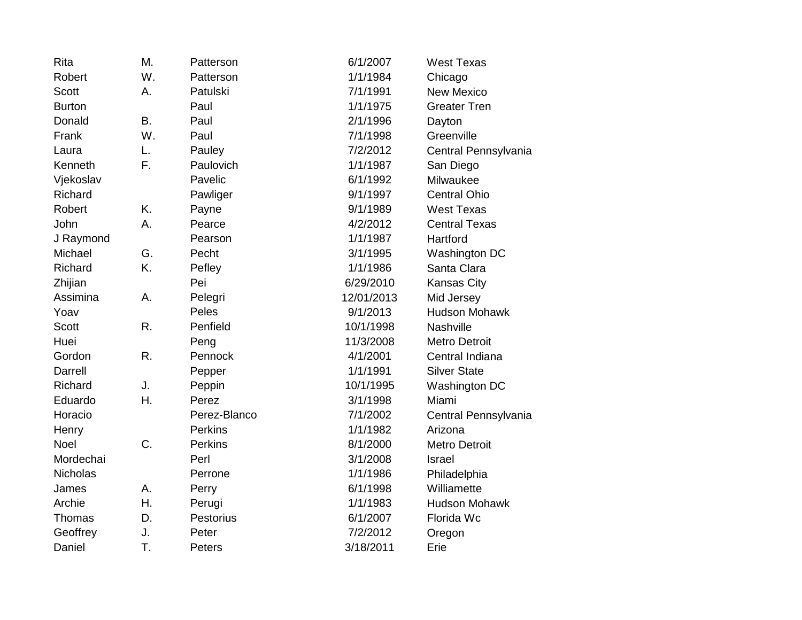| Rita          | M.        | Patterson      | 6/1/2007   | <b>West Texas</b>    |
|---------------|-----------|----------------|------------|----------------------|
| Robert        | W.        | Patterson      | 1/1/1984   | Chicago              |
| <b>Scott</b>  | Α.        | Patulski       | 7/1/1991   | <b>New Mexico</b>    |
| <b>Burton</b> |           | Paul           | 1/1/1975   | <b>Greater Tren</b>  |
| Donald        | <b>B.</b> | Paul           | 2/1/1996   | Dayton               |
| Frank         | W.        | Paul           | 7/1/1998   | Greenville           |
| Laura         | L.        | Pauley         | 7/2/2012   | Central Pennsylvania |
| Kenneth       | F.        | Paulovich      | 1/1/1987   | San Diego            |
| Vjekoslav     |           | Pavelic        | 6/1/1992   | Milwaukee            |
| Richard       |           | Pawliger       | 9/1/1997   | <b>Central Ohio</b>  |
| Robert        | K.        | Payne          | 9/1/1989   | <b>West Texas</b>    |
| John          | А.        | Pearce         | 4/2/2012   | <b>Central Texas</b> |
| J Raymond     |           | Pearson        | 1/1/1987   | Hartford             |
| Michael       | G.        | Pecht          | 3/1/1995   | Washington DC        |
| Richard       | K.        | Pefley         | 1/1/1986   | Santa Clara          |
| Zhijian       |           | Pei            | 6/29/2010  | <b>Kansas City</b>   |
| Assimina      | Α.        | Pelegri        | 12/01/2013 | Mid Jersey           |
| Yoav          |           | Peles          | 9/1/2013   | <b>Hudson Mohawk</b> |
| <b>Scott</b>  | R.        | Penfield       | 10/1/1998  | Nashville            |
| Huei          |           | Peng           | 11/3/2008  | <b>Metro Detroit</b> |
| Gordon        | R.        | Pennock        | 4/1/2001   | Central Indiana      |
| Darrell       |           | Pepper         | 1/1/1991   | <b>Silver State</b>  |
| Richard       | J.        | Peppin         | 10/1/1995  | Washington DC        |
| Eduardo       | Η.        | Perez          | 3/1/1998   | Miami                |
| Horacio       |           | Perez-Blanco   | 7/1/2002   | Central Pennsylvania |
| Henry         |           | <b>Perkins</b> | 1/1/1982   | Arizona              |
| <b>Noel</b>   | C.        | Perkins        | 8/1/2000   | <b>Metro Detroit</b> |
| Mordechai     |           | Perl           | 3/1/2008   | Israel               |
| Nicholas      |           | Perrone        | 1/1/1986   | Philadelphia         |
| James         | Α.        | Perry          | 6/1/1998   | Williamette          |
| Archie        | Η.        | Perugi         | 1/1/1983   | <b>Hudson Mohawk</b> |
| Thomas        | D.        | Pestorius      | 6/1/2007   | Florida Wc           |
| Geoffrey      | J.        | Peter          | 7/2/2012   | Oregon               |
| Daniel        | T.        | Peters         | 3/18/2011  | Erie                 |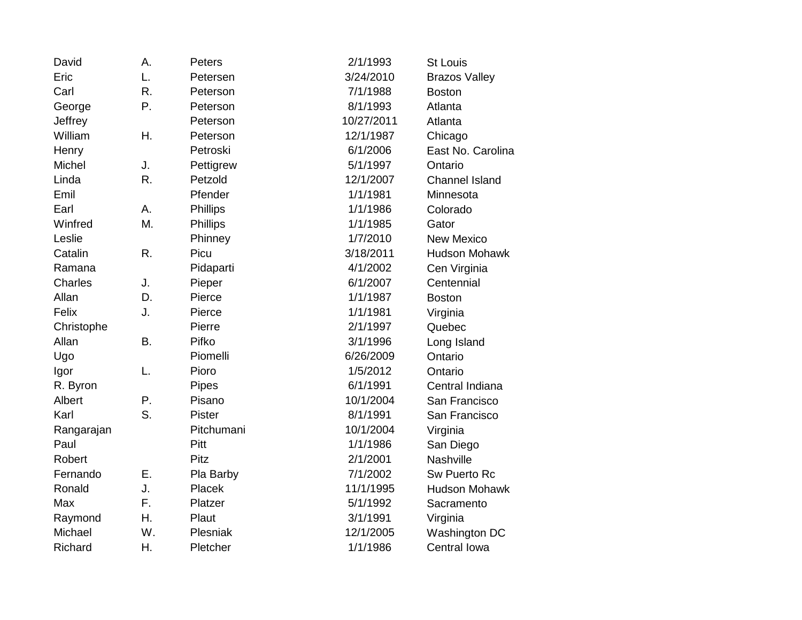| David      | А.        | <b>Peters</b>   | 2/1/1993   | <b>St Louis</b>       |
|------------|-----------|-----------------|------------|-----------------------|
| Eric       | L.        | Petersen        | 3/24/2010  | <b>Brazos Valley</b>  |
| Carl       | R.        | Peterson        | 7/1/1988   | <b>Boston</b>         |
| George     | Ρ.        | Peterson        | 8/1/1993   | Atlanta               |
| Jeffrey    |           | Peterson        | 10/27/2011 | Atlanta               |
| William    | Η.        | Peterson        | 12/1/1987  | Chicago               |
| Henry      |           | Petroski        | 6/1/2006   | East No. Carolina     |
| Michel     | J.        | Pettigrew       | 5/1/1997   | Ontario               |
| Linda      | R.        | Petzold         | 12/1/2007  | <b>Channel Island</b> |
| Emil       |           | Pfender         | 1/1/1981   | Minnesota             |
| Earl       | Α.        | <b>Phillips</b> | 1/1/1986   | Colorado              |
| Winfred    | M.        | Phillips        | 1/1/1985   | Gator                 |
| Leslie     |           | Phinney         | 1/7/2010   | <b>New Mexico</b>     |
| Catalin    | R.        | Picu            | 3/18/2011  | <b>Hudson Mohawk</b>  |
| Ramana     |           | Pidaparti       | 4/1/2002   | Cen Virginia          |
| Charles    | J.        | Pieper          | 6/1/2007   | Centennial            |
| Allan      | D.        | Pierce          | 1/1/1987   | <b>Boston</b>         |
| Felix      | J.        | Pierce          | 1/1/1981   | Virginia              |
| Christophe |           | Pierre          | 2/1/1997   | Quebec                |
| Allan      | <b>B.</b> | Pifko           | 3/1/1996   | Long Island           |
| Ugo        |           | Piomelli        | 6/26/2009  | Ontario               |
| Igor       | L.        | Pioro           | 1/5/2012   | Ontario               |
| R. Byron   |           | Pipes           | 6/1/1991   | Central Indiana       |
| Albert     | Ρ.        | Pisano          | 10/1/2004  | San Francisco         |
| Karl       | S.        | Pister          | 8/1/1991   | San Francisco         |
| Rangarajan |           | Pitchumani      | 10/1/2004  | Virginia              |
| Paul       |           | Pitt            | 1/1/1986   | San Diego             |
| Robert     |           | Pitz            | 2/1/2001   | Nashville             |
| Fernando   | Ε.        | Pla Barby       | 7/1/2002   | Sw Puerto Rc          |
| Ronald     | J.        | Placek          | 11/1/1995  | <b>Hudson Mohawk</b>  |
| Max        | F.        | Platzer         | 5/1/1992   | Sacramento            |
| Raymond    | Η.        | Plaut           | 3/1/1991   | Virginia              |
| Michael    | W.        | Plesniak        | 12/1/2005  | Washington DC         |
| Richard    | Η.        | Pletcher        | 1/1/1986   | Central Iowa          |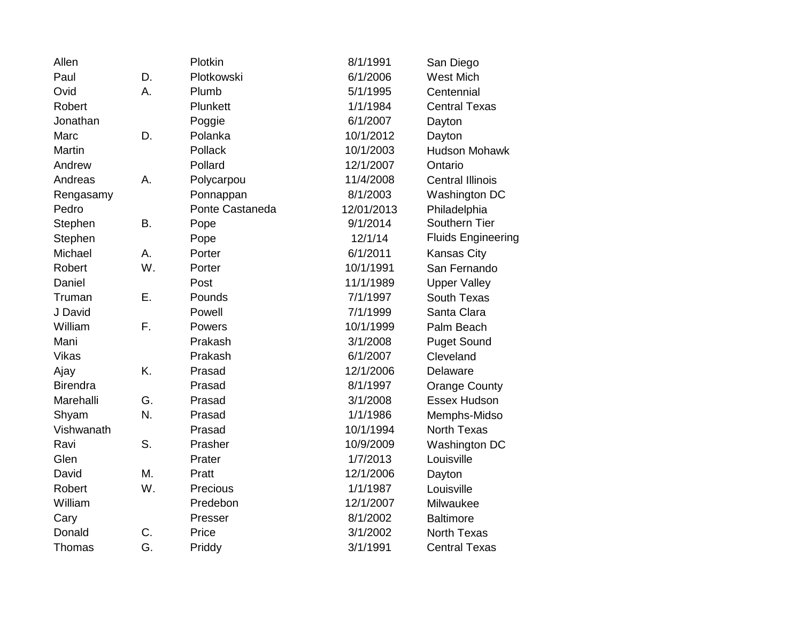| Allen           |           | Plotkin         | 8/1/1991   | San Diego                 |
|-----------------|-----------|-----------------|------------|---------------------------|
| Paul            | D.        | Plotkowski      | 6/1/2006   | <b>West Mich</b>          |
| Ovid            | A.        | Plumb           | 5/1/1995   | Centennial                |
| Robert          |           | Plunkett        | 1/1/1984   | <b>Central Texas</b>      |
| Jonathan        |           | Poggie          | 6/1/2007   | Dayton                    |
| Marc            | D.        | Polanka         | 10/1/2012  | Dayton                    |
| <b>Martin</b>   |           | Pollack         | 10/1/2003  | <b>Hudson Mohawk</b>      |
| Andrew          |           | Pollard         | 12/1/2007  | Ontario                   |
| Andreas         | Α.        | Polycarpou      | 11/4/2008  | <b>Central Illinois</b>   |
| Rengasamy       |           | Ponnappan       | 8/1/2003   | Washington DC             |
| Pedro           |           | Ponte Castaneda | 12/01/2013 | Philadelphia              |
| Stephen         | <b>B.</b> | Pope            | 9/1/2014   | Southern Tier             |
| Stephen         |           | Pope            | 12/1/14    | <b>Fluids Engineering</b> |
| Michael         | А.        | Porter          | 6/1/2011   | <b>Kansas City</b>        |
| Robert          | W.        | Porter          | 10/1/1991  | San Fernando              |
| Daniel          |           | Post            | 11/1/1989  | <b>Upper Valley</b>       |
| Truman          | Ε.        | Pounds          | 7/1/1997   | South Texas               |
| J David         |           | Powell          | 7/1/1999   | Santa Clara               |
| William         | F.        | Powers          | 10/1/1999  | Palm Beach                |
| Mani            |           | Prakash         | 3/1/2008   | <b>Puget Sound</b>        |
| <b>Vikas</b>    |           | Prakash         | 6/1/2007   | Cleveland                 |
| Ajay            | K.        | Prasad          | 12/1/2006  | Delaware                  |
| <b>Birendra</b> |           | Prasad          | 8/1/1997   | <b>Orange County</b>      |
| Marehalli       | G.        | Prasad          | 3/1/2008   | Essex Hudson              |
| Shyam           | N.        | Prasad          | 1/1/1986   | Memphs-Midso              |
| Vishwanath      |           | Prasad          | 10/1/1994  | <b>North Texas</b>        |
| Ravi            | S.        | Prasher         | 10/9/2009  | Washington DC             |
| Glen            |           | Prater          | 1/7/2013   | Louisville                |
| David           | M.        | Pratt           | 12/1/2006  | Dayton                    |
| Robert          | W.        | Precious        | 1/1/1987   | Louisville                |
| William         |           | Predebon        | 12/1/2007  | Milwaukee                 |
| Cary            |           | Presser         | 8/1/2002   | <b>Baltimore</b>          |
| Donald          | C.        | Price           | 3/1/2002   | <b>North Texas</b>        |
| Thomas          | G.        | Priddy          | 3/1/1991   | <b>Central Texas</b>      |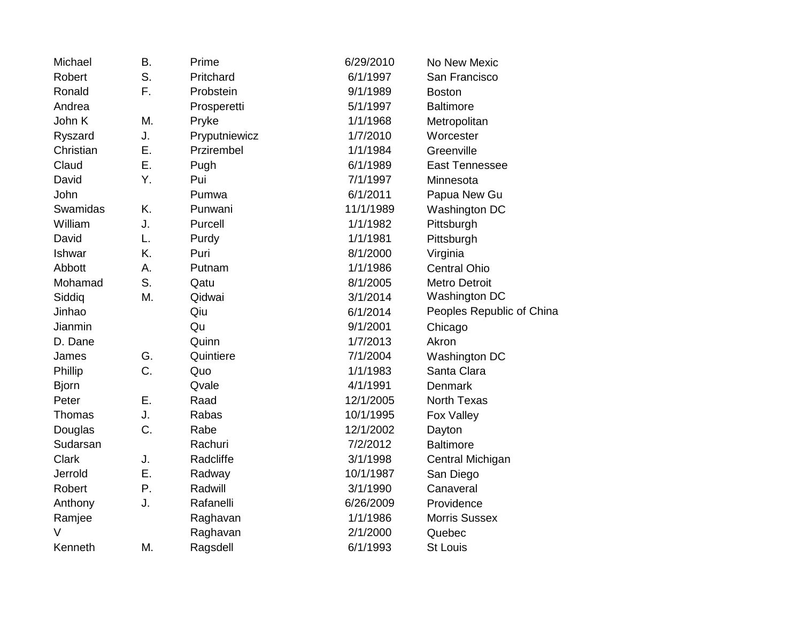| Michael      | B. | Prime         | 6/29/2010 | No New Mexic              |
|--------------|----|---------------|-----------|---------------------------|
| Robert       | S. | Pritchard     | 6/1/1997  | San Francisco             |
| Ronald       | F. | Probstein     | 9/1/1989  | <b>Boston</b>             |
| Andrea       |    | Prosperetti   | 5/1/1997  | <b>Baltimore</b>          |
| John K       | M. | Pryke         | 1/1/1968  | Metropolitan              |
| Ryszard      | J. | Pryputniewicz | 1/7/2010  | Worcester                 |
| Christian    | Ε. | Przirembel    | 1/1/1984  | Greenville                |
| Claud        | Ε. | Pugh          | 6/1/1989  | <b>East Tennessee</b>     |
| David        | Υ. | Pui           | 7/1/1997  | Minnesota                 |
| John         |    | Pumwa         | 6/1/2011  | Papua New Gu              |
| Swamidas     | K. | Punwani       | 11/1/1989 | Washington DC             |
| William      | J. | Purcell       | 1/1/1982  | Pittsburgh                |
| David        | L. | Purdy         | 1/1/1981  | Pittsburgh                |
| Ishwar       | K. | Puri          | 8/1/2000  | Virginia                  |
| Abbott       | Α. | Putnam        | 1/1/1986  | <b>Central Ohio</b>       |
| Mohamad      | S. | Qatu          | 8/1/2005  | <b>Metro Detroit</b>      |
| Siddiq       | M. | Qidwai        | 3/1/2014  | Washington DC             |
| Jinhao       |    | Qiu           | 6/1/2014  | Peoples Republic of China |
| Jianmin      |    | Qu            | 9/1/2001  | Chicago                   |
| D. Dane      |    | Quinn         | 1/7/2013  | Akron                     |
| James        | G. | Quintiere     | 7/1/2004  | Washington DC             |
| Phillip      | C. | Quo           | 1/1/1983  | Santa Clara               |
| <b>Bjorn</b> |    | Qvale         | 4/1/1991  | Denmark                   |
| Peter        | Ε. | Raad          | 12/1/2005 | North Texas               |
| Thomas       | J. | Rabas         | 10/1/1995 | Fox Valley                |
| Douglas      | C. | Rabe          | 12/1/2002 | Dayton                    |
| Sudarsan     |    | Rachuri       | 7/2/2012  | <b>Baltimore</b>          |
| <b>Clark</b> | J. | Radcliffe     | 3/1/1998  | Central Michigan          |
| Jerrold      | Ε. | Radway        | 10/1/1987 | San Diego                 |
| Robert       | Ρ. | Radwill       | 3/1/1990  | Canaveral                 |
| Anthony      | J. | Rafanelli     | 6/26/2009 | Providence                |
| Ramjee       |    | Raghavan      | 1/1/1986  | <b>Morris Sussex</b>      |
| V            |    | Raghavan      | 2/1/2000  | Quebec                    |
| Kenneth      | M. | Ragsdell      | 6/1/1993  | <b>St Louis</b>           |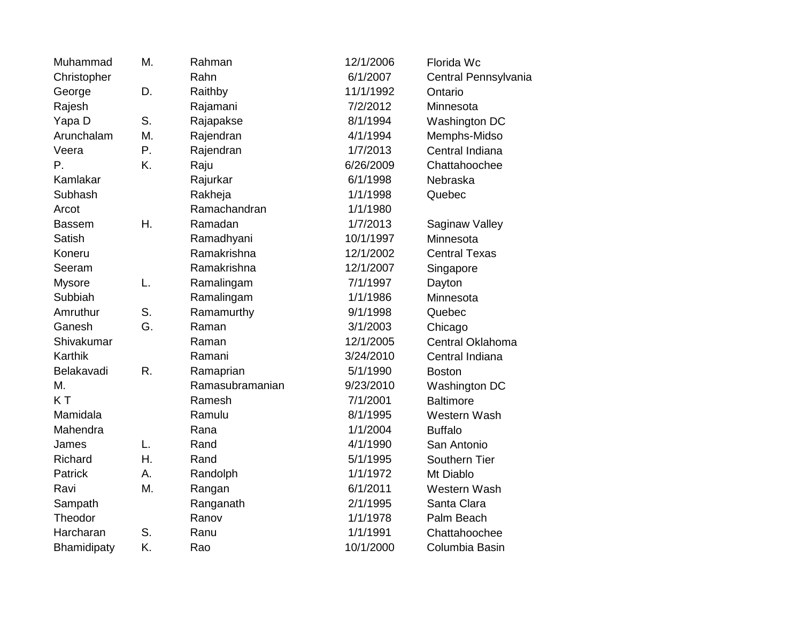| Muhammad       | M. | Rahman          | 12/1/2006 | Florida Wc           |
|----------------|----|-----------------|-----------|----------------------|
| Christopher    |    | Rahn            | 6/1/2007  | Central Pennsylvania |
| George         | D. | Raithby         | 11/1/1992 | Ontario              |
| Rajesh         |    | Rajamani        | 7/2/2012  | Minnesota            |
| Yapa D         | S. | Rajapakse       | 8/1/1994  | Washington DC        |
| Arunchalam     | M. | Rajendran       | 4/1/1994  | Memphs-Midso         |
| Veera          | Ρ. | Rajendran       | 1/7/2013  | Central Indiana      |
| Ρ.             | K. | Raju            | 6/26/2009 | Chattahoochee        |
| Kamlakar       |    | Rajurkar        | 6/1/1998  | Nebraska             |
| Subhash        |    | Rakheja         | 1/1/1998  | Quebec               |
| Arcot          |    | Ramachandran    | 1/1/1980  |                      |
| <b>Bassem</b>  | Η. | Ramadan         | 1/7/2013  | Saginaw Valley       |
| <b>Satish</b>  |    | Ramadhyani      | 10/1/1997 | Minnesota            |
| Koneru         |    | Ramakrishna     | 12/1/2002 | <b>Central Texas</b> |
| Seeram         |    | Ramakrishna     | 12/1/2007 | Singapore            |
| <b>Mysore</b>  | L. | Ramalingam      | 7/1/1997  | Dayton               |
| Subbiah        |    | Ramalingam      | 1/1/1986  | Minnesota            |
| Amruthur       | S. | Ramamurthy      | 9/1/1998  | Quebec               |
| Ganesh         | G. | Raman           | 3/1/2003  | Chicago              |
| Shivakumar     |    | Raman           | 12/1/2005 | Central Oklahoma     |
| Karthik        |    | Ramani          | 3/24/2010 | Central Indiana      |
| Belakavadi     | R. | Ramaprian       | 5/1/1990  | <b>Boston</b>        |
| M.             |    | Ramasubramanian | 9/23/2010 | Washington DC        |
| KT             |    | Ramesh          | 7/1/2001  | <b>Baltimore</b>     |
| Mamidala       |    | Ramulu          | 8/1/1995  | Western Wash         |
| Mahendra       |    | Rana            | 1/1/2004  | <b>Buffalo</b>       |
| James          | L. | Rand            | 4/1/1990  | San Antonio          |
| Richard        | Η. | Rand            | 5/1/1995  | Southern Tier        |
| <b>Patrick</b> | А. | Randolph        | 1/1/1972  | Mt Diablo            |
| Ravi           | M. | Rangan          | 6/1/2011  | Western Wash         |
| Sampath        |    | Ranganath       | 2/1/1995  | Santa Clara          |
| Theodor        |    | Ranov           | 1/1/1978  | Palm Beach           |
| Harcharan      | S. | Ranu            | 1/1/1991  | Chattahoochee        |
| Bhamidipaty    | K. | Rao             | 10/1/2000 | Columbia Basin       |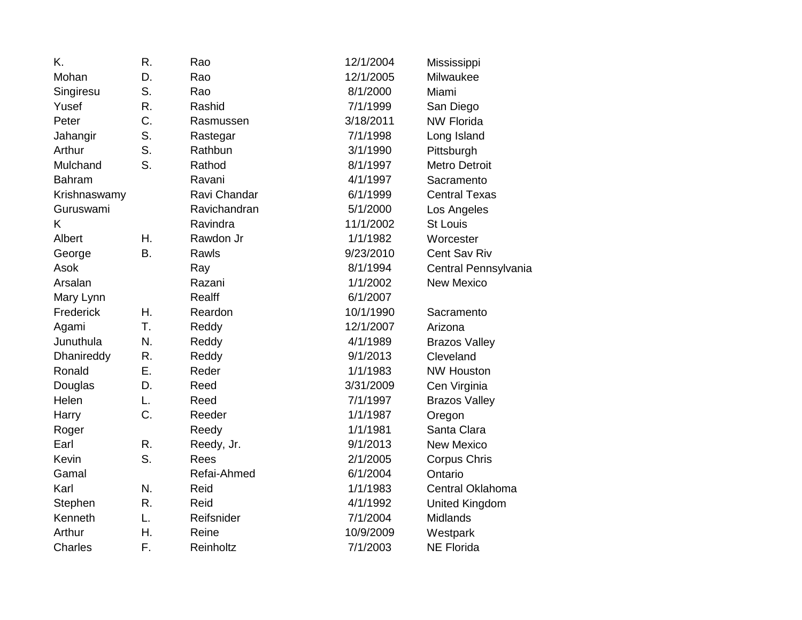| K.             | R.        | Rao          | 12/1/2004 | Mississippi           |
|----------------|-----------|--------------|-----------|-----------------------|
| Mohan          | D.        | Rao          | 12/1/2005 | Milwaukee             |
| Singiresu      | S.        | Rao          | 8/1/2000  | Miami                 |
| Yusef          | R.        | Rashid       | 7/1/1999  | San Diego             |
| Peter          | C.        | Rasmussen    | 3/18/2011 | <b>NW Florida</b>     |
| Jahangir       | S.        | Rastegar     | 7/1/1998  | Long Island           |
| Arthur         | S.        | Rathbun      | 3/1/1990  | Pittsburgh            |
| Mulchand       | S.        | Rathod       | 8/1/1997  | <b>Metro Detroit</b>  |
| <b>Bahram</b>  |           | Ravani       | 4/1/1997  | Sacramento            |
| Krishnaswamy   |           | Ravi Chandar | 6/1/1999  | <b>Central Texas</b>  |
| Guruswami      |           | Ravichandran | 5/1/2000  | Los Angeles           |
| K.             |           | Ravindra     | 11/1/2002 | <b>St Louis</b>       |
| Albert         | Η.        | Rawdon Jr    | 1/1/1982  | Worcester             |
| George         | <b>B.</b> | Rawls        | 9/23/2010 | Cent Sav Riv          |
| Asok           |           | Ray          | 8/1/1994  | Central Pennsylvania  |
| Arsalan        |           | Razani       | 1/1/2002  | <b>New Mexico</b>     |
| Mary Lynn      |           | Realff       | 6/1/2007  |                       |
| Frederick      | Η.        | Reardon      | 10/1/1990 | Sacramento            |
| Agami          | T.        | Reddy        | 12/1/2007 | Arizona               |
| Junuthula      | N.        | Reddy        | 4/1/1989  | <b>Brazos Valley</b>  |
| Dhanireddy     | R.        | Reddy        | 9/1/2013  | Cleveland             |
| Ronald         | Ε.        | Reder        | 1/1/1983  | <b>NW Houston</b>     |
| Douglas        | D.        | Reed         | 3/31/2009 | Cen Virginia          |
| Helen          | L.        | Reed         | 7/1/1997  | <b>Brazos Valley</b>  |
| Harry          | C.        | Reeder       | 1/1/1987  | Oregon                |
| Roger          |           | Reedy        | 1/1/1981  | Santa Clara           |
| Earl           | R.        | Reedy, Jr.   | 9/1/2013  | <b>New Mexico</b>     |
| Kevin          | S.        | Rees         | 2/1/2005  | Corpus Chris          |
| Gamal          |           | Refai-Ahmed  | 6/1/2004  | Ontario               |
| Karl           | N.        | Reid         | 1/1/1983  | Central Oklahoma      |
| Stephen        | R.        | Reid         | 4/1/1992  | <b>United Kingdom</b> |
| Kenneth        | L.        | Reifsnider   | 7/1/2004  | <b>Midlands</b>       |
| Arthur         | Η.        | Reine        | 10/9/2009 | Westpark              |
| <b>Charles</b> | F.        | Reinholtz    | 7/1/2003  | <b>NE Florida</b>     |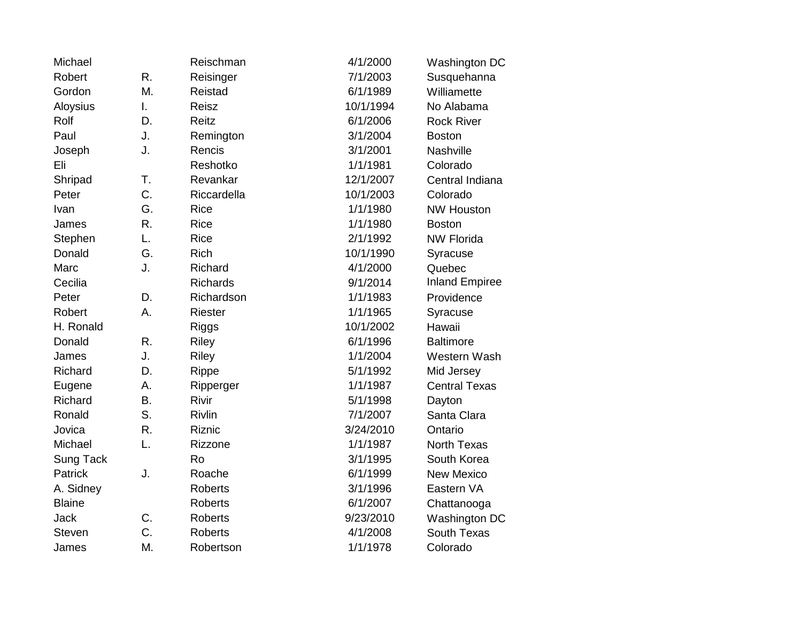| Michael       |    | Reischman       | 4/1/2000  | Washington DC         |
|---------------|----|-----------------|-----------|-----------------------|
| Robert        | R. | Reisinger       | 7/1/2003  | Susquehanna           |
| Gordon        | M. | Reistad         | 6/1/1989  | Williamette           |
| Aloysius      | I. | Reisz           | 10/1/1994 | No Alabama            |
| Rolf          | D. | Reitz           | 6/1/2006  | <b>Rock River</b>     |
| Paul          | J. | Remington       | 3/1/2004  | <b>Boston</b>         |
| Joseph        | J. | Rencis          | 3/1/2001  | Nashville             |
| Eli           |    | Reshotko        | 1/1/1981  | Colorado              |
| Shripad       | T. | Revankar        | 12/1/2007 | Central Indiana       |
| Peter         | C. | Riccardella     | 10/1/2003 | Colorado              |
| Ivan          | G. | <b>Rice</b>     | 1/1/1980  | <b>NW Houston</b>     |
| James         | R. | <b>Rice</b>     | 1/1/1980  | <b>Boston</b>         |
| Stephen       | L. | <b>Rice</b>     | 2/1/1992  | <b>NW Florida</b>     |
| Donald        | G. | <b>Rich</b>     | 10/1/1990 | Syracuse              |
| Marc          | J. | Richard         | 4/1/2000  | Quebec                |
| Cecilia       |    | <b>Richards</b> | 9/1/2014  | <b>Inland Empiree</b> |
| Peter         | D. | Richardson      | 1/1/1983  | Providence            |
| Robert        | Α. | Riester         | 1/1/1965  | Syracuse              |
| H. Ronald     |    | <b>Riggs</b>    | 10/1/2002 | Hawaii                |
| Donald        | R. | <b>Riley</b>    | 6/1/1996  | <b>Baltimore</b>      |
| James         | J. | <b>Riley</b>    | 1/1/2004  | Western Wash          |
| Richard       | D. | Rippe           | 5/1/1992  | Mid Jersey            |
| Eugene        | Α. | Ripperger       | 1/1/1987  | <b>Central Texas</b>  |
| Richard       | Β. | Rivir           | 5/1/1998  | Dayton                |
| Ronald        | S. | Rivlin          | 7/1/2007  | Santa Clara           |
| Jovica        | R. | Riznic          | 3/24/2010 | Ontario               |
| Michael       | L. | Rizzone         | 1/1/1987  | <b>North Texas</b>    |
| Sung Tack     |    | Ro              | 3/1/1995  | South Korea           |
| Patrick       | J. | Roache          | 6/1/1999  | <b>New Mexico</b>     |
| A. Sidney     |    | <b>Roberts</b>  | 3/1/1996  | Eastern VA            |
| <b>Blaine</b> |    | <b>Roberts</b>  | 6/1/2007  | Chattanooga           |
| Jack          | C. | <b>Roberts</b>  | 9/23/2010 | Washington DC         |
| <b>Steven</b> | C. | Roberts         | 4/1/2008  | South Texas           |
| James         | M. | Robertson       | 1/1/1978  | Colorado              |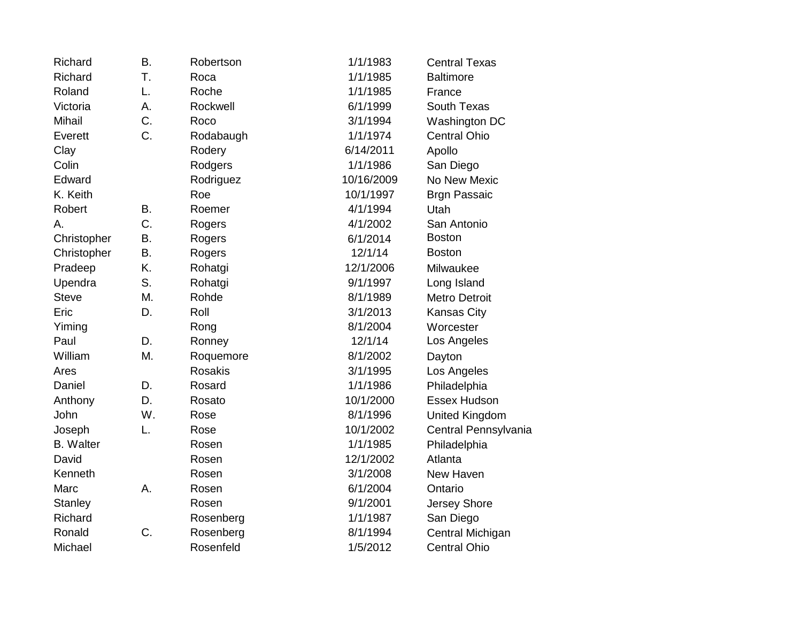| Richard          | <b>B.</b> | Robertson      | 1/1/1983   | <b>Central Texas</b>  |
|------------------|-----------|----------------|------------|-----------------------|
| Richard          | T.        | Roca           | 1/1/1985   | <b>Baltimore</b>      |
| Roland           | L.        | Roche          | 1/1/1985   | France                |
| Victoria         | Α.        | Rockwell       | 6/1/1999   | South Texas           |
| <b>Mihail</b>    | C.        | Roco           | 3/1/1994   | Washington DC         |
| Everett          | C.        | Rodabaugh      | 1/1/1974   | <b>Central Ohio</b>   |
| Clay             |           | Rodery         | 6/14/2011  | Apollo                |
| Colin            |           | Rodgers        | 1/1/1986   | San Diego             |
| Edward           |           | Rodriguez      | 10/16/2009 | No New Mexic          |
| K. Keith         |           | Roe            | 10/1/1997  | <b>Brgn Passaic</b>   |
| Robert           | <b>B.</b> | Roemer         | 4/1/1994   | Utah                  |
| А.               | C.        | Rogers         | 4/1/2002   | San Antonio           |
| Christopher      | <b>B.</b> | Rogers         | 6/1/2014   | <b>Boston</b>         |
| Christopher      | Β.        | Rogers         | 12/1/14    | <b>Boston</b>         |
| Pradeep          | K.        | Rohatgi        | 12/1/2006  | Milwaukee             |
| Upendra          | S.        | Rohatgi        | 9/1/1997   | Long Island           |
| <b>Steve</b>     | Μ.        | Rohde          | 8/1/1989   | <b>Metro Detroit</b>  |
| Eric             | D.        | Roll           | 3/1/2013   | <b>Kansas City</b>    |
| Yiming           |           | Rong           | 8/1/2004   | Worcester             |
| Paul             | D.        | Ronney         | 12/1/14    | Los Angeles           |
| William          | Μ.        | Roquemore      | 8/1/2002   | Dayton                |
| Ares             |           | <b>Rosakis</b> | 3/1/1995   | Los Angeles           |
| Daniel           | D.        | Rosard         | 1/1/1986   | Philadelphia          |
| Anthony          | D.        | Rosato         | 10/1/2000  | Essex Hudson          |
| John             | W.        | Rose           | 8/1/1996   | <b>United Kingdom</b> |
| Joseph           | L.        | Rose           | 10/1/2002  | Central Pennsylvania  |
| <b>B.</b> Walter |           | Rosen          | 1/1/1985   | Philadelphia          |
| David            |           | Rosen          | 12/1/2002  | Atlanta               |
| Kenneth          |           | Rosen          | 3/1/2008   | New Haven             |
| Marc             | А.        | Rosen          | 6/1/2004   | Ontario               |
| <b>Stanley</b>   |           | Rosen          | 9/1/2001   | Jersey Shore          |
| Richard          |           | Rosenberg      | 1/1/1987   | San Diego             |
| Ronald           | C.        | Rosenberg      | 8/1/1994   | Central Michigan      |
| Michael          |           | Rosenfeld      | 1/5/2012   | <b>Central Ohio</b>   |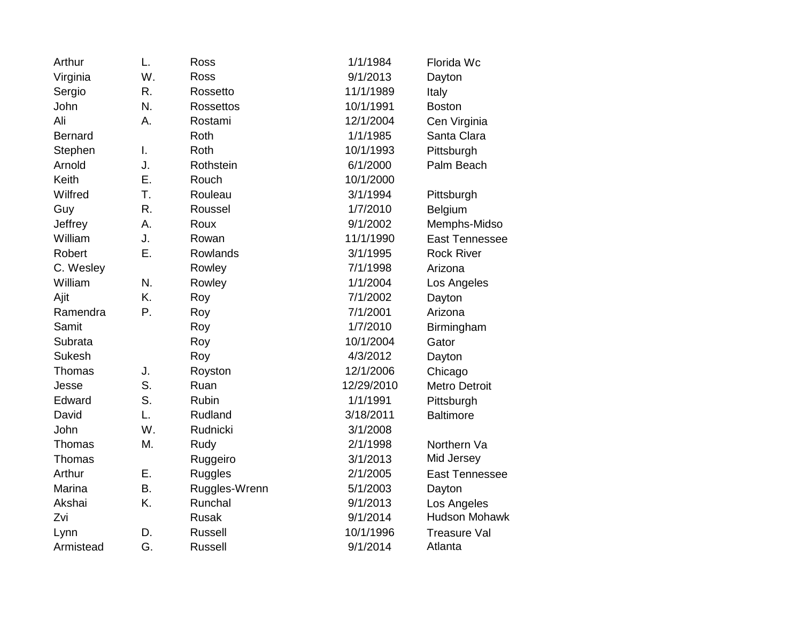| Arthur         | L. | Ross             | 1/1/1984   | Florida Wc            |
|----------------|----|------------------|------------|-----------------------|
| Virginia       | W. | <b>Ross</b>      | 9/1/2013   | Dayton                |
| Sergio         | R. | Rossetto         | 11/1/1989  | Italy                 |
| John           | N. | <b>Rossettos</b> | 10/1/1991  | <b>Boston</b>         |
| Ali            | А. | Rostami          | 12/1/2004  | Cen Virginia          |
| <b>Bernard</b> |    | Roth             | 1/1/1985   | Santa Clara           |
| Stephen        | I. | Roth             | 10/1/1993  | Pittsburgh            |
| Arnold         | J. | Rothstein        | 6/1/2000   | Palm Beach            |
| Keith          | Ε. | Rouch            | 10/1/2000  |                       |
| Wilfred        | T. | Rouleau          | 3/1/1994   | Pittsburgh            |
| Guy            | R. | Roussel          | 1/7/2010   | Belgium               |
| Jeffrey        | А. | Roux             | 9/1/2002   | Memphs-Midso          |
| William        | J. | Rowan            | 11/1/1990  | East Tennessee        |
| Robert         | Ε. | Rowlands         | 3/1/1995   | <b>Rock River</b>     |
| C. Wesley      |    | Rowley           | 7/1/1998   | Arizona               |
| William        | N. | Rowley           | 1/1/2004   | Los Angeles           |
| Ajit           | K. | Roy              | 7/1/2002   | Dayton                |
| Ramendra       | P. | Roy              | 7/1/2001   | Arizona               |
| Samit          |    | Roy              | 1/7/2010   | Birmingham            |
| Subrata        |    | Roy              | 10/1/2004  | Gator                 |
| <b>Sukesh</b>  |    | Roy              | 4/3/2012   | Dayton                |
| Thomas         | J. | Royston          | 12/1/2006  | Chicago               |
| Jesse          | S. | Ruan             | 12/29/2010 | <b>Metro Detroit</b>  |
| Edward         | S. | Rubin            | 1/1/1991   | Pittsburgh            |
| David          | L. | Rudland          | 3/18/2011  | <b>Baltimore</b>      |
| John           | W. | Rudnicki         | 3/1/2008   |                       |
| Thomas         | M. | Rudy             | 2/1/1998   | Northern Va           |
| Thomas         |    | Ruggeiro         | 3/1/2013   | Mid Jersey            |
| Arthur         | E. | <b>Ruggles</b>   | 2/1/2005   | <b>East Tennessee</b> |
| Marina         | Β. | Ruggles-Wrenn    | 5/1/2003   | Dayton                |
| Akshai         | K. | Runchal          | 9/1/2013   | Los Angeles           |
| Zvi            |    | <b>Rusak</b>     | 9/1/2014   | <b>Hudson Mohawk</b>  |
| Lynn           | D. | <b>Russell</b>   | 10/1/1996  | <b>Treasure Val</b>   |
| Armistead      | G. | <b>Russell</b>   | 9/1/2014   | Atlanta               |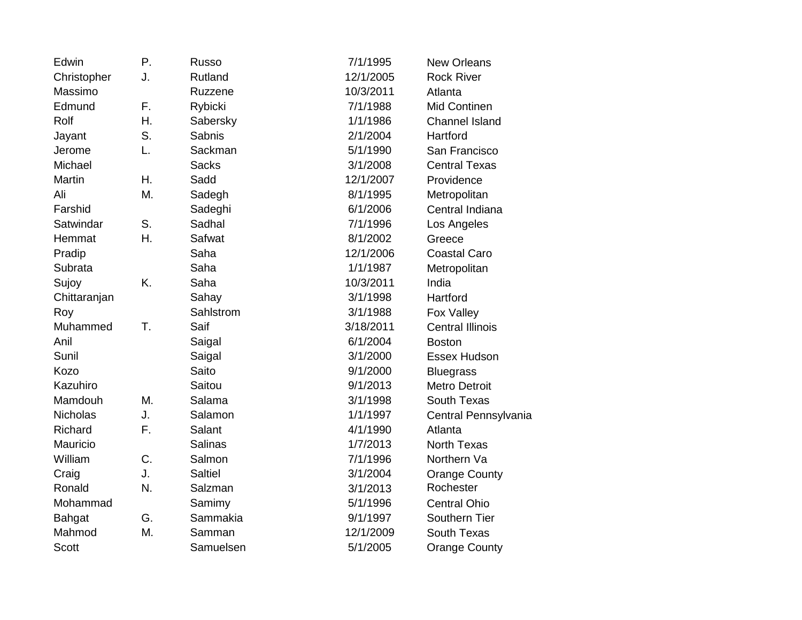| Edwin<br>Ρ.         | Russo          | 7/1/1995  | <b>New Orleans</b>      |
|---------------------|----------------|-----------|-------------------------|
| J.<br>Christopher   | <b>Rutland</b> | 12/1/2005 | <b>Rock River</b>       |
| Massimo             | Ruzzene        | 10/3/2011 | Atlanta                 |
| Edmund<br>F.        | Rybicki        | 7/1/1988  | Mid Continen            |
| Η.<br>Rolf          | Sabersky       | 1/1/1986  | <b>Channel Island</b>   |
| S.<br>Jayant        | Sabnis         | 2/1/2004  | Hartford                |
| Jerome<br>L.        | Sackman        | 5/1/1990  | San Francisco           |
| Michael             | <b>Sacks</b>   | 3/1/2008  | <b>Central Texas</b>    |
| Martin<br>Η.        | Sadd           | 12/1/2007 | Providence              |
| Ali<br>M.           | Sadegh         | 8/1/1995  | Metropolitan            |
| Farshid             | Sadeghi        | 6/1/2006  | Central Indiana         |
| S.<br>Satwindar     | Sadhal         | 7/1/1996  | Los Angeles             |
| Η.<br>Hemmat        | Safwat         | 8/1/2002  | Greece                  |
| Pradip              | Saha           | 12/1/2006 | <b>Coastal Caro</b>     |
| Subrata             | Saha           | 1/1/1987  | Metropolitan            |
| K.<br>Sujoy         | Saha           | 10/3/2011 | India                   |
| Chittaranjan        | Sahay          | 3/1/1998  | Hartford                |
| Roy                 | Sahlstrom      | 3/1/1988  | Fox Valley              |
| Muhammed<br>T.      | Saif           | 3/18/2011 | <b>Central Illinois</b> |
| Anil                | Saigal         | 6/1/2004  | <b>Boston</b>           |
| Sunil               | Saigal         | 3/1/2000  | Essex Hudson            |
| Kozo                | Saito          | 9/1/2000  | <b>Bluegrass</b>        |
| Kazuhiro            | Saitou         | 9/1/2013  | <b>Metro Detroit</b>    |
| Mamdouh<br>Μ.       | Salama         | 3/1/1998  | South Texas             |
| J.<br>Nicholas      | Salamon        | 1/1/1997  | Central Pennsylvania    |
| F.<br>Richard       | Salant         | 4/1/1990  | Atlanta                 |
| Mauricio            | <b>Salinas</b> | 1/7/2013  | <b>North Texas</b>      |
| C.<br>William       | Salmon         | 7/1/1996  | Northern Va             |
| J.<br>Craig         | <b>Saltiel</b> | 3/1/2004  | <b>Orange County</b>    |
| Ronald<br>N.        | Salzman        | 3/1/2013  | Rochester               |
| Mohammad            | Samimy         | 5/1/1996  | <b>Central Ohio</b>     |
| G.<br><b>Bahgat</b> | Sammakia       | 9/1/1997  | Southern Tier           |
| Mahmod<br>M.        | Samman         | 12/1/2009 | <b>South Texas</b>      |
| <b>Scott</b>        | Samuelsen      | 5/1/2005  | <b>Orange County</b>    |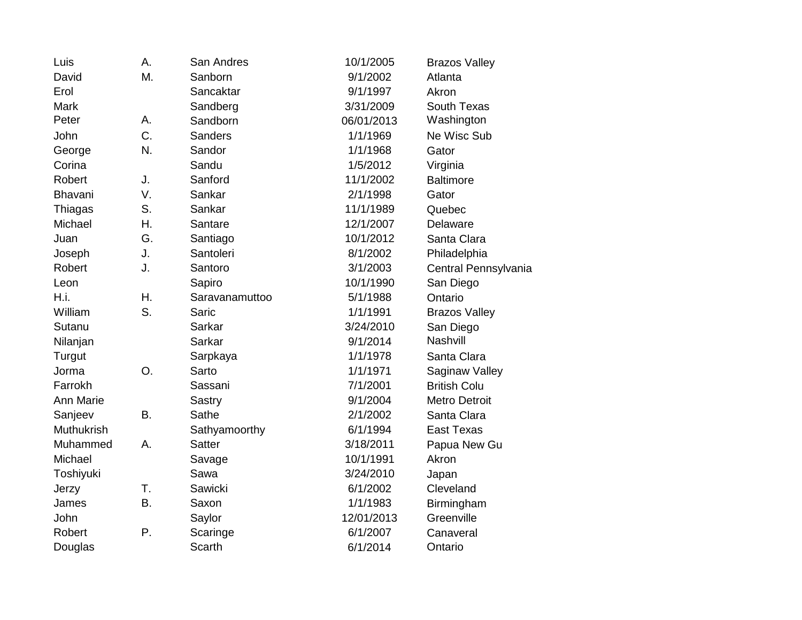| Luis       | А. | San Andres     | 10/1/2005  | <b>Brazos Valley</b> |
|------------|----|----------------|------------|----------------------|
| David      | Μ. | Sanborn        | 9/1/2002   | Atlanta              |
| Erol       |    | Sancaktar      | 9/1/1997   | Akron                |
| Mark       |    | Sandberg       | 3/31/2009  | South Texas          |
| Peter      | А. | Sandborn       | 06/01/2013 | Washington           |
| John       | C. | Sanders        | 1/1/1969   | Ne Wisc Sub          |
| George     | N. | Sandor         | 1/1/1968   | Gator                |
| Corina     |    | Sandu          | 1/5/2012   | Virginia             |
| Robert     | J. | Sanford        | 11/1/2002  | <b>Baltimore</b>     |
| Bhavani    | V. | Sankar         | 2/1/1998   | Gator                |
| Thiagas    | S. | Sankar         | 11/1/1989  | Quebec               |
| Michael    | Η. | Santare        | 12/1/2007  | Delaware             |
| Juan       | G. | Santiago       | 10/1/2012  | Santa Clara          |
| Joseph     | J. | Santoleri      | 8/1/2002   | Philadelphia         |
| Robert     | J. | Santoro        | 3/1/2003   | Central Pennsylvania |
| Leon       |    | Sapiro         | 10/1/1990  | San Diego            |
| H.i.       | Η. | Saravanamuttoo | 5/1/1988   | Ontario              |
| William    | S. | Saric          | 1/1/1991   | <b>Brazos Valley</b> |
| Sutanu     |    | Sarkar         | 3/24/2010  | San Diego            |
| Nilanjan   |    | Sarkar         | 9/1/2014   | Nashvill             |
| Turgut     |    | Sarpkaya       | 1/1/1978   | Santa Clara          |
| Jorma      | O. | Sarto          | 1/1/1971   | Saginaw Valley       |
| Farrokh    |    | Sassani        | 7/1/2001   | <b>British Colu</b>  |
| Ann Marie  |    | Sastry         | 9/1/2004   | <b>Metro Detroit</b> |
| Sanjeev    | B. | Sathe          | 2/1/2002   | Santa Clara          |
| Muthukrish |    | Sathyamoorthy  | 6/1/1994   | <b>East Texas</b>    |
| Muhammed   | А. | <b>Satter</b>  | 3/18/2011  | Papua New Gu         |
| Michael    |    | Savage         | 10/1/1991  | Akron                |
| Toshiyuki  |    | Sawa           | 3/24/2010  | Japan                |
| Jerzy      | T. | Sawicki        | 6/1/2002   | Cleveland            |
| James      | B. | Saxon          | 1/1/1983   | Birmingham           |
| John       |    | Saylor         | 12/01/2013 | Greenville           |
| Robert     | Ρ. | Scaringe       | 6/1/2007   | Canaveral            |
| Douglas    |    | Scarth         | 6/1/2014   | Ontario              |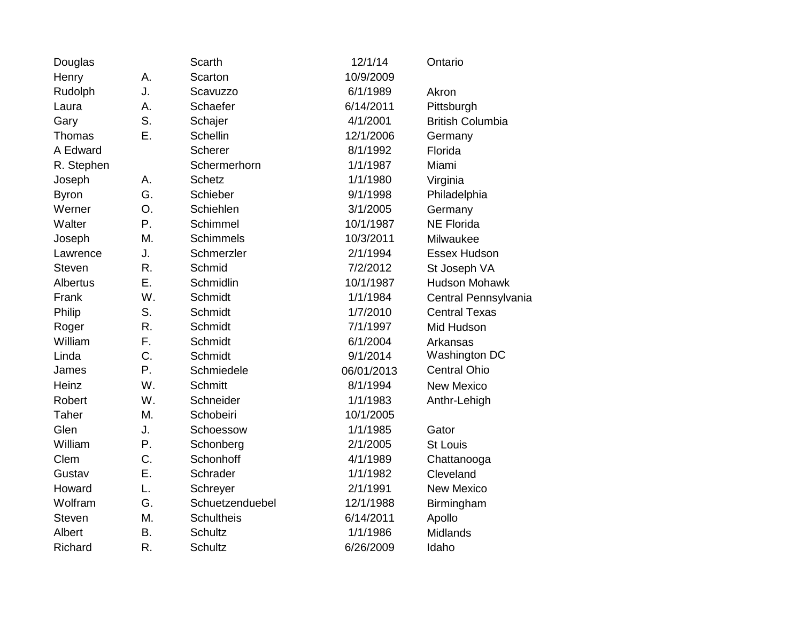| Douglas       |    | Scarth            | 12/1/14    | Ontario                 |
|---------------|----|-------------------|------------|-------------------------|
| Henry         | А. | Scarton           | 10/9/2009  |                         |
| Rudolph       | J. | Scavuzzo          | 6/1/1989   | Akron                   |
| Laura         | А. | Schaefer          | 6/14/2011  | Pittsburgh              |
| Gary          | S. | Schajer           | 4/1/2001   | <b>British Columbia</b> |
| Thomas        | E. | <b>Schellin</b>   | 12/1/2006  | Germany                 |
| A Edward      |    | Scherer           | 8/1/1992   | Florida                 |
| R. Stephen    |    | Schermerhorn      | 1/1/1987   | Miami                   |
| Joseph        | Α. | <b>Schetz</b>     | 1/1/1980   | Virginia                |
| <b>Byron</b>  | G. | Schieber          | 9/1/1998   | Philadelphia            |
| Werner        | O. | Schiehlen         | 3/1/2005   | Germany                 |
| Walter        | Ρ. | Schimmel          | 10/1/1987  | <b>NE Florida</b>       |
| Joseph        | M. | <b>Schimmels</b>  | 10/3/2011  | Milwaukee               |
| Lawrence      | J. | Schmerzler        | 2/1/1994   | Essex Hudson            |
| <b>Steven</b> | R. | Schmid            | 7/2/2012   | St Joseph VA            |
| Albertus      | Ε. | Schmidlin         | 10/1/1987  | <b>Hudson Mohawk</b>    |
| Frank         | W. | Schmidt           | 1/1/1984   | Central Pennsylvania    |
| Philip        | S. | Schmidt           | 1/7/2010   | <b>Central Texas</b>    |
| Roger         | R. | Schmidt           | 7/1/1997   | Mid Hudson              |
| William       | F. | Schmidt           | 6/1/2004   | Arkansas                |
| Linda         | C. | Schmidt           | 9/1/2014   | Washington DC           |
| James         | P. | Schmiedele        | 06/01/2013 | <b>Central Ohio</b>     |
| Heinz         | W. | <b>Schmitt</b>    | 8/1/1994   | <b>New Mexico</b>       |
| Robert        | W. | Schneider         | 1/1/1983   | Anthr-Lehigh            |
| Taher         | M. | Schobeiri         | 10/1/2005  |                         |
| Glen          | J. | Schoessow         | 1/1/1985   | Gator                   |
| William       | Ρ. | Schonberg         | 2/1/2005   | <b>St Louis</b>         |
| Clem          | C. | Schonhoff         | 4/1/1989   | Chattanooga             |
| Gustav        | Ε. | Schrader          | 1/1/1982   | Cleveland               |
| Howard        | L. | Schreyer          | 2/1/1991   | <b>New Mexico</b>       |
| Wolfram       | G. | Schuetzenduebel   | 12/1/1988  | Birmingham              |
| <b>Steven</b> | M. | <b>Schultheis</b> | 6/14/2011  | Apollo                  |
| Albert        | Β. | Schultz           | 1/1/1986   | Midlands                |
| Richard       | R. | Schultz           | 6/26/2009  | Idaho                   |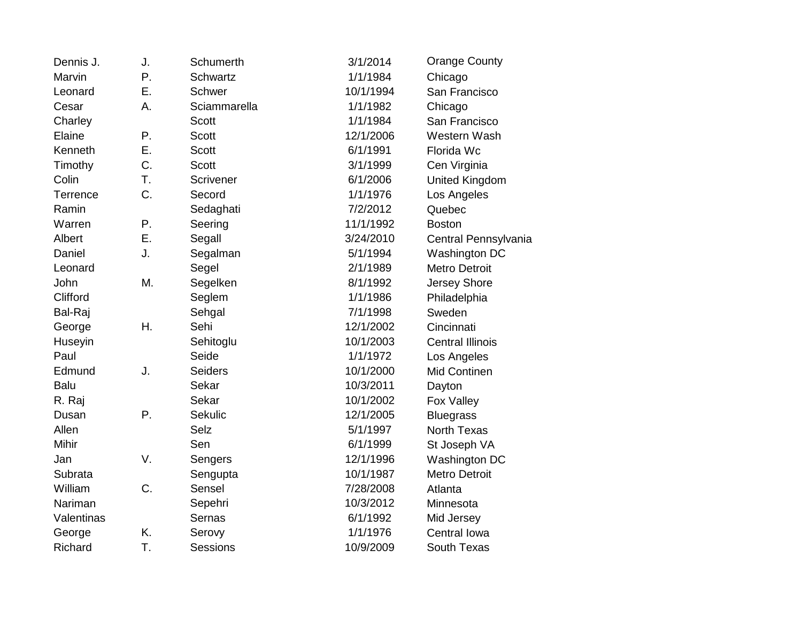| Dennis J.   | J. | Schumerth       | 3/1/2014  | <b>Orange County</b>    |
|-------------|----|-----------------|-----------|-------------------------|
| Marvin      | Ρ. | Schwartz        | 1/1/1984  | Chicago                 |
| Leonard     | Ε. | Schwer          | 10/1/1994 | San Francisco           |
| Cesar       | А. | Sciammarella    | 1/1/1982  | Chicago                 |
| Charley     |    | <b>Scott</b>    | 1/1/1984  | San Francisco           |
| Elaine      | Ρ. | <b>Scott</b>    | 12/1/2006 | Western Wash            |
| Kenneth     | Ε. | <b>Scott</b>    | 6/1/1991  | Florida Wc              |
| Timothy     | C. | <b>Scott</b>    | 3/1/1999  | Cen Virginia            |
| Colin       | T. | Scrivener       | 6/1/2006  | United Kingdom          |
| Terrence    | C. | Secord          | 1/1/1976  | Los Angeles             |
| Ramin       |    | Sedaghati       | 7/2/2012  | Quebec                  |
| Warren      | Ρ. | Seering         | 11/1/1992 | <b>Boston</b>           |
| Albert      | Ε. | Segall          | 3/24/2010 | Central Pennsylvania    |
| Daniel      | J. | Segalman        | 5/1/1994  | Washington DC           |
| Leonard     |    | Segel           | 2/1/1989  | <b>Metro Detroit</b>    |
| John        | M. | Segelken        | 8/1/1992  | Jersey Shore            |
| Clifford    |    | Seglem          | 1/1/1986  | Philadelphia            |
| Bal-Raj     |    | Sehgal          | 7/1/1998  | Sweden                  |
| George      | Η. | Sehi            | 12/1/2002 | Cincinnati              |
| Huseyin     |    | Sehitoglu       | 10/1/2003 | <b>Central Illinois</b> |
| Paul        |    | Seide           | 1/1/1972  | Los Angeles             |
| Edmund      | J. | <b>Seiders</b>  | 10/1/2000 | <b>Mid Continen</b>     |
| <b>Balu</b> |    | Sekar           | 10/3/2011 | Dayton                  |
| R. Raj      |    | Sekar           | 10/1/2002 | Fox Valley              |
| Dusan       | Ρ. | Sekulic         | 12/1/2005 | <b>Bluegrass</b>        |
| Allen       |    | <b>Selz</b>     | 5/1/1997  | <b>North Texas</b>      |
| Mihir       |    | Sen             | 6/1/1999  | St Joseph VA            |
| Jan         | V. | Sengers         | 12/1/1996 | Washington DC           |
| Subrata     |    | Sengupta        | 10/1/1987 | <b>Metro Detroit</b>    |
| William     | C. | Sensel          | 7/28/2008 | Atlanta                 |
| Nariman     |    | Sepehri         | 10/3/2012 | Minnesota               |
| Valentinas  |    | Sernas          | 6/1/1992  | Mid Jersey              |
| George      | K. | Serovy          | 1/1/1976  | Central Iowa            |
| Richard     | T. | <b>Sessions</b> | 10/9/2009 | South Texas             |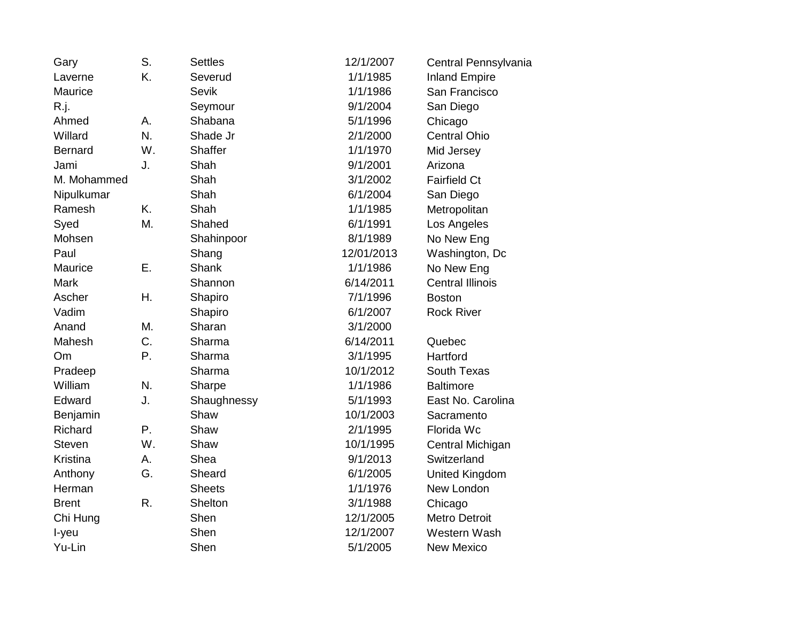| Gary           | S. | <b>Settles</b> | 12/1/2007  | Central Pennsylvania    |
|----------------|----|----------------|------------|-------------------------|
| Laverne        | K. | Severud        | 1/1/1985   | <b>Inland Empire</b>    |
| Maurice        |    | <b>Sevik</b>   | 1/1/1986   | San Francisco           |
| R.j.           |    | Seymour        | 9/1/2004   | San Diego               |
| Ahmed          | Α. | Shabana        | 5/1/1996   | Chicago                 |
| Willard        | N. | Shade Jr       | 2/1/2000   | <b>Central Ohio</b>     |
| <b>Bernard</b> | W. | <b>Shaffer</b> | 1/1/1970   | Mid Jersey              |
| Jami           | J. | Shah           | 9/1/2001   | Arizona                 |
| M. Mohammed    |    | Shah           | 3/1/2002   | <b>Fairfield Ct</b>     |
| Nipulkumar     |    | Shah           | 6/1/2004   | San Diego               |
| Ramesh         | K. | Shah           | 1/1/1985   | Metropolitan            |
| Syed           | M. | Shahed         | 6/1/1991   | Los Angeles             |
| Mohsen         |    | Shahinpoor     | 8/1/1989   | No New Eng              |
| Paul           |    | Shang          | 12/01/2013 | Washington, Dc          |
| Maurice        | Ε. | Shank          | 1/1/1986   | No New Eng              |
| <b>Mark</b>    |    | Shannon        | 6/14/2011  | <b>Central Illinois</b> |
| Ascher         | Η. | Shapiro        | 7/1/1996   | <b>Boston</b>           |
| Vadim          |    | Shapiro        | 6/1/2007   | <b>Rock River</b>       |
| Anand          | M. | Sharan         | 3/1/2000   |                         |
| Mahesh         | C. | Sharma         | 6/14/2011  | Quebec                  |
| Om             | Ρ. | Sharma         | 3/1/1995   | Hartford                |
| Pradeep        |    | Sharma         | 10/1/2012  | South Texas             |
| William        | N. | Sharpe         | 1/1/1986   | <b>Baltimore</b>        |
| Edward         | J. | Shaughnessy    | 5/1/1993   | East No. Carolina       |
| Benjamin       |    | Shaw           | 10/1/2003  | Sacramento              |
| Richard        | Ρ. | Shaw           | 2/1/1995   | Florida Wc              |
| <b>Steven</b>  | W. | Shaw           | 10/1/1995  | Central Michigan        |
| Kristina       | А. | Shea           | 9/1/2013   | Switzerland             |
| Anthony        | G. | Sheard         | 6/1/2005   | United Kingdom          |
| Herman         |    | <b>Sheets</b>  | 1/1/1976   | New London              |
| <b>Brent</b>   | R. | Shelton        | 3/1/1988   | Chicago                 |
| Chi Hung       |    | Shen           | 12/1/2005  | <b>Metro Detroit</b>    |
| I-yeu          |    | Shen           | 12/1/2007  | Western Wash            |
| Yu-Lin         |    | Shen           | 5/1/2005   | <b>New Mexico</b>       |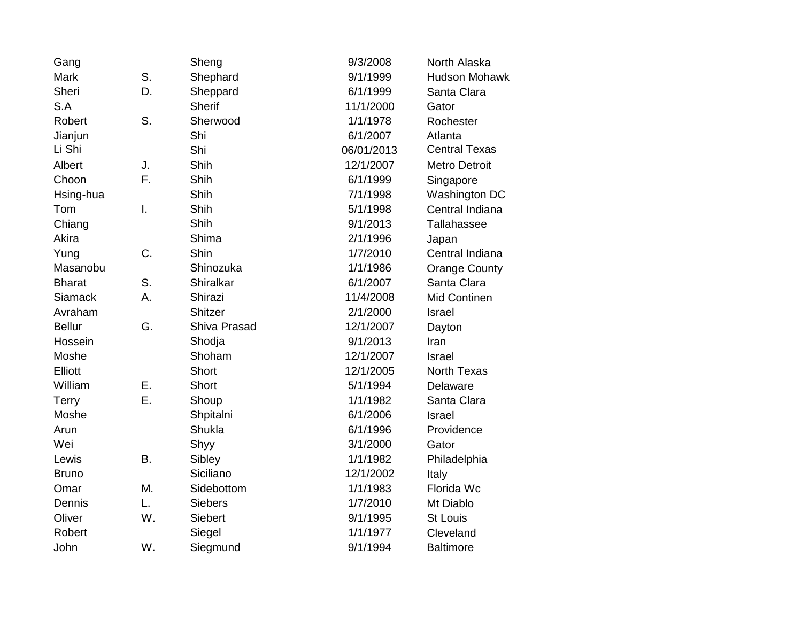| Gang           |    | Sheng          | 9/3/2008   | North Alaska         |
|----------------|----|----------------|------------|----------------------|
| Mark           | S. | Shephard       | 9/1/1999   | <b>Hudson Mohawk</b> |
| Sheri          | D. | Sheppard       | 6/1/1999   | Santa Clara          |
| S.A            |    | <b>Sherif</b>  | 11/1/2000  | Gator                |
| Robert         | S. | Sherwood       | 1/1/1978   | Rochester            |
| Jianjun        |    | Shi            | 6/1/2007   | Atlanta              |
| Li Shi         |    | Shi            | 06/01/2013 | <b>Central Texas</b> |
| Albert         | J. | Shih           | 12/1/2007  | <b>Metro Detroit</b> |
| Choon          | F. | Shih           | 6/1/1999   | Singapore            |
| Hsing-hua      |    | Shih           | 7/1/1998   | Washington DC        |
| Tom            | I. | Shih           | 5/1/1998   | Central Indiana      |
| Chiang         |    | Shih           | 9/1/2013   | Tallahassee          |
| Akira          |    | Shima          | 2/1/1996   | Japan                |
| Yung           | C. | Shin           | 1/7/2010   | Central Indiana      |
| Masanobu       |    | Shinozuka      | 1/1/1986   | <b>Orange County</b> |
| <b>Bharat</b>  | S. | Shiralkar      | 6/1/2007   | Santa Clara          |
| <b>Siamack</b> | А. | Shirazi        | 11/4/2008  | Mid Continen         |
| Avraham        |    | <b>Shitzer</b> | 2/1/2000   | Israel               |
| <b>Bellur</b>  | G. | Shiva Prasad   | 12/1/2007  | Dayton               |
| Hossein        |    | Shodja         | 9/1/2013   | Iran                 |
| Moshe          |    | Shoham         | 12/1/2007  | <b>Israel</b>        |
| Elliott        |    | <b>Short</b>   | 12/1/2005  | <b>North Texas</b>   |
| William        | Е. | Short          | 5/1/1994   | Delaware             |
| <b>Terry</b>   | Ε. | Shoup          | 1/1/1982   | Santa Clara          |
| Moshe          |    | Shpitalni      | 6/1/2006   | Israel               |
| Arun           |    | Shukla         | 6/1/1996   | Providence           |
| Wei            |    | Shyy           | 3/1/2000   | Gator                |
| Lewis          | B. | Sibley         | 1/1/1982   | Philadelphia         |
| <b>Bruno</b>   |    | Siciliano      | 12/1/2002  | Italy                |
| Omar           | Μ. | Sidebottom     | 1/1/1983   | Florida Wc           |
| Dennis         | L. | <b>Siebers</b> | 1/7/2010   | Mt Diablo            |
| Oliver         | W. | <b>Siebert</b> | 9/1/1995   | <b>St Louis</b>      |
| Robert         |    | Siegel         | 1/1/1977   | Cleveland            |
| John           | W. | Siegmund       | 9/1/1994   | <b>Baltimore</b>     |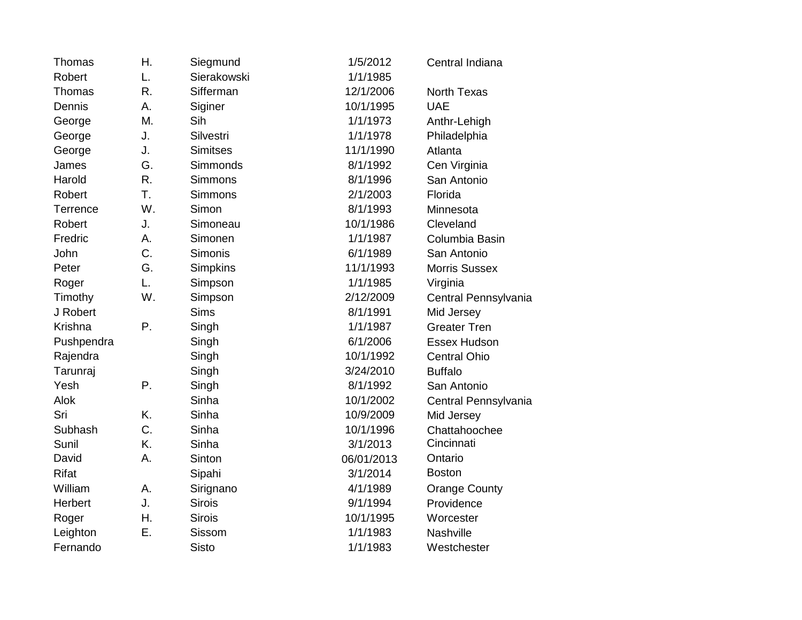| Thomas       | Η. | Siegmund        | 1/5/2012   | Central Indiana      |
|--------------|----|-----------------|------------|----------------------|
| Robert       | L. | Sierakowski     | 1/1/1985   |                      |
| Thomas       | R. | Sifferman       | 12/1/2006  | <b>North Texas</b>   |
| Dennis       | А. | Siginer         | 10/1/1995  | <b>UAE</b>           |
| George       | M. | Sih             | 1/1/1973   | Anthr-Lehigh         |
| George       | J. | Silvestri       | 1/1/1978   | Philadelphia         |
| George       | J. | <b>Simitses</b> | 11/1/1990  | Atlanta              |
| James        | G. | Simmonds        | 8/1/1992   | Cen Virginia         |
| Harold       | R. | Simmons         | 8/1/1996   | San Antonio          |
| Robert       | T. | Simmons         | 2/1/2003   | Florida              |
| Terrence     | W. | Simon           | 8/1/1993   | Minnesota            |
| Robert       | J. | Simoneau        | 10/1/1986  | Cleveland            |
| Fredric      | A. | Simonen         | 1/1/1987   | Columbia Basin       |
| John         | C. | Simonis         | 6/1/1989   | San Antonio          |
| Peter        | G. | Simpkins        | 11/1/1993  | Morris Sussex        |
| Roger        | L. | Simpson         | 1/1/1985   | Virginia             |
| Timothy      | W. | Simpson         | 2/12/2009  | Central Pennsylvania |
| J Robert     |    | <b>Sims</b>     | 8/1/1991   | Mid Jersey           |
| Krishna      | Ρ. | Singh           | 1/1/1987   | <b>Greater Tren</b>  |
| Pushpendra   |    | Singh           | 6/1/2006   | Essex Hudson         |
| Rajendra     |    | Singh           | 10/1/1992  | <b>Central Ohio</b>  |
| Tarunraj     |    | Singh           | 3/24/2010  | <b>Buffalo</b>       |
| Yesh         | Ρ. | Singh           | 8/1/1992   | San Antonio          |
| Alok         |    | Sinha           | 10/1/2002  | Central Pennsylvania |
| Sri          | K. | Sinha           | 10/9/2009  | Mid Jersey           |
| Subhash      | C. | Sinha           | 10/1/1996  | Chattahoochee        |
| Sunil        | K. | Sinha           | 3/1/2013   | Cincinnati           |
| David        | Α. | Sinton          | 06/01/2013 | Ontario              |
| <b>Rifat</b> |    | Sipahi          | 3/1/2014   | <b>Boston</b>        |
| William      | Α. | Sirignano       | 4/1/1989   | <b>Orange County</b> |
| Herbert      | J. | <b>Sirois</b>   | 9/1/1994   | Providence           |
| Roger        | Η. | <b>Sirois</b>   | 10/1/1995  | Worcester            |
| Leighton     | Ε. | Sissom          | 1/1/1983   | Nashville            |
| Fernando     |    | <b>Sisto</b>    | 1/1/1983   | Westchester          |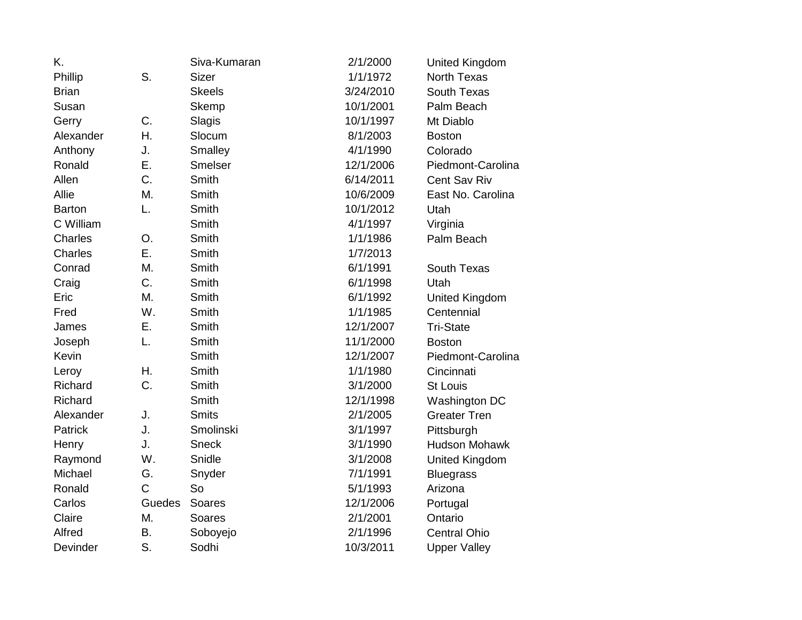| K.             |              | Siva-Kumaran  | 2/1/2000  | United Kingdom       |
|----------------|--------------|---------------|-----------|----------------------|
| Phillip        | S.           | <b>Sizer</b>  | 1/1/1972  | <b>North Texas</b>   |
| <b>Brian</b>   |              | <b>Skeels</b> | 3/24/2010 | South Texas          |
| Susan          |              | Skemp         | 10/1/2001 | Palm Beach           |
| Gerry          | C.           | Slagis        | 10/1/1997 | Mt Diablo            |
| Alexander      | Η.           | Slocum        | 8/1/2003  | <b>Boston</b>        |
| Anthony        | J.           | Smalley       | 4/1/1990  | Colorado             |
| Ronald         | Ε.           | Smelser       | 12/1/2006 | Piedmont-Carolina    |
| Allen          | C.           | Smith         | 6/14/2011 | Cent Sav Riv         |
| Allie          | Μ.           | Smith         | 10/6/2009 | East No. Carolina    |
| <b>Barton</b>  | L.           | Smith         | 10/1/2012 | Utah                 |
| C William      |              | Smith         | 4/1/1997  | Virginia             |
| Charles        | O.           | Smith         | 1/1/1986  | Palm Beach           |
| Charles        | Ε.           | Smith         | 1/7/2013  |                      |
| Conrad         | M.           | Smith         | 6/1/1991  | South Texas          |
| Craig          | C.           | Smith         | 6/1/1998  | Utah                 |
| Eric           | M.           | Smith         | 6/1/1992  | United Kingdom       |
| Fred           | W.           | Smith         | 1/1/1985  | Centennial           |
| James          | Ε.           | Smith         | 12/1/2007 | <b>Tri-State</b>     |
| Joseph         | L.           | Smith         | 11/1/2000 | <b>Boston</b>        |
| Kevin          |              | Smith         | 12/1/2007 | Piedmont-Carolina    |
| Leroy          | Η.           | Smith         | 1/1/1980  | Cincinnati           |
| Richard        | C.           | Smith         | 3/1/2000  | <b>St Louis</b>      |
| Richard        |              | Smith         | 12/1/1998 | Washington DC        |
| Alexander      | J.           | <b>Smits</b>  | 2/1/2005  | <b>Greater Tren</b>  |
| <b>Patrick</b> | J.           | Smolinski     | 3/1/1997  | Pittsburgh           |
| Henry          | J.           | <b>Sneck</b>  | 3/1/1990  | <b>Hudson Mohawk</b> |
| Raymond        | W.           | Snidle        | 3/1/2008  | United Kingdom       |
| Michael        | G.           | Snyder        | 7/1/1991  | <b>Bluegrass</b>     |
| Ronald         | $\mathsf{C}$ | So            | 5/1/1993  | Arizona              |
| Carlos         | Guedes       | Soares        | 12/1/2006 | Portugal             |
| Claire         | М.           | Soares        | 2/1/2001  | Ontario              |
| Alfred         | Β.           | Soboyejo      | 2/1/1996  | <b>Central Ohio</b>  |
| Devinder       | S.           | Sodhi         | 10/3/2011 | <b>Upper Valley</b>  |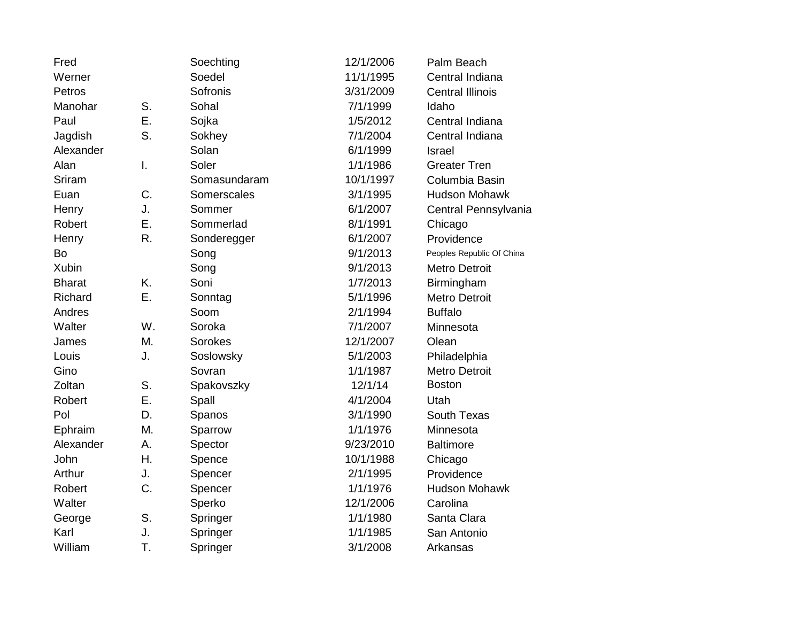| Fred          |    | Soechting    | 12/1/2006 | Palm Beach                |
|---------------|----|--------------|-----------|---------------------------|
| Werner        |    | Soedel       | 11/1/1995 | Central Indiana           |
| Petros        |    | Sofronis     | 3/31/2009 | <b>Central Illinois</b>   |
| Manohar       | S. | Sohal        | 7/1/1999  | Idaho                     |
| Paul          | Ε. | Sojka        | 1/5/2012  | Central Indiana           |
| Jagdish       | S. | Sokhey       | 7/1/2004  | Central Indiana           |
| Alexander     |    | Solan        | 6/1/1999  | <b>Israel</b>             |
| Alan          | I. | Soler        | 1/1/1986  | <b>Greater Tren</b>       |
| Sriram        |    | Somasundaram | 10/1/1997 | Columbia Basin            |
| Euan          | C. | Somerscales  | 3/1/1995  | <b>Hudson Mohawk</b>      |
| Henry         | J. | Sommer       | 6/1/2007  | Central Pennsylvania      |
| Robert        | Ε. | Sommerlad    | 8/1/1991  | Chicago                   |
| Henry         | R. | Sonderegger  | 6/1/2007  | Providence                |
| Bo            |    | Song         | 9/1/2013  | Peoples Republic Of China |
| Xubin         |    | Song         | 9/1/2013  | <b>Metro Detroit</b>      |
| <b>Bharat</b> | K. | Soni         | 1/7/2013  | Birmingham                |
| Richard       | Ε. | Sonntag      | 5/1/1996  | <b>Metro Detroit</b>      |
| Andres        |    | Soom         | 2/1/1994  | <b>Buffalo</b>            |
| Walter        | W. | Soroka       | 7/1/2007  | Minnesota                 |
| James         | M. | Sorokes      | 12/1/2007 | Olean                     |
| Louis         | J. | Soslowsky    | 5/1/2003  | Philadelphia              |
| Gino          |    | Sovran       | 1/1/1987  | <b>Metro Detroit</b>      |
| Zoltan        | S. | Spakovszky   | 12/1/14   | <b>Boston</b>             |
| Robert        | Ε. | Spall        | 4/1/2004  | Utah                      |
| Pol           | D. | Spanos       | 3/1/1990  | South Texas               |
| Ephraim       | M. | Sparrow      | 1/1/1976  | Minnesota                 |
| Alexander     | А. | Spector      | 9/23/2010 | <b>Baltimore</b>          |
| John          | Η. | Spence       | 10/1/1988 | Chicago                   |
| Arthur        | J. | Spencer      | 2/1/1995  | Providence                |
| Robert        | C. | Spencer      | 1/1/1976  | <b>Hudson Mohawk</b>      |
| Walter        |    | Sperko       | 12/1/2006 | Carolina                  |
| George        | S. | Springer     | 1/1/1980  | Santa Clara               |
| Karl          | J. | Springer     | 1/1/1985  | San Antonio               |
| William       | T. | Springer     | 3/1/2008  | Arkansas                  |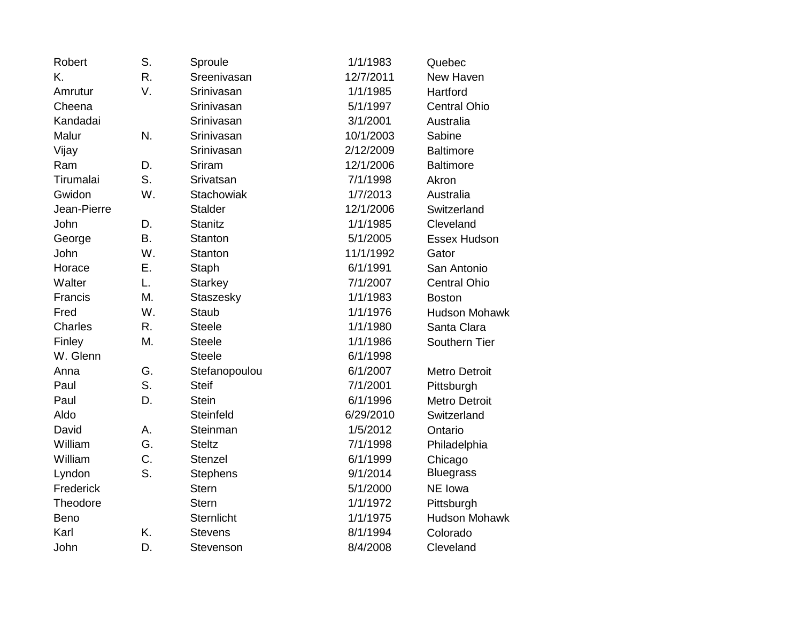| Robert      | S.        | Sproule           | 1/1/1983  | Quebec               |
|-------------|-----------|-------------------|-----------|----------------------|
| K.          | R.        | Sreenivasan       | 12/7/2011 | New Haven            |
| Amrutur     | V.        | Srinivasan        | 1/1/1985  | Hartford             |
| Cheena      |           | Srinivasan        | 5/1/1997  | <b>Central Ohio</b>  |
| Kandadai    |           | Srinivasan        | 3/1/2001  | Australia            |
| Malur       | N.        | Srinivasan        | 10/1/2003 | Sabine               |
| Vijay       |           | Srinivasan        | 2/12/2009 | <b>Baltimore</b>     |
| Ram         | D.        | Sriram            | 12/1/2006 | <b>Baltimore</b>     |
| Tirumalai   | S.        | Srivatsan         | 7/1/1998  | Akron                |
| Gwidon      | W.        | <b>Stachowiak</b> | 1/7/2013  | Australia            |
| Jean-Pierre |           | <b>Stalder</b>    | 12/1/2006 | Switzerland          |
| John        | D.        | <b>Stanitz</b>    | 1/1/1985  | Cleveland            |
| George      | <b>B.</b> | <b>Stanton</b>    | 5/1/2005  | Essex Hudson         |
| John        | W.        | Stanton           | 11/1/1992 | Gator                |
| Horace      | Ε.        | Staph             | 6/1/1991  | San Antonio          |
| Walter      | L.        | <b>Starkey</b>    | 7/1/2007  | <b>Central Ohio</b>  |
| Francis     | M.        | Staszesky         | 1/1/1983  | <b>Boston</b>        |
| Fred        | W.        | <b>Staub</b>      | 1/1/1976  | <b>Hudson Mohawk</b> |
| Charles     | R.        | <b>Steele</b>     | 1/1/1980  | Santa Clara          |
| Finley      | M.        | <b>Steele</b>     | 1/1/1986  | Southern Tier        |
| W. Glenn    |           | <b>Steele</b>     | 6/1/1998  |                      |
| Anna        | G.        | Stefanopoulou     | 6/1/2007  | <b>Metro Detroit</b> |
| Paul        | S.        | <b>Steif</b>      | 7/1/2001  | Pittsburgh           |
| Paul        | D.        | <b>Stein</b>      | 6/1/1996  | <b>Metro Detroit</b> |
| Aldo        |           | Steinfeld         | 6/29/2010 | Switzerland          |
| David       | А.        | Steinman          | 1/5/2012  | Ontario              |
| William     | G.        | <b>Steltz</b>     | 7/1/1998  | Philadelphia         |
| William     | C.        | <b>Stenzel</b>    | 6/1/1999  | Chicago              |
| Lyndon      | S.        | <b>Stephens</b>   | 9/1/2014  | <b>Bluegrass</b>     |
| Frederick   |           | <b>Stern</b>      | 5/1/2000  | NE Iowa              |
| Theodore    |           | <b>Stern</b>      | 1/1/1972  | Pittsburgh           |
| Beno        |           | <b>Sternlicht</b> | 1/1/1975  | <b>Hudson Mohawk</b> |
| Karl        | K.        | <b>Stevens</b>    | 8/1/1994  | Colorado             |
| John        | D.        | Stevenson         | 8/4/2008  | Cleveland            |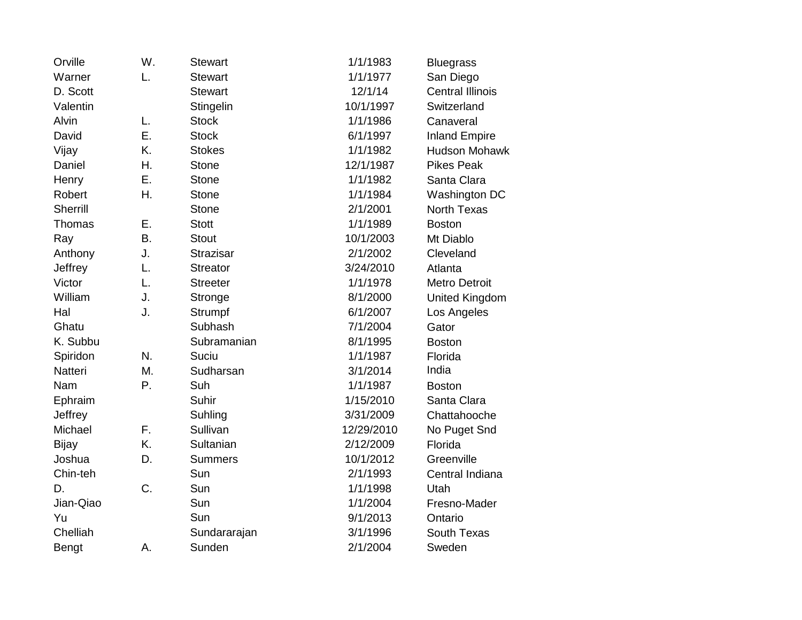| Orville      | W.        | <b>Stewart</b>   | 1/1/1983   | <b>Bluegrass</b>        |
|--------------|-----------|------------------|------------|-------------------------|
| Warner       | L.        | <b>Stewart</b>   | 1/1/1977   | San Diego               |
| D. Scott     |           | <b>Stewart</b>   | 12/1/14    | <b>Central Illinois</b> |
| Valentin     |           | Stingelin        | 10/1/1997  | Switzerland             |
| Alvin        | L.        | <b>Stock</b>     | 1/1/1986   | Canaveral               |
| David        | Ε.        | <b>Stock</b>     | 6/1/1997   | <b>Inland Empire</b>    |
| Vijay        | K.        | <b>Stokes</b>    | 1/1/1982   | <b>Hudson Mohawk</b>    |
| Daniel       | Η.        | <b>Stone</b>     | 12/1/1987  | <b>Pikes Peak</b>       |
| Henry        | Ε.        | <b>Stone</b>     | 1/1/1982   | Santa Clara             |
| Robert       | Η.        | <b>Stone</b>     | 1/1/1984   | Washington DC           |
| Sherrill     |           | <b>Stone</b>     | 2/1/2001   | <b>North Texas</b>      |
| Thomas       | Ε.        | <b>Stott</b>     | 1/1/1989   | <b>Boston</b>           |
| Ray          | <b>B.</b> | <b>Stout</b>     | 10/1/2003  | Mt Diablo               |
| Anthony      | J.        | <b>Strazisar</b> | 2/1/2002   | Cleveland               |
| Jeffrey      | L.        | <b>Streator</b>  | 3/24/2010  | Atlanta                 |
| Victor       | L.        | <b>Streeter</b>  | 1/1/1978   | Metro Detroit           |
| William      | J.        | Stronge          | 8/1/2000   | <b>United Kingdom</b>   |
| Hal          | J.        | Strumpf          | 6/1/2007   | Los Angeles             |
| Ghatu        |           | Subhash          | 7/1/2004   | Gator                   |
| K. Subbu     |           | Subramanian      | 8/1/1995   | <b>Boston</b>           |
| Spiridon     | N.        | Suciu            | 1/1/1987   | Florida                 |
| Natteri      | М.        | Sudharsan        | 3/1/2014   | India                   |
| Nam          | Ρ.        | Suh              | 1/1/1987   | <b>Boston</b>           |
| Ephraim      |           | Suhir            | 1/15/2010  | Santa Clara             |
| Jeffrey      |           | Suhling          | 3/31/2009  | Chattahooche            |
| Michael      | F.        | Sullivan         | 12/29/2010 | No Puget Snd            |
| <b>Bijay</b> | K.        | Sultanian        | 2/12/2009  | Florida                 |
| Joshua       | D.        | <b>Summers</b>   | 10/1/2012  | Greenville              |
| Chin-teh     |           | Sun              | 2/1/1993   | Central Indiana         |
| D.           | C.        | Sun              | 1/1/1998   | Utah                    |
| Jian-Qiao    |           | Sun              | 1/1/2004   | Fresno-Mader            |
| Yu           |           | Sun              | 9/1/2013   | Ontario                 |
| Chelliah     |           | Sundararajan     | 3/1/1996   | South Texas             |
| <b>Bengt</b> | А.        | Sunden           | 2/1/2004   | Sweden                  |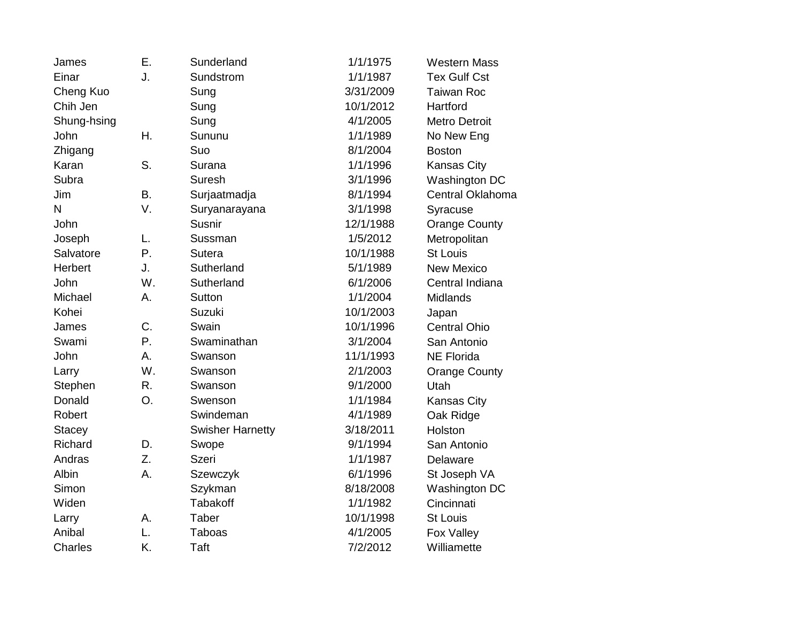| James          | Ε. | Sunderland              | 1/1/1975  | <b>Western Mass</b>  |
|----------------|----|-------------------------|-----------|----------------------|
| Einar          | J. | Sundstrom               | 1/1/1987  | <b>Tex Gulf Cst</b>  |
| Cheng Kuo      |    | Sung                    | 3/31/2009 | <b>Taiwan Roc</b>    |
| Chih Jen       |    | Sung                    | 10/1/2012 | Hartford             |
| Shung-hsing    |    | Sung                    | 4/1/2005  | <b>Metro Detroit</b> |
| John           | Η. | Sununu                  | 1/1/1989  | No New Eng           |
| Zhigang        |    | Suo                     | 8/1/2004  | <b>Boston</b>        |
| Karan          | S. | Surana                  | 1/1/1996  | <b>Kansas City</b>   |
| Subra          |    | Suresh                  | 3/1/1996  | Washington DC        |
| Jim            | Β. | Surjaatmadja            | 8/1/1994  | Central Oklahoma     |
| N              | V. | Suryanarayana           | 3/1/1998  | Syracuse             |
| John           |    | Susnir                  | 12/1/1988 | <b>Orange County</b> |
| Joseph         | L. | Sussman                 | 1/5/2012  | Metropolitan         |
| Salvatore      | Ρ. | Sutera                  | 10/1/1988 | <b>St Louis</b>      |
| Herbert        | J. | Sutherland              | 5/1/1989  | <b>New Mexico</b>    |
| John           | W. | Sutherland              | 6/1/2006  | Central Indiana      |
| Michael        | А. | Sutton                  | 1/1/2004  | <b>Midlands</b>      |
| Kohei          |    | Suzuki                  | 10/1/2003 | Japan                |
| James          | C. | Swain                   | 10/1/1996 | <b>Central Ohio</b>  |
| Swami          | Ρ. | Swaminathan             | 3/1/2004  | San Antonio          |
| John           | А. | Swanson                 | 11/1/1993 | <b>NE Florida</b>    |
| Larry          | W. | Swanson                 | 2/1/2003  | <b>Orange County</b> |
| Stephen        | R. | Swanson                 | 9/1/2000  | Utah                 |
| Donald         | O. | Swenson                 | 1/1/1984  | <b>Kansas City</b>   |
| Robert         |    | Swindeman               | 4/1/1989  | Oak Ridge            |
| <b>Stacey</b>  |    | <b>Swisher Harnetty</b> | 3/18/2011 | Holston              |
| Richard        | D. | Swope                   | 9/1/1994  | San Antonio          |
| Andras         | Z. | <b>Szeri</b>            | 1/1/1987  | Delaware             |
| Albin          | А. | Szewczyk                | 6/1/1996  | St Joseph VA         |
| Simon          |    | Szykman                 | 8/18/2008 | Washington DC        |
| Widen          |    | <b>Tabakoff</b>         | 1/1/1982  | Cincinnati           |
| Larry          | Α. | Taber                   | 10/1/1998 | <b>St Louis</b>      |
| Anibal         | L. | <b>Taboas</b>           | 4/1/2005  | Fox Valley           |
| <b>Charles</b> | K. | Taft                    | 7/2/2012  | Williamette          |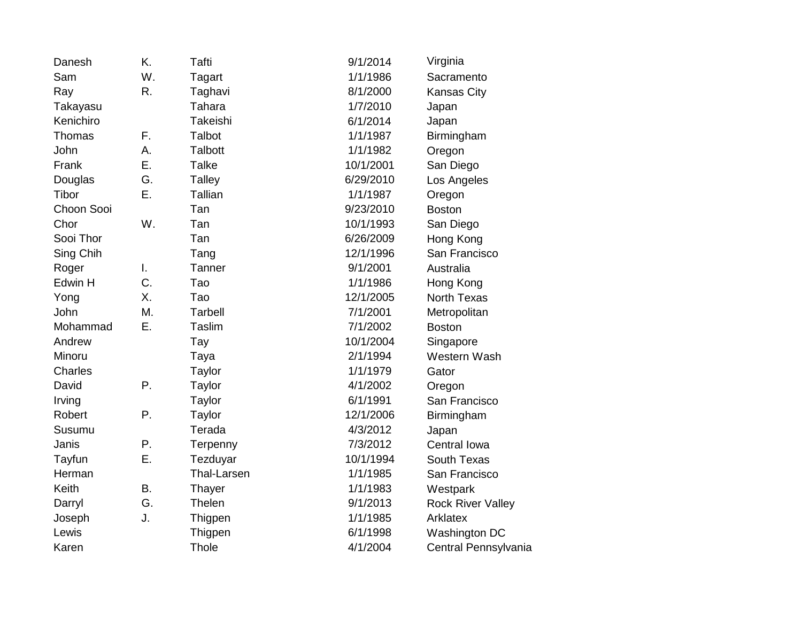| Danesh     | K. | <b>Tafti</b>   | 9/1/2014  | Virginia                 |
|------------|----|----------------|-----------|--------------------------|
| Sam        | W. | Tagart         | 1/1/1986  | Sacramento               |
| Ray        | R. | Taghavi        | 8/1/2000  | <b>Kansas City</b>       |
| Takayasu   |    | Tahara         | 1/7/2010  | Japan                    |
| Kenichiro  |    | Takeishi       | 6/1/2014  | Japan                    |
| Thomas     | F. | Talbot         | 1/1/1987  | Birmingham               |
| John       | А. | <b>Talbott</b> | 1/1/1982  | Oregon                   |
| Frank      | Ε. | <b>Talke</b>   | 10/1/2001 | San Diego                |
| Douglas    | G. | <b>Talley</b>  | 6/29/2010 | Los Angeles              |
| Tibor      | Ε. | Tallian        | 1/1/1987  | Oregon                   |
| Choon Sooi |    | Tan            | 9/23/2010 | <b>Boston</b>            |
| Chor       | W. | Tan            | 10/1/1993 | San Diego                |
| Sooi Thor  |    | Tan            | 6/26/2009 | Hong Kong                |
| Sing Chih  |    | Tang           | 12/1/1996 | San Francisco            |
| Roger      | I. | Tanner         | 9/1/2001  | Australia                |
| Edwin H    | C. | Tao            | 1/1/1986  | Hong Kong                |
| Yong       | Χ. | Tao            | 12/1/2005 | <b>North Texas</b>       |
| John       | M. | <b>Tarbell</b> | 7/1/2001  | Metropolitan             |
| Mohammad   | Ε. | Taslim         | 7/1/2002  | <b>Boston</b>            |
| Andrew     |    | Tay            | 10/1/2004 | Singapore                |
| Minoru     |    | Taya           | 2/1/1994  | Western Wash             |
| Charles    |    | Taylor         | 1/1/1979  | Gator                    |
| David      | Ρ. | Taylor         | 4/1/2002  | Oregon                   |
| Irving     |    | Taylor         | 6/1/1991  | San Francisco            |
| Robert     | Ρ. | Taylor         | 12/1/2006 | Birmingham               |
| Susumu     |    | Terada         | 4/3/2012  | Japan                    |
| Janis      | Ρ. | Terpenny       | 7/3/2012  | Central Iowa             |
| Tayfun     | Ε. | Tezduyar       | 10/1/1994 | South Texas              |
| Herman     |    | Thal-Larsen    | 1/1/1985  | San Francisco            |
| Keith      | Β. | Thayer         | 1/1/1983  | Westpark                 |
| Darryl     | G. | Thelen         | 9/1/2013  | <b>Rock River Valley</b> |
| Joseph     | J. | Thigpen        | 1/1/1985  | Arklatex                 |
| Lewis      |    | Thigpen        | 6/1/1998  | Washington DC            |
| Karen      |    | Thole          | 4/1/2004  | Central Pennsylvania     |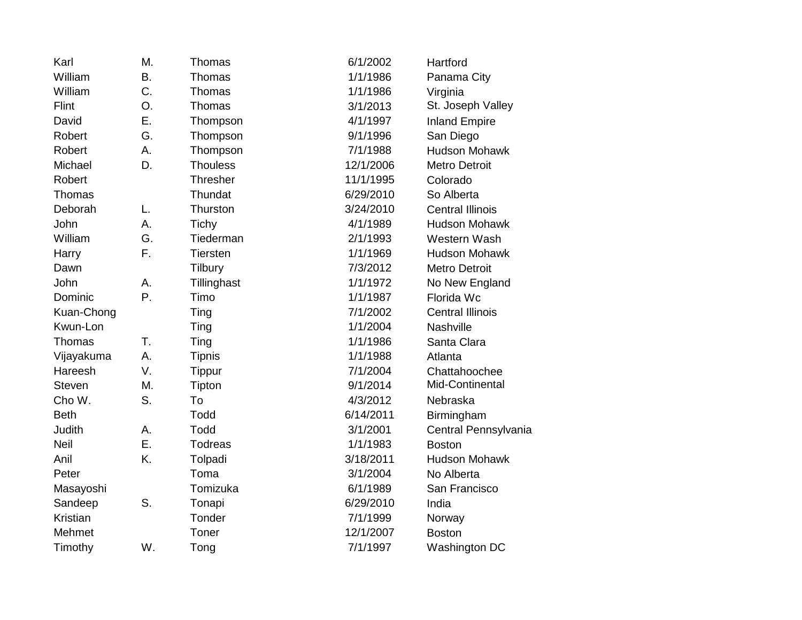| Karl          | Μ.        | Thomas          | 6/1/2002  | Hartford                |
|---------------|-----------|-----------------|-----------|-------------------------|
| William       | <b>B.</b> | Thomas          | 1/1/1986  | Panama City             |
| William       | C.        | Thomas          | 1/1/1986  | Virginia                |
| Flint         | O.        | Thomas          | 3/1/2013  | St. Joseph Valley       |
| David         | Ε.        | Thompson        | 4/1/1997  | <b>Inland Empire</b>    |
| Robert        | G.        | Thompson        | 9/1/1996  | San Diego               |
| Robert        | А.        | Thompson        | 7/1/1988  | <b>Hudson Mohawk</b>    |
| Michael       | D.        | <b>Thouless</b> | 12/1/2006 | <b>Metro Detroit</b>    |
| Robert        |           | <b>Thresher</b> | 11/1/1995 | Colorado                |
| Thomas        |           | Thundat         | 6/29/2010 | So Alberta              |
| Deborah       | L.        | Thurston        | 3/24/2010 | <b>Central Illinois</b> |
| John          | А.        | Tichy           | 4/1/1989  | <b>Hudson Mohawk</b>    |
| William       | G.        | Tiederman       | 2/1/1993  | Western Wash            |
| Harry         | F.        | Tiersten        | 1/1/1969  | <b>Hudson Mohawk</b>    |
| Dawn          |           | Tilbury         | 7/3/2012  | <b>Metro Detroit</b>    |
| John          | А.        | Tillinghast     | 1/1/1972  | No New England          |
| Dominic       | P.        | Timo            | 1/1/1987  | Florida Wc              |
| Kuan-Chong    |           | Ting            | 7/1/2002  | <b>Central Illinois</b> |
| Kwun-Lon      |           | Ting            | 1/1/2004  | Nashville               |
| Thomas        | T.        | Ting            | 1/1/1986  | Santa Clara             |
| Vijayakuma    | А.        | <b>Tipnis</b>   | 1/1/1988  | Atlanta                 |
| Hareesh       | V.        | <b>Tippur</b>   | 7/1/2004  | Chattahoochee           |
| <b>Steven</b> | M.        | Tipton          | 9/1/2014  | Mid-Continental         |
| Cho W.        | S.        | To              | 4/3/2012  | Nebraska                |
| <b>Beth</b>   |           | Todd            | 6/14/2011 | Birmingham              |
| Judith        | Α.        | Todd            | 3/1/2001  | Central Pennsylvania    |
| <b>Neil</b>   | Ε.        | <b>Todreas</b>  | 1/1/1983  | <b>Boston</b>           |
| Anil          | K.        | Tolpadi         | 3/18/2011 | <b>Hudson Mohawk</b>    |
| Peter         |           | Toma            | 3/1/2004  | No Alberta              |
| Masayoshi     |           | Tomizuka        | 6/1/1989  | San Francisco           |
| Sandeep       | S.        | Tonapi          | 6/29/2010 | India                   |
| Kristian      |           | Tonder          | 7/1/1999  | Norway                  |
| Mehmet        |           | Toner           | 12/1/2007 | <b>Boston</b>           |
| Timothy       | W.        | Tong            | 7/1/1997  | Washington DC           |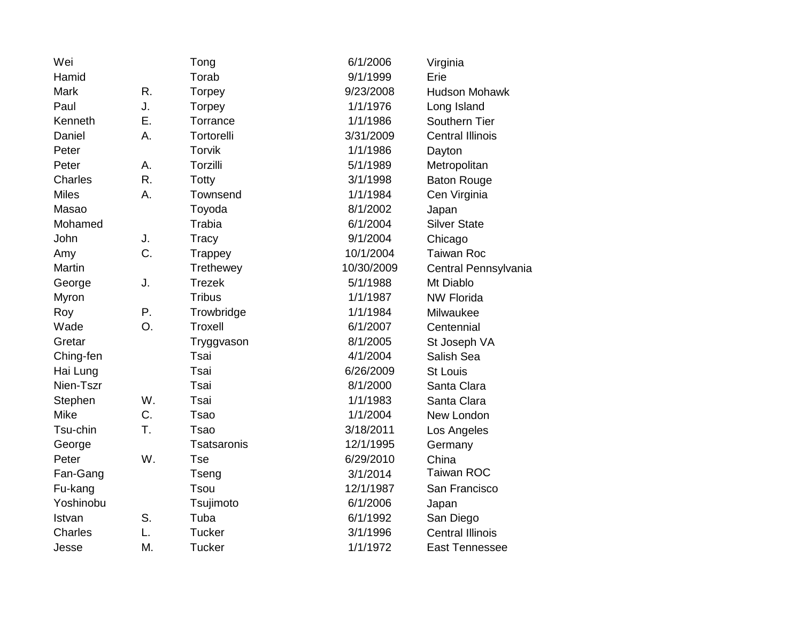| Wei          |    | Tong           | 6/1/2006   | Virginia                |
|--------------|----|----------------|------------|-------------------------|
| Hamid        |    | Torab          | 9/1/1999   | Erie                    |
| Mark         | R. | Torpey         | 9/23/2008  | <b>Hudson Mohawk</b>    |
| Paul         | J. | Torpey         | 1/1/1976   | Long Island             |
| Kenneth      | Ε. | Torrance       | 1/1/1986   | Southern Tier           |
| Daniel       | А. | Tortorelli     | 3/31/2009  | <b>Central Illinois</b> |
| Peter        |    | <b>Torvik</b>  | 1/1/1986   | Dayton                  |
| Peter        | А. | Torzilli       | 5/1/1989   | Metropolitan            |
| Charles      | R. | Totty          | 3/1/1998   | <b>Baton Rouge</b>      |
| <b>Miles</b> | Α. | Townsend       | 1/1/1984   | Cen Virginia            |
| Masao        |    | Toyoda         | 8/1/2002   | Japan                   |
| Mohamed      |    | Trabia         | 6/1/2004   | <b>Silver State</b>     |
| John         | J. | Tracy          | 9/1/2004   | Chicago                 |
| Amy          | C. | Trappey        | 10/1/2004  | <b>Taiwan Roc</b>       |
| Martin       |    | Trethewey      | 10/30/2009 | Central Pennsylvania    |
| George       | J. | <b>Trezek</b>  | 5/1/1988   | Mt Diablo               |
| Myron        |    | <b>Tribus</b>  | 1/1/1987   | <b>NW Florida</b>       |
| Roy          | Ρ. | Trowbridge     | 1/1/1984   | Milwaukee               |
| Wade         | O. | <b>Troxell</b> | 6/1/2007   | Centennial              |
| Gretar       |    | Tryggvason     | 8/1/2005   | St Joseph VA            |
| Ching-fen    |    | Tsai           | 4/1/2004   | Salish Sea              |
| Hai Lung     |    | Tsai           | 6/26/2009  | <b>St Louis</b>         |
| Nien-Tszr    |    | Tsai           | 8/1/2000   | Santa Clara             |
| Stephen      | W. | Tsai           | 1/1/1983   | Santa Clara             |
| <b>Mike</b>  | C. | <b>Tsao</b>    | 1/1/2004   | New London              |
| Tsu-chin     | Τ. | <b>Tsao</b>    | 3/18/2011  | Los Angeles             |
| George       |    | Tsatsaronis    | 12/1/1995  | Germany                 |
| Peter        | W. | <b>Tse</b>     | 6/29/2010  | China                   |
| Fan-Gang     |    | Tseng          | 3/1/2014   | <b>Taiwan ROC</b>       |
| Fu-kang      |    | <b>Tsou</b>    | 12/1/1987  | San Francisco           |
| Yoshinobu    |    | Tsujimoto      | 6/1/2006   | Japan                   |
| Istvan       | S. | Tuba           | 6/1/1992   | San Diego               |
| Charles      | L. | <b>Tucker</b>  | 3/1/1996   | <b>Central Illinois</b> |
| Jesse        | Μ. | Tucker         | 1/1/1972   | <b>East Tennessee</b>   |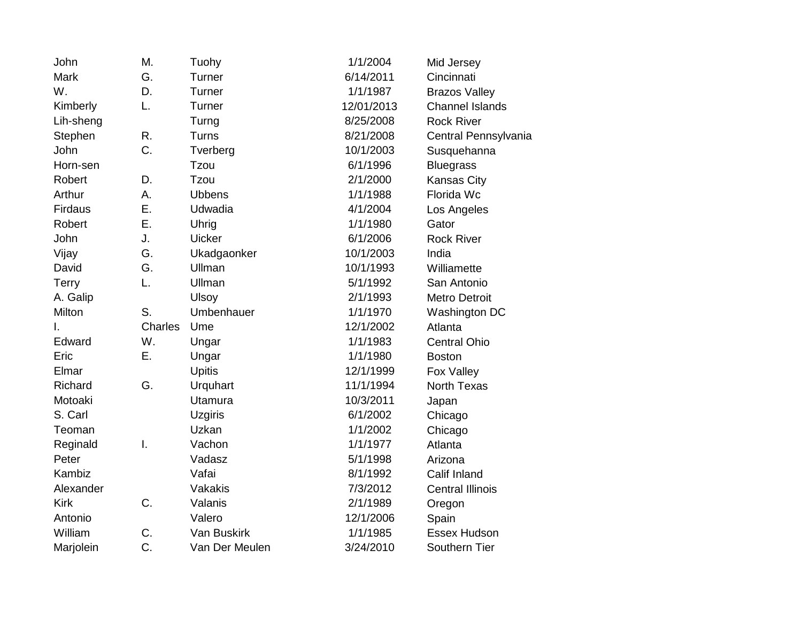| John         | Μ.      | Tuohy          | 1/1/2004   | Mid Jersey              |
|--------------|---------|----------------|------------|-------------------------|
| <b>Mark</b>  | G.      | Turner         | 6/14/2011  | Cincinnati              |
| W.           | D.      | Turner         | 1/1/1987   | <b>Brazos Valley</b>    |
| Kimberly     | L.      | Turner         | 12/01/2013 | <b>Channel Islands</b>  |
| Lih-sheng    |         | Turng          | 8/25/2008  | <b>Rock River</b>       |
| Stephen      | R.      | Turns          | 8/21/2008  | Central Pennsylvania    |
| John         | C.      | Tverberg       | 10/1/2003  | Susquehanna             |
| Horn-sen     |         | Tzou           | 6/1/1996   | <b>Bluegrass</b>        |
| Robert       | D.      | Tzou           | 2/1/2000   | <b>Kansas City</b>      |
| Arthur       | А.      | <b>Ubbens</b>  | 1/1/1988   | Florida Wc              |
| Firdaus      | Ε.      | Udwadia        | 4/1/2004   | Los Angeles             |
| Robert       | Ε.      | Uhrig          | 1/1/1980   | Gator                   |
| John         | J.      | <b>Uicker</b>  | 6/1/2006   | <b>Rock River</b>       |
| Vijay        | G.      | Ukadgaonker    | 10/1/2003  | India                   |
| David        | G.      | Ullman         | 10/1/1993  | Williamette             |
| <b>Terry</b> | L.      | Ullman         | 5/1/1992   | San Antonio             |
| A. Galip     |         | <b>Ulsoy</b>   | 2/1/1993   | <b>Metro Detroit</b>    |
|              |         |                |            |                         |
| Milton       | S.      | Umbenhauer     | 1/1/1970   | Washington DC           |
| I.           | Charles | Ume            | 12/1/2002  | Atlanta                 |
| Edward       | W.      | Ungar          | 1/1/1983   | <b>Central Ohio</b>     |
| Eric         | Ε.      | Ungar          | 1/1/1980   | <b>Boston</b>           |
| Elmar        |         | <b>Upitis</b>  | 12/1/1999  | Fox Valley              |
| Richard      | G.      | Urquhart       | 11/1/1994  | <b>North Texas</b>      |
| Motoaki      |         | Utamura        | 10/3/2011  | Japan                   |
| S. Carl      |         | <b>Uzgiris</b> | 6/1/2002   | Chicago                 |
| Teoman       |         | Uzkan          | 1/1/2002   | Chicago                 |
| Reginald     | I.      | Vachon         | 1/1/1977   | Atlanta                 |
| Peter        |         | Vadasz         | 5/1/1998   | Arizona                 |
| Kambiz       |         | Vafai          | 8/1/1992   | Calif Inland            |
| Alexander    |         | Vakakis        | 7/3/2012   | <b>Central Illinois</b> |
| <b>Kirk</b>  | C.      | Valanis        | 2/1/1989   | Oregon                  |
| Antonio      |         | Valero         | 12/1/2006  | Spain                   |
| William      | C.      | Van Buskirk    | 1/1/1985   | Essex Hudson            |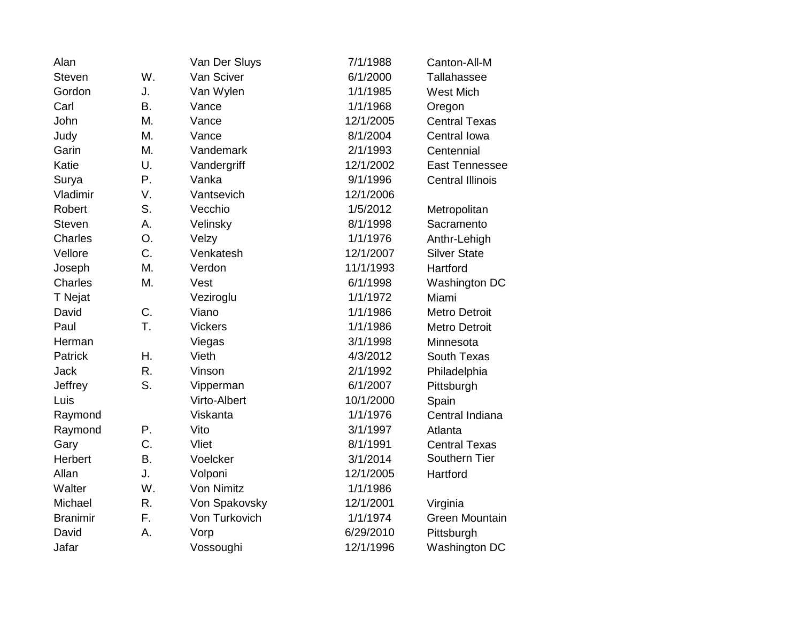| Alan            |           | Van Der Sluys  | 7/1/1988  | Canton-All-M            |
|-----------------|-----------|----------------|-----------|-------------------------|
| <b>Steven</b>   | W.        | Van Sciver     | 6/1/2000  | Tallahassee             |
| Gordon          | J.        | Van Wylen      | 1/1/1985  | <b>West Mich</b>        |
| Carl            | <b>B.</b> | Vance          | 1/1/1968  | Oregon                  |
| John            | M.        | Vance          | 12/1/2005 | <b>Central Texas</b>    |
| Judy            | M.        | Vance          | 8/1/2004  | Central Iowa            |
| Garin           | M.        | Vandemark      | 2/1/1993  | Centennial              |
| Katie           | U.        | Vandergriff    | 12/1/2002 | <b>East Tennessee</b>   |
| Surya           | Ρ.        | Vanka          | 9/1/1996  | <b>Central Illinois</b> |
| Vladimir        | V.        | Vantsevich     | 12/1/2006 |                         |
| Robert          | S.        | Vecchio        | 1/5/2012  | Metropolitan            |
| <b>Steven</b>   | Α.        | Velinsky       | 8/1/1998  | Sacramento              |
| <b>Charles</b>  | O.        | Velzy          | 1/1/1976  | Anthr-Lehigh            |
| Vellore         | C.        | Venkatesh      | 12/1/2007 | <b>Silver State</b>     |
| Joseph          | M.        | Verdon         | 11/1/1993 | Hartford                |
| <b>Charles</b>  | M.        | Vest           | 6/1/1998  | Washington DC           |
| T Nejat         |           | Veziroglu      | 1/1/1972  | Miami                   |
| David           | C.        | Viano          | 1/1/1986  | <b>Metro Detroit</b>    |
| Paul            | T.        | <b>Vickers</b> | 1/1/1986  | <b>Metro Detroit</b>    |
| Herman          |           | Viegas         | 3/1/1998  | Minnesota               |
| Patrick         | Η.        | Vieth          | 4/3/2012  | South Texas             |
| <b>Jack</b>     | R.        | Vinson         | 2/1/1992  | Philadelphia            |
| Jeffrey         | S.        | Vipperman      | 6/1/2007  | Pittsburgh              |
| Luis            |           | Virto-Albert   | 10/1/2000 | Spain                   |
| Raymond         |           | Viskanta       | 1/1/1976  | Central Indiana         |
| Raymond         | Ρ.        | Vito           | 3/1/1997  | Atlanta                 |
| Gary            | C.        | Vliet          | 8/1/1991  | <b>Central Texas</b>    |
| Herbert         | <b>B.</b> | Voelcker       | 3/1/2014  | Southern Tier           |
| Allan           | J.        | Volponi        | 12/1/2005 | Hartford                |
| Walter          | W.        | Von Nimitz     | 1/1/1986  |                         |
| Michael         | R.        | Von Spakovsky  | 12/1/2001 | Virginia                |
| <b>Branimir</b> | F.        | Von Turkovich  | 1/1/1974  | <b>Green Mountain</b>   |
| David           | Α.        | Vorp           | 6/29/2010 | Pittsburgh              |
| Jafar           |           | Vossoughi      | 12/1/1996 | Washington DC           |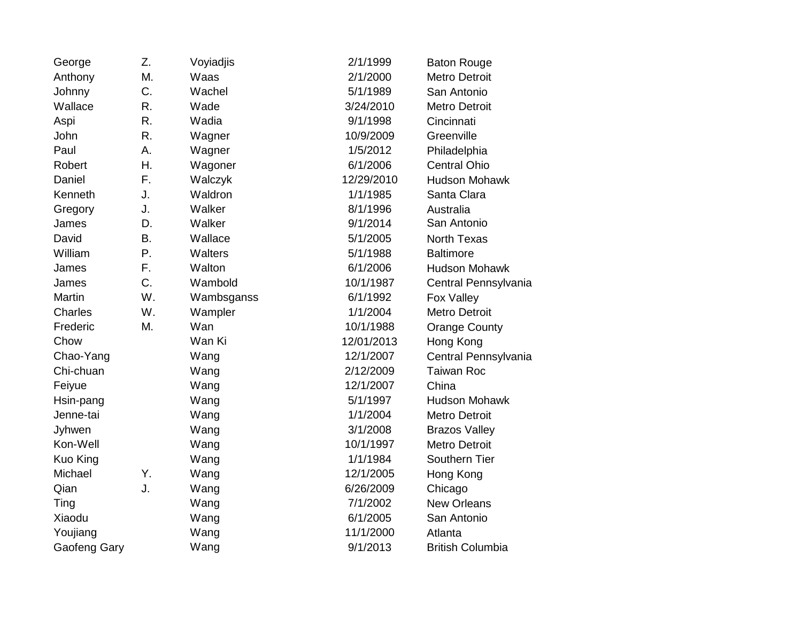| George       | Z.        | Voyiadjis  | 2/1/1999   | <b>Baton Rouge</b>      |
|--------------|-----------|------------|------------|-------------------------|
| Anthony      | Μ.        | Waas       | 2/1/2000   | <b>Metro Detroit</b>    |
| Johnny       | C.        | Wachel     | 5/1/1989   | San Antonio             |
| Wallace      | R.        | Wade       | 3/24/2010  | <b>Metro Detroit</b>    |
| Aspi         | R.        | Wadia      | 9/1/1998   | Cincinnati              |
| John         | R.        | Wagner     | 10/9/2009  | Greenville              |
| Paul         | Α.        | Wagner     | 1/5/2012   | Philadelphia            |
| Robert       | Η.        | Wagoner    | 6/1/2006   | <b>Central Ohio</b>     |
| Daniel       | F.        | Walczyk    | 12/29/2010 | <b>Hudson Mohawk</b>    |
| Kenneth      | J.        | Waldron    | 1/1/1985   | Santa Clara             |
| Gregory      | J.        | Walker     | 8/1/1996   | Australia               |
| James        | D.        | Walker     | 9/1/2014   | San Antonio             |
| David        | <b>B.</b> | Wallace    | 5/1/2005   | <b>North Texas</b>      |
| William      | Ρ.        | Walters    | 5/1/1988   | <b>Baltimore</b>        |
| James        | F.        | Walton     | 6/1/2006   | <b>Hudson Mohawk</b>    |
| James        | C.        | Wambold    | 10/1/1987  | Central Pennsylvania    |
| Martin       | W.        | Wambsganss | 6/1/1992   | Fox Valley              |
| Charles      | W.        | Wampler    | 1/1/2004   | Metro Detroit           |
| Frederic     | M.        | Wan        | 10/1/1988  | <b>Orange County</b>    |
| Chow         |           | Wan Ki     | 12/01/2013 | Hong Kong               |
| Chao-Yang    |           | Wang       | 12/1/2007  | Central Pennsylvania    |
| Chi-chuan    |           | Wang       | 2/12/2009  | <b>Taiwan Roc</b>       |
| Feiyue       |           | Wang       | 12/1/2007  | China                   |
| Hsin-pang    |           | Wang       | 5/1/1997   | <b>Hudson Mohawk</b>    |
| Jenne-tai    |           | Wang       | 1/1/2004   | <b>Metro Detroit</b>    |
| Jyhwen       |           | Wang       | 3/1/2008   | <b>Brazos Valley</b>    |
| Kon-Well     |           | Wang       | 10/1/1997  | <b>Metro Detroit</b>    |
| Kuo King     |           | Wang       | 1/1/1984   | Southern Tier           |
| Michael      | Υ.        | Wang       | 12/1/2005  | Hong Kong               |
| Qian         | J.        | Wang       | 6/26/2009  | Chicago                 |
| Ting         |           | Wang       | 7/1/2002   | <b>New Orleans</b>      |
| Xiaodu       |           | Wang       | 6/1/2005   | San Antonio             |
| Youjiang     |           | Wang       | 11/1/2000  | Atlanta                 |
| Gaofeng Gary |           | Wang       | 9/1/2013   | <b>British Columbia</b> |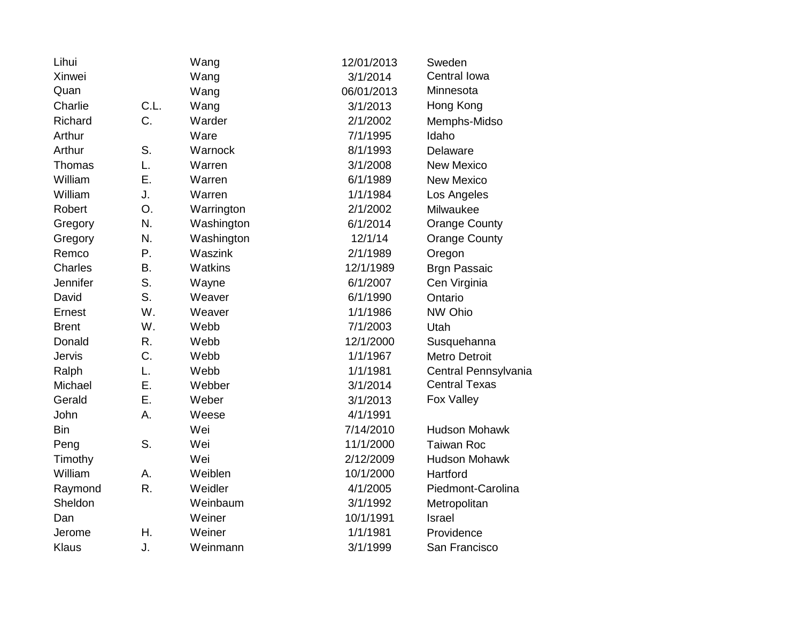| Lihui         |      | Wang       | 12/01/2013 | Sweden               |
|---------------|------|------------|------------|----------------------|
| Xinwei        |      | Wang       | 3/1/2014   | Central Iowa         |
| Quan          |      | Wang       | 06/01/2013 | Minnesota            |
| Charlie       | C.L. | Wang       | 3/1/2013   | Hong Kong            |
| Richard       | C.   | Warder     | 2/1/2002   | Memphs-Midso         |
| Arthur        |      | Ware       | 7/1/1995   | Idaho                |
| Arthur        | S.   | Warnock    | 8/1/1993   | Delaware             |
| Thomas        | L.   | Warren     | 3/1/2008   | <b>New Mexico</b>    |
| William       | Ε.   | Warren     | 6/1/1989   | <b>New Mexico</b>    |
| William       | J.   | Warren     | 1/1/1984   | Los Angeles          |
| Robert        | O.   | Warrington | 2/1/2002   | Milwaukee            |
| Gregory       | N.   | Washington | 6/1/2014   | <b>Orange County</b> |
| Gregory       | N.   | Washington | 12/1/14    | <b>Orange County</b> |
| Remco         | Ρ.   | Waszink    | 2/1/1989   | Oregon               |
| Charles       | Β.   | Watkins    | 12/1/1989  | <b>Brgn Passaic</b>  |
| Jennifer      | S.   | Wayne      | 6/1/2007   | Cen Virginia         |
| David         | S.   | Weaver     | 6/1/1990   | Ontario              |
| Ernest        | W.   | Weaver     | 1/1/1986   | NW Ohio              |
| <b>Brent</b>  | W.   | Webb       | 7/1/2003   | Utah                 |
| Donald        | R.   | Webb       | 12/1/2000  | Susquehanna          |
| <b>Jervis</b> | C.   | Webb       | 1/1/1967   | <b>Metro Detroit</b> |
| Ralph         | L.   | Webb       | 1/1/1981   | Central Pennsylvania |
| Michael       | Ε.   | Webber     | 3/1/2014   | <b>Central Texas</b> |
| Gerald        | Ε.   | Weber      | 3/1/2013   | Fox Valley           |
| John          | Α.   | Weese      | 4/1/1991   |                      |
| <b>Bin</b>    |      | Wei        | 7/14/2010  | <b>Hudson Mohawk</b> |
| Peng          | S.   | Wei        | 11/1/2000  | <b>Taiwan Roc</b>    |
| Timothy       |      | Wei        | 2/12/2009  | <b>Hudson Mohawk</b> |
| William       | А.   | Weiblen    | 10/1/2000  | Hartford             |
| Raymond       | R.   | Weidler    | 4/1/2005   | Piedmont-Carolina    |
| Sheldon       |      | Weinbaum   | 3/1/1992   | Metropolitan         |
| Dan           |      | Weiner     | 10/1/1991  | <b>Israel</b>        |
| Jerome        | Н.   | Weiner     | 1/1/1981   | Providence           |
| Klaus         | J.   | Weinmann   | 3/1/1999   | San Francisco        |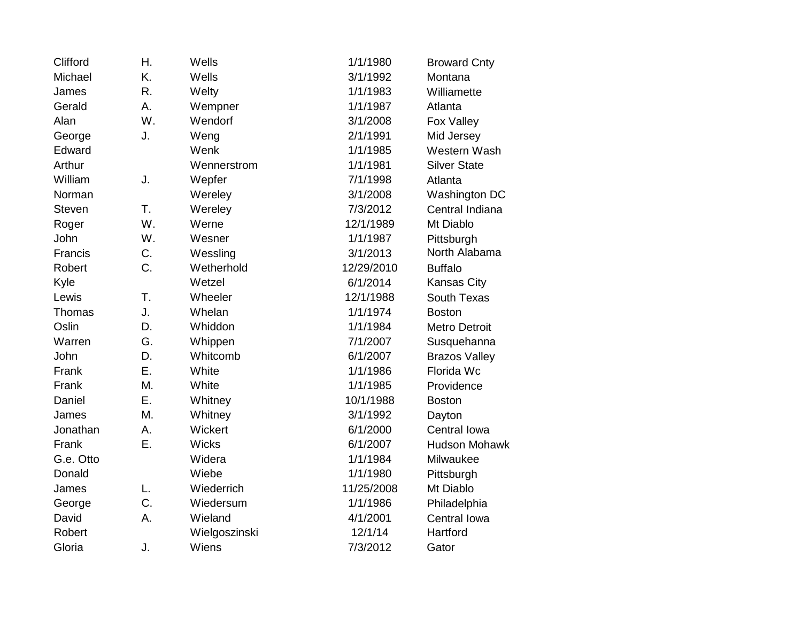| Clifford      | Η. | Wells         | 1/1/1980   | <b>Broward Cnty</b>  |
|---------------|----|---------------|------------|----------------------|
| Michael       | K. | Wells         | 3/1/1992   | Montana              |
| James         | R. | Welty         | 1/1/1983   | Williamette          |
| Gerald        | А. | Wempner       | 1/1/1987   | Atlanta              |
| Alan          | W. | Wendorf       | 3/1/2008   | Fox Valley           |
| George        | J. | Weng          | 2/1/1991   | Mid Jersey           |
| Edward        |    | Wenk          | 1/1/1985   | Western Wash         |
| Arthur        |    | Wennerstrom   | 1/1/1981   | <b>Silver State</b>  |
| William       | J. | Wepfer        | 7/1/1998   | Atlanta              |
| Norman        |    | Wereley       | 3/1/2008   | Washington DC        |
| <b>Steven</b> | T. | Wereley       | 7/3/2012   | Central Indiana      |
| Roger         | W. | Werne         | 12/1/1989  | Mt Diablo            |
| John          | W. | Wesner        | 1/1/1987   | Pittsburgh           |
| Francis       | C. | Wessling      | 3/1/2013   | North Alabama        |
| <b>Robert</b> | C. | Wetherhold    | 12/29/2010 | <b>Buffalo</b>       |
| Kyle          |    | Wetzel        | 6/1/2014   | Kansas City          |
| Lewis         | T. | Wheeler       | 12/1/1988  | <b>South Texas</b>   |
| Thomas        | J. | Whelan        | 1/1/1974   | <b>Boston</b>        |
| Oslin         | D. | Whiddon       | 1/1/1984   | <b>Metro Detroit</b> |
| Warren        | G. | Whippen       | 7/1/2007   | Susquehanna          |
| John          | D. | Whitcomb      | 6/1/2007   | <b>Brazos Valley</b> |
| Frank         | Ε. | White         | 1/1/1986   | Florida Wc           |
| Frank         | Μ. | White         | 1/1/1985   | Providence           |
| Daniel        | Ε. | Whitney       | 10/1/1988  | <b>Boston</b>        |
| James         | M. | Whitney       | 3/1/1992   | Dayton               |
| Jonathan      | А. | Wickert       | 6/1/2000   | Central Iowa         |
| Frank         | Ε. | Wicks         | 6/1/2007   | <b>Hudson Mohawk</b> |
| G.e. Otto     |    | Widera        | 1/1/1984   | Milwaukee            |
| Donald        |    | Wiebe         | 1/1/1980   | Pittsburgh           |
| James         | L. | Wiederrich    | 11/25/2008 | Mt Diablo            |
| George        | C. | Wiedersum     | 1/1/1986   | Philadelphia         |
| David         | Α. | Wieland       | 4/1/2001   | Central Iowa         |
| Robert        |    | Wielgoszinski | 12/1/14    | Hartford             |
| Gloria        | J. | Wiens         | 7/3/2012   | Gator                |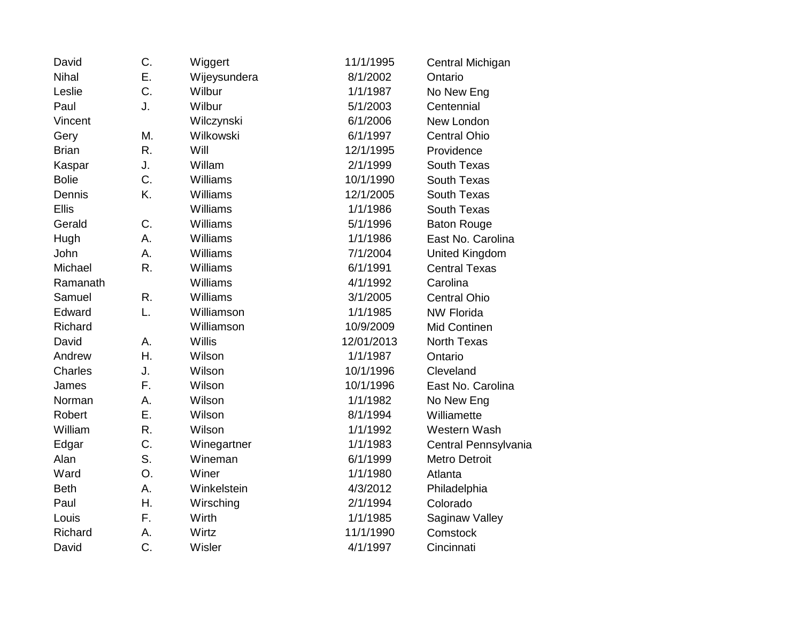| David        | C. | Wiggert       | 11/1/1995  | Central Michigan      |
|--------------|----|---------------|------------|-----------------------|
| Nihal        | Ε. | Wijeysundera  | 8/1/2002   | Ontario               |
| Leslie       | C. | Wilbur        | 1/1/1987   | No New Eng            |
| Paul         | J. | Wilbur        | 5/1/2003   | Centennial            |
| Vincent      |    | Wilczynski    | 6/1/2006   | New London            |
| Gery         | Μ. | Wilkowski     | 6/1/1997   | <b>Central Ohio</b>   |
| <b>Brian</b> | R. | Will          | 12/1/1995  | Providence            |
| Kaspar       | J. | Willam        | 2/1/1999   | South Texas           |
| <b>Bolie</b> | C. | Williams      | 10/1/1990  | South Texas           |
| Dennis       | K. | Williams      | 12/1/2005  | South Texas           |
| <b>Ellis</b> |    | Williams      | 1/1/1986   | South Texas           |
| Gerald       | C. | Williams      | 5/1/1996   | <b>Baton Rouge</b>    |
| Hugh         | А. | Williams      | 1/1/1986   | East No. Carolina     |
| John         | A. | Williams      | 7/1/2004   | <b>United Kingdom</b> |
| Michael      | R. | Williams      | 6/1/1991   | <b>Central Texas</b>  |
| Ramanath     |    | Williams      | 4/1/1992   | Carolina              |
| Samuel       | R. | Williams      | 3/1/2005   | <b>Central Ohio</b>   |
| Edward       | L. | Williamson    | 1/1/1985   | <b>NW Florida</b>     |
| Richard      |    | Williamson    | 10/9/2009  | Mid Continen          |
| David        | A. | <b>Willis</b> | 12/01/2013 | <b>North Texas</b>    |
| Andrew       | Η. | Wilson        | 1/1/1987   | Ontario               |
| Charles      | J. | Wilson        | 10/1/1996  | Cleveland             |
| James        | F. | Wilson        | 10/1/1996  | East No. Carolina     |
| Norman       | А. | Wilson        | 1/1/1982   | No New Eng            |
| Robert       | Ε. | Wilson        | 8/1/1994   | Williamette           |
| William      | R. | Wilson        | 1/1/1992   | Western Wash          |
| Edgar        | C. | Winegartner   | 1/1/1983   | Central Pennsylvania  |
| Alan         | S. | Wineman       | 6/1/1999   | <b>Metro Detroit</b>  |
| Ward         | O. | Winer         | 1/1/1980   | Atlanta               |
| <b>Beth</b>  | Α. | Winkelstein   | 4/3/2012   | Philadelphia          |
| Paul         | Η. | Wirsching     | 2/1/1994   | Colorado              |
| Louis        | F. | Wirth         | 1/1/1985   | Saginaw Valley        |
| Richard      | Α. | Wirtz         | 11/1/1990  | Comstock              |
| David        | C. | Wisler        | 4/1/1997   | Cincinnati            |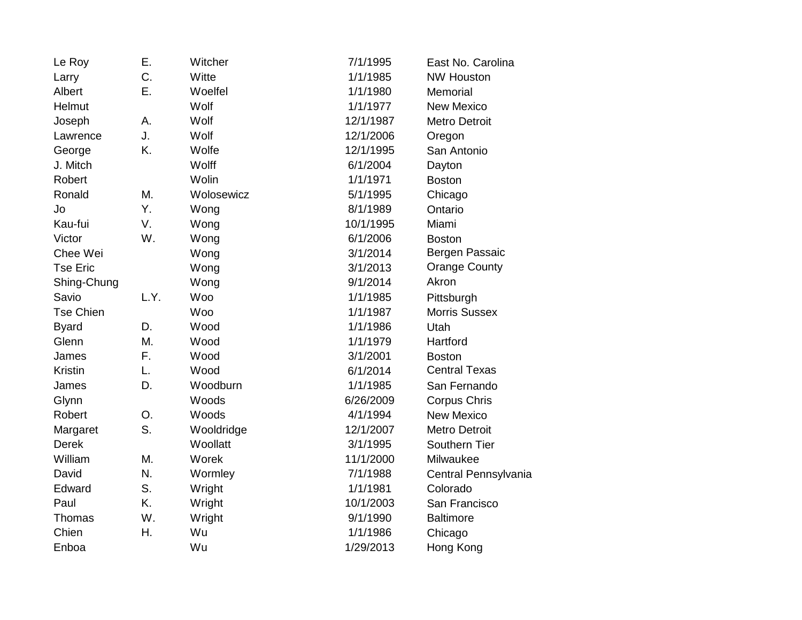| Le Roy           | Ε.   | Witcher    | 7/1/1995  | East No. Carolina    |
|------------------|------|------------|-----------|----------------------|
| Larry            | C.   | Witte      | 1/1/1985  | <b>NW Houston</b>    |
| Albert           | Ε.   | Woelfel    | 1/1/1980  | Memorial             |
| Helmut           |      | Wolf       | 1/1/1977  | <b>New Mexico</b>    |
| Joseph           | А.   | Wolf       | 12/1/1987 | <b>Metro Detroit</b> |
| Lawrence         | J.   | Wolf       | 12/1/2006 | Oregon               |
| George           | K.   | Wolfe      | 12/1/1995 | San Antonio          |
| J. Mitch         |      | Wolff      | 6/1/2004  | Dayton               |
| Robert           |      | Wolin      | 1/1/1971  | <b>Boston</b>        |
| Ronald           | Μ.   | Wolosewicz | 5/1/1995  | Chicago              |
| Jo               | Υ.   | Wong       | 8/1/1989  | Ontario              |
| Kau-fui          | V.   | Wong       | 10/1/1995 | Miami                |
| Victor           | W.   | Wong       | 6/1/2006  | <b>Boston</b>        |
| Chee Wei         |      | Wong       | 3/1/2014  | Bergen Passaic       |
| <b>Tse Eric</b>  |      | Wong       | 3/1/2013  | <b>Orange County</b> |
| Shing-Chung      |      | Wong       | 9/1/2014  | Akron                |
| Savio            | L.Y. | Woo        | 1/1/1985  | Pittsburgh           |
| <b>Tse Chien</b> |      | Woo        | 1/1/1987  | <b>Morris Sussex</b> |
| <b>Byard</b>     | D.   | Wood       | 1/1/1986  | Utah                 |
| Glenn            | Μ.   | Wood       | 1/1/1979  | Hartford             |
| James            | F.   | Wood       | 3/1/2001  | <b>Boston</b>        |
| Kristin          | L.   | Wood       | 6/1/2014  | <b>Central Texas</b> |
| James            | D.   | Woodburn   | 1/1/1985  | San Fernando         |
| Glynn            |      | Woods      | 6/26/2009 | <b>Corpus Chris</b>  |
| Robert           | O.   | Woods      | 4/1/1994  | <b>New Mexico</b>    |
| Margaret         | S.   | Wooldridge | 12/1/2007 | <b>Metro Detroit</b> |
| <b>Derek</b>     |      | Woollatt   | 3/1/1995  | Southern Tier        |
| William          | Μ.   | Worek      | 11/1/2000 | Milwaukee            |
| David            | N.   | Wormley    | 7/1/1988  | Central Pennsylvania |
| Edward           | S.   | Wright     | 1/1/1981  | Colorado             |
| Paul             | K.   | Wright     | 10/1/2003 | San Francisco        |
| Thomas           | W.   | Wright     | 9/1/1990  | <b>Baltimore</b>     |
| Chien            | Η.   | Wu         | 1/1/1986  | Chicago              |
| Enboa            |      | Wu         | 1/29/2013 | Hong Kong            |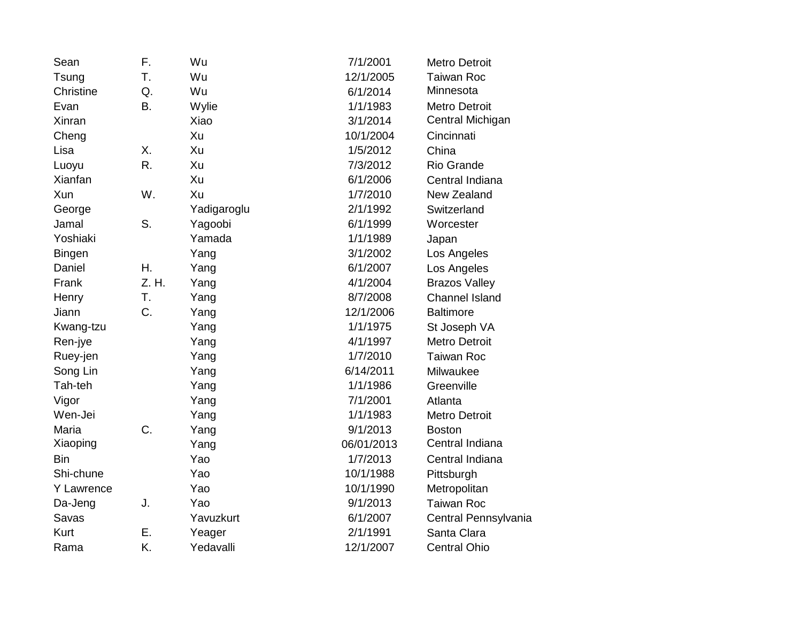| Sean          | F.        | Wu          | 7/1/2001   | <b>Metro Detroit</b>  |
|---------------|-----------|-------------|------------|-----------------------|
| Tsung         | T.        | Wu          | 12/1/2005  | <b>Taiwan Roc</b>     |
| Christine     | Q.        | Wu          | 6/1/2014   | Minnesota             |
| Evan          | <b>B.</b> | Wylie       | 1/1/1983   | <b>Metro Detroit</b>  |
| Xinran        |           | Xiao        | 3/1/2014   | Central Michigan      |
| Cheng         |           | Xu          | 10/1/2004  | Cincinnati            |
| Lisa          | Χ.        | Xu          | 1/5/2012   | China                 |
| Luoyu         | R.        | Xu          | 7/3/2012   | Rio Grande            |
| Xianfan       |           | Xu          | 6/1/2006   | Central Indiana       |
| Xun           | W.        | Xu          | 1/7/2010   | New Zealand           |
| George        |           | Yadigaroglu | 2/1/1992   | Switzerland           |
| Jamal         | S.        | Yagoobi     | 6/1/1999   | Worcester             |
| Yoshiaki      |           | Yamada      | 1/1/1989   | Japan                 |
| <b>Bingen</b> |           | Yang        | 3/1/2002   | Los Angeles           |
| Daniel        | Η.        | Yang        | 6/1/2007   | Los Angeles           |
| Frank         | Z. H.     | Yang        | 4/1/2004   | <b>Brazos Valley</b>  |
| Henry         | T.        | Yang        | 8/7/2008   | <b>Channel Island</b> |
| Jiann         | C.        | Yang        | 12/1/2006  | <b>Baltimore</b>      |
| Kwang-tzu     |           | Yang        | 1/1/1975   | St Joseph VA          |
| Ren-jye       |           | Yang        | 4/1/1997   | <b>Metro Detroit</b>  |
| Ruey-jen      |           | Yang        | 1/7/2010   | <b>Taiwan Roc</b>     |
| Song Lin      |           | Yang        | 6/14/2011  | Milwaukee             |
| Tah-teh       |           | Yang        | 1/1/1986   | Greenville            |
| Vigor         |           | Yang        | 7/1/2001   | Atlanta               |
| Wen-Jei       |           | Yang        | 1/1/1983   | Metro Detroit         |
| Maria         | C.        | Yang        | 9/1/2013   | <b>Boston</b>         |
| Xiaoping      |           | Yang        | 06/01/2013 | Central Indiana       |
| Bin           |           | Yao         | 1/7/2013   | Central Indiana       |
| Shi-chune     |           | Yao         | 10/1/1988  | Pittsburgh            |
| Y Lawrence    |           | Yao         | 10/1/1990  | Metropolitan          |
| Da-Jeng       | J.        | Yao         | 9/1/2013   | <b>Taiwan Roc</b>     |
| Savas         |           | Yavuzkurt   | 6/1/2007   | Central Pennsylvania  |
| <b>Kurt</b>   | Ε.        | Yeager      | 2/1/1991   | Santa Clara           |
| Rama          | K.        | Yedavalli   | 12/1/2007  | <b>Central Ohio</b>   |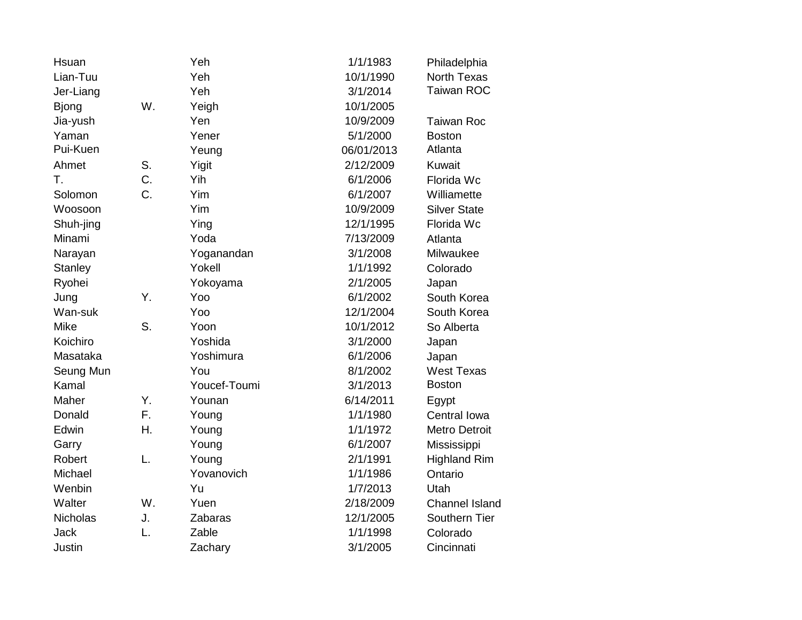| Hsuan          |    | Yeh          | 1/1/1983   | Philadelphia          |
|----------------|----|--------------|------------|-----------------------|
| Lian-Tuu       |    | Yeh          | 10/1/1990  | <b>North Texas</b>    |
| Jer-Liang      |    | Yeh          | 3/1/2014   | <b>Taiwan ROC</b>     |
| <b>Bjong</b>   | W. | Yeigh        | 10/1/2005  |                       |
| Jia-yush       |    | Yen          | 10/9/2009  | <b>Taiwan Roc</b>     |
| Yaman          |    | Yener        | 5/1/2000   | <b>Boston</b>         |
| Pui-Kuen       |    | Yeung        | 06/01/2013 | Atlanta               |
| Ahmet          | S. | Yigit        | 2/12/2009  | Kuwait                |
| T.             | C. | Yih          | 6/1/2006   | Florida Wc            |
| Solomon        | C. | Yim          | 6/1/2007   | Williamette           |
| Woosoon        |    | Yim          | 10/9/2009  | <b>Silver State</b>   |
| Shuh-jing      |    | Ying         | 12/1/1995  | Florida Wc            |
| Minami         |    | Yoda         | 7/13/2009  | Atlanta               |
| Narayan        |    | Yoganandan   | 3/1/2008   | Milwaukee             |
| <b>Stanley</b> |    | Yokell       | 1/1/1992   | Colorado              |
| Ryohei         |    | Yokoyama     | 2/1/2005   | Japan                 |
| Jung           | Υ. | Yoo          | 6/1/2002   | South Korea           |
| Wan-suk        |    | Yoo          | 12/1/2004  | South Korea           |
| Mike           | S. | Yoon         | 10/1/2012  | So Alberta            |
| Koichiro       |    | Yoshida      | 3/1/2000   | Japan                 |
| Masataka       |    | Yoshimura    | 6/1/2006   | Japan                 |
| Seung Mun      |    | You          | 8/1/2002   | <b>West Texas</b>     |
| Kamal          |    | Youcef-Toumi | 3/1/2013   | <b>Boston</b>         |
| Maher          | Y. | Younan       | 6/14/2011  | Egypt                 |
| Donald         | F. | Young        | 1/1/1980   | Central Iowa          |
| Edwin          | Η. | Young        | 1/1/1972   | <b>Metro Detroit</b>  |
| Garry          |    | Young        | 6/1/2007   | Mississippi           |
| Robert         | L. | Young        | 2/1/1991   | <b>Highland Rim</b>   |
| Michael        |    | Yovanovich   | 1/1/1986   | Ontario               |
| Wenbin         |    | Yu           | 1/7/2013   | Utah                  |
| Walter         | W. | Yuen         | 2/18/2009  | <b>Channel Island</b> |
| Nicholas       | J. | Zabaras      | 12/1/2005  | Southern Tier         |
| <b>Jack</b>    | L. | Zable        | 1/1/1998   | Colorado              |
| Justin         |    | Zachary      | 3/1/2005   | Cincinnati            |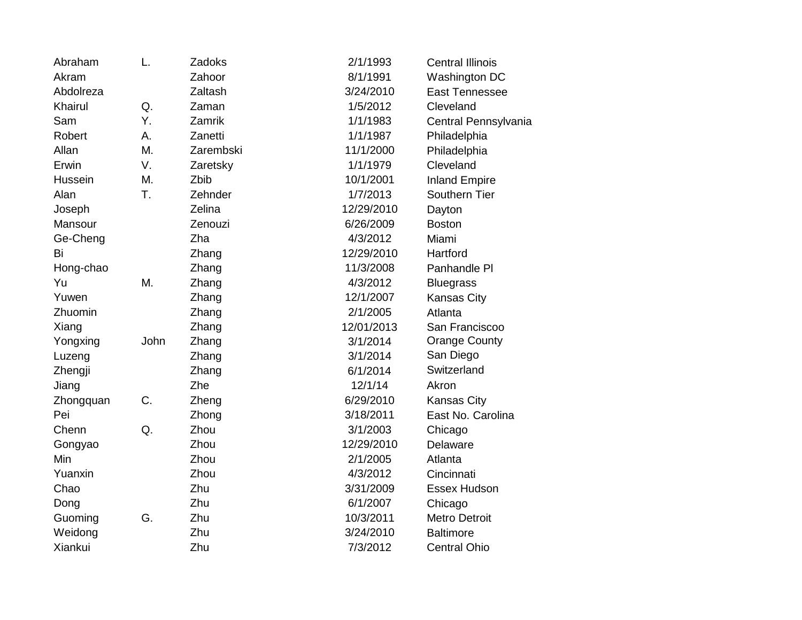| Abraham   | L.   | Zadoks    | 2/1/1993   | <b>Central Illinois</b> |
|-----------|------|-----------|------------|-------------------------|
| Akram     |      | Zahoor    | 8/1/1991   | Washington DC           |
| Abdolreza |      | Zaltash   | 3/24/2010  | East Tennessee          |
| Khairul   | Q.   | Zaman     | 1/5/2012   | Cleveland               |
| Sam       | Υ.   | Zamrik    | 1/1/1983   | Central Pennsylvania    |
| Robert    | Α.   | Zanetti   | 1/1/1987   | Philadelphia            |
| Allan     | M.   | Zarembski | 11/1/2000  | Philadelphia            |
| Erwin     | V.   | Zaretsky  | 1/1/1979   | Cleveland               |
| Hussein   | M.   | Zbib      | 10/1/2001  | <b>Inland Empire</b>    |
| Alan      | T.   | Zehnder   | 1/7/2013   | Southern Tier           |
| Joseph    |      | Zelina    | 12/29/2010 | Dayton                  |
| Mansour   |      | Zenouzi   | 6/26/2009  | <b>Boston</b>           |
| Ge-Cheng  |      | Zha       | 4/3/2012   | Miami                   |
| Bi        |      | Zhang     | 12/29/2010 | Hartford                |
| Hong-chao |      | Zhang     | 11/3/2008  | Panhandle PI            |
| Yu        | M.   | Zhang     | 4/3/2012   | <b>Bluegrass</b>        |
| Yuwen     |      | Zhang     | 12/1/2007  | <b>Kansas City</b>      |
| Zhuomin   |      | Zhang     | 2/1/2005   | Atlanta                 |
| Xiang     |      | Zhang     | 12/01/2013 | San Franciscoo          |
| Yongxing  | John | Zhang     | 3/1/2014   | <b>Orange County</b>    |
| Luzeng    |      | Zhang     | 3/1/2014   | San Diego               |
| Zhengji   |      | Zhang     | 6/1/2014   | Switzerland             |
| Jiang     |      | Zhe       | 12/1/14    | Akron                   |
| Zhongquan | C.   | Zheng     | 6/29/2010  | <b>Kansas City</b>      |
| Pei       |      | Zhong     | 3/18/2011  | East No. Carolina       |
| Chenn     | Q.   | Zhou      | 3/1/2003   | Chicago                 |
| Gongyao   |      | Zhou      | 12/29/2010 | Delaware                |
| Min       |      | Zhou      | 2/1/2005   | Atlanta                 |
| Yuanxin   |      | Zhou      | 4/3/2012   | Cincinnati              |
| Chao      |      | Zhu       | 3/31/2009  | Essex Hudson            |
| Dong      |      | Zhu       | 6/1/2007   | Chicago                 |
| Guoming   | G.   | Zhu       | 10/3/2011  | <b>Metro Detroit</b>    |
| Weidong   |      | Zhu       | 3/24/2010  | <b>Baltimore</b>        |
| Xiankui   |      | Zhu       | 7/3/2012   | <b>Central Ohio</b>     |